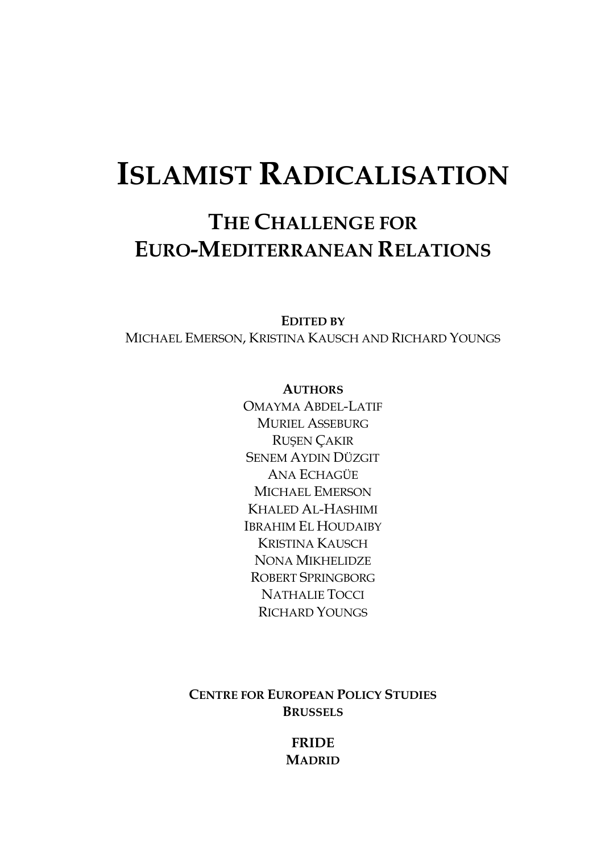# **ISLAMIST RADICALISATION**

### **THE CHALLENGE FOR EURO-MEDITERRANEAN RELATIONS**

**EDITED BY**

MICHAEL EMERSON, KRISTINA KAUSCH AND RICHARD YOUNGS

#### **AUTHORS**

OMAYMA ABDEL-LATIF MURIEL ASSEBURG RUŞEN ÇAKIR SENEM AYDIN DÜZGIT ANA ECHAGÜE MICHAEL EMERSON KHALED AL-HASHIMI IBRAHIM EL HOUDAIBY KRISTINA KAUSCH NONA MIKHELIDZE ROBERT SPRINGBORG NATHALIE TOCCI RICHARD YOUNGS

**CENTRE FOR EUROPEAN POLICY STUDIES BRUSSELS**

> **FRIDE MADRID**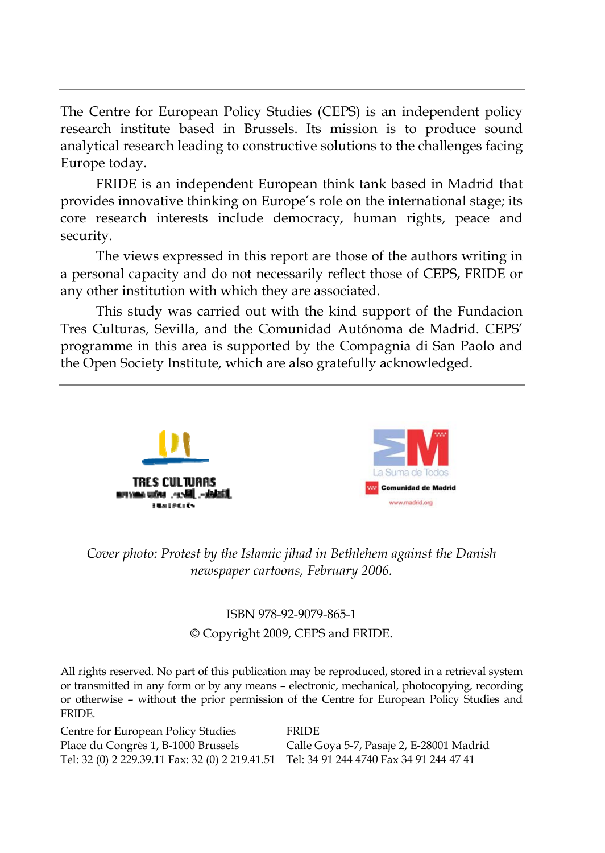The Centre for European Policy Studies (CEPS) is an independent policy research institute based in Brussels. Its mission is to produce sound analytical research leading to constructive solutions to the challenges facing Europe today.

FRIDE is an independent European think tank based in Madrid that provides innovative thinking on Europe's role on the international stage; its core research interests include democracy, human rights, peace and security.

The views expressed in this report are those of the authors writing in a personal capacity and do not necessarily reflect those of CEPS, FRIDE or any other institution with which they are associated.

This study was carried out with the kind support of the Fundacion Tres Culturas, Sevilla, and the Comunidad Autónoma de Madrid. CEPS' programme in this area is supported by the Compagnia di San Paolo and the Open Society Institute, which are also gratefully acknowledged.





*Cover photo: Protest by the Islamic jihad in Bethlehem against the Danish newspaper cartoons, February 2006.*

#### ISBN 978-92-9079-865-1 © Copyright 2009, CEPS and FRIDE.

All rights reserved. No part of this publication may be reproduced, stored in a retrieval system or transmitted in any form or by any means – electronic, mechanical, photocopying, recording or otherwise – without the prior permission of the Centre for European Policy Studies and FRIDE.

Centre for European Policy Studies FRIDE Place du Congrès 1, B-1000 Brussels Calle Goya 5-7, Pasaje 2, E-28001 Madrid Tel: 32 (0) 2 229.39.11 Fax: 32 (0) 2 219.41.51 Tel: 34 91 244 4740 Fax 34 91 244 47 41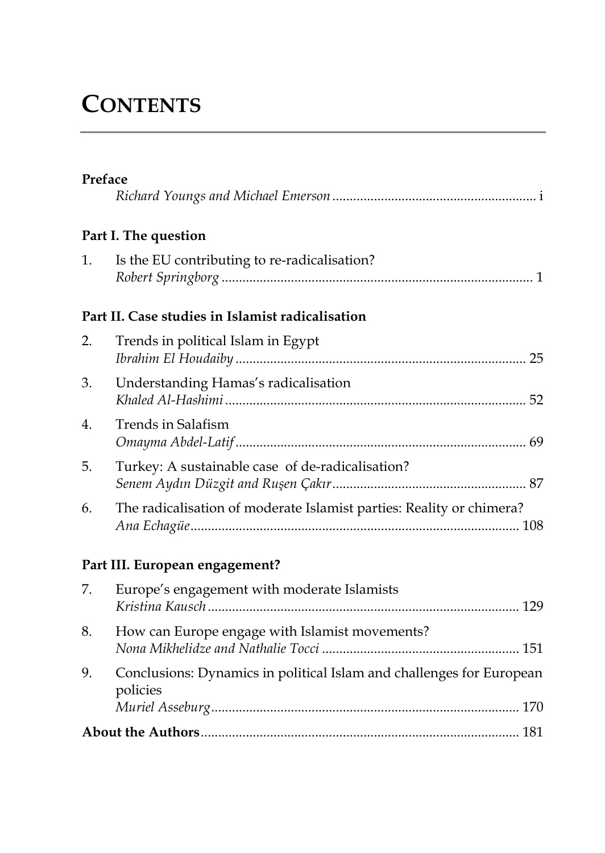# **CONTENTS**

| Preface |                                                                      |
|---------|----------------------------------------------------------------------|
|         |                                                                      |
|         | Part I. The question                                                 |
| 1.      | Is the EU contributing to re-radicalisation?                         |
|         | Part II. Case studies in Islamist radicalisation                     |
| 2.      | Trends in political Islam in Egypt                                   |
| 3.      | Understanding Hamas's radicalisation                                 |
| 4.      | Trends in Salafism                                                   |
| 5.      | Turkey: A sustainable case of de-radicalisation?                     |
| 6.      | The radicalisation of moderate Islamist parties: Reality or chimera? |

#### **Part III. European engagement?**

|    | 7. Europe's engagement with moderate Islamists                                   |
|----|----------------------------------------------------------------------------------|
| 8. | How can Europe engage with Islamist movements?                                   |
| 9. | Conclusions: Dynamics in political Islam and challenges for European<br>policies |
|    |                                                                                  |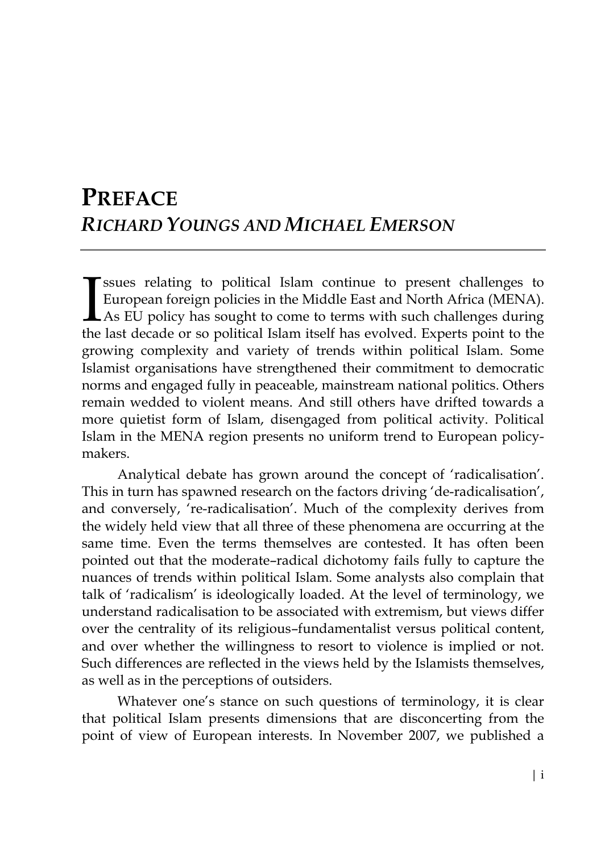### **PREFACE** *RICHARD YOUNGS AND MICHAEL EMERSON*

ssues relating to political Islam continue to present challenges to European foreign policies in the Middle East and North Africa (MENA). LAs EU policy has sought to come to terms with such challenges during **T** ssues relating to political Islam continue to present challenges to European foreign policies in the Middle East and North Africa (MENA). As EU policy has sought to come to terms with such challenges during the last de growing complexity and variety of trends within political Islam. Some Islamist organisations have strengthened their commitment to democratic norms and engaged fully in peaceable, mainstream national politics. Others remain wedded to violent means. And still others have drifted towards a more quietist form of Islam, disengaged from political activity. Political Islam in the MENA region presents no uniform trend to European policymakers.

Analytical debate has grown around the concept of 'radicalisation'. This in turn has spawned research on the factors driving 'de-radicalisation', and conversely, 're-radicalisation'. Much of the complexity derives from the widely held view that all three of these phenomena are occurring at the same time. Even the terms themselves are contested. It has often been pointed out that the moderate–radical dichotomy fails fully to capture the nuances of trends within political Islam. Some analysts also complain that talk of 'radicalism' is ideologically loaded. At the level of terminology, we understand radicalisation to be associated with extremism, but views differ over the centrality of its religious–fundamentalist versus political content, and over whether the willingness to resort to violence is implied or not. Such differences are reflected in the views held by the Islamists themselves, as well as in the perceptions of outsiders.

Whatever one's stance on such questions of terminology, it is clear that political Islam presents dimensions that are disconcerting from the point of view of European interests. In November 2007, we published a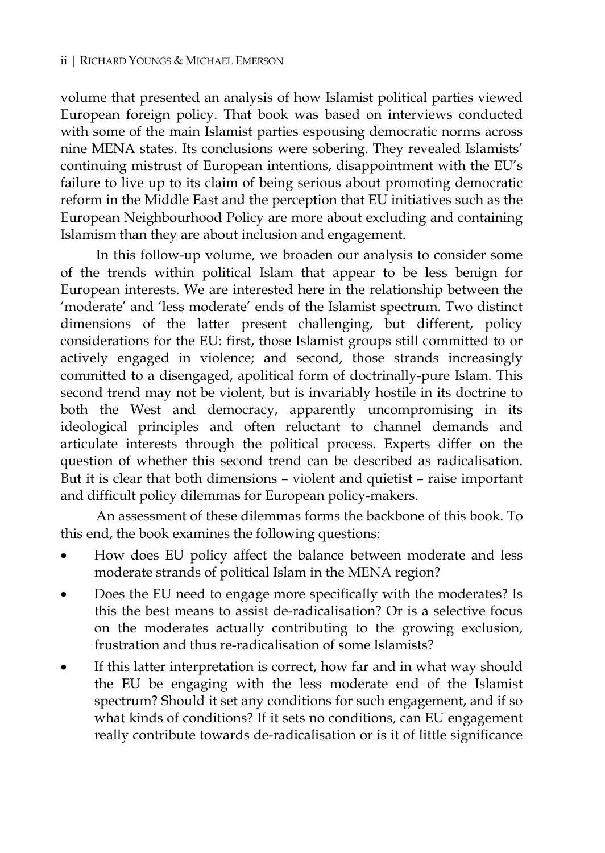volume that presented an analysis of how Islamist political parties viewed European foreign policy. That book was based on interviews conducted with some of the main Islamist parties espousing democratic norms across nine MENA states. Its conclusions were sobering. They revealed Islamists' continuing mistrust of European intentions, disappointment with the EU's failure to live up to its claim of being serious about promoting democratic reform in the Middle East and the perception that EU initiatives such as the European Neighbourhood Policy are more about excluding and containing Islamism than they are about inclusion and engagement.

In this follow-up volume, we broaden our analysis to consider some of the trends within political Islam that appear to be less benign for European interests. We are interested here in the relationship between the 'moderate' and 'less moderate' ends of the Islamist spectrum. Two distinct dimensions of the latter present challenging, but different, policy considerations for the EU: first, those Islamist groups still committed to or actively engaged in violence; and second, those strands increasingly committed to a disengaged, apolitical form of doctrinally-pure Islam. This second trend may not be violent, but is invariably hostile in its doctrine to both the West and democracy, apparently uncompromising in its ideological principles and often reluctant to channel demands and articulate interests through the political process. Experts differ on the question of whether this second trend can be described as radicalisation. But it is clear that both dimensions – violent and quietist – raise important and difficult policy dilemmas for European policy-makers.

An assessment of these dilemmas forms the backbone of this book. To this end, the book examines the following questions:

- How does EU policy affect the balance between moderate and less moderate strands of political Islam in the MENA region?
- Does the EU need to engage more specifically with the moderates? Is this the best means to assist de-radicalisation? Or is a selective focus on the moderates actually contributing to the growing exclusion, frustration and thus re-radicalisation of some Islamists?
- If this latter interpretation is correct, how far and in what way should the EU be engaging with the less moderate end of the Islamist spectrum? Should it set any conditions for such engagement, and if so what kinds of conditions? If it sets no conditions, can EU engagement really contribute towards de-radicalisation or is it of little significance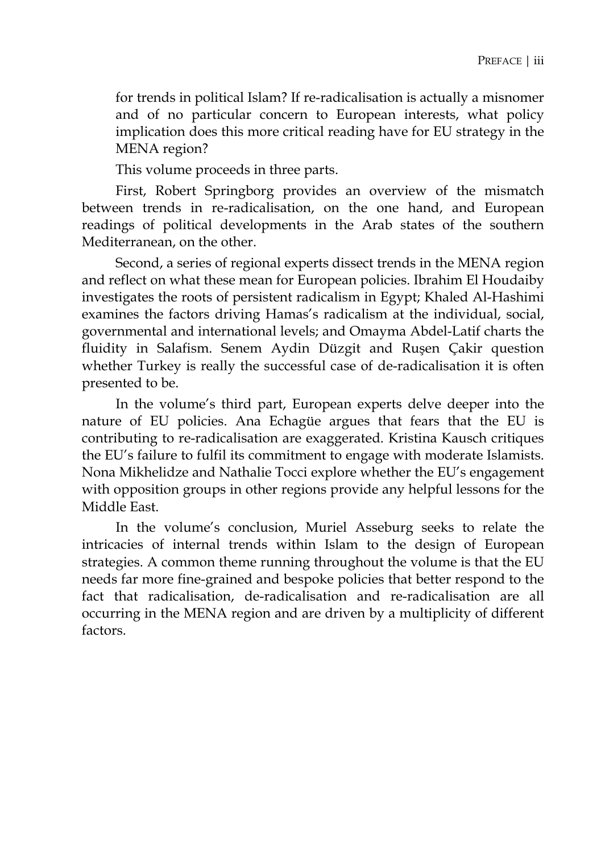for trends in political Islam? If re-radicalisation is actually a misnomer and of no particular concern to European interests, what policy implication does this more critical reading have for EU strategy in the MENA region?

This volume proceeds in three parts.

First, Robert Springborg provides an overview of the mismatch between trends in re-radicalisation, on the one hand, and European readings of political developments in the Arab states of the southern Mediterranean, on the other.

Second, a series of regional experts dissect trends in the MENA region and reflect on what these mean for European policies. Ibrahim El Houdaiby investigates the roots of persistent radicalism in Egypt; Khaled Al-Hashimi examines the factors driving Hamas's radicalism at the individual, social, governmental and international levels; and Omayma Abdel-Latif charts the fluidity in Salafism. Senem Aydin Düzgit and Ruşen Çakir question whether Turkey is really the successful case of de-radicalisation it is often presented to be.

In the volume's third part, European experts delve deeper into the nature of EU policies. Ana Echagüe argues that fears that the EU is contributing to re-radicalisation are exaggerated. Kristina Kausch critiques the EU's failure to fulfil its commitment to engage with moderate Islamists. Nona Mikhelidze and Nathalie Tocci explore whether the EU's engagement with opposition groups in other regions provide any helpful lessons for the Middle East.

In the volume's conclusion, Muriel Asseburg seeks to relate the intricacies of internal trends within Islam to the design of European strategies. A common theme running throughout the volume is that the EU needs far more fine-grained and bespoke policies that better respond to the fact that radicalisation, de-radicalisation and re-radicalisation are all occurring in the MENA region and are driven by a multiplicity of different factors.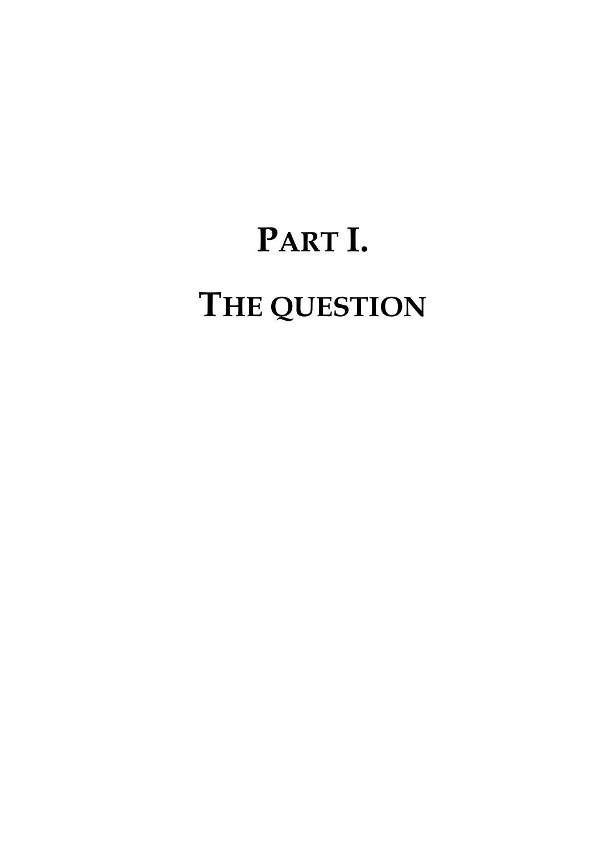# **PART I. THE QUESTION**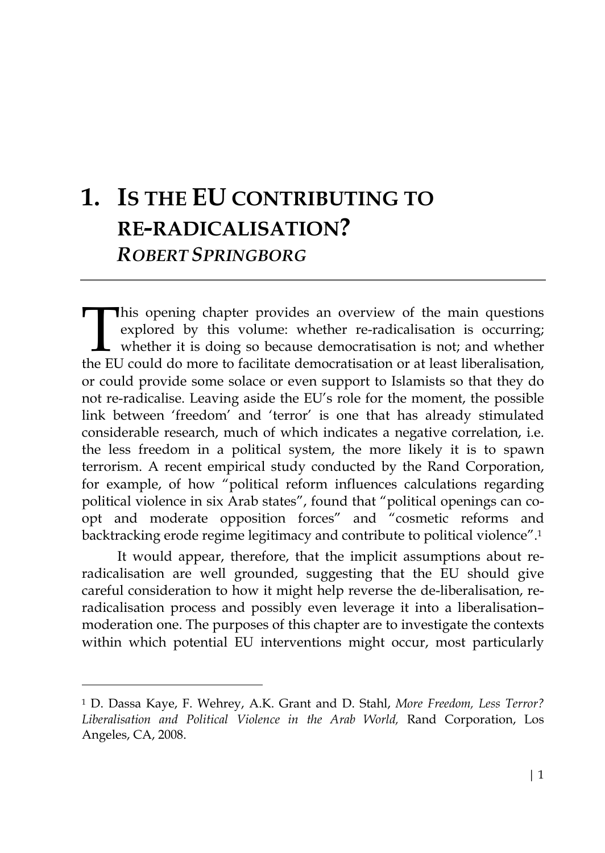## **1. IS THE EU CONTRIBUTING TO RE-RADICALISATION?**  *ROBERT SPRINGBORG*

This opening chapter provides an overview of the main questions explored by this volume: whether re-radicalisation is occurring; whether it is doing so because democratisation is not; and whether the EU could do more to facilitate democratisation or at least liberalisation, or could provide some solace or even support to Islamists so that they do not re-radicalise. Leaving aside the EU's role for the moment, the possible link between 'freedom' and 'terror' is one that has already stimulated considerable research, much of which indicates a negative correlation, i.e. the less freedom in a political system, the more likely it is to spawn terrorism. A recent empirical study conducted by the Rand Corporation, for example, of how "political reform influences calculations regarding political violence in six Arab states", found that "political openings can coopt and moderate opposition forces" and "cosmetic reforms and backtracking erode regime legitimacy and contribute to political violence".1  $\prod_{\text{the FI}}$ 

It would appear, therefore, that the implicit assumptions about reradicalisation are well grounded, suggesting that the EU should give careful consideration to how it might help reverse the de-liberalisation, reradicalisation process and possibly even leverage it into a liberalisation– moderation one. The purposes of this chapter are to investigate the contexts within which potential EU interventions might occur, most particularly

 $\ddot{\phantom{a}}$ 

<sup>1</sup> D. Dassa Kaye, F. Wehrey, A.K. Grant and D. Stahl, *More Freedom, Less Terror? Liberalisation and Political Violence in the Arab World,* Rand Corporation, Los Angeles, CA, 2008.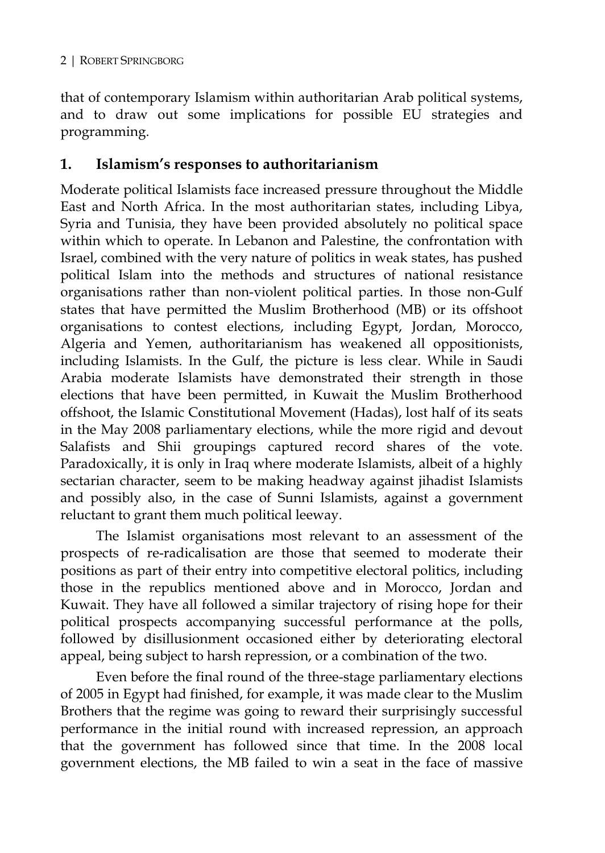that of contemporary Islamism within authoritarian Arab political systems, and to draw out some implications for possible EU strategies and programming.

#### **1. Islamism's responses to authoritarianism**

Moderate political Islamists face increased pressure throughout the Middle East and North Africa. In the most authoritarian states, including Libya, Syria and Tunisia, they have been provided absolutely no political space within which to operate. In Lebanon and Palestine, the confrontation with Israel, combined with the very nature of politics in weak states, has pushed political Islam into the methods and structures of national resistance organisations rather than non-violent political parties. In those non-Gulf states that have permitted the Muslim Brotherhood (MB) or its offshoot organisations to contest elections, including Egypt, Jordan, Morocco, Algeria and Yemen, authoritarianism has weakened all oppositionists, including Islamists. In the Gulf, the picture is less clear. While in Saudi Arabia moderate Islamists have demonstrated their strength in those elections that have been permitted, in Kuwait the Muslim Brotherhood offshoot, the Islamic Constitutional Movement (Hadas), lost half of its seats in the May 2008 parliamentary elections, while the more rigid and devout Salafists and Shii groupings captured record shares of the vote. Paradoxically, it is only in Iraq where moderate Islamists, albeit of a highly sectarian character, seem to be making headway against jihadist Islamists and possibly also, in the case of Sunni Islamists, against a government reluctant to grant them much political leeway.

The Islamist organisations most relevant to an assessment of the prospects of re-radicalisation are those that seemed to moderate their positions as part of their entry into competitive electoral politics, including those in the republics mentioned above and in Morocco, Jordan and Kuwait. They have all followed a similar trajectory of rising hope for their political prospects accompanying successful performance at the polls, followed by disillusionment occasioned either by deteriorating electoral appeal, being subject to harsh repression, or a combination of the two.

Even before the final round of the three-stage parliamentary elections of 2005 in Egypt had finished, for example, it was made clear to the Muslim Brothers that the regime was going to reward their surprisingly successful performance in the initial round with increased repression, an approach that the government has followed since that time. In the 2008 local government elections, the MB failed to win a seat in the face of massive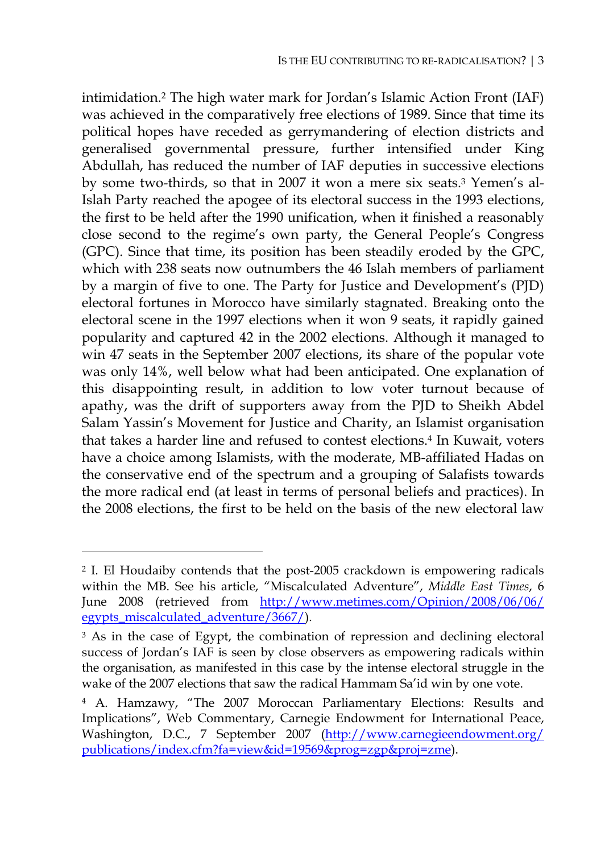intimidation.2 The high water mark for Jordan's Islamic Action Front (IAF) was achieved in the comparatively free elections of 1989. Since that time its political hopes have receded as gerrymandering of election districts and generalised governmental pressure, further intensified under King Abdullah, has reduced the number of IAF deputies in successive elections by some two-thirds, so that in 2007 it won a mere six seats.3 Yemen's al-Islah Party reached the apogee of its electoral success in the 1993 elections, the first to be held after the 1990 unification, when it finished a reasonably close second to the regime's own party, the General People's Congress (GPC). Since that time, its position has been steadily eroded by the GPC, which with 238 seats now outnumbers the 46 Islah members of parliament by a margin of five to one. The Party for Justice and Development's (PJD) electoral fortunes in Morocco have similarly stagnated. Breaking onto the electoral scene in the 1997 elections when it won 9 seats, it rapidly gained popularity and captured 42 in the 2002 elections. Although it managed to win 47 seats in the September 2007 elections, its share of the popular vote was only 14%, well below what had been anticipated. One explanation of this disappointing result, in addition to low voter turnout because of apathy, was the drift of supporters away from the PJD to Sheikh Abdel Salam Yassin's Movement for Justice and Charity, an Islamist organisation that takes a harder line and refused to contest elections.4 In Kuwait, voters have a choice among Islamists, with the moderate, MB-affiliated Hadas on the conservative end of the spectrum and a grouping of Salafists towards the more radical end (at least in terms of personal beliefs and practices). In the 2008 elections, the first to be held on the basis of the new electoral law

<sup>2</sup> I. El Houdaiby contends that the post-2005 crackdown is empowering radicals within the MB. See his article, "Miscalculated Adventure", *Middle East Times*, 6 June 2008 (retrieved from http://www.metimes.com/Opinion/2008/06/06/ egypts\_miscalculated\_adventure/3667/).

<sup>&</sup>lt;sup>3</sup> As in the case of Egypt, the combination of repression and declining electoral success of Jordan's IAF is seen by close observers as empowering radicals within the organisation, as manifested in this case by the intense electoral struggle in the wake of the 2007 elections that saw the radical Hammam Sa'id win by one vote.

<sup>4</sup> A. Hamzawy, "The 2007 Moroccan Parliamentary Elections: Results and Implications", Web Commentary, Carnegie Endowment for International Peace, Washington, D.C., 7 September 2007 (http://www.carnegieendowment.org/ publications/index.cfm?fa=view&id=19569&prog=zgp&proj=zme).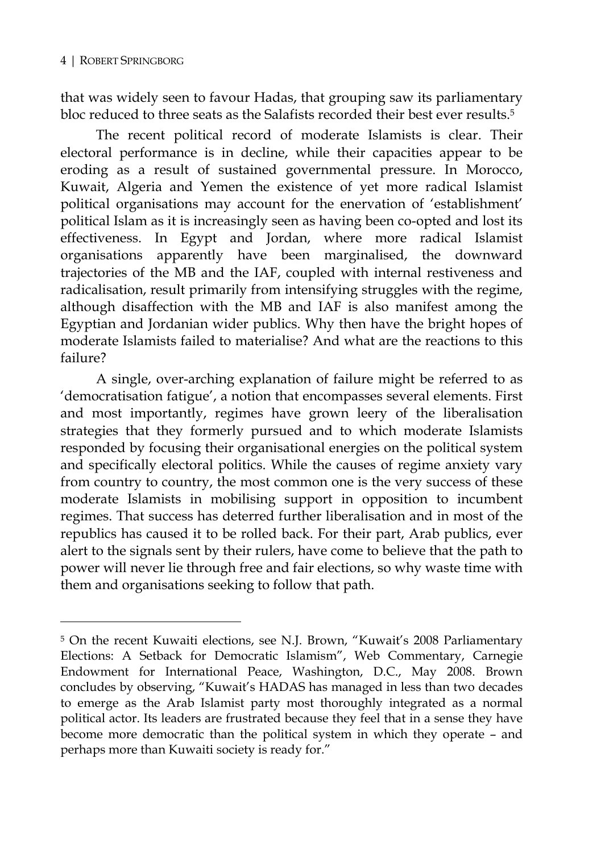$\overline{a}$ 

that was widely seen to favour Hadas, that grouping saw its parliamentary bloc reduced to three seats as the Salafists recorded their best ever results.5

The recent political record of moderate Islamists is clear. Their electoral performance is in decline, while their capacities appear to be eroding as a result of sustained governmental pressure. In Morocco, Kuwait, Algeria and Yemen the existence of yet more radical Islamist political organisations may account for the enervation of 'establishment' political Islam as it is increasingly seen as having been co-opted and lost its effectiveness. In Egypt and Jordan, where more radical Islamist organisations apparently have been marginalised, the downward trajectories of the MB and the IAF, coupled with internal restiveness and radicalisation, result primarily from intensifying struggles with the regime, although disaffection with the MB and IAF is also manifest among the Egyptian and Jordanian wider publics. Why then have the bright hopes of moderate Islamists failed to materialise? And what are the reactions to this failure?

A single, over-arching explanation of failure might be referred to as 'democratisation fatigue', a notion that encompasses several elements. First and most importantly, regimes have grown leery of the liberalisation strategies that they formerly pursued and to which moderate Islamists responded by focusing their organisational energies on the political system and specifically electoral politics. While the causes of regime anxiety vary from country to country, the most common one is the very success of these moderate Islamists in mobilising support in opposition to incumbent regimes. That success has deterred further liberalisation and in most of the republics has caused it to be rolled back. For their part, Arab publics, ever alert to the signals sent by their rulers, have come to believe that the path to power will never lie through free and fair elections, so why waste time with them and organisations seeking to follow that path.

<sup>5</sup> On the recent Kuwaiti elections, see N.J. Brown, "Kuwait's 2008 Parliamentary Elections: A Setback for Democratic Islamism", Web Commentary, Carnegie Endowment for International Peace, Washington, D.C., May 2008. Brown concludes by observing, "Kuwait's HADAS has managed in less than two decades to emerge as the Arab Islamist party most thoroughly integrated as a normal political actor. Its leaders are frustrated because they feel that in a sense they have become more democratic than the political system in which they operate – and perhaps more than Kuwaiti society is ready for."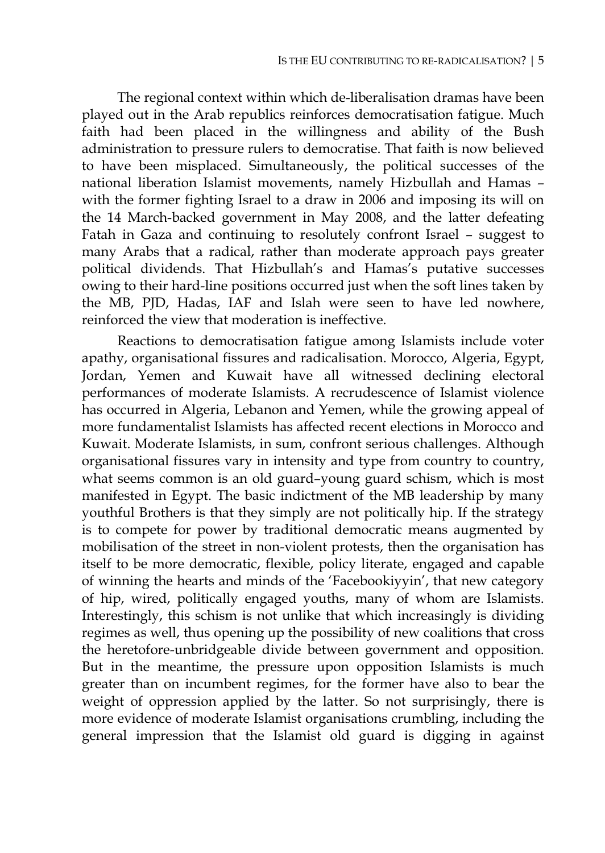The regional context within which de-liberalisation dramas have been played out in the Arab republics reinforces democratisation fatigue. Much faith had been placed in the willingness and ability of the Bush administration to pressure rulers to democratise. That faith is now believed to have been misplaced. Simultaneously, the political successes of the national liberation Islamist movements, namely Hizbullah and Hamas – with the former fighting Israel to a draw in 2006 and imposing its will on the 14 March-backed government in May 2008, and the latter defeating Fatah in Gaza and continuing to resolutely confront Israel – suggest to many Arabs that a radical, rather than moderate approach pays greater political dividends. That Hizbullah's and Hamas's putative successes owing to their hard-line positions occurred just when the soft lines taken by the MB, PJD, Hadas, IAF and Islah were seen to have led nowhere, reinforced the view that moderation is ineffective.

Reactions to democratisation fatigue among Islamists include voter apathy, organisational fissures and radicalisation. Morocco, Algeria, Egypt, Jordan, Yemen and Kuwait have all witnessed declining electoral performances of moderate Islamists. A recrudescence of Islamist violence has occurred in Algeria, Lebanon and Yemen, while the growing appeal of more fundamentalist Islamists has affected recent elections in Morocco and Kuwait. Moderate Islamists, in sum, confront serious challenges. Although organisational fissures vary in intensity and type from country to country, what seems common is an old guard–young guard schism, which is most manifested in Egypt. The basic indictment of the MB leadership by many youthful Brothers is that they simply are not politically hip. If the strategy is to compete for power by traditional democratic means augmented by mobilisation of the street in non-violent protests, then the organisation has itself to be more democratic, flexible, policy literate, engaged and capable of winning the hearts and minds of the 'Facebookiyyin', that new category of hip, wired, politically engaged youths, many of whom are Islamists. Interestingly, this schism is not unlike that which increasingly is dividing regimes as well, thus opening up the possibility of new coalitions that cross the heretofore-unbridgeable divide between government and opposition. But in the meantime, the pressure upon opposition Islamists is much greater than on incumbent regimes, for the former have also to bear the weight of oppression applied by the latter. So not surprisingly, there is more evidence of moderate Islamist organisations crumbling, including the general impression that the Islamist old guard is digging in against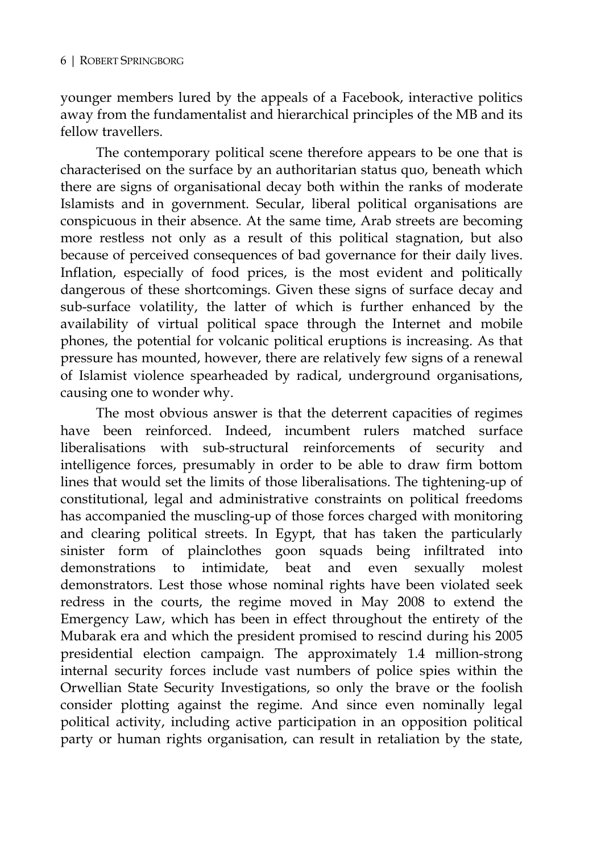younger members lured by the appeals of a Facebook, interactive politics away from the fundamentalist and hierarchical principles of the MB and its fellow travellers.

The contemporary political scene therefore appears to be one that is characterised on the surface by an authoritarian status quo, beneath which there are signs of organisational decay both within the ranks of moderate Islamists and in government. Secular, liberal political organisations are conspicuous in their absence. At the same time, Arab streets are becoming more restless not only as a result of this political stagnation, but also because of perceived consequences of bad governance for their daily lives. Inflation, especially of food prices, is the most evident and politically dangerous of these shortcomings. Given these signs of surface decay and sub-surface volatility, the latter of which is further enhanced by the availability of virtual political space through the Internet and mobile phones, the potential for volcanic political eruptions is increasing. As that pressure has mounted, however, there are relatively few signs of a renewal of Islamist violence spearheaded by radical, underground organisations, causing one to wonder why.

The most obvious answer is that the deterrent capacities of regimes have been reinforced. Indeed, incumbent rulers matched surface liberalisations with sub-structural reinforcements of security and intelligence forces, presumably in order to be able to draw firm bottom lines that would set the limits of those liberalisations. The tightening-up of constitutional, legal and administrative constraints on political freedoms has accompanied the muscling-up of those forces charged with monitoring and clearing political streets. In Egypt, that has taken the particularly sinister form of plainclothes goon squads being infiltrated into demonstrations to intimidate, beat and even sexually molest demonstrators. Lest those whose nominal rights have been violated seek redress in the courts, the regime moved in May 2008 to extend the Emergency Law, which has been in effect throughout the entirety of the Mubarak era and which the president promised to rescind during his 2005 presidential election campaign. The approximately 1.4 million-strong internal security forces include vast numbers of police spies within the Orwellian State Security Investigations, so only the brave or the foolish consider plotting against the regime. And since even nominally legal political activity, including active participation in an opposition political party or human rights organisation, can result in retaliation by the state,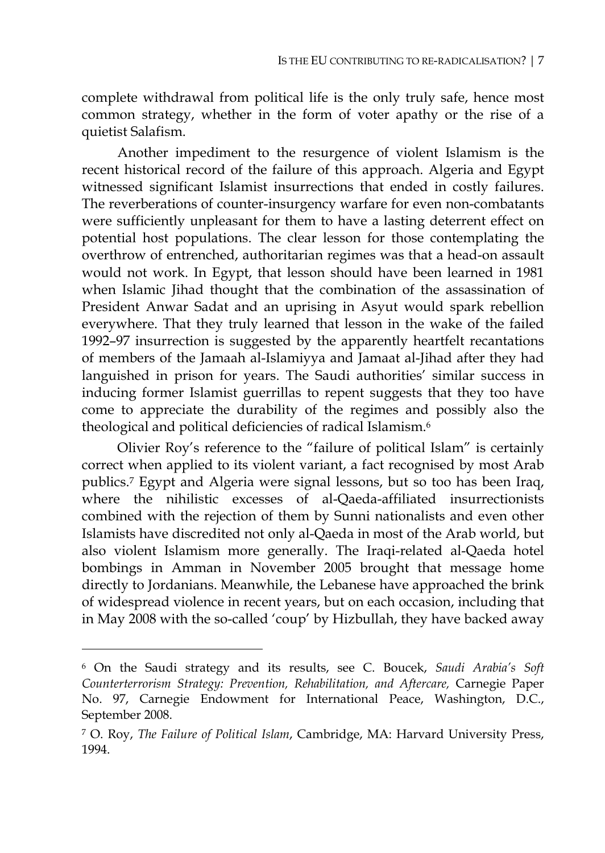complete withdrawal from political life is the only truly safe, hence most common strategy, whether in the form of voter apathy or the rise of a quietist Salafism.

Another impediment to the resurgence of violent Islamism is the recent historical record of the failure of this approach. Algeria and Egypt witnessed significant Islamist insurrections that ended in costly failures. The reverberations of counter-insurgency warfare for even non-combatants were sufficiently unpleasant for them to have a lasting deterrent effect on potential host populations. The clear lesson for those contemplating the overthrow of entrenched, authoritarian regimes was that a head-on assault would not work. In Egypt, that lesson should have been learned in 1981 when Islamic Jihad thought that the combination of the assassination of President Anwar Sadat and an uprising in Asyut would spark rebellion everywhere. That they truly learned that lesson in the wake of the failed 1992–97 insurrection is suggested by the apparently heartfelt recantations of members of the Jamaah al-Islamiyya and Jamaat al-Jihad after they had languished in prison for years. The Saudi authorities' similar success in inducing former Islamist guerrillas to repent suggests that they too have come to appreciate the durability of the regimes and possibly also the theological and political deficiencies of radical Islamism.6

Olivier Roy's reference to the "failure of political Islam" is certainly correct when applied to its violent variant, a fact recognised by most Arab publics.7 Egypt and Algeria were signal lessons, but so too has been Iraq, where the nihilistic excesses of al-Qaeda-affiliated insurrectionists combined with the rejection of them by Sunni nationalists and even other Islamists have discredited not only al-Qaeda in most of the Arab world, but also violent Islamism more generally. The Iraqi-related al-Qaeda hotel bombings in Amman in November 2005 brought that message home directly to Jordanians. Meanwhile, the Lebanese have approached the brink of widespread violence in recent years, but on each occasion, including that in May 2008 with the so-called 'coup' by Hizbullah, they have backed away

<sup>6</sup> On the Saudi strategy and its results, see C. Boucek, *Saudi Arabia's Soft Counterterrorism Strategy: Prevention, Rehabilitation, and Aftercare,* Carnegie Paper No. 97, Carnegie Endowment for International Peace, Washington, D.C., September 2008.

<sup>7</sup> O. Roy, *The Failure of Political Islam*, Cambridge, MA: Harvard University Press, 1994.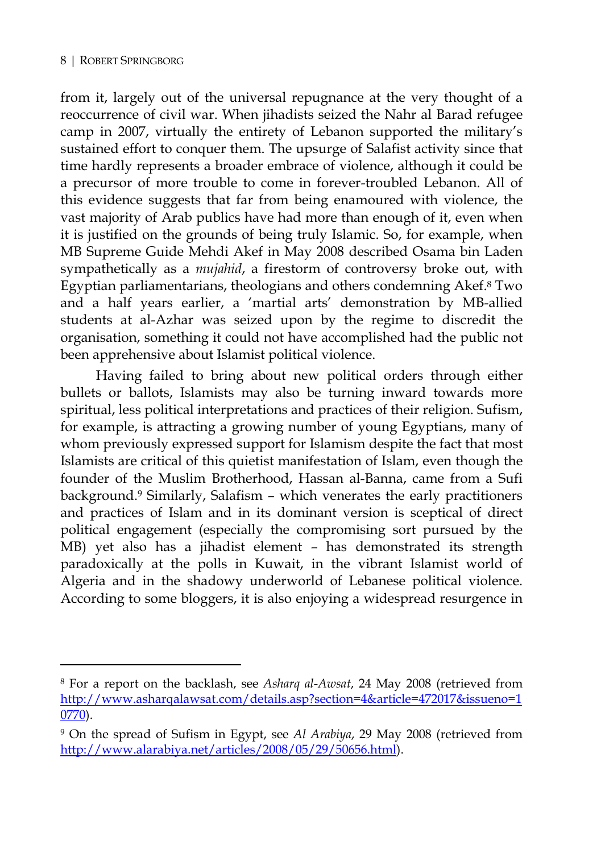$\overline{a}$ 

from it, largely out of the universal repugnance at the very thought of a reoccurrence of civil war. When jihadists seized the Nahr al Barad refugee camp in 2007, virtually the entirety of Lebanon supported the military's sustained effort to conquer them. The upsurge of Salafist activity since that time hardly represents a broader embrace of violence, although it could be a precursor of more trouble to come in forever-troubled Lebanon. All of this evidence suggests that far from being enamoured with violence, the vast majority of Arab publics have had more than enough of it, even when it is justified on the grounds of being truly Islamic. So, for example, when MB Supreme Guide Mehdi Akef in May 2008 described Osama bin Laden sympathetically as a *mujahid*, a firestorm of controversy broke out, with Egyptian parliamentarians, theologians and others condemning Akef.8 Two and a half years earlier, a 'martial arts' demonstration by MB-allied students at al-Azhar was seized upon by the regime to discredit the organisation, something it could not have accomplished had the public not been apprehensive about Islamist political violence.

Having failed to bring about new political orders through either bullets or ballots, Islamists may also be turning inward towards more spiritual, less political interpretations and practices of their religion. Sufism, for example, is attracting a growing number of young Egyptians, many of whom previously expressed support for Islamism despite the fact that most Islamists are critical of this quietist manifestation of Islam, even though the founder of the Muslim Brotherhood, Hassan al-Banna, came from a Sufi background.9 Similarly, Salafism – which venerates the early practitioners and practices of Islam and in its dominant version is sceptical of direct political engagement (especially the compromising sort pursued by the MB) yet also has a jihadist element – has demonstrated its strength paradoxically at the polls in Kuwait, in the vibrant Islamist world of Algeria and in the shadowy underworld of Lebanese political violence. According to some bloggers, it is also enjoying a widespread resurgence in

<sup>8</sup> For a report on the backlash, see *Asharq al-Awsat*, 24 May 2008 (retrieved from http://www.asharqalawsat.com/details.asp?section=4&article=472017&issueno=1 0770).

<sup>9</sup> On the spread of Sufism in Egypt, see *Al Arabiya*, 29 May 2008 (retrieved from http://www.alarabiya.net/articles/2008/05/29/50656.html).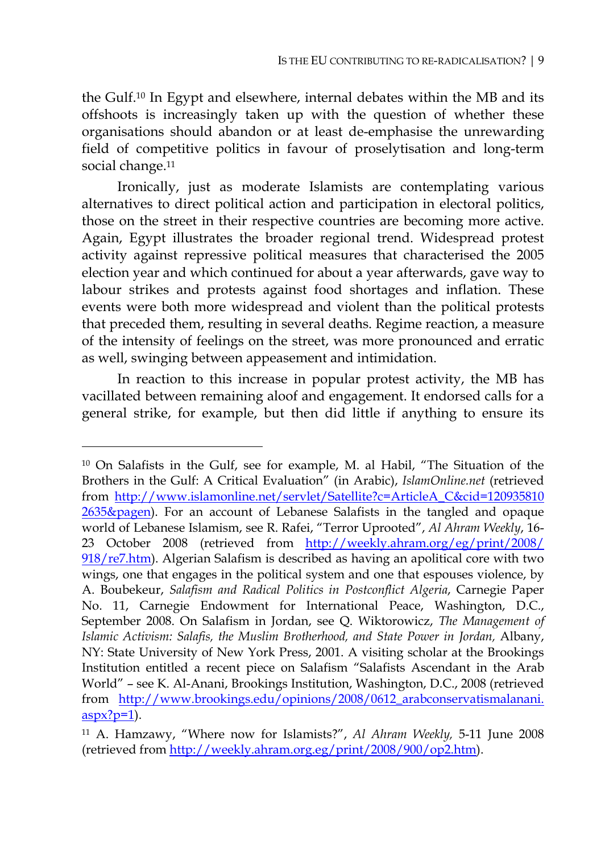the Gulf.10 In Egypt and elsewhere, internal debates within the MB and its offshoots is increasingly taken up with the question of whether these organisations should abandon or at least de-emphasise the unrewarding field of competitive politics in favour of proselytisation and long-term social change.<sup>11</sup>

Ironically, just as moderate Islamists are contemplating various alternatives to direct political action and participation in electoral politics, those on the street in their respective countries are becoming more active. Again, Egypt illustrates the broader regional trend. Widespread protest activity against repressive political measures that characterised the 2005 election year and which continued for about a year afterwards, gave way to labour strikes and protests against food shortages and inflation. These events were both more widespread and violent than the political protests that preceded them, resulting in several deaths. Regime reaction, a measure of the intensity of feelings on the street, was more pronounced and erratic as well, swinging between appeasement and intimidation.

In reaction to this increase in popular protest activity, the MB has vacillated between remaining aloof and engagement. It endorsed calls for a general strike, for example, but then did little if anything to ensure its

<sup>10</sup> On Salafists in the Gulf, see for example, M. al Habil, "The Situation of the Brothers in the Gulf: A Critical Evaluation" (in Arabic), *IslamOnline.net* (retrieved from http://www.islamonline.net/servlet/Satellite?c=ArticleA\_C&cid=120935810 2635&pagen). For an account of Lebanese Salafists in the tangled and opaque world of Lebanese Islamism, see R. Rafei, "Terror Uprooted", *Al Ahram Weekly*, 16- 23 October 2008 (retrieved from http://weekly.ahram.org/eg/print/2008/ 918/re7.htm). Algerian Salafism is described as having an apolitical core with two wings, one that engages in the political system and one that espouses violence, by A. Boubekeur, *Salafism and Radical Politics in Postconflict Algeria*, Carnegie Paper No. 11, Carnegie Endowment for International Peace, Washington, D.C., September 2008. On Salafism in Jordan, see Q. Wiktorowicz, *The Management of Islamic Activism: Salafis, the Muslim Brotherhood, and State Power in Jordan,* Albany, NY: State University of New York Press, 2001. A visiting scholar at the Brookings Institution entitled a recent piece on Salafism "Salafists Ascendant in the Arab World" – see K. Al-Anani, Brookings Institution, Washington, D.C., 2008 (retrieved from http://www.brookings.edu/opinions/2008/0612\_arabconservatismalanani.  $aspx?p=1$ ).

<sup>11</sup> A. Hamzawy, "Where now for Islamists?", *Al Ahram Weekly,* 5-11 June 2008 (retrieved from http://weekly.ahram.org.eg/print/2008/900/op2.htm).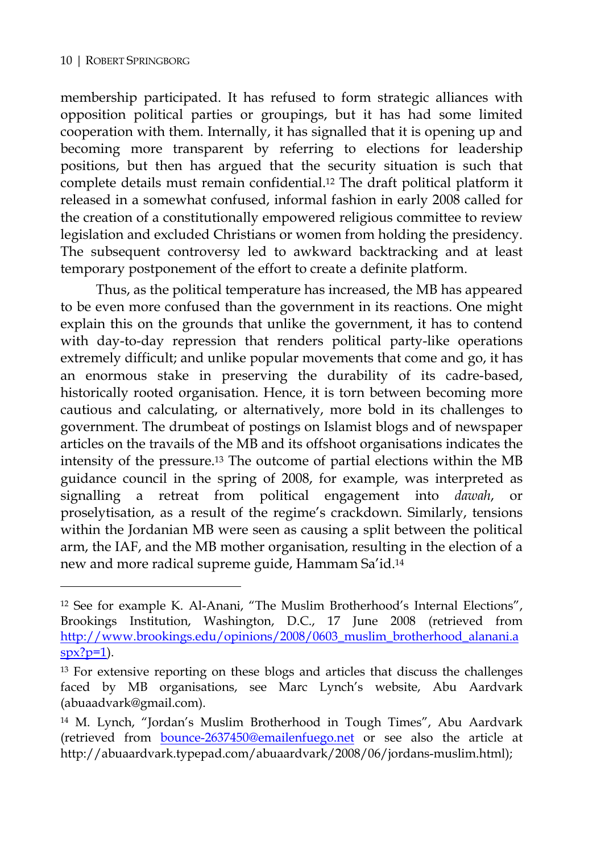$\overline{a}$ 

membership participated. It has refused to form strategic alliances with opposition political parties or groupings, but it has had some limited cooperation with them. Internally, it has signalled that it is opening up and becoming more transparent by referring to elections for leadership positions, but then has argued that the security situation is such that complete details must remain confidential.12 The draft political platform it released in a somewhat confused, informal fashion in early 2008 called for the creation of a constitutionally empowered religious committee to review legislation and excluded Christians or women from holding the presidency. The subsequent controversy led to awkward backtracking and at least temporary postponement of the effort to create a definite platform.

Thus, as the political temperature has increased, the MB has appeared to be even more confused than the government in its reactions. One might explain this on the grounds that unlike the government, it has to contend with day-to-day repression that renders political party-like operations extremely difficult; and unlike popular movements that come and go, it has an enormous stake in preserving the durability of its cadre-based, historically rooted organisation. Hence, it is torn between becoming more cautious and calculating, or alternatively, more bold in its challenges to government. The drumbeat of postings on Islamist blogs and of newspaper articles on the travails of the MB and its offshoot organisations indicates the intensity of the pressure.13 The outcome of partial elections within the MB guidance council in the spring of 2008, for example, was interpreted as signalling a retreat from political engagement into *dawah*, or proselytisation, as a result of the regime's crackdown. Similarly, tensions within the Jordanian MB were seen as causing a split between the political arm, the IAF, and the MB mother organisation, resulting in the election of a new and more radical supreme guide, Hammam Sa'id.14

<sup>12</sup> See for example K. Al-Anani, "The Muslim Brotherhood's Internal Elections", Brookings Institution, Washington, D.C., 17 June 2008 (retrieved from http://www.brookings.edu/opinions/2008/0603\_muslim\_brotherhood\_alanani.a  $spr?p=1$ ).

<sup>&</sup>lt;sup>13</sup> For extensive reporting on these blogs and articles that discuss the challenges faced by MB organisations, see Marc Lynch's website, Abu Aardvark (abuaadvark@gmail.com).

<sup>14</sup> M. Lynch, "Jordan's Muslim Brotherhood in Tough Times", Abu Aardvark (retrieved from bounce-2637450@emailenfuego.net or see also the article at http://abuaardvark.typepad.com/abuaardvark/2008/06/jordans-muslim.html);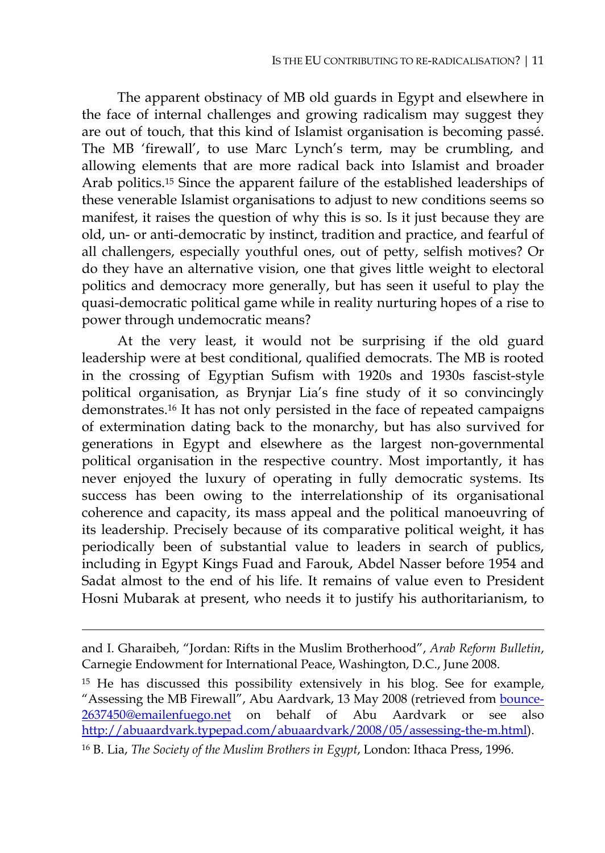The apparent obstinacy of MB old guards in Egypt and elsewhere in the face of internal challenges and growing radicalism may suggest they are out of touch, that this kind of Islamist organisation is becoming passé. The MB 'firewall', to use Marc Lynch's term, may be crumbling, and allowing elements that are more radical back into Islamist and broader Arab politics.15 Since the apparent failure of the established leaderships of these venerable Islamist organisations to adjust to new conditions seems so manifest, it raises the question of why this is so. Is it just because they are old, un- or anti-democratic by instinct, tradition and practice, and fearful of all challengers, especially youthful ones, out of petty, selfish motives? Or do they have an alternative vision, one that gives little weight to electoral politics and democracy more generally, but has seen it useful to play the quasi-democratic political game while in reality nurturing hopes of a rise to power through undemocratic means?

At the very least, it would not be surprising if the old guard leadership were at best conditional, qualified democrats. The MB is rooted in the crossing of Egyptian Sufism with 1920s and 1930s fascist-style political organisation, as Brynjar Lia's fine study of it so convincingly demonstrates.16 It has not only persisted in the face of repeated campaigns of extermination dating back to the monarchy, but has also survived for generations in Egypt and elsewhere as the largest non-governmental political organisation in the respective country. Most importantly, it has never enjoyed the luxury of operating in fully democratic systems. Its success has been owing to the interrelationship of its organisational coherence and capacity, its mass appeal and the political manoeuvring of its leadership. Precisely because of its comparative political weight, it has periodically been of substantial value to leaders in search of publics, including in Egypt Kings Fuad and Farouk, Abdel Nasser before 1954 and Sadat almost to the end of his life. It remains of value even to President Hosni Mubarak at present, who needs it to justify his authoritarianism, to

 $\ddot{\phantom{a}}$ 

and I. Gharaibeh, "Jordan: Rifts in the Muslim Brotherhood", *Arab Reform Bulletin*, Carnegie Endowment for International Peace, Washington, D.C., June 2008.

<sup>15</sup> He has discussed this possibility extensively in his blog. See for example, "Assessing the MB Firewall", Abu Aardvark, 13 May 2008 (retrieved from bounce-2637450@emailenfuego.net on behalf of Abu Aardvark or see also http://abuaardvark.typepad.com/abuaardvark/2008/05/assessing-the-m.html).

<sup>16</sup> B. Lia, *The Society of the Muslim Brothers in Egypt*, London: Ithaca Press, 1996.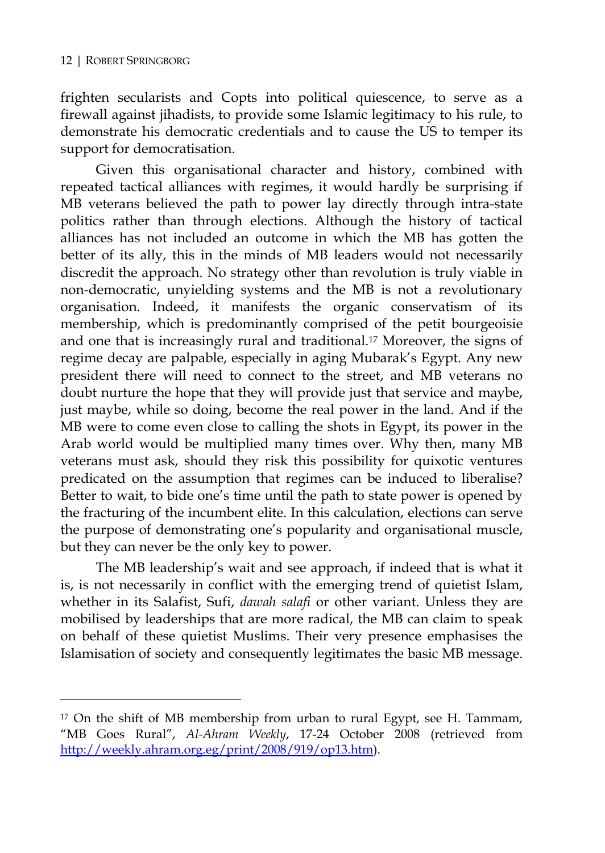$\overline{a}$ 

frighten secularists and Copts into political quiescence, to serve as a firewall against jihadists, to provide some Islamic legitimacy to his rule, to demonstrate his democratic credentials and to cause the US to temper its support for democratisation.

Given this organisational character and history, combined with repeated tactical alliances with regimes, it would hardly be surprising if MB veterans believed the path to power lay directly through intra-state politics rather than through elections. Although the history of tactical alliances has not included an outcome in which the MB has gotten the better of its ally, this in the minds of MB leaders would not necessarily discredit the approach. No strategy other than revolution is truly viable in non-democratic, unyielding systems and the MB is not a revolutionary organisation. Indeed, it manifests the organic conservatism of its membership, which is predominantly comprised of the petit bourgeoisie and one that is increasingly rural and traditional.17 Moreover, the signs of regime decay are palpable, especially in aging Mubarak's Egypt. Any new president there will need to connect to the street, and MB veterans no doubt nurture the hope that they will provide just that service and maybe, just maybe, while so doing, become the real power in the land. And if the MB were to come even close to calling the shots in Egypt, its power in the Arab world would be multiplied many times over. Why then, many MB veterans must ask, should they risk this possibility for quixotic ventures predicated on the assumption that regimes can be induced to liberalise? Better to wait, to bide one's time until the path to state power is opened by the fracturing of the incumbent elite. In this calculation, elections can serve the purpose of demonstrating one's popularity and organisational muscle, but they can never be the only key to power.

The MB leadership's wait and see approach, if indeed that is what it is, is not necessarily in conflict with the emerging trend of quietist Islam, whether in its Salafist, Sufi, *dawah salafi* or other variant. Unless they are mobilised by leaderships that are more radical, the MB can claim to speak on behalf of these quietist Muslims. Their very presence emphasises the Islamisation of society and consequently legitimates the basic MB message.

<sup>&</sup>lt;sup>17</sup> On the shift of MB membership from urban to rural Egypt, see H. Tammam, "MB Goes Rural", *Al-Ahram Weekly*, 17-24 October 2008 (retrieved from http://weekly.ahram.org.eg/print/2008/919/op13.htm).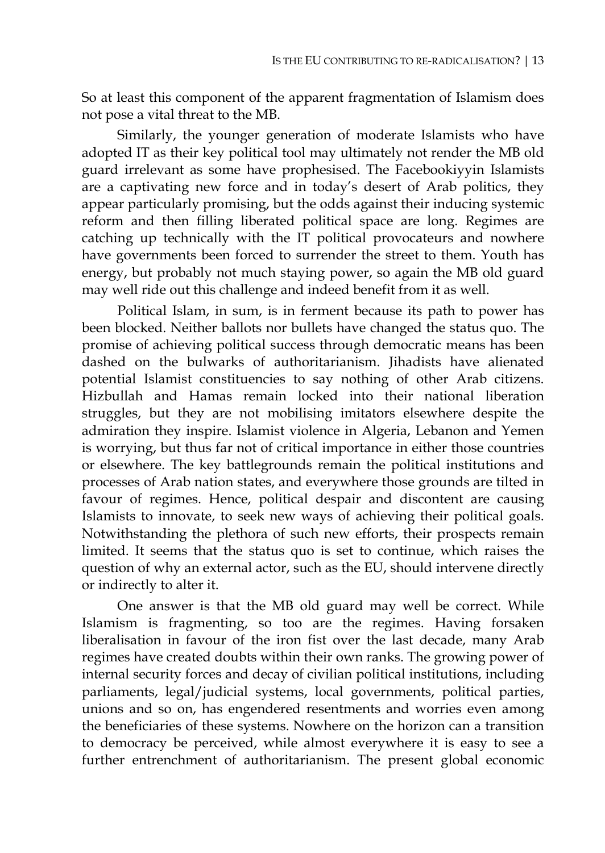So at least this component of the apparent fragmentation of Islamism does not pose a vital threat to the MB.

Similarly, the younger generation of moderate Islamists who have adopted IT as their key political tool may ultimately not render the MB old guard irrelevant as some have prophesised. The Facebookiyyin Islamists are a captivating new force and in today's desert of Arab politics, they appear particularly promising, but the odds against their inducing systemic reform and then filling liberated political space are long. Regimes are catching up technically with the IT political provocateurs and nowhere have governments been forced to surrender the street to them. Youth has energy, but probably not much staying power, so again the MB old guard may well ride out this challenge and indeed benefit from it as well.

Political Islam, in sum, is in ferment because its path to power has been blocked. Neither ballots nor bullets have changed the status quo. The promise of achieving political success through democratic means has been dashed on the bulwarks of authoritarianism. Jihadists have alienated potential Islamist constituencies to say nothing of other Arab citizens. Hizbullah and Hamas remain locked into their national liberation struggles, but they are not mobilising imitators elsewhere despite the admiration they inspire. Islamist violence in Algeria, Lebanon and Yemen is worrying, but thus far not of critical importance in either those countries or elsewhere. The key battlegrounds remain the political institutions and processes of Arab nation states, and everywhere those grounds are tilted in favour of regimes. Hence, political despair and discontent are causing Islamists to innovate, to seek new ways of achieving their political goals. Notwithstanding the plethora of such new efforts, their prospects remain limited. It seems that the status quo is set to continue, which raises the question of why an external actor, such as the EU, should intervene directly or indirectly to alter it.

One answer is that the MB old guard may well be correct. While Islamism is fragmenting, so too are the regimes. Having forsaken liberalisation in favour of the iron fist over the last decade, many Arab regimes have created doubts within their own ranks. The growing power of internal security forces and decay of civilian political institutions, including parliaments, legal/judicial systems, local governments, political parties, unions and so on, has engendered resentments and worries even among the beneficiaries of these systems. Nowhere on the horizon can a transition to democracy be perceived, while almost everywhere it is easy to see a further entrenchment of authoritarianism. The present global economic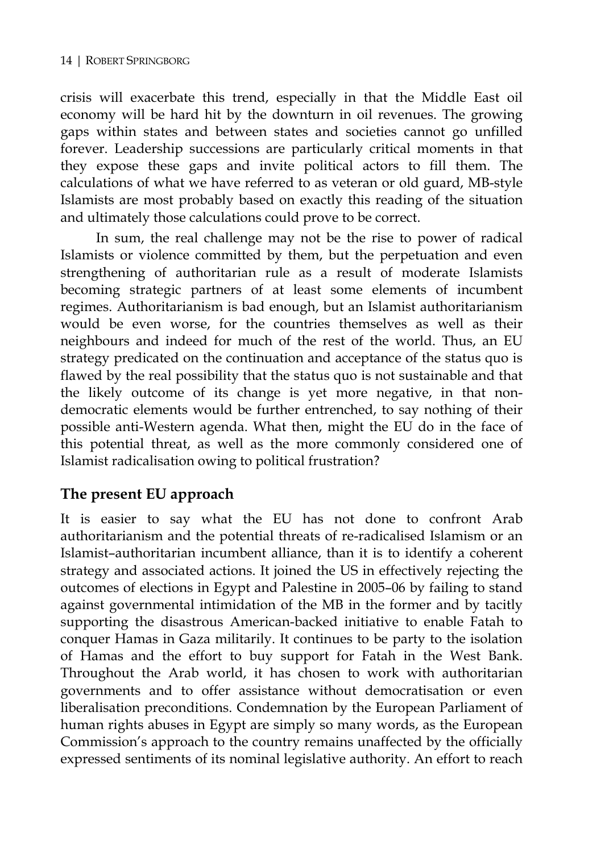crisis will exacerbate this trend, especially in that the Middle East oil economy will be hard hit by the downturn in oil revenues. The growing gaps within states and between states and societies cannot go unfilled forever. Leadership successions are particularly critical moments in that they expose these gaps and invite political actors to fill them. The calculations of what we have referred to as veteran or old guard, MB-style Islamists are most probably based on exactly this reading of the situation and ultimately those calculations could prove to be correct.

In sum, the real challenge may not be the rise to power of radical Islamists or violence committed by them, but the perpetuation and even strengthening of authoritarian rule as a result of moderate Islamists becoming strategic partners of at least some elements of incumbent regimes. Authoritarianism is bad enough, but an Islamist authoritarianism would be even worse, for the countries themselves as well as their neighbours and indeed for much of the rest of the world. Thus, an EU strategy predicated on the continuation and acceptance of the status quo is flawed by the real possibility that the status quo is not sustainable and that the likely outcome of its change is yet more negative, in that nondemocratic elements would be further entrenched, to say nothing of their possible anti-Western agenda. What then, might the EU do in the face of this potential threat, as well as the more commonly considered one of Islamist radicalisation owing to political frustration?

#### **The present EU approach**

It is easier to say what the EU has not done to confront Arab authoritarianism and the potential threats of re-radicalised Islamism or an Islamist–authoritarian incumbent alliance, than it is to identify a coherent strategy and associated actions. It joined the US in effectively rejecting the outcomes of elections in Egypt and Palestine in 2005–06 by failing to stand against governmental intimidation of the MB in the former and by tacitly supporting the disastrous American-backed initiative to enable Fatah to conquer Hamas in Gaza militarily. It continues to be party to the isolation of Hamas and the effort to buy support for Fatah in the West Bank. Throughout the Arab world, it has chosen to work with authoritarian governments and to offer assistance without democratisation or even liberalisation preconditions. Condemnation by the European Parliament of human rights abuses in Egypt are simply so many words, as the European Commission's approach to the country remains unaffected by the officially expressed sentiments of its nominal legislative authority. An effort to reach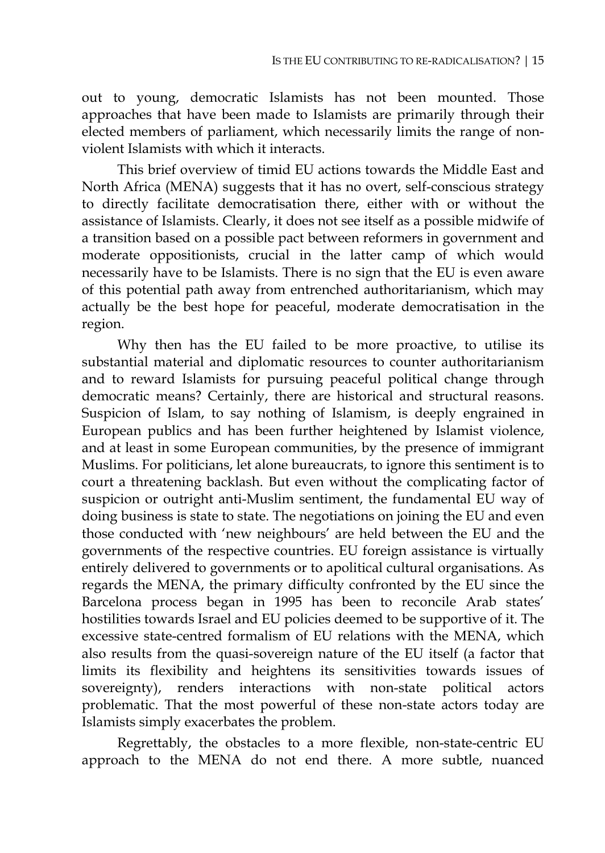out to young, democratic Islamists has not been mounted. Those approaches that have been made to Islamists are primarily through their elected members of parliament, which necessarily limits the range of nonviolent Islamists with which it interacts.

This brief overview of timid EU actions towards the Middle East and North Africa (MENA) suggests that it has no overt, self-conscious strategy to directly facilitate democratisation there, either with or without the assistance of Islamists. Clearly, it does not see itself as a possible midwife of a transition based on a possible pact between reformers in government and moderate oppositionists, crucial in the latter camp of which would necessarily have to be Islamists. There is no sign that the EU is even aware of this potential path away from entrenched authoritarianism, which may actually be the best hope for peaceful, moderate democratisation in the region.

Why then has the EU failed to be more proactive, to utilise its substantial material and diplomatic resources to counter authoritarianism and to reward Islamists for pursuing peaceful political change through democratic means? Certainly, there are historical and structural reasons. Suspicion of Islam, to say nothing of Islamism, is deeply engrained in European publics and has been further heightened by Islamist violence, and at least in some European communities, by the presence of immigrant Muslims. For politicians, let alone bureaucrats, to ignore this sentiment is to court a threatening backlash. But even without the complicating factor of suspicion or outright anti-Muslim sentiment, the fundamental EU way of doing business is state to state. The negotiations on joining the EU and even those conducted with 'new neighbours' are held between the EU and the governments of the respective countries. EU foreign assistance is virtually entirely delivered to governments or to apolitical cultural organisations. As regards the MENA, the primary difficulty confronted by the EU since the Barcelona process began in 1995 has been to reconcile Arab states' hostilities towards Israel and EU policies deemed to be supportive of it. The excessive state-centred formalism of EU relations with the MENA, which also results from the quasi-sovereign nature of the EU itself (a factor that limits its flexibility and heightens its sensitivities towards issues of sovereignty), renders interactions with non-state political actors problematic. That the most powerful of these non-state actors today are Islamists simply exacerbates the problem.

Regrettably, the obstacles to a more flexible, non-state-centric EU approach to the MENA do not end there. A more subtle, nuanced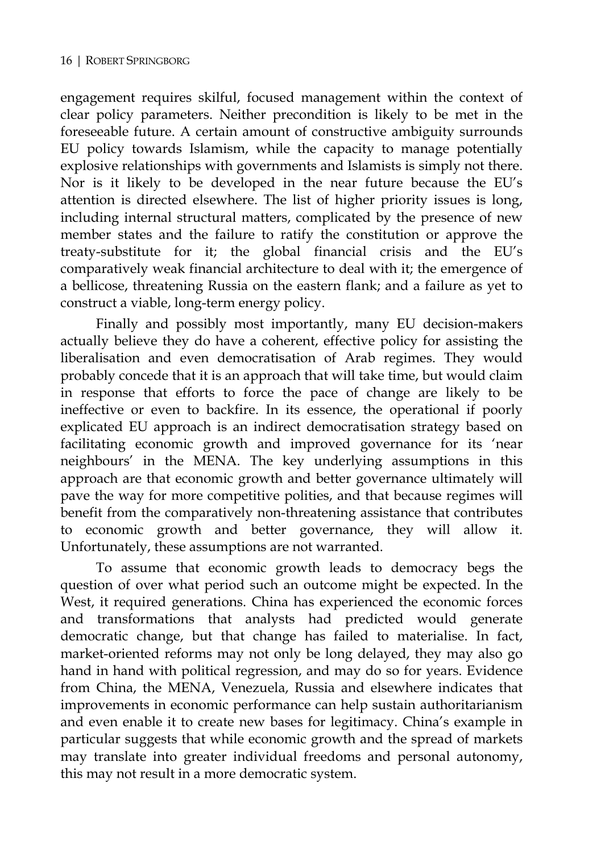engagement requires skilful, focused management within the context of clear policy parameters. Neither precondition is likely to be met in the foreseeable future. A certain amount of constructive ambiguity surrounds EU policy towards Islamism, while the capacity to manage potentially explosive relationships with governments and Islamists is simply not there. Nor is it likely to be developed in the near future because the EU's attention is directed elsewhere. The list of higher priority issues is long, including internal structural matters, complicated by the presence of new member states and the failure to ratify the constitution or approve the treaty-substitute for it; the global financial crisis and the EU's comparatively weak financial architecture to deal with it; the emergence of a bellicose, threatening Russia on the eastern flank; and a failure as yet to construct a viable, long-term energy policy.

Finally and possibly most importantly, many EU decision-makers actually believe they do have a coherent, effective policy for assisting the liberalisation and even democratisation of Arab regimes. They would probably concede that it is an approach that will take time, but would claim in response that efforts to force the pace of change are likely to be ineffective or even to backfire. In its essence, the operational if poorly explicated EU approach is an indirect democratisation strategy based on facilitating economic growth and improved governance for its 'near neighbours' in the MENA. The key underlying assumptions in this approach are that economic growth and better governance ultimately will pave the way for more competitive polities, and that because regimes will benefit from the comparatively non-threatening assistance that contributes to economic growth and better governance, they will allow it. Unfortunately, these assumptions are not warranted.

To assume that economic growth leads to democracy begs the question of over what period such an outcome might be expected. In the West, it required generations. China has experienced the economic forces and transformations that analysts had predicted would generate democratic change, but that change has failed to materialise. In fact, market-oriented reforms may not only be long delayed, they may also go hand in hand with political regression, and may do so for years. Evidence from China, the MENA, Venezuela, Russia and elsewhere indicates that improvements in economic performance can help sustain authoritarianism and even enable it to create new bases for legitimacy. China's example in particular suggests that while economic growth and the spread of markets may translate into greater individual freedoms and personal autonomy, this may not result in a more democratic system.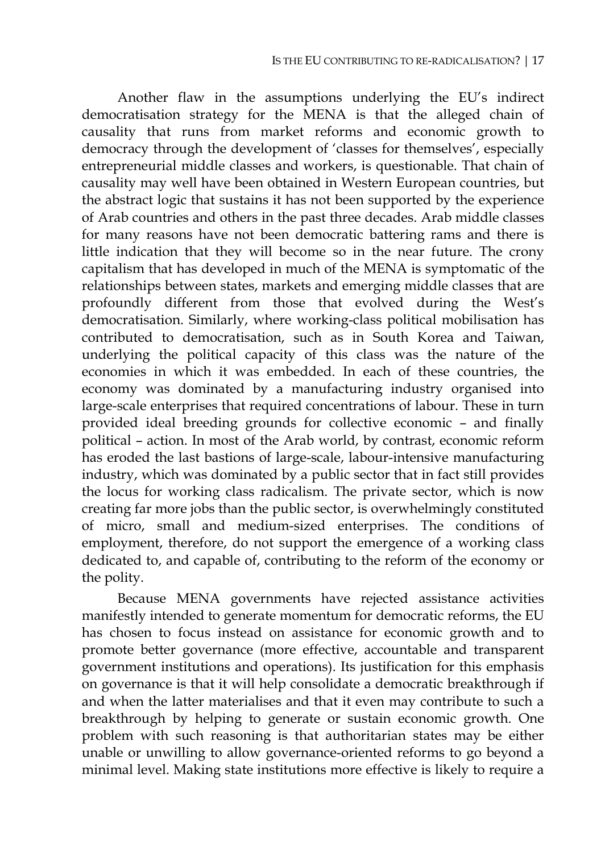Another flaw in the assumptions underlying the EU's indirect democratisation strategy for the MENA is that the alleged chain of causality that runs from market reforms and economic growth to democracy through the development of 'classes for themselves', especially entrepreneurial middle classes and workers, is questionable. That chain of causality may well have been obtained in Western European countries, but the abstract logic that sustains it has not been supported by the experience of Arab countries and others in the past three decades. Arab middle classes for many reasons have not been democratic battering rams and there is little indication that they will become so in the near future. The crony capitalism that has developed in much of the MENA is symptomatic of the relationships between states, markets and emerging middle classes that are profoundly different from those that evolved during the West's democratisation. Similarly, where working-class political mobilisation has contributed to democratisation, such as in South Korea and Taiwan, underlying the political capacity of this class was the nature of the economies in which it was embedded. In each of these countries, the economy was dominated by a manufacturing industry organised into large-scale enterprises that required concentrations of labour. These in turn provided ideal breeding grounds for collective economic – and finally political – action. In most of the Arab world, by contrast, economic reform has eroded the last bastions of large-scale, labour-intensive manufacturing industry, which was dominated by a public sector that in fact still provides the locus for working class radicalism. The private sector, which is now creating far more jobs than the public sector, is overwhelmingly constituted of micro, small and medium-sized enterprises. The conditions of employment, therefore, do not support the emergence of a working class dedicated to, and capable of, contributing to the reform of the economy or the polity.

Because MENA governments have rejected assistance activities manifestly intended to generate momentum for democratic reforms, the EU has chosen to focus instead on assistance for economic growth and to promote better governance (more effective, accountable and transparent government institutions and operations). Its justification for this emphasis on governance is that it will help consolidate a democratic breakthrough if and when the latter materialises and that it even may contribute to such a breakthrough by helping to generate or sustain economic growth. One problem with such reasoning is that authoritarian states may be either unable or unwilling to allow governance-oriented reforms to go beyond a minimal level. Making state institutions more effective is likely to require a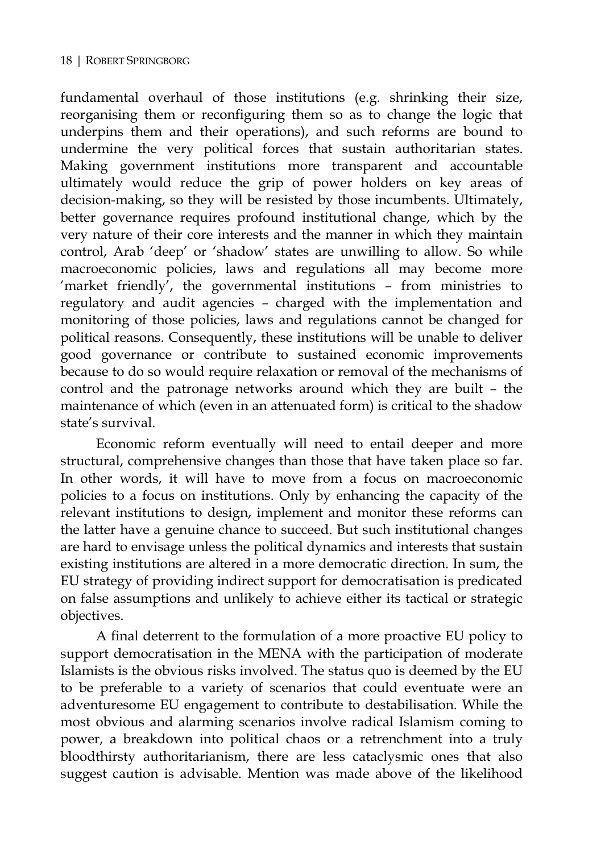fundamental overhaul of those institutions (e.g. shrinking their size, reorganising them or reconfiguring them so as to change the logic that underpins them and their operations), and such reforms are bound to undermine the very political forces that sustain authoritarian states. Making government institutions more transparent and accountable ultimately would reduce the grip of power holders on key areas of decision-making, so they will be resisted by those incumbents. Ultimately, better governance requires profound institutional change, which by the very nature of their core interests and the manner in which they maintain control, Arab 'deep' or 'shadow' states are unwilling to allow. So while macroeconomic policies, laws and regulations all may become more 'market friendly', the governmental institutions – from ministries to regulatory and audit agencies – charged with the implementation and monitoring of those policies, laws and regulations cannot be changed for political reasons. Consequently, these institutions will be unable to deliver good governance or contribute to sustained economic improvements because to do so would require relaxation or removal of the mechanisms of control and the patronage networks around which they are built – the maintenance of which (even in an attenuated form) is critical to the shadow state's survival.

Economic reform eventually will need to entail deeper and more structural, comprehensive changes than those that have taken place so far. In other words, it will have to move from a focus on macroeconomic policies to a focus on institutions. Only by enhancing the capacity of the relevant institutions to design, implement and monitor these reforms can the latter have a genuine chance to succeed. But such institutional changes are hard to envisage unless the political dynamics and interests that sustain existing institutions are altered in a more democratic direction. In sum, the EU strategy of providing indirect support for democratisation is predicated on false assumptions and unlikely to achieve either its tactical or strategic objectives.

A final deterrent to the formulation of a more proactive EU policy to support democratisation in the MENA with the participation of moderate Islamists is the obvious risks involved. The status quo is deemed by the EU to be preferable to a variety of scenarios that could eventuate were an adventuresome EU engagement to contribute to destabilisation. While the most obvious and alarming scenarios involve radical Islamism coming to power, a breakdown into political chaos or a retrenchment into a truly bloodthirsty authoritarianism, there are less cataclysmic ones that also suggest caution is advisable. Mention was made above of the likelihood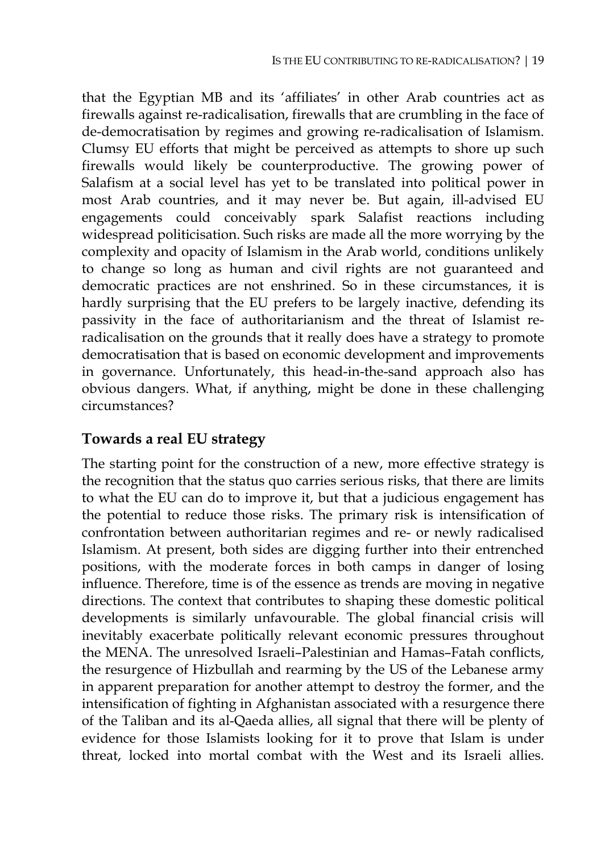that the Egyptian MB and its 'affiliates' in other Arab countries act as firewalls against re-radicalisation, firewalls that are crumbling in the face of de-democratisation by regimes and growing re-radicalisation of Islamism. Clumsy EU efforts that might be perceived as attempts to shore up such firewalls would likely be counterproductive. The growing power of Salafism at a social level has yet to be translated into political power in most Arab countries, and it may never be. But again, ill-advised EU engagements could conceivably spark Salafist reactions including widespread politicisation. Such risks are made all the more worrying by the complexity and opacity of Islamism in the Arab world, conditions unlikely to change so long as human and civil rights are not guaranteed and democratic practices are not enshrined. So in these circumstances, it is hardly surprising that the EU prefers to be largely inactive, defending its passivity in the face of authoritarianism and the threat of Islamist reradicalisation on the grounds that it really does have a strategy to promote democratisation that is based on economic development and improvements in governance. Unfortunately, this head-in-the-sand approach also has obvious dangers. What, if anything, might be done in these challenging circumstances?

#### **Towards a real EU strategy**

The starting point for the construction of a new, more effective strategy is the recognition that the status quo carries serious risks, that there are limits to what the EU can do to improve it, but that a judicious engagement has the potential to reduce those risks. The primary risk is intensification of confrontation between authoritarian regimes and re- or newly radicalised Islamism. At present, both sides are digging further into their entrenched positions, with the moderate forces in both camps in danger of losing influence. Therefore, time is of the essence as trends are moving in negative directions. The context that contributes to shaping these domestic political developments is similarly unfavourable. The global financial crisis will inevitably exacerbate politically relevant economic pressures throughout the MENA. The unresolved Israeli–Palestinian and Hamas–Fatah conflicts, the resurgence of Hizbullah and rearming by the US of the Lebanese army in apparent preparation for another attempt to destroy the former, and the intensification of fighting in Afghanistan associated with a resurgence there of the Taliban and its al-Qaeda allies, all signal that there will be plenty of evidence for those Islamists looking for it to prove that Islam is under threat, locked into mortal combat with the West and its Israeli allies.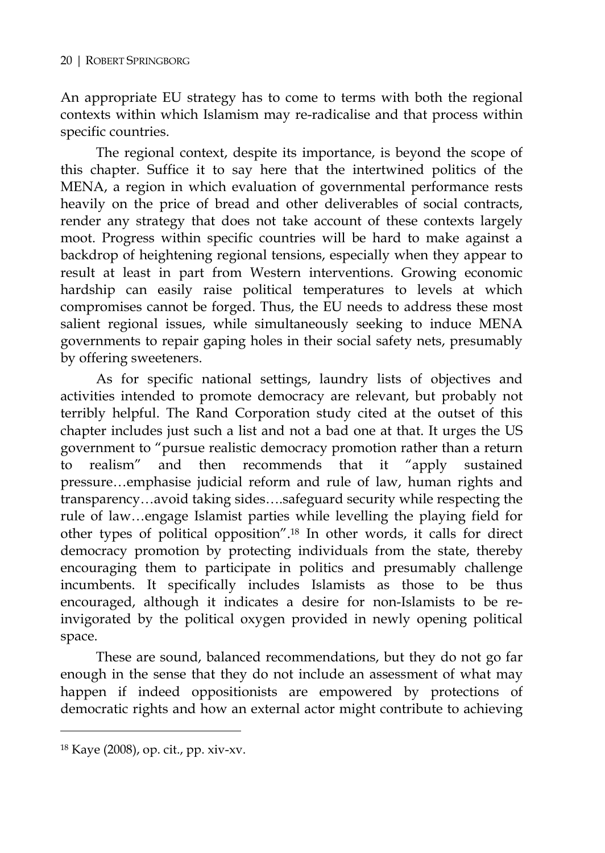An appropriate EU strategy has to come to terms with both the regional contexts within which Islamism may re-radicalise and that process within specific countries.

The regional context, despite its importance, is beyond the scope of this chapter. Suffice it to say here that the intertwined politics of the MENA, a region in which evaluation of governmental performance rests heavily on the price of bread and other deliverables of social contracts, render any strategy that does not take account of these contexts largely moot. Progress within specific countries will be hard to make against a backdrop of heightening regional tensions, especially when they appear to result at least in part from Western interventions. Growing economic hardship can easily raise political temperatures to levels at which compromises cannot be forged. Thus, the EU needs to address these most salient regional issues, while simultaneously seeking to induce MENA governments to repair gaping holes in their social safety nets, presumably by offering sweeteners.

As for specific national settings, laundry lists of objectives and activities intended to promote democracy are relevant, but probably not terribly helpful. The Rand Corporation study cited at the outset of this chapter includes just such a list and not a bad one at that. It urges the US government to "pursue realistic democracy promotion rather than a return to realism" and then recommends that it "apply sustained pressure…emphasise judicial reform and rule of law, human rights and transparency…avoid taking sides….safeguard security while respecting the rule of law…engage Islamist parties while levelling the playing field for other types of political opposition".18 In other words, it calls for direct democracy promotion by protecting individuals from the state, thereby encouraging them to participate in politics and presumably challenge incumbents. It specifically includes Islamists as those to be thus encouraged, although it indicates a desire for non-Islamists to be reinvigorated by the political oxygen provided in newly opening political space.

These are sound, balanced recommendations, but they do not go far enough in the sense that they do not include an assessment of what may happen if indeed oppositionists are empowered by protections of democratic rights and how an external actor might contribute to achieving

<sup>18</sup> Kaye (2008), op. cit., pp. xiv-xv.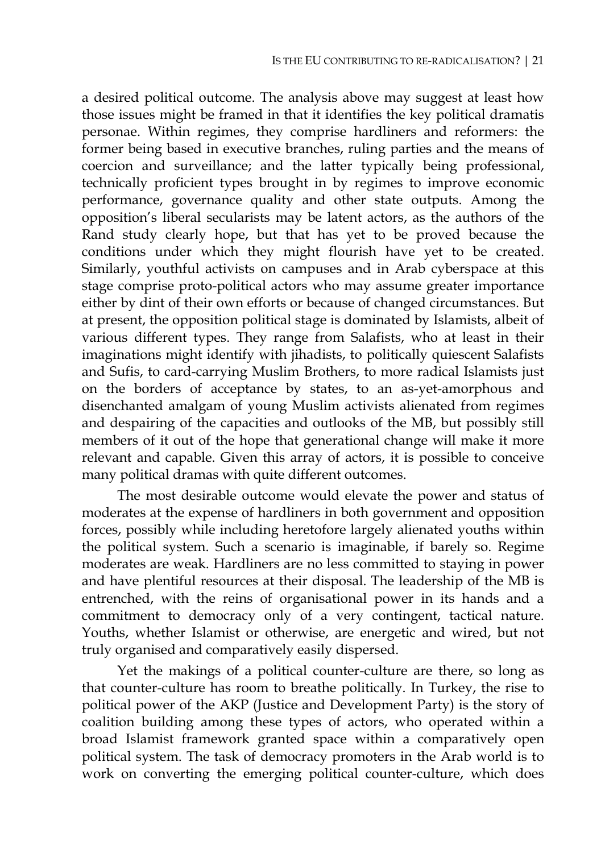a desired political outcome. The analysis above may suggest at least how those issues might be framed in that it identifies the key political dramatis personae. Within regimes, they comprise hardliners and reformers: the former being based in executive branches, ruling parties and the means of coercion and surveillance; and the latter typically being professional, technically proficient types brought in by regimes to improve economic performance, governance quality and other state outputs. Among the opposition's liberal secularists may be latent actors, as the authors of the Rand study clearly hope, but that has yet to be proved because the conditions under which they might flourish have yet to be created. Similarly, youthful activists on campuses and in Arab cyberspace at this stage comprise proto-political actors who may assume greater importance either by dint of their own efforts or because of changed circumstances. But at present, the opposition political stage is dominated by Islamists, albeit of various different types. They range from Salafists, who at least in their imaginations might identify with jihadists, to politically quiescent Salafists and Sufis, to card-carrying Muslim Brothers, to more radical Islamists just on the borders of acceptance by states, to an as-yet-amorphous and disenchanted amalgam of young Muslim activists alienated from regimes and despairing of the capacities and outlooks of the MB, but possibly still members of it out of the hope that generational change will make it more relevant and capable. Given this array of actors, it is possible to conceive many political dramas with quite different outcomes.

The most desirable outcome would elevate the power and status of moderates at the expense of hardliners in both government and opposition forces, possibly while including heretofore largely alienated youths within the political system. Such a scenario is imaginable, if barely so. Regime moderates are weak. Hardliners are no less committed to staying in power and have plentiful resources at their disposal. The leadership of the MB is entrenched, with the reins of organisational power in its hands and a commitment to democracy only of a very contingent, tactical nature. Youths, whether Islamist or otherwise, are energetic and wired, but not truly organised and comparatively easily dispersed.

Yet the makings of a political counter-culture are there, so long as that counter-culture has room to breathe politically. In Turkey, the rise to political power of the AKP (Justice and Development Party) is the story of coalition building among these types of actors, who operated within a broad Islamist framework granted space within a comparatively open political system. The task of democracy promoters in the Arab world is to work on converting the emerging political counter-culture, which does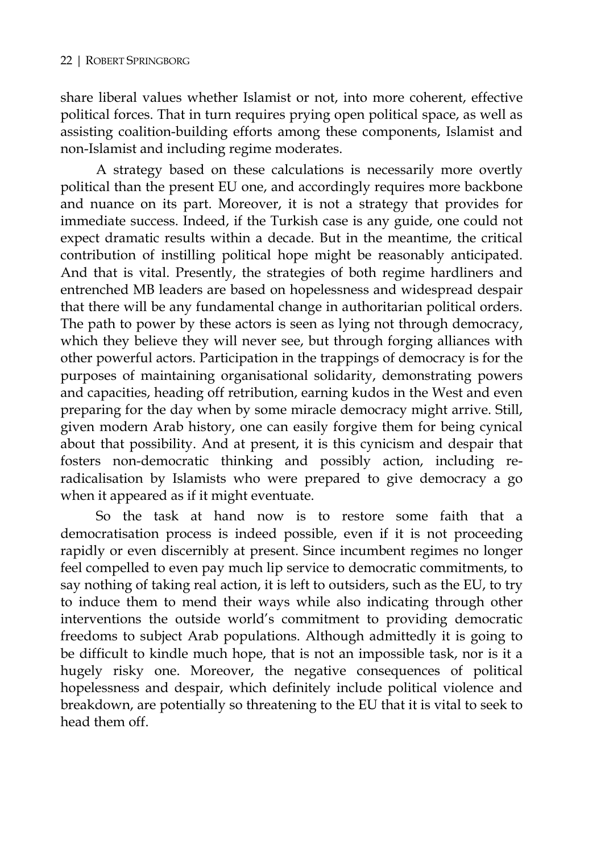share liberal values whether Islamist or not, into more coherent, effective political forces. That in turn requires prying open political space, as well as assisting coalition-building efforts among these components, Islamist and non-Islamist and including regime moderates.

A strategy based on these calculations is necessarily more overtly political than the present EU one, and accordingly requires more backbone and nuance on its part. Moreover, it is not a strategy that provides for immediate success. Indeed, if the Turkish case is any guide, one could not expect dramatic results within a decade. But in the meantime, the critical contribution of instilling political hope might be reasonably anticipated. And that is vital. Presently, the strategies of both regime hardliners and entrenched MB leaders are based on hopelessness and widespread despair that there will be any fundamental change in authoritarian political orders. The path to power by these actors is seen as lying not through democracy, which they believe they will never see, but through forging alliances with other powerful actors. Participation in the trappings of democracy is for the purposes of maintaining organisational solidarity, demonstrating powers and capacities, heading off retribution, earning kudos in the West and even preparing for the day when by some miracle democracy might arrive. Still, given modern Arab history, one can easily forgive them for being cynical about that possibility. And at present, it is this cynicism and despair that fosters non-democratic thinking and possibly action, including reradicalisation by Islamists who were prepared to give democracy a go when it appeared as if it might eventuate.

So the task at hand now is to restore some faith that a democratisation process is indeed possible, even if it is not proceeding rapidly or even discernibly at present. Since incumbent regimes no longer feel compelled to even pay much lip service to democratic commitments, to say nothing of taking real action, it is left to outsiders, such as the EU, to try to induce them to mend their ways while also indicating through other interventions the outside world's commitment to providing democratic freedoms to subject Arab populations. Although admittedly it is going to be difficult to kindle much hope, that is not an impossible task, nor is it a hugely risky one. Moreover, the negative consequences of political hopelessness and despair, which definitely include political violence and breakdown, are potentially so threatening to the EU that it is vital to seek to head them off.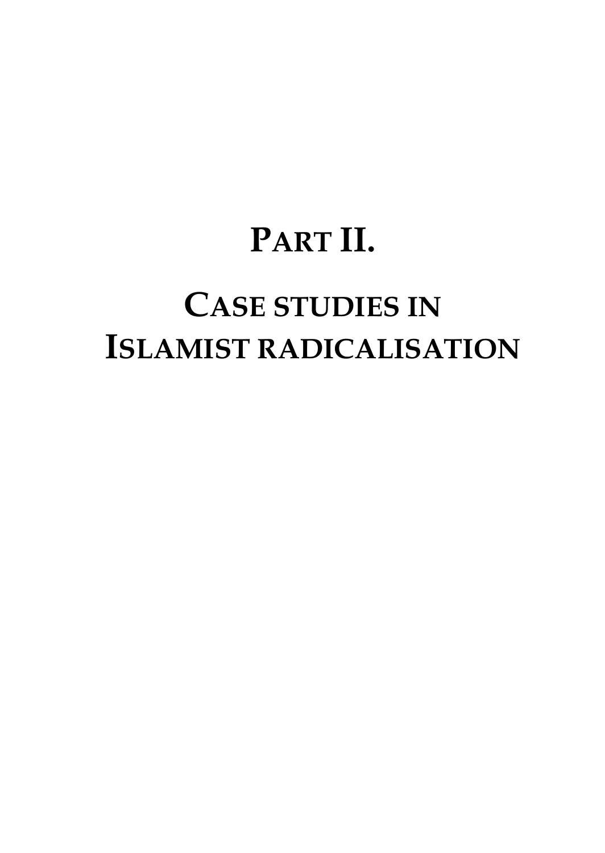# **PART II.**

# **CASE STUDIES IN ISLAMIST RADICALISATION**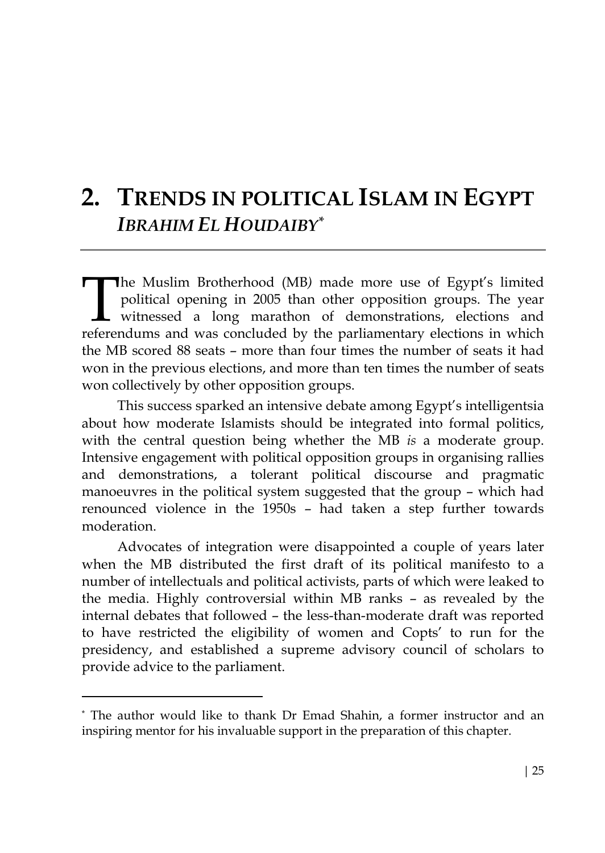### **2. TRENDS IN POLITICAL ISLAM IN EGYPT** *IBRAHIM EL HOUDAIBY\**

he Muslim Brotherhood (MB*)* made more use of Egypt's limited political opening in 2005 than other opposition groups. The year witnessed a long marathon of demonstrations, elections and referendums and was concluded by the parliamentary elections in which the MB scored 88 seats – more than four times the number of seats it had won in the previous elections, and more than ten times the number of seats won collectively by other opposition groups.  $\begin{bmatrix} 1 \\ 1 \end{bmatrix}$ 

This success sparked an intensive debate among Egypt's intelligentsia about how moderate Islamists should be integrated into formal politics, with the central question being whether the MB *is* a moderate group. Intensive engagement with political opposition groups in organising rallies and demonstrations, a tolerant political discourse and pragmatic manoeuvres in the political system suggested that the group – which had renounced violence in the 1950s – had taken a step further towards moderation.

Advocates of integration were disappointed a couple of years later when the MB distributed the first draft of its political manifesto to a number of intellectuals and political activists, parts of which were leaked to the media. Highly controversial within MB ranks – as revealed by the internal debates that followed – the less-than-moderate draft was reported to have restricted the eligibility of women and Copts' to run for the presidency, and established a supreme advisory council of scholars to provide advice to the parliament.

<sup>\*</sup> The author would like to thank Dr Emad Shahin, a former instructor and an inspiring mentor for his invaluable support in the preparation of this chapter.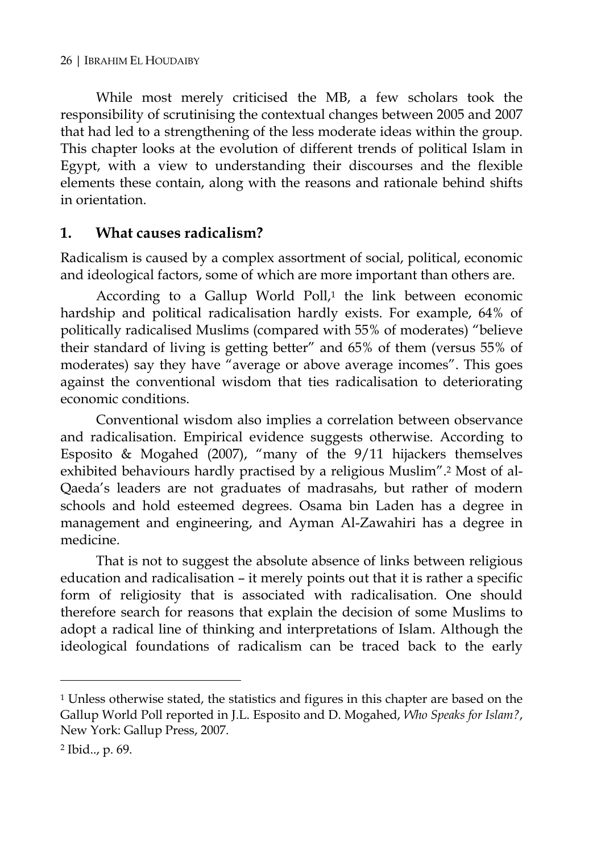While most merely criticised the MB, a few scholars took the responsibility of scrutinising the contextual changes between 2005 and 2007 that had led to a strengthening of the less moderate ideas within the group. This chapter looks at the evolution of different trends of political Islam in Egypt, with a view to understanding their discourses and the flexible elements these contain, along with the reasons and rationale behind shifts in orientation.

#### **1. What causes radicalism?**

Radicalism is caused by a complex assortment of social, political, economic and ideological factors, some of which are more important than others are.

According to a Gallup World Poll,<sup>1</sup> the link between economic hardship and political radicalisation hardly exists. For example, 64% of politically radicalised Muslims (compared with 55% of moderates) "believe their standard of living is getting better" and 65% of them (versus 55% of moderates) say they have "average or above average incomes". This goes against the conventional wisdom that ties radicalisation to deteriorating economic conditions.

Conventional wisdom also implies a correlation between observance and radicalisation. Empirical evidence suggests otherwise. According to Esposito & Mogahed (2007), "many of the 9/11 hijackers themselves exhibited behaviours hardly practised by a religious Muslim".2 Most of al-Qaeda's leaders are not graduates of madrasahs, but rather of modern schools and hold esteemed degrees. Osama bin Laden has a degree in management and engineering, and Ayman Al-Zawahiri has a degree in medicine.

That is not to suggest the absolute absence of links between religious education and radicalisation – it merely points out that it is rather a specific form of religiosity that is associated with radicalisation. One should therefore search for reasons that explain the decision of some Muslims to adopt a radical line of thinking and interpretations of Islam. Although the ideological foundations of radicalism can be traced back to the early

<sup>&</sup>lt;sup>1</sup> Unless otherwise stated, the statistics and figures in this chapter are based on the Gallup World Poll reported in J.L. Esposito and D. Mogahed, *Who Speaks for Islam?*, New York: Gallup Press, 2007.

<sup>2</sup> Ibid.., p. 69.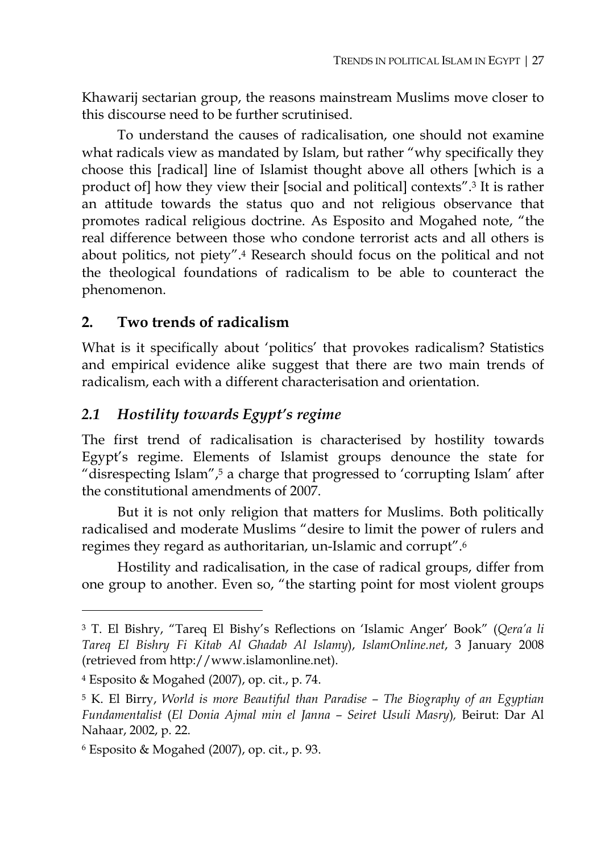Khawarij sectarian group, the reasons mainstream Muslims move closer to this discourse need to be further scrutinised.

To understand the causes of radicalisation, one should not examine what radicals view as mandated by Islam, but rather "why specifically they choose this [radical] line of Islamist thought above all others [which is a product of] how they view their [social and political] contexts".3 It is rather an attitude towards the status quo and not religious observance that promotes radical religious doctrine. As Esposito and Mogahed note, "the real difference between those who condone terrorist acts and all others is about politics, not piety".4 Research should focus on the political and not the theological foundations of radicalism to be able to counteract the phenomenon.

#### **2. Two trends of radicalism**

What is it specifically about 'politics' that provokes radicalism? Statistics and empirical evidence alike suggest that there are two main trends of radicalism, each with a different characterisation and orientation.

#### *2.1 Hostility towards Egypt's regime*

The first trend of radicalisation is characterised by hostility towards Egypt's regime. Elements of Islamist groups denounce the state for "disrespecting Islam",5 a charge that progressed to 'corrupting Islam' after the constitutional amendments of 2007.

But it is not only religion that matters for Muslims. Both politically radicalised and moderate Muslims "desire to limit the power of rulers and regimes they regard as authoritarian, un-Islamic and corrupt".6

Hostility and radicalisation, in the case of radical groups, differ from one group to another. Even so, "the starting point for most violent groups

<sup>3</sup> T. El Bishry, "Tareq El Bishy's Reflections on 'Islamic Anger' Book" (*Qera'a li Tareq El Bishry Fi Kitab Al Ghadab Al Islamy*), *IslamOnline.net*, 3 January 2008 (retrieved from http://www.islamonline.net).

<sup>4</sup> Esposito & Mogahed (2007), op. cit., p. 74.

<sup>5</sup> K. El Birry, *World is more Beautiful than Paradise – The Biography of an Egyptian Fundamentalist* (*El Donia Ajmal min el Janna – Seiret Usuli Masry*)*,* Beirut: Dar Al Nahaar, 2002, p. 22.

 $6$  Esposito & Mogahed (2007), op. cit., p. 93.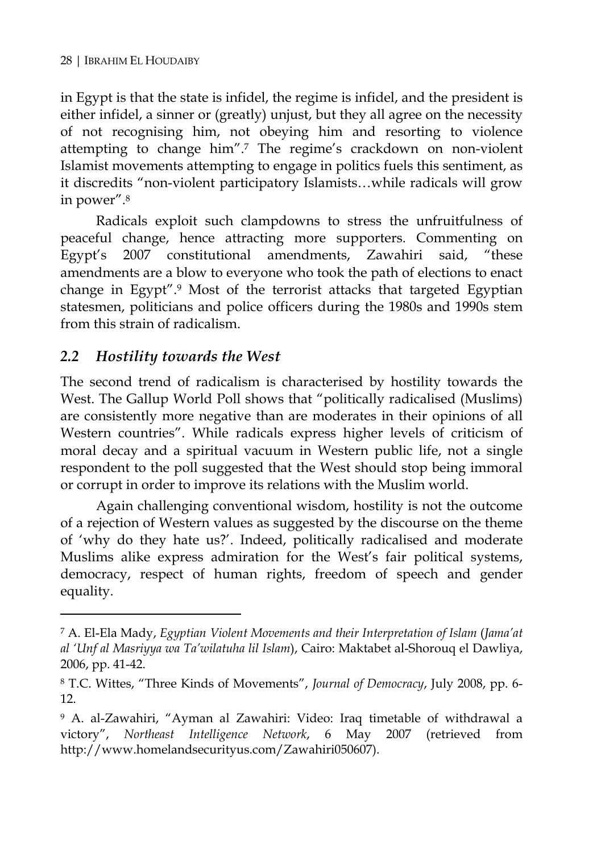in Egypt is that the state is infidel, the regime is infidel, and the president is either infidel, a sinner or (greatly) unjust, but they all agree on the necessity of not recognising him, not obeying him and resorting to violence attempting to change him".7 The regime's crackdown on non-violent Islamist movements attempting to engage in politics fuels this sentiment, as it discredits "non-violent participatory Islamists…while radicals will grow in power".8

Radicals exploit such clampdowns to stress the unfruitfulness of peaceful change, hence attracting more supporters. Commenting on Egypt's 2007 constitutional amendments, Zawahiri said, "these amendments are a blow to everyone who took the path of elections to enact change in Egypt".9 Most of the terrorist attacks that targeted Egyptian statesmen, politicians and police officers during the 1980s and 1990s stem from this strain of radicalism.

#### *2.2 Hostility towards the West*

 $\overline{a}$ 

The second trend of radicalism is characterised by hostility towards the West. The Gallup World Poll shows that "politically radicalised (Muslims) are consistently more negative than are moderates in their opinions of all Western countries". While radicals express higher levels of criticism of moral decay and a spiritual vacuum in Western public life, not a single respondent to the poll suggested that the West should stop being immoral or corrupt in order to improve its relations with the Muslim world.

Again challenging conventional wisdom, hostility is not the outcome of a rejection of Western values as suggested by the discourse on the theme of 'why do they hate us?'. Indeed, politically radicalised and moderate Muslims alike express admiration for the West's fair political systems, democracy, respect of human rights, freedom of speech and gender equality.

<sup>7</sup> A. El-Ela Mady, *Egyptian Violent Movements and their Interpretation of Islam* (*Jama'at al 'Unf al Masriyya wa Ta'wilatuha lil Islam*), Cairo: Maktabet al-Shorouq el Dawliya, 2006, pp. 41-42.

<sup>8</sup> T.C. Wittes, "Three Kinds of Movements", *Journal of Democracy*, July 2008, pp. 6- 12.

<sup>9</sup> A. al-Zawahiri, "Ayman al Zawahiri: Video: Iraq timetable of withdrawal a victory", *Northeast Intelligence Network*, 6 May 2007 (retrieved from http://www.homelandsecurityus.com/Zawahiri050607).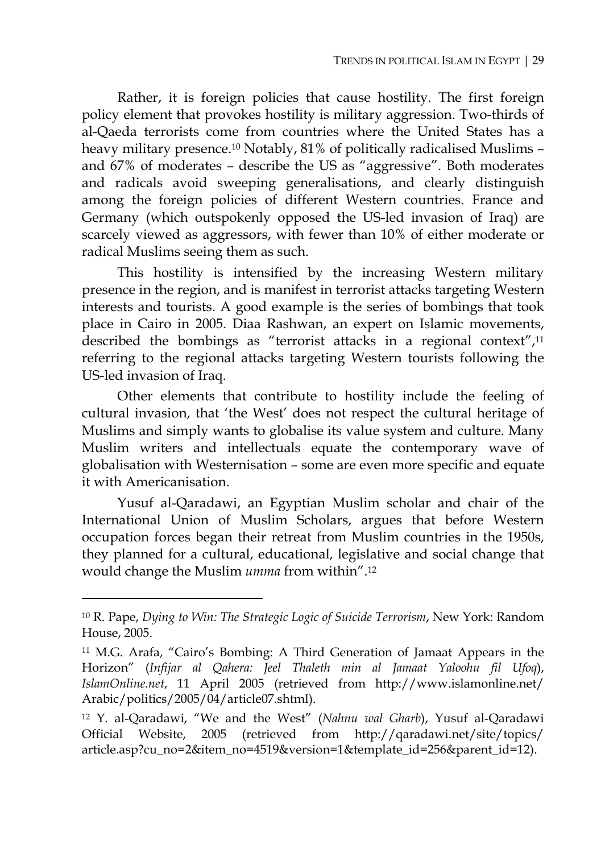Rather, it is foreign policies that cause hostility. The first foreign policy element that provokes hostility is military aggression. Two-thirds of al-Qaeda terrorists come from countries where the United States has a heavy military presence.10 Notably, 81% of politically radicalised Muslims – and 67% of moderates – describe the US as "aggressive". Both moderates and radicals avoid sweeping generalisations, and clearly distinguish among the foreign policies of different Western countries. France and Germany (which outspokenly opposed the US-led invasion of Iraq) are scarcely viewed as aggressors, with fewer than 10% of either moderate or radical Muslims seeing them as such.

This hostility is intensified by the increasing Western military presence in the region, and is manifest in terrorist attacks targeting Western interests and tourists. A good example is the series of bombings that took place in Cairo in 2005. Diaa Rashwan, an expert on Islamic movements, described the bombings as "terrorist attacks in a regional context",11 referring to the regional attacks targeting Western tourists following the US-led invasion of Iraq.

Other elements that contribute to hostility include the feeling of cultural invasion, that 'the West' does not respect the cultural heritage of Muslims and simply wants to globalise its value system and culture. Many Muslim writers and intellectuals equate the contemporary wave of globalisation with Westernisation – some are even more specific and equate it with Americanisation.

Yusuf al-Qaradawi, an Egyptian Muslim scholar and chair of the International Union of Muslim Scholars, argues that before Western occupation forces began their retreat from Muslim countries in the 1950s, they planned for a cultural, educational, legislative and social change that would change the Muslim *umma* from within".12

<sup>10</sup> R. Pape, *Dying to Win: The Strategic Logic of Suicide Terrorism*, New York: Random House, 2005.

<sup>11</sup> M.G. Arafa, "Cairo's Bombing: A Third Generation of Jamaat Appears in the Horizon" (*Infijar al Qahera: Jeel Thaleth min al Jamaat Yaloohu fil Ufoq*), *IslamOnline.net*, 11 April 2005 (retrieved from http://www.islamonline.net/ Arabic/politics/2005/04/article07.shtml).

<sup>12</sup> Y. al-Qaradawi, "We and the West" (*Nahnu wal Gharb*), Yusuf al-Qaradawi Official Website, 2005 (retrieved from http://qaradawi.net/site/topics/ article.asp?cu\_no=2&item\_no=4519&version=1&template\_id=256&parent\_id=12).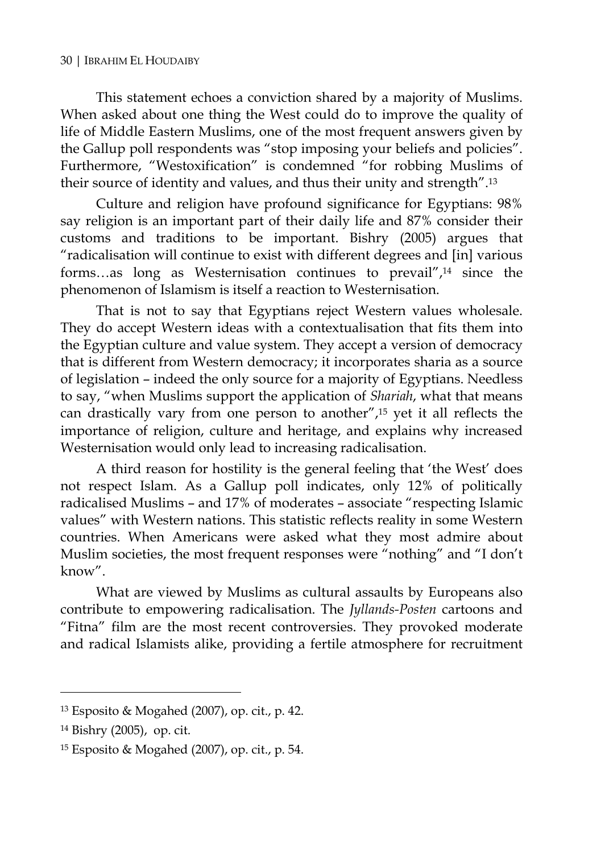#### 30 | IBRAHIM EL HOUDAIBY

This statement echoes a conviction shared by a majority of Muslims. When asked about one thing the West could do to improve the quality of life of Middle Eastern Muslims, one of the most frequent answers given by the Gallup poll respondents was "stop imposing your beliefs and policies". Furthermore, "Westoxification" is condemned "for robbing Muslims of their source of identity and values, and thus their unity and strength".13

Culture and religion have profound significance for Egyptians: 98% say religion is an important part of their daily life and 87% consider their customs and traditions to be important. Bishry (2005) argues that "radicalisation will continue to exist with different degrees and [in] various forms…as long as Westernisation continues to prevail",14 since the phenomenon of Islamism is itself a reaction to Westernisation.

That is not to say that Egyptians reject Western values wholesale. They do accept Western ideas with a contextualisation that fits them into the Egyptian culture and value system. They accept a version of democracy that is different from Western democracy; it incorporates sharia as a source of legislation – indeed the only source for a majority of Egyptians. Needless to say, "when Muslims support the application of *Shariah*, what that means can drastically vary from one person to another",15 yet it all reflects the importance of religion, culture and heritage, and explains why increased Westernisation would only lead to increasing radicalisation.

A third reason for hostility is the general feeling that 'the West' does not respect Islam. As a Gallup poll indicates, only 12% of politically radicalised Muslims – and 17% of moderates – associate "respecting Islamic values" with Western nations. This statistic reflects reality in some Western countries. When Americans were asked what they most admire about Muslim societies, the most frequent responses were "nothing" and "I don't know".

What are viewed by Muslims as cultural assaults by Europeans also contribute to empowering radicalisation. The *Jyllands-Posten* cartoons and "Fitna" film are the most recent controversies. They provoked moderate and radical Islamists alike, providing a fertile atmosphere for recruitment

<sup>13</sup> Esposito & Mogahed (2007), op. cit., p. 42.

<sup>14</sup> Bishry (2005), op. cit.

<sup>15</sup> Esposito & Mogahed (2007), op. cit., p. 54.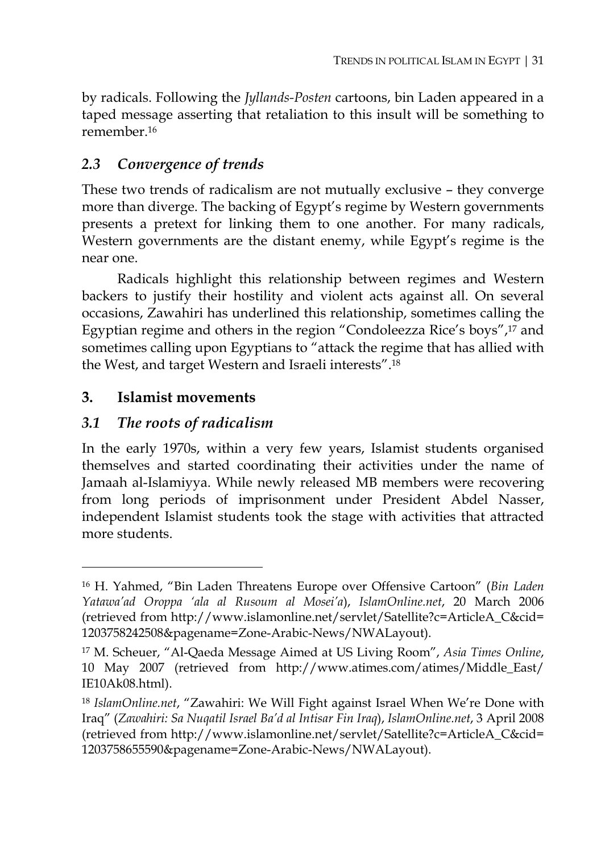by radicals. Following the *Jyllands-Posten* cartoons, bin Laden appeared in a taped message asserting that retaliation to this insult will be something to remember.16

# *2.3 Convergence of trends*

These two trends of radicalism are not mutually exclusive – they converge more than diverge. The backing of Egypt's regime by Western governments presents a pretext for linking them to one another. For many radicals, Western governments are the distant enemy, while Egypt's regime is the near one.

Radicals highlight this relationship between regimes and Western backers to justify their hostility and violent acts against all. On several occasions, Zawahiri has underlined this relationship, sometimes calling the Egyptian regime and others in the region "Condoleezza Rice's boys",17 and sometimes calling upon Egyptians to "attack the regime that has allied with the West, and target Western and Israeli interests".18

## **3. Islamist movements**

 $\overline{a}$ 

## *3.1 The roots of radicalism*

In the early 1970s, within a very few years, Islamist students organised themselves and started coordinating their activities under the name of Jamaah al-Islamiyya. While newly released MB members were recovering from long periods of imprisonment under President Abdel Nasser, independent Islamist students took the stage with activities that attracted more students.

<sup>16</sup> H. Yahmed, "Bin Laden Threatens Europe over Offensive Cartoon" (*Bin Laden Yatawa'ad Oroppa 'ala al Rusoum al Mosei'a*), *IslamOnline.net*, 20 March 2006 (retrieved from http://www.islamonline.net/servlet/Satellite?c=ArticleA\_C&cid= 1203758242508&pagename=Zone-Arabic-News/NWALayout).

<sup>17</sup> M. Scheuer, "Al-Qaeda Message Aimed at US Living Room", *Asia Times Online*, 10 May 2007 (retrieved from http://www.atimes.com/atimes/Middle\_East/ IE10Ak08.html).

<sup>18</sup> *IslamOnline.net*, "Zawahiri: We Will Fight against Israel When We're Done with Iraq" (*Zawahiri: Sa Nuqatil Israel Ba'd al Intisar Fin Iraq*), *IslamOnline.net*, 3 April 2008 (retrieved from http://www.islamonline.net/servlet/Satellite?c=ArticleA\_C&cid= 1203758655590&pagename=Zone-Arabic-News/NWALayout).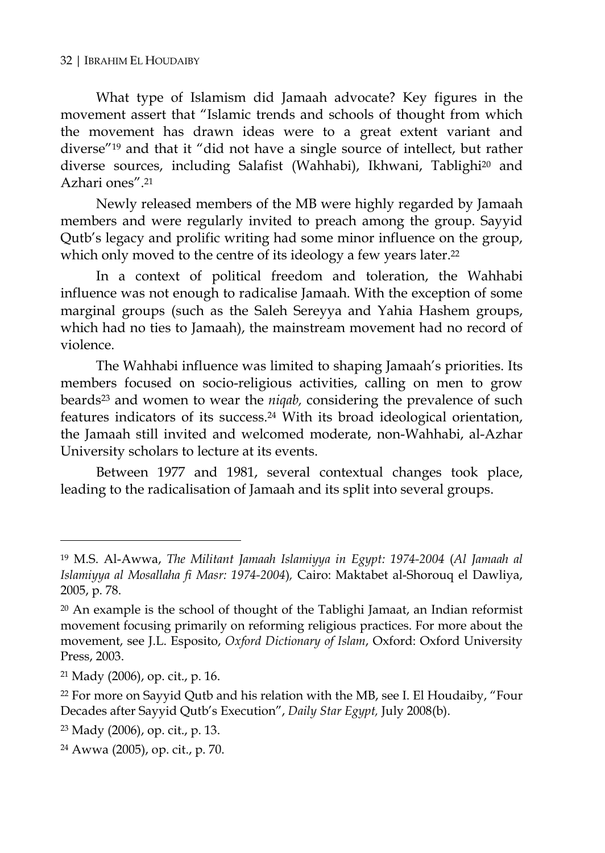What type of Islamism did Jamaah advocate? Key figures in the movement assert that "Islamic trends and schools of thought from which the movement has drawn ideas were to a great extent variant and diverse"19 and that it "did not have a single source of intellect, but rather diverse sources, including Salafist (Wahhabi), Ikhwani, Tablighi<sup>20</sup> and Azhari ones" 21

Newly released members of the MB were highly regarded by Jamaah members and were regularly invited to preach among the group. Sayyid Qutb's legacy and prolific writing had some minor influence on the group, which only moved to the centre of its ideology a few years later.<sup>22</sup>

In a context of political freedom and toleration, the Wahhabi influence was not enough to radicalise Jamaah. With the exception of some marginal groups (such as the Saleh Sereyya and Yahia Hashem groups, which had no ties to Jamaah), the mainstream movement had no record of violence.

The Wahhabi influence was limited to shaping Jamaah's priorities. Its members focused on socio-religious activities, calling on men to grow beards23 and women to wear the *niqab,* considering the prevalence of such features indicators of its success.24 With its broad ideological orientation, the Jamaah still invited and welcomed moderate, non-Wahhabi, al-Azhar University scholars to lecture at its events.

Between 1977 and 1981, several contextual changes took place, leading to the radicalisation of Jamaah and its split into several groups.

<sup>19</sup> M.S. Al-Awwa, *The Militant Jamaah Islamiyya in Egypt: 1974-2004* (*Al Jamaah al Islamiyya al Mosallaha fi Masr: 1974-2004*)*,* Cairo: Maktabet al-Shorouq el Dawliya, 2005, p. 78.

 $20$  An example is the school of thought of the Tablighi Jamaat, an Indian reformist movement focusing primarily on reforming religious practices. For more about the movement, see J.L. Esposito, *Oxford Dictionary of Islam*, Oxford: Oxford University Press, 2003.

<sup>21</sup> Mady (2006), op. cit., p. 16.

<sup>&</sup>lt;sup>22</sup> For more on Sayyid Qutb and his relation with the MB, see I. El Houdaiby, "Four Decades after Sayyid Qutb's Execution", *Daily Star Egypt,* July 2008(b).

<sup>23</sup> Mady (2006), op. cit., p. 13.

<sup>24</sup> Awwa (2005), op. cit., p. 70.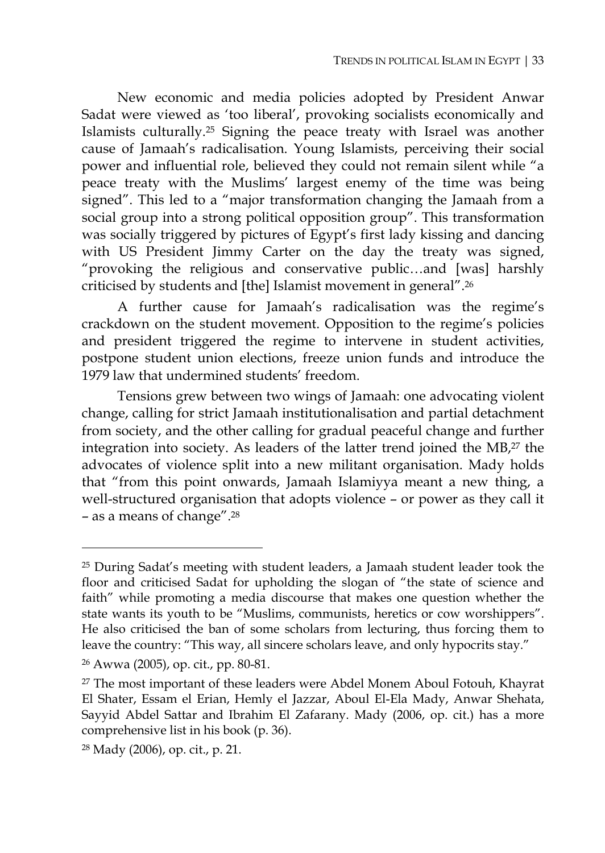New economic and media policies adopted by President Anwar Sadat were viewed as 'too liberal', provoking socialists economically and Islamists culturally.25 Signing the peace treaty with Israel was another cause of Jamaah's radicalisation. Young Islamists, perceiving their social power and influential role, believed they could not remain silent while "a peace treaty with the Muslims' largest enemy of the time was being signed". This led to a "major transformation changing the Jamaah from a social group into a strong political opposition group". This transformation was socially triggered by pictures of Egypt's first lady kissing and dancing with US President Jimmy Carter on the day the treaty was signed, "provoking the religious and conservative public…and [was] harshly criticised by students and [the] Islamist movement in general".26

A further cause for Jamaah's radicalisation was the regime's crackdown on the student movement. Opposition to the regime's policies and president triggered the regime to intervene in student activities, postpone student union elections, freeze union funds and introduce the 1979 law that undermined students' freedom.

Tensions grew between two wings of Jamaah: one advocating violent change, calling for strict Jamaah institutionalisation and partial detachment from society, and the other calling for gradual peaceful change and further integration into society. As leaders of the latter trend joined the MB,27 the advocates of violence split into a new militant organisation. Mady holds that "from this point onwards, Jamaah Islamiyya meant a new thing, a well-structured organisation that adopts violence – or power as they call it – as a means of change".28

<sup>25</sup> During Sadat's meeting with student leaders, a Jamaah student leader took the floor and criticised Sadat for upholding the slogan of "the state of science and faith" while promoting a media discourse that makes one question whether the state wants its youth to be "Muslims, communists, heretics or cow worshippers". He also criticised the ban of some scholars from lecturing, thus forcing them to leave the country: "This way, all sincere scholars leave, and only hypocrits stay."

<sup>26</sup> Awwa (2005), op. cit., pp. 80-81.

<sup>27</sup> The most important of these leaders were Abdel Monem Aboul Fotouh, Khayrat El Shater, Essam el Erian, Hemly el Jazzar, Aboul El-Ela Mady, Anwar Shehata, Sayyid Abdel Sattar and Ibrahim El Zafarany. Mady (2006, op. cit.) has a more comprehensive list in his book (p. 36).

<sup>28</sup> Mady (2006), op. cit., p. 21.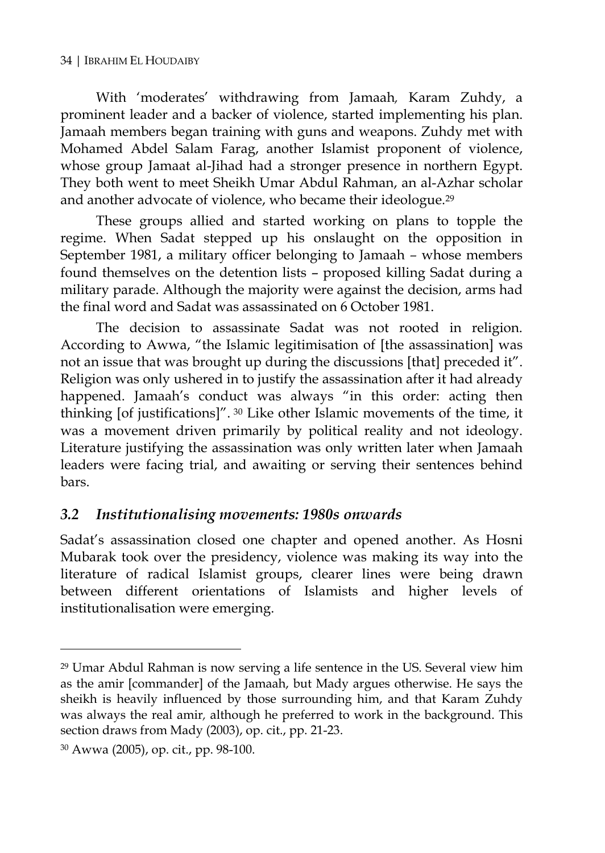With 'moderates' withdrawing from Jamaah*,* Karam Zuhdy, a prominent leader and a backer of violence, started implementing his plan. Jamaah members began training with guns and weapons. Zuhdy met with Mohamed Abdel Salam Farag, another Islamist proponent of violence, whose group Jamaat al-Jihad had a stronger presence in northern Egypt. They both went to meet Sheikh Umar Abdul Rahman, an al-Azhar scholar and another advocate of violence, who became their ideologue.29

These groups allied and started working on plans to topple the regime. When Sadat stepped up his onslaught on the opposition in September 1981, a military officer belonging to Jamaah *–* whose members found themselves on the detention lists – proposed killing Sadat during a military parade. Although the majority were against the decision, arms had the final word and Sadat was assassinated on 6 October 1981.

The decision to assassinate Sadat was not rooted in religion. According to Awwa, "the Islamic legitimisation of [the assassination] was not an issue that was brought up during the discussions [that] preceded it". Religion was only ushered in to justify the assassination after it had already happened. Jamaah's conduct was always "in this order: acting then thinking [of justifications]". 30 Like other Islamic movements of the time, it was a movement driven primarily by political reality and not ideology. Literature justifying the assassination was only written later when Jamaah leaders were facing trial, and awaiting or serving their sentences behind bars.

## *3.2 Institutionalising movements: 1980s onwards*

Sadat's assassination closed one chapter and opened another. As Hosni Mubarak took over the presidency, violence was making its way into the literature of radical Islamist groups, clearer lines were being drawn between different orientations of Islamists and higher levels of institutionalisation were emerging.

<sup>29</sup> Umar Abdul Rahman is now serving a life sentence in the US. Several view him as the amir [commander] of the Jamaah, but Mady argues otherwise. He says the sheikh is heavily influenced by those surrounding him, and that Karam Zuhdy was always the real amir*,* although he preferred to work in the background. This section draws from Mady (2003), op. cit., pp. 21-23.

<sup>30</sup> Awwa (2005), op. cit., pp. 98-100.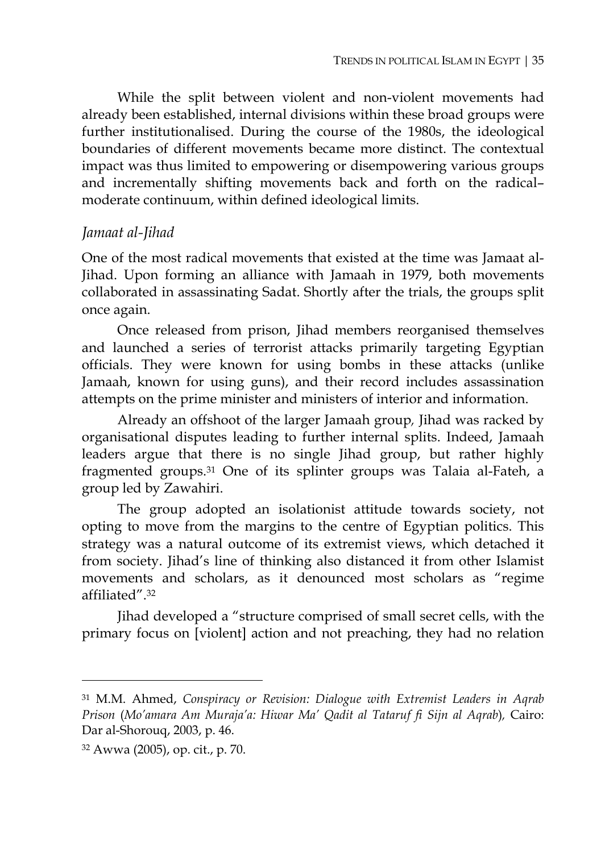While the split between violent and non-violent movements had already been established, internal divisions within these broad groups were further institutionalised. During the course of the 1980s, the ideological boundaries of different movements became more distinct. The contextual impact was thus limited to empowering or disempowering various groups and incrementally shifting movements back and forth on the radical– moderate continuum, within defined ideological limits.

#### *Jamaat al-Jihad*

One of the most radical movements that existed at the time was Jamaat al-Jihad. Upon forming an alliance with Jamaah in 1979, both movements collaborated in assassinating Sadat. Shortly after the trials, the groups split once again.

Once released from prison, Jihad members reorganised themselves and launched a series of terrorist attacks primarily targeting Egyptian officials. They were known for using bombs in these attacks (unlike Jamaah, known for using guns), and their record includes assassination attempts on the prime minister and ministers of interior and information.

Already an offshoot of the larger Jamaah group*,* Jihad was racked by organisational disputes leading to further internal splits. Indeed, Jamaah leaders argue that there is no single Jihad group, but rather highly fragmented groups.31 One of its splinter groups was Talaia al-Fateh, a group led by Zawahiri.

The group adopted an isolationist attitude towards society, not opting to move from the margins to the centre of Egyptian politics. This strategy was a natural outcome of its extremist views, which detached it from society. Jihad's line of thinking also distanced it from other Islamist movements and scholars, as it denounced most scholars as "regime affiliated".32

Jihad developed a "structure comprised of small secret cells, with the primary focus on [violent] action and not preaching, they had no relation

<sup>31</sup> M.M. Ahmed, *Conspiracy or Revision: Dialogue with Extremist Leaders in Aqrab Prison* (*Mo'amara Am Muraja'a: Hiwar Ma' Qadit al Tataruf fi Sijn al Aqrab*)*,* Cairo: Dar al-Shorouq, 2003, p. 46.

<sup>32</sup> Awwa (2005), op. cit., p. 70.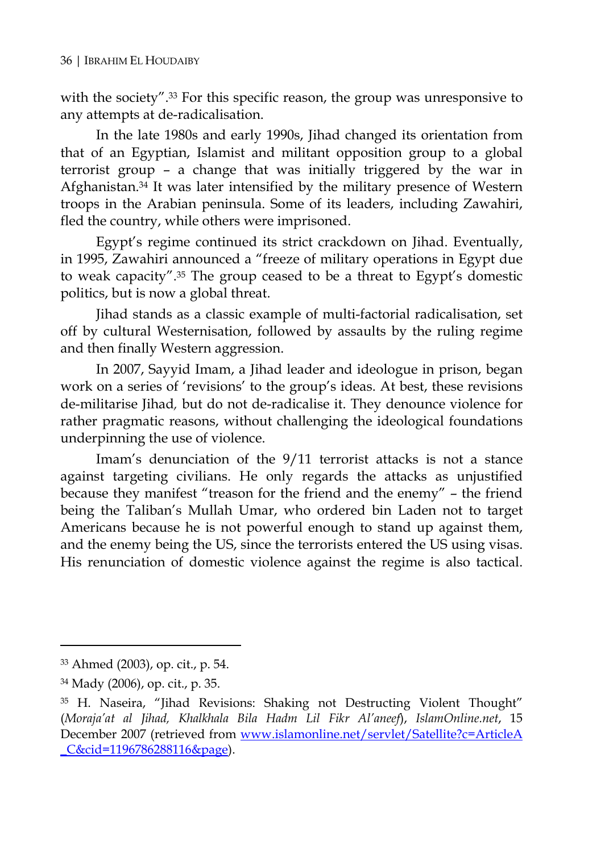with the society".33 For this specific reason, the group was unresponsive to any attempts at de-radicalisation.

In the late 1980s and early 1990s, Jihad changed its orientation from that of an Egyptian, Islamist and militant opposition group to a global terrorist group – a change that was initially triggered by the war in Afghanistan.34 It was later intensified by the military presence of Western troops in the Arabian peninsula. Some of its leaders, including Zawahiri, fled the country, while others were imprisoned.

Egypt's regime continued its strict crackdown on Jihad. Eventually, in 1995, Zawahiri announced a "freeze of military operations in Egypt due to weak capacity".35 The group ceased to be a threat to Egypt's domestic politics, but is now a global threat.

Jihad stands as a classic example of multi-factorial radicalisation, set off by cultural Westernisation, followed by assaults by the ruling regime and then finally Western aggression.

In 2007, Sayyid Imam, a Jihad leader and ideologue in prison, began work on a series of 'revisions' to the group's ideas. At best, these revisions de-militarise Jihad*,* but do not de-radicalise it. They denounce violence for rather pragmatic reasons, without challenging the ideological foundations underpinning the use of violence.

Imam's denunciation of the 9/11 terrorist attacks is not a stance against targeting civilians. He only regards the attacks as unjustified because they manifest "treason for the friend and the enemy" – the friend being the Taliban's Mullah Umar, who ordered bin Laden not to target Americans because he is not powerful enough to stand up against them, and the enemy being the US, since the terrorists entered the US using visas. His renunciation of domestic violence against the regime is also tactical.

<sup>33</sup> Ahmed (2003), op. cit., p. 54.

<sup>34</sup> Mady (2006), op. cit., p. 35.

<sup>35</sup> H. Naseira, "Jihad Revisions: Shaking not Destructing Violent Thought" (*Moraja'at al Jihad, Khalkhala Bila Hadm Lil Fikr Al'aneef*), *IslamOnline.net*, 15 December 2007 (retrieved from www.islamonline.net/servlet/Satellite?c=ArticleA C&cid=1196786288116&page).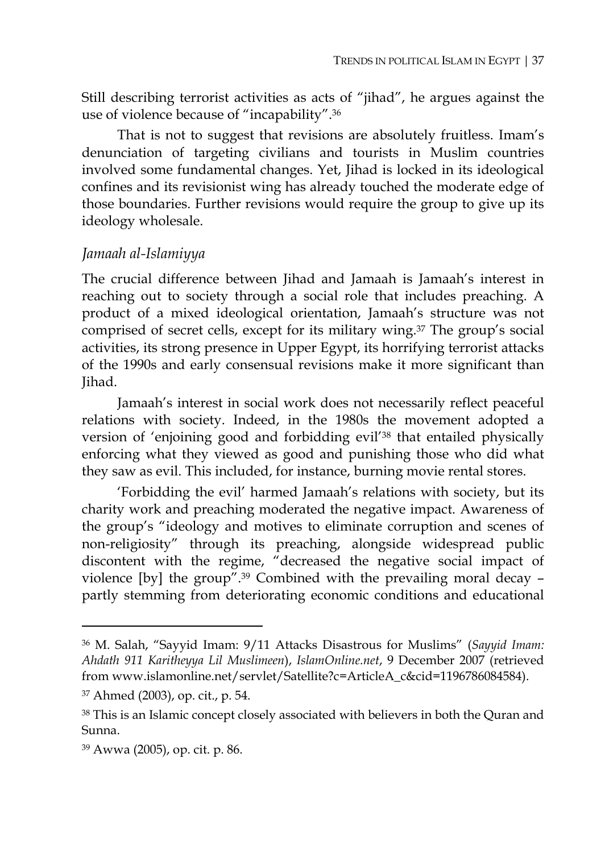Still describing terrorist activities as acts of "jihad", he argues against the use of violence because of "incapability".36

That is not to suggest that revisions are absolutely fruitless. Imam's denunciation of targeting civilians and tourists in Muslim countries involved some fundamental changes. Yet, Jihad is locked in its ideological confines and its revisionist wing has already touched the moderate edge of those boundaries. Further revisions would require the group to give up its ideology wholesale.

#### *Jamaah al-Islamiyya*

The crucial difference between Jihad and Jamaah is Jamaah's interest in reaching out to society through a social role that includes preaching. A product of a mixed ideological orientation, Jamaah's structure was not comprised of secret cells, except for its military wing.37 The group's social activities, its strong presence in Upper Egypt, its horrifying terrorist attacks of the 1990s and early consensual revisions make it more significant than Jihad.

Jamaah's interest in social work does not necessarily reflect peaceful relations with society. Indeed, in the 1980s the movement adopted a version of 'enjoining good and forbidding evil'38 that entailed physically enforcing what they viewed as good and punishing those who did what they saw as evil. This included, for instance, burning movie rental stores.

'Forbidding the evil' harmed Jamaah's relations with society, but its charity work and preaching moderated the negative impact. Awareness of the group's "ideology and motives to eliminate corruption and scenes of non-religiosity" through its preaching, alongside widespread public discontent with the regime, "decreased the negative social impact of violence [by] the group".39 Combined with the prevailing moral decay – partly stemming from deteriorating economic conditions and educational

<sup>36</sup> M. Salah, "Sayyid Imam: 9/11 Attacks Disastrous for Muslims" (*Sayyid Imam: Ahdath 911 Karitheyya Lil Muslimeen*), *IslamOnline.net*, 9 December 2007 (retrieved from www.islamonline.net/servlet/Satellite?c=ArticleA\_c&cid=1196786084584).

<sup>37</sup> Ahmed (2003), op. cit., p. 54.

<sup>38</sup> This is an Islamic concept closely associated with believers in both the Quran and Sunna.

<sup>39</sup> Awwa (2005), op. cit. p. 86.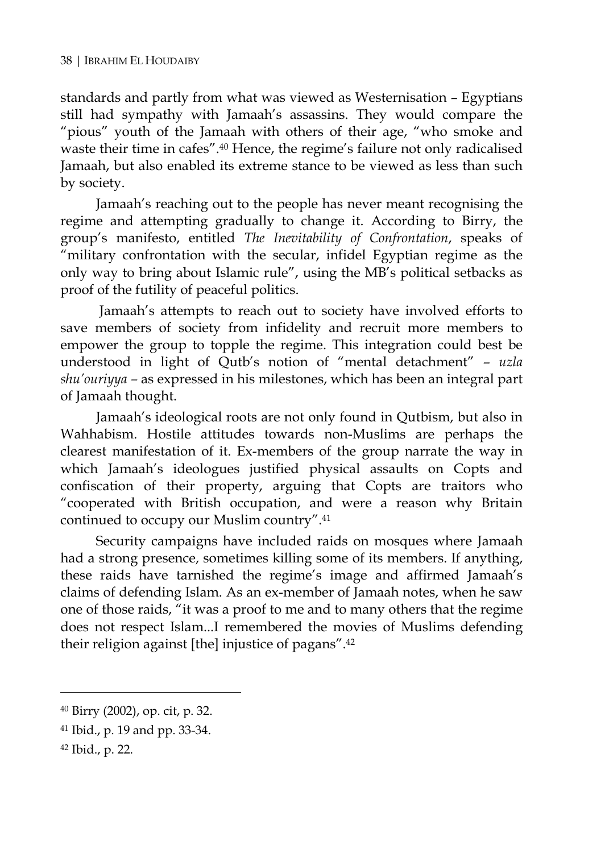standards and partly from what was viewed as Westernisation – Egyptians still had sympathy with Jamaah's assassins. They would compare the "pious" youth of the Jamaah with others of their age, "who smoke and waste their time in cafes".40 Hence, the regime's failure not only radicalised Jamaah, but also enabled its extreme stance to be viewed as less than such by society.

Jamaah's reaching out to the people has never meant recognising the regime and attempting gradually to change it. According to Birry, the group's manifesto, entitled *The Inevitability of Confrontation*, speaks of "military confrontation with the secular, infidel Egyptian regime as the only way to bring about Islamic rule", using the MB's political setbacks as proof of the futility of peaceful politics.

Jamaah's attempts to reach out to society have involved efforts to save members of society from infidelity and recruit more members to empower the group to topple the regime. This integration could best be understood in light of Qutb's notion of "mental detachment" – *uzla shu'ouriyya –* as expressed in his milestones, which has been an integral part of Jamaah thought.

Jamaah's ideological roots are not only found in Qutbism, but also in Wahhabism. Hostile attitudes towards non-Muslims are perhaps the clearest manifestation of it. Ex-members of the group narrate the way in which Jamaah's ideologues justified physical assaults on Copts and confiscation of their property, arguing that Copts are traitors who "cooperated with British occupation, and were a reason why Britain continued to occupy our Muslim country".41

Security campaigns have included raids on mosques where Jamaah had a strong presence, sometimes killing some of its members. If anything, these raids have tarnished the regime's image and affirmed Jamaah's claims of defending Islam. As an ex-member of Jamaah notes, when he saw one of those raids, "it was a proof to me and to many others that the regime does not respect Islam...I remembered the movies of Muslims defending their religion against [the] injustice of pagans".42

<sup>40</sup> Birry (2002), op. cit, p. 32.

<sup>41</sup> Ibid., p. 19 and pp. 33-34.

<sup>42</sup> Ibid., p. 22.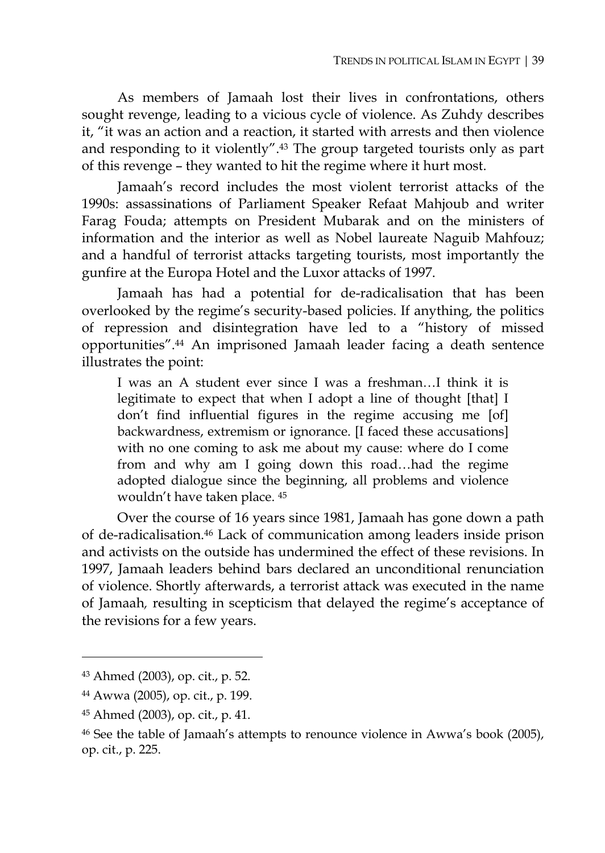As members of Jamaah lost their lives in confrontations, others sought revenge, leading to a vicious cycle of violence. As Zuhdy describes it, "it was an action and a reaction, it started with arrests and then violence and responding to it violently".43 The group targeted tourists only as part of this revenge – they wanted to hit the regime where it hurt most.

Jamaah's record includes the most violent terrorist attacks of the 1990s: assassinations of Parliament Speaker Refaat Mahjoub and writer Farag Fouda; attempts on President Mubarak and on the ministers of information and the interior as well as Nobel laureate Naguib Mahfouz; and a handful of terrorist attacks targeting tourists, most importantly the gunfire at the Europa Hotel and the Luxor attacks of 1997.

Jamaah has had a potential for de-radicalisation that has been overlooked by the regime's security-based policies. If anything, the politics of repression and disintegration have led to a "history of missed opportunities".44 An imprisoned Jamaah leader facing a death sentence illustrates the point:

I was an A student ever since I was a freshman…I think it is legitimate to expect that when I adopt a line of thought [that] I don't find influential figures in the regime accusing me [of] backwardness, extremism or ignorance. [I faced these accusations] with no one coming to ask me about my cause: where do I come from and why am I going down this road…had the regime adopted dialogue since the beginning, all problems and violence wouldn't have taken place. 45

Over the course of 16 years since 1981, Jamaah has gone down a path of de-radicalisation.46 Lack of communication among leaders inside prison and activists on the outside has undermined the effect of these revisions. In 1997, Jamaah leaders behind bars declared an unconditional renunciation of violence. Shortly afterwards, a terrorist attack was executed in the name of Jamaah*,* resulting in scepticism that delayed the regime's acceptance of the revisions for a few years.

<sup>43</sup> Ahmed (2003), op. cit., p. 52.

<sup>44</sup> Awwa (2005), op. cit., p. 199.

<sup>45</sup> Ahmed (2003), op. cit., p. 41.

<sup>46</sup> See the table of Jamaah's attempts to renounce violence in Awwa's book (2005), op. cit., p. 225.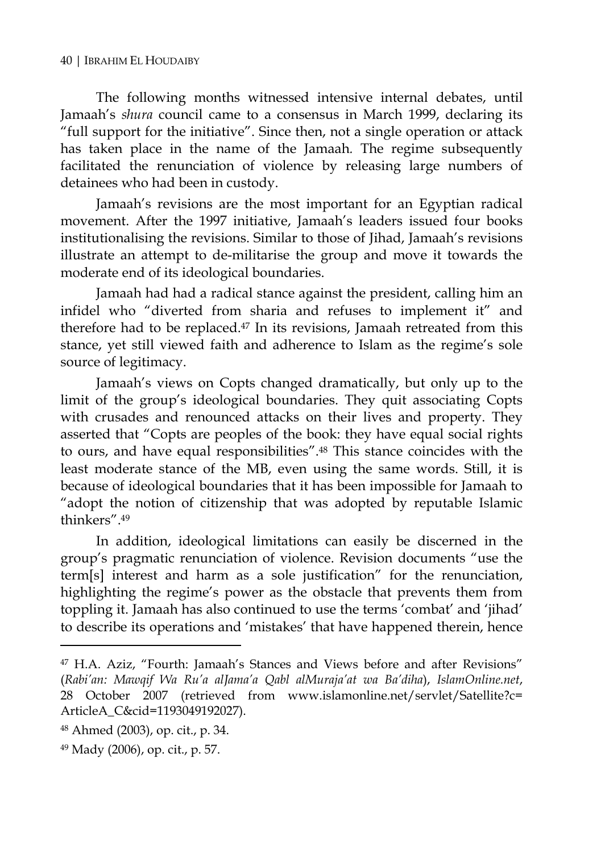The following months witnessed intensive internal debates, until Jamaah's *shura* council came to a consensus in March 1999, declaring its "full support for the initiative". Since then, not a single operation or attack has taken place in the name of the Jamaah*.* The regime subsequently facilitated the renunciation of violence by releasing large numbers of detainees who had been in custody.

Jamaah's revisions are the most important for an Egyptian radical movement. After the 1997 initiative, Jamaah's leaders issued four books institutionalising the revisions. Similar to those of Jihad, Jamaah's revisions illustrate an attempt to de-militarise the group and move it towards the moderate end of its ideological boundaries.

Jamaah had had a radical stance against the president, calling him an infidel who "diverted from sharia and refuses to implement it" and therefore had to be replaced.47 In its revisions, Jamaah retreated from this stance, yet still viewed faith and adherence to Islam as the regime's sole source of legitimacy.

Jamaah's views on Copts changed dramatically, but only up to the limit of the group's ideological boundaries. They quit associating Copts with crusades and renounced attacks on their lives and property. They asserted that "Copts are peoples of the book: they have equal social rights to ours, and have equal responsibilities".48 This stance coincides with the least moderate stance of the MB, even using the same words. Still, it is because of ideological boundaries that it has been impossible for Jamaah to "adopt the notion of citizenship that was adopted by reputable Islamic thinkers".49

In addition, ideological limitations can easily be discerned in the group's pragmatic renunciation of violence. Revision documents "use the term[s] interest and harm as a sole justification" for the renunciation, highlighting the regime's power as the obstacle that prevents them from toppling it. Jamaah has also continued to use the terms 'combat' and 'jihad' to describe its operations and 'mistakes' that have happened therein, hence

<sup>47</sup> H.A. Aziz, "Fourth: Jamaah's Stances and Views before and after Revisions" (*Rabi'an: Mawqif Wa Ru'a alJama'a Qabl alMuraja'at wa Ba'diha*), *IslamOnline.net*, 28 October 2007 (retrieved from www.islamonline.net/servlet/Satellite?c= ArticleA\_C&cid=1193049192027).

<sup>48</sup> Ahmed (2003), op. cit., p. 34.

<sup>49</sup> Mady (2006), op. cit., p. 57.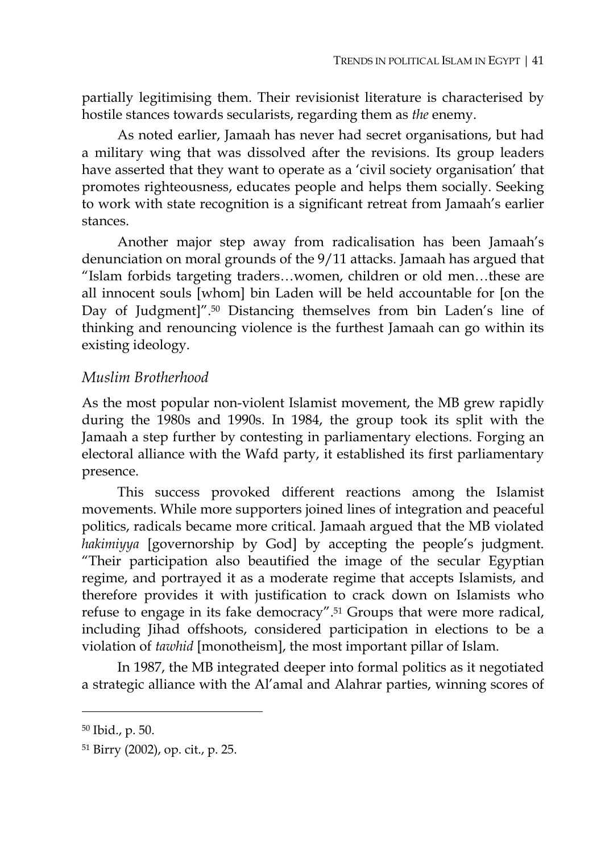partially legitimising them. Their revisionist literature is characterised by hostile stances towards secularists, regarding them as *the* enemy.

As noted earlier, Jamaah has never had secret organisations, but had a military wing that was dissolved after the revisions. Its group leaders have asserted that they want to operate as a 'civil society organisation' that promotes righteousness, educates people and helps them socially. Seeking to work with state recognition is a significant retreat from Jamaah's earlier stances.

Another major step away from radicalisation has been Jamaah's denunciation on moral grounds of the 9/11 attacks. Jamaah has argued that "Islam forbids targeting traders…women, children or old men…these are all innocent souls [whom] bin Laden will be held accountable for [on the Day of Judgment]".50 Distancing themselves from bin Laden's line of thinking and renouncing violence is the furthest Jamaah can go within its existing ideology.

#### *Muslim Brotherhood*

As the most popular non-violent Islamist movement, the MB grew rapidly during the 1980s and 1990s. In 1984, the group took its split with the Jamaah a step further by contesting in parliamentary elections. Forging an electoral alliance with the Wafd party, it established its first parliamentary presence.

This success provoked different reactions among the Islamist movements. While more supporters joined lines of integration and peaceful politics, radicals became more critical. Jamaah argued that the MB violated *hakimiyya* [governorship by God] by accepting the people's judgment. "Their participation also beautified the image of the secular Egyptian regime, and portrayed it as a moderate regime that accepts Islamists, and therefore provides it with justification to crack down on Islamists who refuse to engage in its fake democracy".51 Groups that were more radical, including Jihad offshoots, considered participation in elections to be a violation of *tawhid* [monotheism], the most important pillar of Islam.

In 1987, the MB integrated deeper into formal politics as it negotiated a strategic alliance with the Al'amal and Alahrar parties, winning scores of

<sup>50</sup> Ibid., p. 50.

<sup>51</sup> Birry (2002), op. cit., p. 25.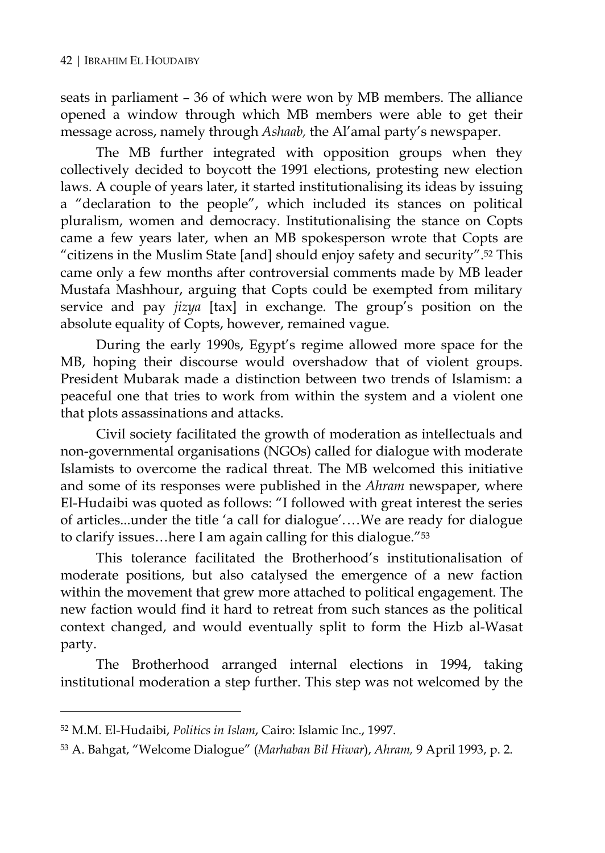seats in parliament – 36 of which were won by MB members. The alliance opened a window through which MB members were able to get their message across, namely through *Ashaab,* the Al'amal party's newspaper.

The MB further integrated with opposition groups when they collectively decided to boycott the 1991 elections, protesting new election laws. A couple of years later, it started institutionalising its ideas by issuing a "declaration to the people", which included its stances on political pluralism, women and democracy. Institutionalising the stance on Copts came a few years later, when an MB spokesperson wrote that Copts are "citizens in the Muslim State [and] should enjoy safety and security".52 This came only a few months after controversial comments made by MB leader Mustafa Mashhour, arguing that Copts could be exempted from military service and pay *jizya* [tax] in exchange*.* The group's position on the absolute equality of Copts, however, remained vague.

During the early 1990s, Egypt's regime allowed more space for the MB, hoping their discourse would overshadow that of violent groups. President Mubarak made a distinction between two trends of Islamism: a peaceful one that tries to work from within the system and a violent one that plots assassinations and attacks.

Civil society facilitated the growth of moderation as intellectuals and non-governmental organisations (NGOs) called for dialogue with moderate Islamists to overcome the radical threat. The MB welcomed this initiative and some of its responses were published in the *Ahram* newspaper, where El-Hudaibi was quoted as follows: "I followed with great interest the series of articles...under the title 'a call for dialogue'. …We are ready for dialogue to clarify issues…here I am again calling for this dialogue."53

This tolerance facilitated the Brotherhood's institutionalisation of moderate positions, but also catalysed the emergence of a new faction within the movement that grew more attached to political engagement. The new faction would find it hard to retreat from such stances as the political context changed, and would eventually split to form the Hizb al-Wasat party.

The Brotherhood arranged internal elections in 1994, taking institutional moderation a step further. This step was not welcomed by the

<sup>52</sup> M.M. El-Hudaibi, *Politics in Islam*, Cairo: Islamic Inc., 1997.

<sup>53</sup> A. Bahgat, "Welcome Dialogue" (*Marhaban Bil Hiwar*), *Ahram,* 9 April 1993, p. 2.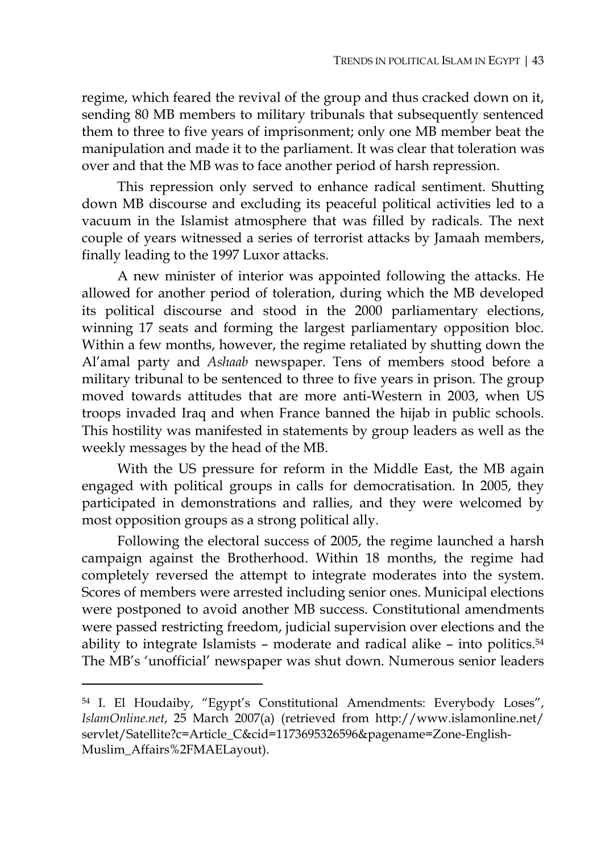regime, which feared the revival of the group and thus cracked down on it, sending 80 MB members to military tribunals that subsequently sentenced them to three to five years of imprisonment; only one MB member beat the manipulation and made it to the parliament. It was clear that toleration was over and that the MB was to face another period of harsh repression.

This repression only served to enhance radical sentiment. Shutting down MB discourse and excluding its peaceful political activities led to a vacuum in the Islamist atmosphere that was filled by radicals. The next couple of years witnessed a series of terrorist attacks by Jamaah members, finally leading to the 1997 Luxor attacks.

A new minister of interior was appointed following the attacks. He allowed for another period of toleration, during which the MB developed its political discourse and stood in the 2000 parliamentary elections, winning 17 seats and forming the largest parliamentary opposition bloc. Within a few months, however, the regime retaliated by shutting down the Al'amal party and *Ashaab* newspaper. Tens of members stood before a military tribunal to be sentenced to three to five years in prison. The group moved towards attitudes that are more anti-Western in 2003, when US troops invaded Iraq and when France banned the hijab in public schools. This hostility was manifested in statements by group leaders as well as the weekly messages by the head of the MB.

With the US pressure for reform in the Middle East, the MB again engaged with political groups in calls for democratisation. In 2005, they participated in demonstrations and rallies, and they were welcomed by most opposition groups as a strong political ally.

Following the electoral success of 2005, the regime launched a harsh campaign against the Brotherhood. Within 18 months, the regime had completely reversed the attempt to integrate moderates into the system. Scores of members were arrested including senior ones. Municipal elections were postponed to avoid another MB success. Constitutional amendments were passed restricting freedom, judicial supervision over elections and the ability to integrate Islamists – moderate and radical alike – into politics.54 The MB's 'unofficial' newspaper was shut down. Numerous senior leaders

<sup>54</sup> I. El Houdaiby, "Egypt's Constitutional Amendments: Everybody Loses", *IslamOnline.net*, 25 March 2007(a) (retrieved from http://www.islamonline.net/ servlet/Satellite?c=Article\_C&cid=1173695326596&pagename=Zone-English-Muslim\_Affairs%2FMAELayout).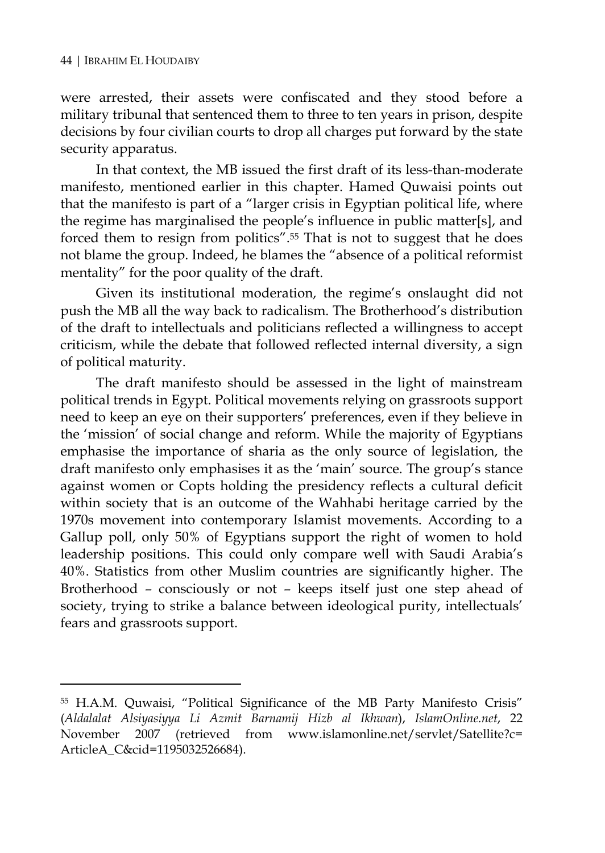$\overline{a}$ 

were arrested, their assets were confiscated and they stood before a military tribunal that sentenced them to three to ten years in prison, despite decisions by four civilian courts to drop all charges put forward by the state security apparatus.

In that context, the MB issued the first draft of its less-than-moderate manifesto, mentioned earlier in this chapter. Hamed Quwaisi points out that the manifesto is part of a "larger crisis in Egyptian political life, where the regime has marginalised the people's influence in public matter[s], and forced them to resign from politics".55 That is not to suggest that he does not blame the group. Indeed, he blames the "absence of a political reformist mentality" for the poor quality of the draft.

Given its institutional moderation, the regime's onslaught did not push the MB all the way back to radicalism. The Brotherhood's distribution of the draft to intellectuals and politicians reflected a willingness to accept criticism, while the debate that followed reflected internal diversity, a sign of political maturity.

The draft manifesto should be assessed in the light of mainstream political trends in Egypt. Political movements relying on grassroots support need to keep an eye on their supporters' preferences, even if they believe in the 'mission' of social change and reform. While the majority of Egyptians emphasise the importance of sharia as the only source of legislation, the draft manifesto only emphasises it as the 'main' source. The group's stance against women or Copts holding the presidency reflects a cultural deficit within society that is an outcome of the Wahhabi heritage carried by the 1970s movement into contemporary Islamist movements. According to a Gallup poll, only 50% of Egyptians support the right of women to hold leadership positions. This could only compare well with Saudi Arabia's 40%. Statistics from other Muslim countries are significantly higher. The Brotherhood – consciously or not – keeps itself just one step ahead of society, trying to strike a balance between ideological purity, intellectuals' fears and grassroots support.

<sup>55</sup> H.A.M. Quwaisi, "Political Significance of the MB Party Manifesto Crisis" (*Aldalalat Alsiyasiyya Li Azmit Barnamij Hizb al Ikhwan*), *IslamOnline.net*, 22 November 2007 (retrieved from www.islamonline.net/servlet/Satellite?c= ArticleA\_C&cid=1195032526684).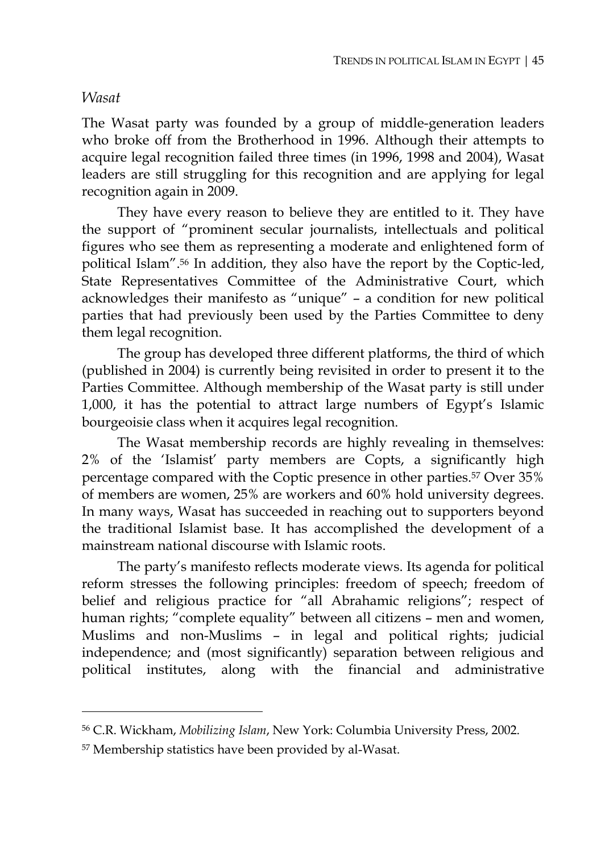#### *Wasat*

 $\overline{a}$ 

The Wasat party was founded by a group of middle-generation leaders who broke off from the Brotherhood in 1996. Although their attempts to acquire legal recognition failed three times (in 1996, 1998 and 2004), Wasat leaders are still struggling for this recognition and are applying for legal recognition again in 2009.

They have every reason to believe they are entitled to it. They have the support of "prominent secular journalists, intellectuals and political figures who see them as representing a moderate and enlightened form of political Islam".56 In addition, they also have the report by the Coptic-led, State Representatives Committee of the Administrative Court, which acknowledges their manifesto as "unique" – a condition for new political parties that had previously been used by the Parties Committee to deny them legal recognition.

The group has developed three different platforms, the third of which (published in 2004) is currently being revisited in order to present it to the Parties Committee. Although membership of the Wasat party is still under 1,000, it has the potential to attract large numbers of Egypt's Islamic bourgeoisie class when it acquires legal recognition.

The Wasat membership records are highly revealing in themselves: 2% of the 'Islamist' party members are Copts, a significantly high percentage compared with the Coptic presence in other parties.57 Over 35% of members are women, 25% are workers and 60% hold university degrees. In many ways, Wasat has succeeded in reaching out to supporters beyond the traditional Islamist base. It has accomplished the development of a mainstream national discourse with Islamic roots.

The party's manifesto reflects moderate views. Its agenda for political reform stresses the following principles: freedom of speech; freedom of belief and religious practice for "all Abrahamic religions"; respect of human rights; "complete equality" between all citizens – men and women, Muslims and non-Muslims – in legal and political rights; judicial independence; and (most significantly) separation between religious and political institutes, along with the financial and administrative

<sup>56</sup> C.R. Wickham, *Mobilizing Islam*, New York: Columbia University Press, 2002.

<sup>57</sup> Membership statistics have been provided by al-Wasat.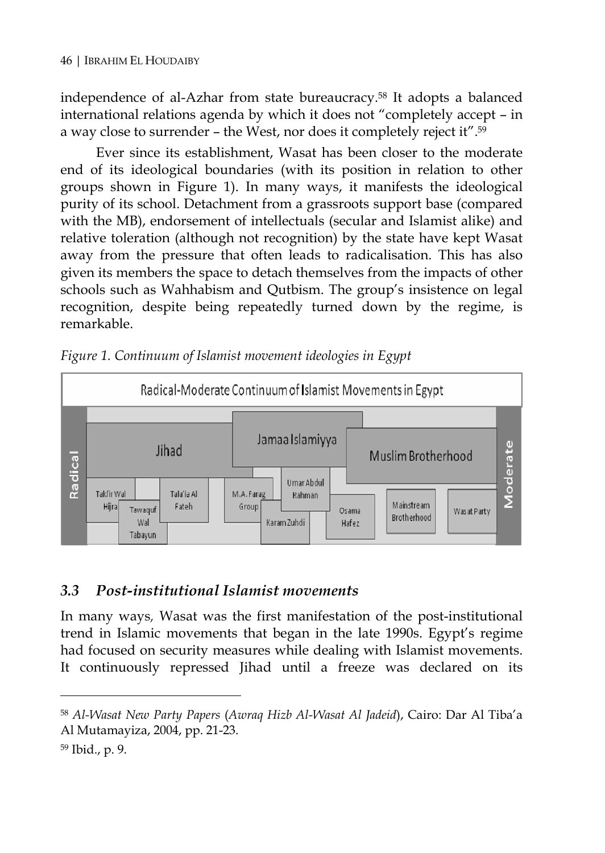independence of al-Azhar from state bureaucracy.58 It adopts a balanced international relations agenda by which it does not "completely accept – in a way close to surrender – the West, nor does it completely reject it".59

Ever since its establishment, Wasat has been closer to the moderate end of its ideological boundaries (with its position in relation to other groups shown in Figure 1). In many ways, it manifests the ideological purity of its school. Detachment from a grassroots support base (compared with the MB), endorsement of intellectuals (secular and Islamist alike) and relative toleration (although not recognition) by the state have kept Wasat away from the pressure that often leads to radicalisation. This has also given its members the space to detach themselves from the impacts of other schools such as Wahhabism and Qutbism. The group's insistence on legal recognition, despite being repeatedly turned down by the regime, is remarkable.



*Figure 1. Continuum of Islamist movement ideologies in Egypt* 

## *3.3 Post-institutional Islamist movements*

In many ways*,* Wasat was the first manifestation of the post-institutional trend in Islamic movements that began in the late 1990s. Egypt's regime had focused on security measures while dealing with Islamist movements. It continuously repressed Jihad until a freeze was declared on its

<sup>58</sup> *Al-Wasat New Party Papers* (*Awraq Hizb Al-Wasat Al Jadeid*), Cairo: Dar Al Tiba'a Al Mutamayiza, 2004, pp. 21-23.

<sup>59</sup> Ibid., p. 9.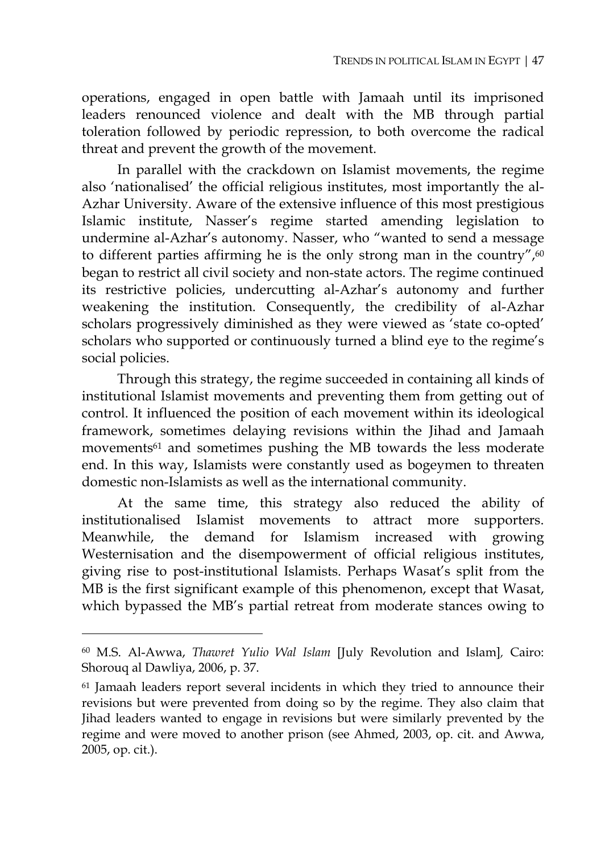operations, engaged in open battle with Jamaah until its imprisoned leaders renounced violence and dealt with the MB through partial toleration followed by periodic repression, to both overcome the radical threat and prevent the growth of the movement.

In parallel with the crackdown on Islamist movements, the regime also 'nationalised' the official religious institutes, most importantly the al-Azhar University. Aware of the extensive influence of this most prestigious Islamic institute, Nasser's regime started amending legislation to undermine al-Azhar's autonomy. Nasser, who "wanted to send a message to different parties affirming he is the only strong man in the country", $60$ began to restrict all civil society and non-state actors. The regime continued its restrictive policies, undercutting al-Azhar's autonomy and further weakening the institution. Consequently, the credibility of al-Azhar scholars progressively diminished as they were viewed as 'state co-opted' scholars who supported or continuously turned a blind eye to the regime's social policies.

Through this strategy, the regime succeeded in containing all kinds of institutional Islamist movements and preventing them from getting out of control. It influenced the position of each movement within its ideological framework, sometimes delaying revisions within the Jihad and Jamaah movements<sup>61</sup> and sometimes pushing the MB towards the less moderate end. In this way, Islamists were constantly used as bogeymen to threaten domestic non-Islamists as well as the international community.

At the same time, this strategy also reduced the ability of institutionalised Islamist movements to attract more supporters. Meanwhile, the demand for Islamism increased with growing Westernisation and the disempowerment of official religious institutes, giving rise to post-institutional Islamists. Perhaps Wasat's split from the MB is the first significant example of this phenomenon, except that Wasat, which bypassed the MB's partial retreat from moderate stances owing to

<sup>60</sup> M.S. Al-Awwa, *Thawret Yulio Wal Islam* [July Revolution and Islam]*,* Cairo: Shorouq al Dawliya, 2006, p. 37.

<sup>&</sup>lt;sup>61</sup> Jamaah leaders report several incidents in which they tried to announce their revisions but were prevented from doing so by the regime. They also claim that Jihad leaders wanted to engage in revisions but were similarly prevented by the regime and were moved to another prison (see Ahmed, 2003, op. cit. and Awwa, 2005, op. cit.).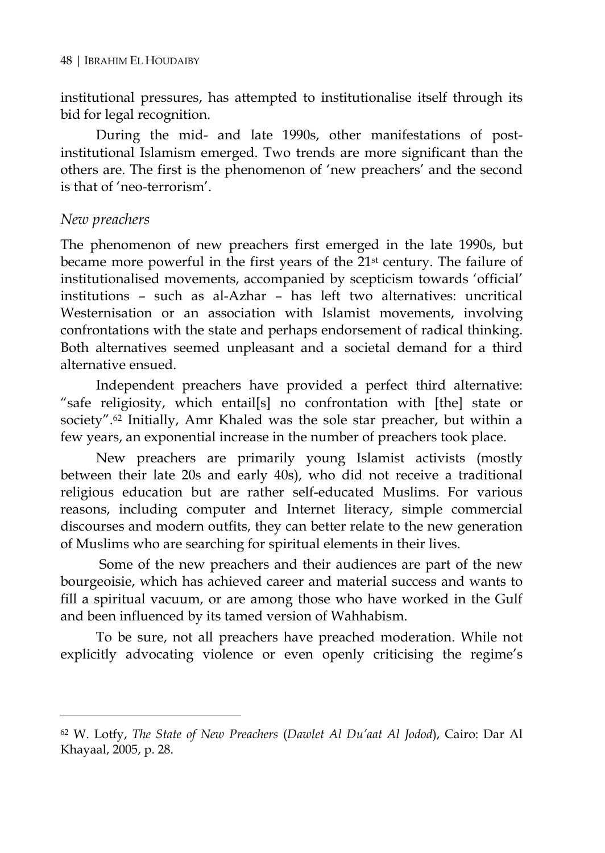institutional pressures, has attempted to institutionalise itself through its bid for legal recognition.

During the mid- and late 1990s, other manifestations of postinstitutional Islamism emerged. Two trends are more significant than the others are. The first is the phenomenon of 'new preachers' and the second is that of 'neo-terrorism'.

#### *New preachers*

 $\overline{a}$ 

The phenomenon of new preachers first emerged in the late 1990s, but became more powerful in the first years of the 21st century. The failure of institutionalised movements, accompanied by scepticism towards 'official' institutions – such as al-Azhar – has left two alternatives: uncritical Westernisation or an association with Islamist movements, involving confrontations with the state and perhaps endorsement of radical thinking. Both alternatives seemed unpleasant and a societal demand for a third alternative ensued.

Independent preachers have provided a perfect third alternative: "safe religiosity, which entail[s] no confrontation with [the] state or society".62 Initially, Amr Khaled was the sole star preacher, but within a few years, an exponential increase in the number of preachers took place.

New preachers are primarily young Islamist activists (mostly between their late 20s and early 40s), who did not receive a traditional religious education but are rather self-educated Muslims. For various reasons, including computer and Internet literacy, simple commercial discourses and modern outfits, they can better relate to the new generation of Muslims who are searching for spiritual elements in their lives.

 Some of the new preachers and their audiences are part of the new bourgeoisie, which has achieved career and material success and wants to fill a spiritual vacuum, or are among those who have worked in the Gulf and been influenced by its tamed version of Wahhabism.

To be sure, not all preachers have preached moderation. While not explicitly advocating violence or even openly criticising the regime's

<sup>62</sup> W. Lotfy, *The State of New Preachers* (*Dawlet Al Du'aat Al Jodod*), Cairo: Dar Al Khayaal, 2005, p. 28.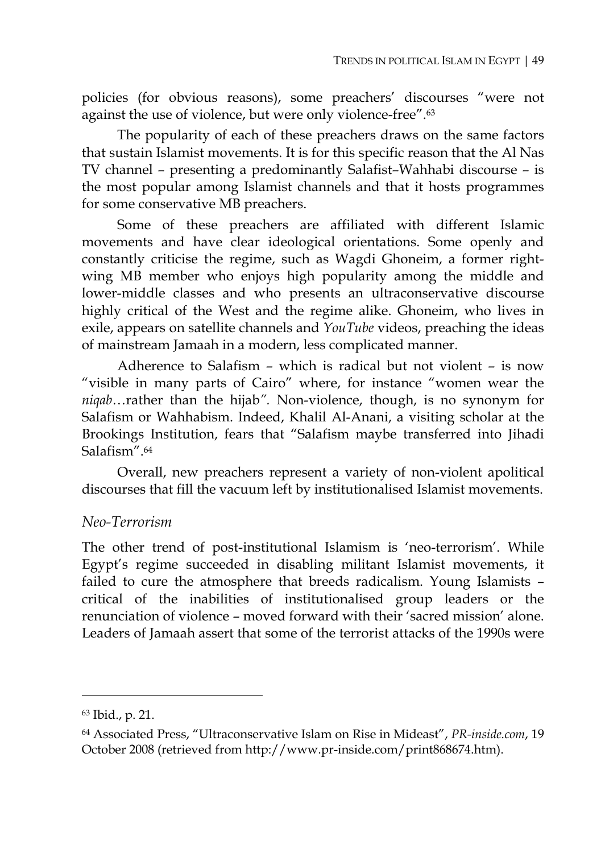policies (for obvious reasons), some preachers' discourses "were not against the use of violence, but were only violence-free".63

The popularity of each of these preachers draws on the same factors that sustain Islamist movements. It is for this specific reason that the Al Nas TV channel – presenting a predominantly Salafist–Wahhabi discourse – is the most popular among Islamist channels and that it hosts programmes for some conservative MB preachers.

Some of these preachers are affiliated with different Islamic movements and have clear ideological orientations. Some openly and constantly criticise the regime, such as Wagdi Ghoneim, a former rightwing MB member who enjoys high popularity among the middle and lower-middle classes and who presents an ultraconservative discourse highly critical of the West and the regime alike. Ghoneim, who lives in exile, appears on satellite channels and *YouTube* videos, preaching the ideas of mainstream Jamaah in a modern, less complicated manner.

Adherence to Salafism – which is radical but not violent – is now "visible in many parts of Cairo" where, for instance "women wear the *niqab*…rather than the hijab*".* Non-violence, though, is no synonym for Salafism or Wahhabism. Indeed, Khalil Al-Anani, a visiting scholar at the Brookings Institution, fears that "Salafism maybe transferred into Jihadi Salafism".64

Overall, new preachers represent a variety of non-violent apolitical discourses that fill the vacuum left by institutionalised Islamist movements.

#### *Neo-Terrorism*

The other trend of post-institutional Islamism is 'neo-terrorism'. While Egypt's regime succeeded in disabling militant Islamist movements, it failed to cure the atmosphere that breeds radicalism. Young Islamists – critical of the inabilities of institutionalised group leaders or the renunciation of violence – moved forward with their 'sacred mission' alone. Leaders of Jamaah assert that some of the terrorist attacks of the 1990s were

<sup>63</sup> Ibid., p. 21.

<sup>64</sup> Associated Press, "Ultraconservative Islam on Rise in Mideast", *PR-inside.com*, 19 October 2008 (retrieved from http://www.pr-inside.com/print868674.htm).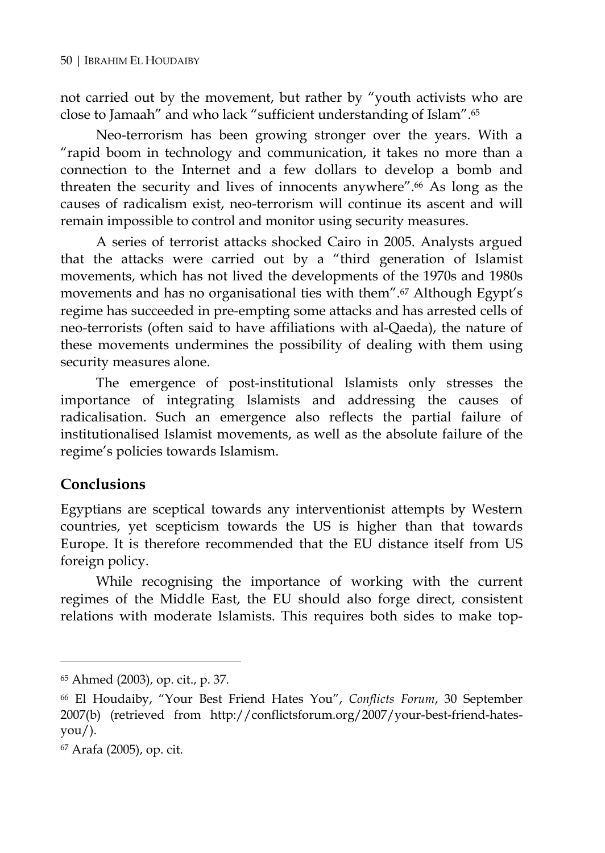not carried out by the movement, but rather by "youth activists who are close to Jamaah" and who lack "sufficient understanding of Islam".65

Neo-terrorism has been growing stronger over the years. With a "rapid boom in technology and communication, it takes no more than a connection to the Internet and a few dollars to develop a bomb and threaten the security and lives of innocents anywhere".66 As long as the causes of radicalism exist, neo-terrorism will continue its ascent and will remain impossible to control and monitor using security measures.

A series of terrorist attacks shocked Cairo in 2005. Analysts argued that the attacks were carried out by a "third generation of Islamist movements, which has not lived the developments of the 1970s and 1980s movements and has no organisational ties with them".67 Although Egypt's regime has succeeded in pre-empting some attacks and has arrested cells of neo-terrorists (often said to have affiliations with al-Qaeda), the nature of these movements undermines the possibility of dealing with them using security measures alone.

The emergence of post-institutional Islamists only stresses the importance of integrating Islamists and addressing the causes of radicalisation. Such an emergence also reflects the partial failure of institutionalised Islamist movements, as well as the absolute failure of the regime's policies towards Islamism.

## **Conclusions**

 $\overline{a}$ 

Egyptians are sceptical towards any interventionist attempts by Western countries, yet scepticism towards the US is higher than that towards Europe. It is therefore recommended that the EU distance itself from US foreign policy.

While recognising the importance of working with the current regimes of the Middle East, the EU should also forge direct, consistent relations with moderate Islamists. This requires both sides to make top-

<sup>65</sup> Ahmed (2003), op. cit., p. 37.

<sup>66</sup> El Houdaiby, "Your Best Friend Hates You", *Conflicts Forum*, 30 September 2007(b) (retrieved from http://conflictsforum.org/2007/your-best-friend-hates- $\gamma$ ou/).

<sup>67</sup> Arafa (2005), op. cit.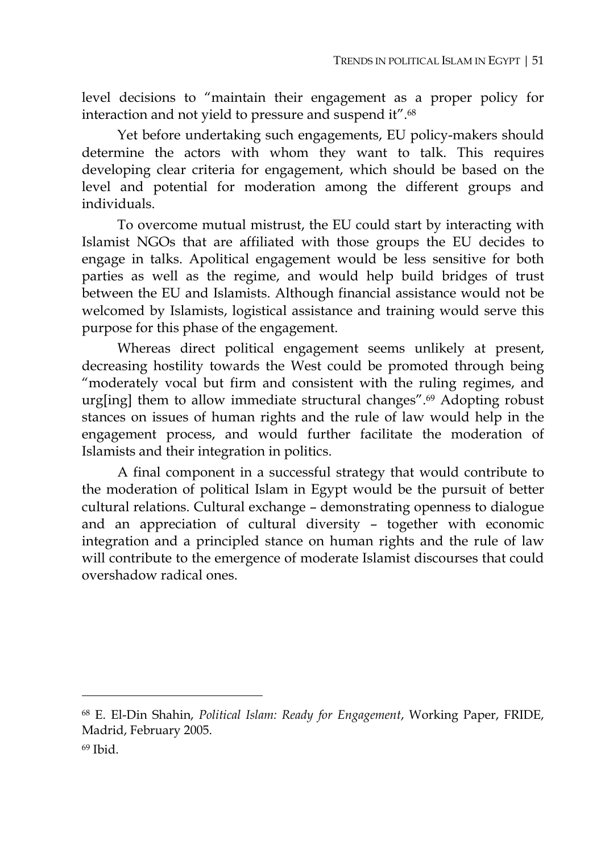level decisions to "maintain their engagement as a proper policy for interaction and not yield to pressure and suspend it".68

Yet before undertaking such engagements, EU policy-makers should determine the actors with whom they want to talk. This requires developing clear criteria for engagement, which should be based on the level and potential for moderation among the different groups and individuals.

To overcome mutual mistrust, the EU could start by interacting with Islamist NGOs that are affiliated with those groups the EU decides to engage in talks. Apolitical engagement would be less sensitive for both parties as well as the regime, and would help build bridges of trust between the EU and Islamists. Although financial assistance would not be welcomed by Islamists, logistical assistance and training would serve this purpose for this phase of the engagement.

Whereas direct political engagement seems unlikely at present, decreasing hostility towards the West could be promoted through being "moderately vocal but firm and consistent with the ruling regimes, and urg[ing] them to allow immediate structural changes".69 Adopting robust stances on issues of human rights and the rule of law would help in the engagement process, and would further facilitate the moderation of Islamists and their integration in politics.

A final component in a successful strategy that would contribute to the moderation of political Islam in Egypt would be the pursuit of better cultural relations. Cultural exchange – demonstrating openness to dialogue and an appreciation of cultural diversity – together with economic integration and a principled stance on human rights and the rule of law will contribute to the emergence of moderate Islamist discourses that could overshadow radical ones.

<sup>68</sup> E. El-Din Shahin, *Political Islam: Ready for Engagement*, Working Paper, FRIDE, Madrid, February 2005.

 $69$  Ibid.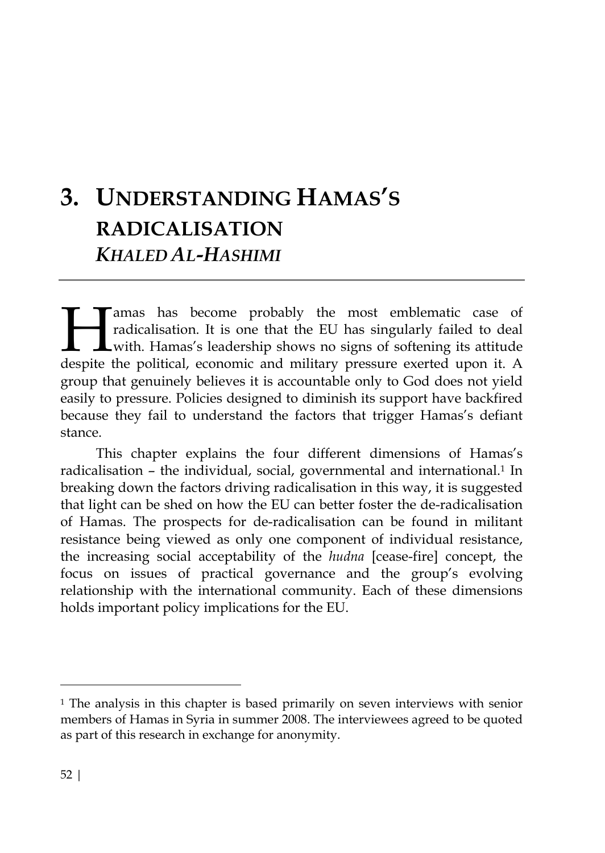# **3. UNDERSTANDING HAMAS'S RADICALISATION** *KHALED AL-HASHIMI*

amas has become probably the most emblematic case of radicalisation. It is one that the EU has singularly failed to deal with. Hamas's leadership shows no signs of softening its attitude Tamas has become probably the most emblematic case of radicalisation. It is one that the EU has singularly failed to deal with. Hamas's leadership shows no signs of softening its attitude despite the political, economic an group that genuinely believes it is accountable only to God does not yield easily to pressure. Policies designed to diminish its support have backfired because they fail to understand the factors that trigger Hamas's defiant stance.

This chapter explains the four different dimensions of Hamas's radicalisation – the individual, social, governmental and international.<sup>1</sup> In breaking down the factors driving radicalisation in this way, it is suggested that light can be shed on how the EU can better foster the de-radicalisation of Hamas. The prospects for de-radicalisation can be found in militant resistance being viewed as only one component of individual resistance, the increasing social acceptability of the *hudna* [cease-fire] concept, the focus on issues of practical governance and the group's evolving relationship with the international community. Each of these dimensions holds important policy implications for the EU.

<sup>&</sup>lt;sup>1</sup> The analysis in this chapter is based primarily on seven interviews with senior members of Hamas in Syria in summer 2008. The interviewees agreed to be quoted as part of this research in exchange for anonymity.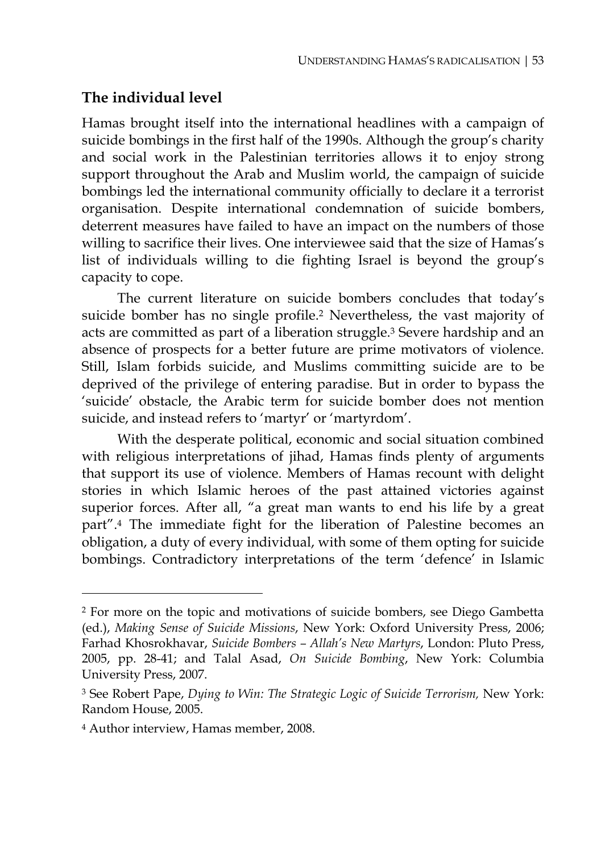## **The individual level**

Hamas brought itself into the international headlines with a campaign of suicide bombings in the first half of the 1990s. Although the group's charity and social work in the Palestinian territories allows it to enjoy strong support throughout the Arab and Muslim world, the campaign of suicide bombings led the international community officially to declare it a terrorist organisation. Despite international condemnation of suicide bombers, deterrent measures have failed to have an impact on the numbers of those willing to sacrifice their lives. One interviewee said that the size of Hamas's list of individuals willing to die fighting Israel is beyond the group's capacity to cope.

The current literature on suicide bombers concludes that today's suicide bomber has no single profile.2 Nevertheless, the vast majority of acts are committed as part of a liberation struggle.3 Severe hardship and an absence of prospects for a better future are prime motivators of violence. Still, Islam forbids suicide, and Muslims committing suicide are to be deprived of the privilege of entering paradise. But in order to bypass the 'suicide' obstacle, the Arabic term for suicide bomber does not mention suicide, and instead refers to 'martyr' or 'martyrdom'.

With the desperate political, economic and social situation combined with religious interpretations of jihad, Hamas finds plenty of arguments that support its use of violence. Members of Hamas recount with delight stories in which Islamic heroes of the past attained victories against superior forces. After all, "a great man wants to end his life by a great part".4 The immediate fight for the liberation of Palestine becomes an obligation, a duty of every individual, with some of them opting for suicide bombings. Contradictory interpretations of the term 'defence' in Islamic

<sup>2</sup> For more on the topic and motivations of suicide bombers, see Diego Gambetta (ed.), *Making Sense of Suicide Missions*, New York: Oxford University Press, 2006; Farhad Khosrokhavar, *Suicide Bombers – Allah's New Martyrs*, London: Pluto Press, 2005, pp. 28-41; and Talal Asad, *On Suicide Bombing*, New York: Columbia University Press, 2007.

<sup>3</sup> See Robert Pape, *Dying to Win: The Strategic Logic of Suicide Terrorism,* New York: Random House, 2005.

<sup>4</sup> Author interview, Hamas member, 2008.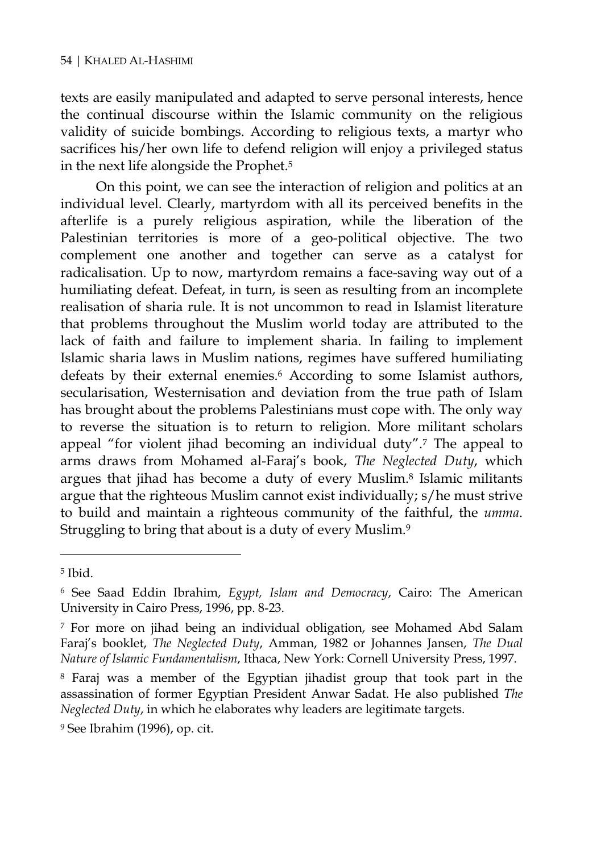texts are easily manipulated and adapted to serve personal interests, hence the continual discourse within the Islamic community on the religious validity of suicide bombings. According to religious texts, a martyr who sacrifices his/her own life to defend religion will enjoy a privileged status in the next life alongside the Prophet.5

On this point, we can see the interaction of religion and politics at an individual level. Clearly, martyrdom with all its perceived benefits in the afterlife is a purely religious aspiration, while the liberation of the Palestinian territories is more of a geo-political objective. The two complement one another and together can serve as a catalyst for radicalisation. Up to now, martyrdom remains a face-saving way out of a humiliating defeat. Defeat, in turn, is seen as resulting from an incomplete realisation of sharia rule. It is not uncommon to read in Islamist literature that problems throughout the Muslim world today are attributed to the lack of faith and failure to implement sharia. In failing to implement Islamic sharia laws in Muslim nations, regimes have suffered humiliating defeats by their external enemies.<sup>6</sup> According to some Islamist authors, secularisation, Westernisation and deviation from the true path of Islam has brought about the problems Palestinians must cope with. The only way to reverse the situation is to return to religion. More militant scholars appeal "for violent jihad becoming an individual duty".7 The appeal to arms draws from Mohamed al-Faraj's book, *The Neglected Duty*, which argues that jihad has become a duty of every Muslim.8 Islamic militants argue that the righteous Muslim cannot exist individually; s/he must strive to build and maintain a righteous community of the faithful, the *umma*. Struggling to bring that about is a duty of every Muslim.9

<sup>5</sup> Ibid.

<sup>6</sup> See Saad Eddin Ibrahim, *Egypt, Islam and Democracy*, Cairo: The American University in Cairo Press, 1996, pp. 8-23.

<sup>7</sup> For more on jihad being an individual obligation, see Mohamed Abd Salam Faraj's booklet, *The Neglected Duty*, Amman, 1982 or Johannes Jansen, *The Dual Nature of Islamic Fundamentalism*, Ithaca, New York: Cornell University Press, 1997*.*

<sup>8</sup> Faraj was a member of the Egyptian jihadist group that took part in the assassination of former Egyptian President Anwar Sadat. He also published *The Neglected Duty*, in which he elaborates why leaders are legitimate targets.

<sup>9</sup> See Ibrahim (1996), op. cit.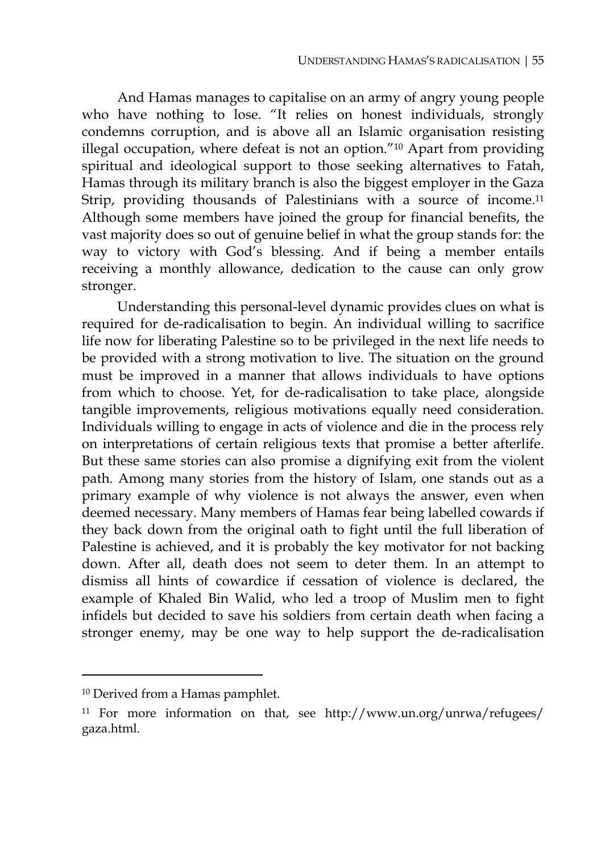And Hamas manages to capitalise on an army of angry young people who have nothing to lose. "It relies on honest individuals, strongly condemns corruption, and is above all an Islamic organisation resisting illegal occupation, where defeat is not an option."10 Apart from providing spiritual and ideological support to those seeking alternatives to Fatah, Hamas through its military branch is also the biggest employer in the Gaza Strip, providing thousands of Palestinians with a source of income.<sup>11</sup> Although some members have joined the group for financial benefits, the vast majority does so out of genuine belief in what the group stands for: the way to victory with God's blessing. And if being a member entails receiving a monthly allowance, dedication to the cause can only grow stronger.

Understanding this personal-level dynamic provides clues on what is required for de-radicalisation to begin. An individual willing to sacrifice life now for liberating Palestine so to be privileged in the next life needs to be provided with a strong motivation to live. The situation on the ground must be improved in a manner that allows individuals to have options from which to choose. Yet, for de-radicalisation to take place, alongside tangible improvements, religious motivations equally need consideration. Individuals willing to engage in acts of violence and die in the process rely on interpretations of certain religious texts that promise a better afterlife. But these same stories can also promise a dignifying exit from the violent path. Among many stories from the history of Islam, one stands out as a primary example of why violence is not always the answer, even when deemed necessary. Many members of Hamas fear being labelled cowards if they back down from the original oath to fight until the full liberation of Palestine is achieved, and it is probably the key motivator for not backing down. After all, death does not seem to deter them. In an attempt to dismiss all hints of cowardice if cessation of violence is declared, the example of Khaled Bin Walid, who led a troop of Muslim men to fight infidels but decided to save his soldiers from certain death when facing a stronger enemy, may be one way to help support the de-radicalisation

<sup>10</sup> Derived from a Hamas pamphlet.

<sup>11</sup> For more information on that, see http://www.un.org/unrwa/refugees/ gaza.html.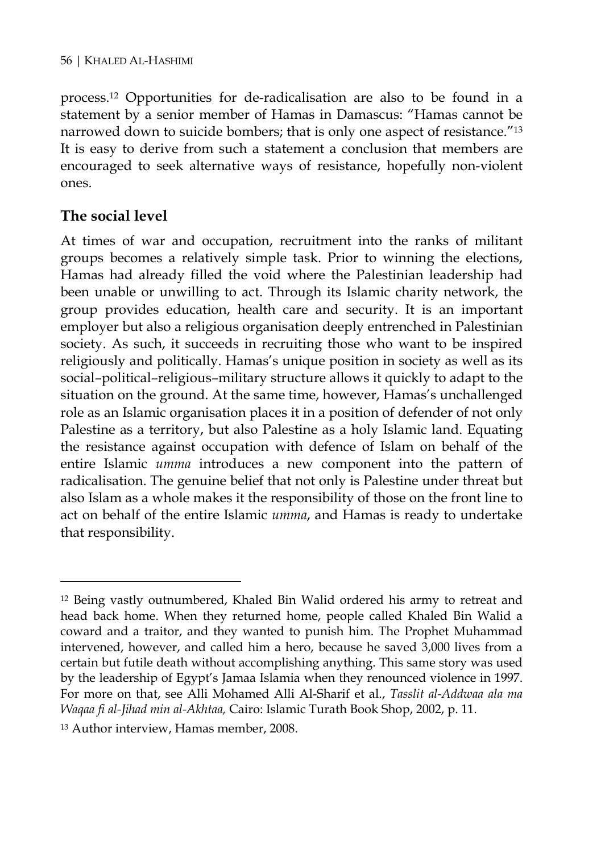process.12 Opportunities for de-radicalisation are also to be found in a statement by a senior member of Hamas in Damascus: "Hamas cannot be narrowed down to suicide bombers; that is only one aspect of resistance."<sup>13</sup> It is easy to derive from such a statement a conclusion that members are encouraged to seek alternative ways of resistance, hopefully non-violent ones.

## **The social level**

 $\overline{a}$ 

At times of war and occupation, recruitment into the ranks of militant groups becomes a relatively simple task. Prior to winning the elections, Hamas had already filled the void where the Palestinian leadership had been unable or unwilling to act. Through its Islamic charity network, the group provides education, health care and security. It is an important employer but also a religious organisation deeply entrenched in Palestinian society. As such, it succeeds in recruiting those who want to be inspired religiously and politically. Hamas's unique position in society as well as its social–political–religious–military structure allows it quickly to adapt to the situation on the ground. At the same time, however, Hamas's unchallenged role as an Islamic organisation places it in a position of defender of not only Palestine as a territory, but also Palestine as a holy Islamic land. Equating the resistance against occupation with defence of Islam on behalf of the entire Islamic *umma* introduces a new component into the pattern of radicalisation. The genuine belief that not only is Palestine under threat but also Islam as a whole makes it the responsibility of those on the front line to act on behalf of the entire Islamic *umma*, and Hamas is ready to undertake that responsibility.

<sup>12</sup> Being vastly outnumbered, Khaled Bin Walid ordered his army to retreat and head back home. When they returned home, people called Khaled Bin Walid a coward and a traitor, and they wanted to punish him. The Prophet Muhammad intervened, however, and called him a hero, because he saved 3,000 lives from a certain but futile death without accomplishing anything. This same story was used by the leadership of Egypt's Jamaa Islamia when they renounced violence in 1997. For more on that, see Alli Mohamed Alli Al-Sharif et al., *Tasslit al-Addwaa ala ma Waqaa fi al-Jihad min al-Akhtaa,* Cairo: Islamic Turath Book Shop, 2002, p. 11.

<sup>13</sup> Author interview, Hamas member, 2008.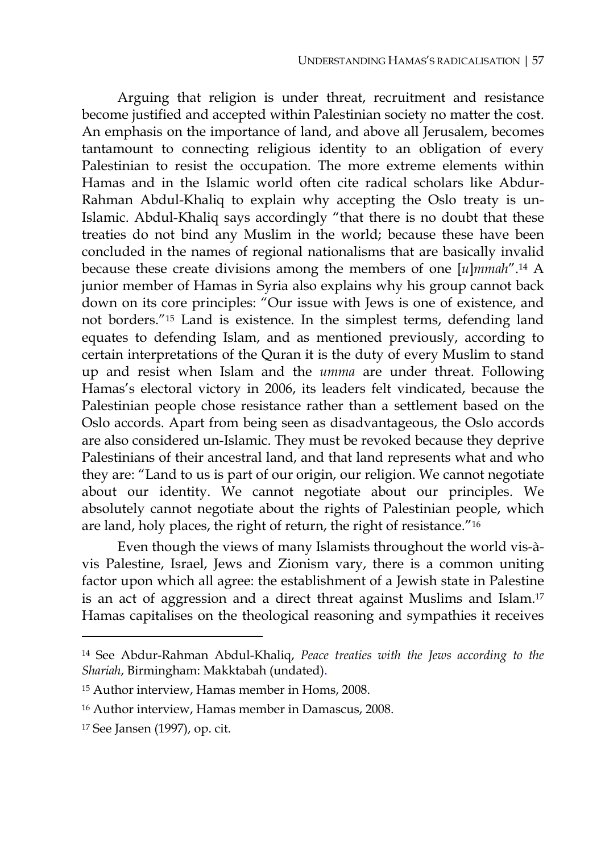Arguing that religion is under threat, recruitment and resistance become justified and accepted within Palestinian society no matter the cost. An emphasis on the importance of land, and above all Jerusalem, becomes tantamount to connecting religious identity to an obligation of every Palestinian to resist the occupation. The more extreme elements within Hamas and in the Islamic world often cite radical scholars like Abdur-Rahman Abdul-Khaliq to explain why accepting the Oslo treaty is un-Islamic. Abdul-Khaliq says accordingly "that there is no doubt that these treaties do not bind any Muslim in the world; because these have been concluded in the names of regional nationalisms that are basically invalid because these create divisions among the members of one [*u*]*mmah*".14 A junior member of Hamas in Syria also explains why his group cannot back down on its core principles: "Our issue with Jews is one of existence, and not borders."15 Land is existence. In the simplest terms, defending land equates to defending Islam, and as mentioned previously, according to certain interpretations of the Quran it is the duty of every Muslim to stand up and resist when Islam and the *umma* are under threat. Following Hamas's electoral victory in 2006, its leaders felt vindicated, because the Palestinian people chose resistance rather than a settlement based on the Oslo accords. Apart from being seen as disadvantageous, the Oslo accords are also considered un-Islamic. They must be revoked because they deprive Palestinians of their ancestral land, and that land represents what and who they are: "Land to us is part of our origin, our religion. We cannot negotiate about our identity. We cannot negotiate about our principles. We absolutely cannot negotiate about the rights of Palestinian people, which are land, holy places, the right of return, the right of resistance."16

Even though the views of many Islamists throughout the world vis-àvis Palestine, Israel, Jews and Zionism vary, there is a common uniting factor upon which all agree: the establishment of a Jewish state in Palestine is an act of aggression and a direct threat against Muslims and Islam.17 Hamas capitalises on the theological reasoning and sympathies it receives

<sup>14</sup> See Abdur-Rahman Abdul-Khaliq, *Peace treaties with the Jews according to the Shariah*, Birmingham: Makktabah (undated).

<sup>15</sup> Author interview, Hamas member in Homs, 2008.

<sup>16</sup> Author interview, Hamas member in Damascus, 2008.

<sup>17</sup> See Jansen (1997), op. cit.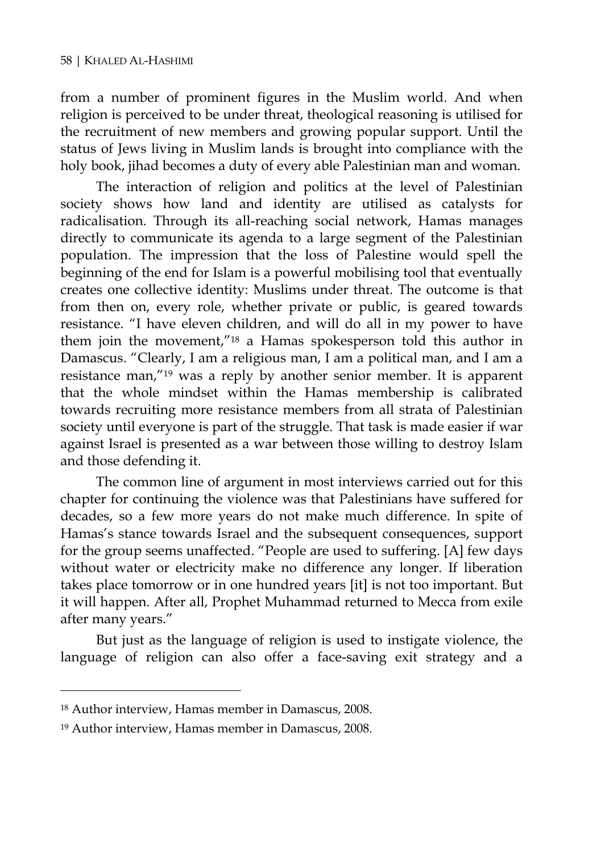from a number of prominent figures in the Muslim world. And when religion is perceived to be under threat, theological reasoning is utilised for the recruitment of new members and growing popular support. Until the status of Jews living in Muslim lands is brought into compliance with the holy book, jihad becomes a duty of every able Palestinian man and woman.

The interaction of religion and politics at the level of Palestinian society shows how land and identity are utilised as catalysts for radicalisation. Through its all-reaching social network, Hamas manages directly to communicate its agenda to a large segment of the Palestinian population. The impression that the loss of Palestine would spell the beginning of the end for Islam is a powerful mobilising tool that eventually creates one collective identity: Muslims under threat. The outcome is that from then on, every role, whether private or public, is geared towards resistance. "I have eleven children, and will do all in my power to have them join the movement,"18 a Hamas spokesperson told this author in Damascus. "Clearly, I am a religious man, I am a political man, and I am a resistance man,"19 was a reply by another senior member. It is apparent that the whole mindset within the Hamas membership is calibrated towards recruiting more resistance members from all strata of Palestinian society until everyone is part of the struggle. That task is made easier if war against Israel is presented as a war between those willing to destroy Islam and those defending it.

The common line of argument in most interviews carried out for this chapter for continuing the violence was that Palestinians have suffered for decades, so a few more years do not make much difference. In spite of Hamas's stance towards Israel and the subsequent consequences, support for the group seems unaffected. "People are used to suffering. [A] few days without water or electricity make no difference any longer. If liberation takes place tomorrow or in one hundred years [it] is not too important. But it will happen. After all, Prophet Muhammad returned to Mecca from exile after many years."

But just as the language of religion is used to instigate violence, the language of religion can also offer a face-saving exit strategy and a

<sup>18</sup> Author interview, Hamas member in Damascus, 2008.

<sup>19</sup> Author interview, Hamas member in Damascus, 2008.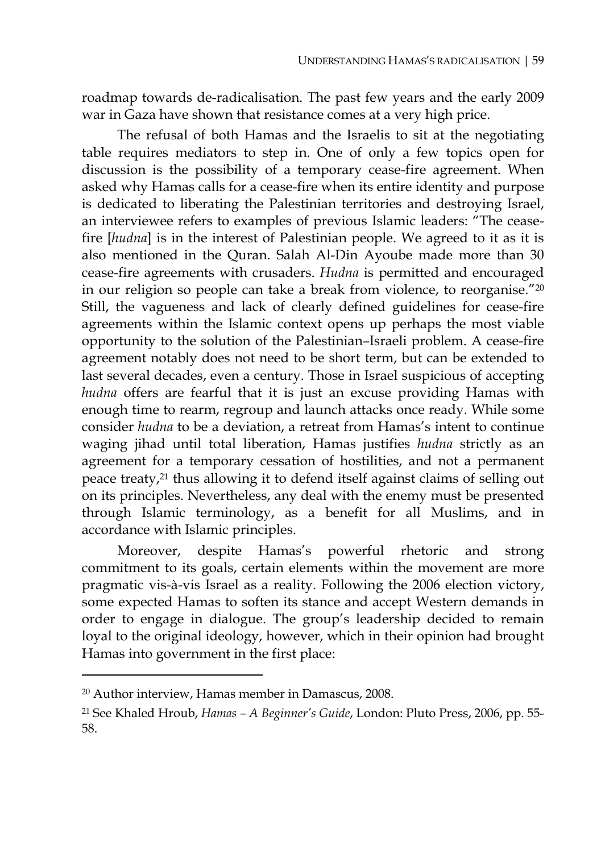roadmap towards de-radicalisation. The past few years and the early 2009 war in Gaza have shown that resistance comes at a very high price.

The refusal of both Hamas and the Israelis to sit at the negotiating table requires mediators to step in. One of only a few topics open for discussion is the possibility of a temporary cease-fire agreement. When asked why Hamas calls for a cease-fire when its entire identity and purpose is dedicated to liberating the Palestinian territories and destroying Israel, an interviewee refers to examples of previous Islamic leaders: "The ceasefire [*hudna*] is in the interest of Palestinian people. We agreed to it as it is also mentioned in the Quran. Salah Al-Din Ayoube made more than 30 cease-fire agreements with crusaders. *Hudna* is permitted and encouraged in our religion so people can take a break from violence, to reorganise."20 Still, the vagueness and lack of clearly defined guidelines for cease-fire agreements within the Islamic context opens up perhaps the most viable opportunity to the solution of the Palestinian–Israeli problem. A cease-fire agreement notably does not need to be short term, but can be extended to last several decades, even a century. Those in Israel suspicious of accepting *hudna* offers are fearful that it is just an excuse providing Hamas with enough time to rearm, regroup and launch attacks once ready. While some consider *hudna* to be a deviation, a retreat from Hamas's intent to continue waging jihad until total liberation, Hamas justifies *hudna* strictly as an agreement for a temporary cessation of hostilities, and not a permanent peace treaty,21 thus allowing it to defend itself against claims of selling out on its principles. Nevertheless, any deal with the enemy must be presented through Islamic terminology, as a benefit for all Muslims, and in accordance with Islamic principles.

Moreover, despite Hamas's powerful rhetoric and strong commitment to its goals, certain elements within the movement are more pragmatic vis-à-vis Israel as a reality. Following the 2006 election victory, some expected Hamas to soften its stance and accept Western demands in order to engage in dialogue. The group's leadership decided to remain loyal to the original ideology, however, which in their opinion had brought Hamas into government in the first place:

<sup>20</sup> Author interview, Hamas member in Damascus, 2008.

<sup>21</sup> See Khaled Hroub, *Hamas – A Beginner's Guide*, London: Pluto Press, 2006, pp. 55- 58.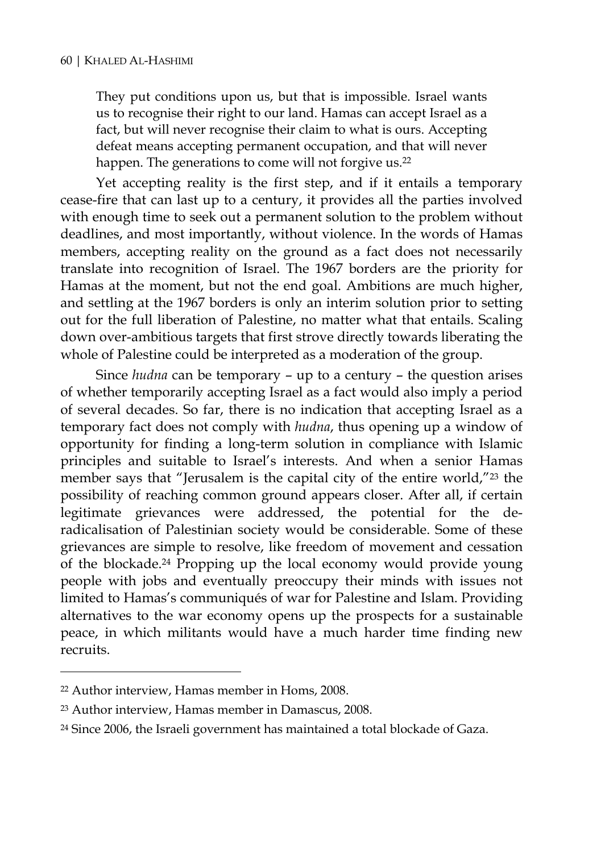They put conditions upon us, but that is impossible. Israel wants us to recognise their right to our land. Hamas can accept Israel as a fact, but will never recognise their claim to what is ours. Accepting defeat means accepting permanent occupation, and that will never happen. The generations to come will not forgive us.<sup>22</sup>

Yet accepting reality is the first step, and if it entails a temporary cease-fire that can last up to a century, it provides all the parties involved with enough time to seek out a permanent solution to the problem without deadlines, and most importantly, without violence. In the words of Hamas members, accepting reality on the ground as a fact does not necessarily translate into recognition of Israel. The 1967 borders are the priority for Hamas at the moment, but not the end goal. Ambitions are much higher, and settling at the 1967 borders is only an interim solution prior to setting out for the full liberation of Palestine, no matter what that entails. Scaling down over-ambitious targets that first strove directly towards liberating the whole of Palestine could be interpreted as a moderation of the group.

Since *hudna* can be temporary – up to a century – the question arises of whether temporarily accepting Israel as a fact would also imply a period of several decades. So far, there is no indication that accepting Israel as a temporary fact does not comply with *hudna*, thus opening up a window of opportunity for finding a long-term solution in compliance with Islamic principles and suitable to Israel's interests. And when a senior Hamas member says that "Jerusalem is the capital city of the entire world,"23 the possibility of reaching common ground appears closer. After all, if certain legitimate grievances were addressed, the potential for the deradicalisation of Palestinian society would be considerable. Some of these grievances are simple to resolve, like freedom of movement and cessation of the blockade.24 Propping up the local economy would provide young people with jobs and eventually preoccupy their minds with issues not limited to Hamas's communiqués of war for Palestine and Islam. Providing alternatives to the war economy opens up the prospects for a sustainable peace, in which militants would have a much harder time finding new recruits.

<sup>22</sup> Author interview, Hamas member in Homs, 2008.

<sup>23</sup> Author interview, Hamas member in Damascus, 2008.

<sup>24</sup> Since 2006, the Israeli government has maintained a total blockade of Gaza.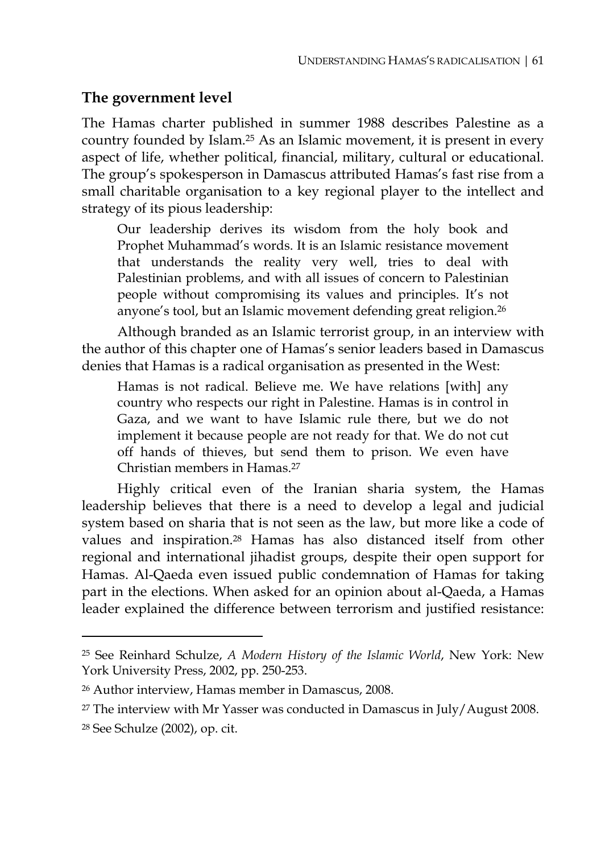#### **The government level**

The Hamas charter published in summer 1988 describes Palestine as a country founded by Islam.25 As an Islamic movement, it is present in every aspect of life, whether political, financial, military, cultural or educational. The group's spokesperson in Damascus attributed Hamas's fast rise from a small charitable organisation to a key regional player to the intellect and strategy of its pious leadership:

Our leadership derives its wisdom from the holy book and Prophet Muhammad's words. It is an Islamic resistance movement that understands the reality very well, tries to deal with Palestinian problems, and with all issues of concern to Palestinian people without compromising its values and principles. It's not anyone's tool, but an Islamic movement defending great religion.26

Although branded as an Islamic terrorist group, in an interview with the author of this chapter one of Hamas's senior leaders based in Damascus denies that Hamas is a radical organisation as presented in the West:

Hamas is not radical. Believe me. We have relations [with] any country who respects our right in Palestine. Hamas is in control in Gaza, and we want to have Islamic rule there, but we do not implement it because people are not ready for that. We do not cut off hands of thieves, but send them to prison. We even have Christian members in Hamas.27

Highly critical even of the Iranian sharia system, the Hamas leadership believes that there is a need to develop a legal and judicial system based on sharia that is not seen as the law, but more like a code of values and inspiration.28 Hamas has also distanced itself from other regional and international jihadist groups, despite their open support for Hamas. Al-Qaeda even issued public condemnation of Hamas for taking part in the elections. When asked for an opinion about al-Qaeda, a Hamas leader explained the difference between terrorism and justified resistance:

<sup>25</sup> See Reinhard Schulze, *A Modern History of the Islamic World*, New York: New York University Press, 2002, pp. 250-253.

<sup>26</sup> Author interview, Hamas member in Damascus, 2008.

<sup>&</sup>lt;sup>27</sup> The interview with Mr Yasser was conducted in Damascus in July/August 2008.

<sup>28</sup> See Schulze (2002), op. cit.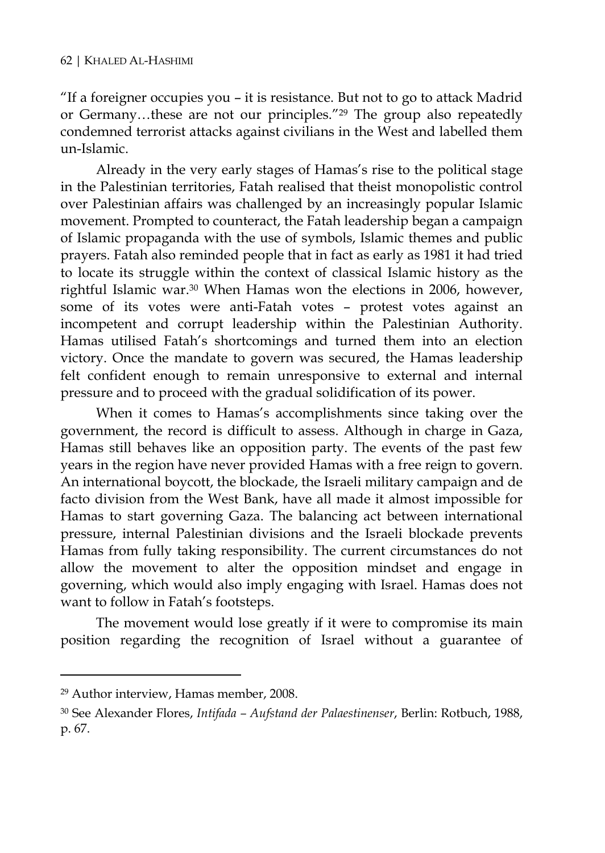"If a foreigner occupies you – it is resistance. But not to go to attack Madrid or Germany…these are not our principles."29 The group also repeatedly condemned terrorist attacks against civilians in the West and labelled them un-Islamic.

Already in the very early stages of Hamas's rise to the political stage in the Palestinian territories, Fatah realised that theist monopolistic control over Palestinian affairs was challenged by an increasingly popular Islamic movement. Prompted to counteract, the Fatah leadership began a campaign of Islamic propaganda with the use of symbols, Islamic themes and public prayers. Fatah also reminded people that in fact as early as 1981 it had tried to locate its struggle within the context of classical Islamic history as the rightful Islamic war.30 When Hamas won the elections in 2006, however, some of its votes were anti-Fatah votes – protest votes against an incompetent and corrupt leadership within the Palestinian Authority. Hamas utilised Fatah's shortcomings and turned them into an election victory. Once the mandate to govern was secured, the Hamas leadership felt confident enough to remain unresponsive to external and internal pressure and to proceed with the gradual solidification of its power.

When it comes to Hamas's accomplishments since taking over the government, the record is difficult to assess. Although in charge in Gaza, Hamas still behaves like an opposition party. The events of the past few years in the region have never provided Hamas with a free reign to govern. An international boycott, the blockade, the Israeli military campaign and de facto division from the West Bank, have all made it almost impossible for Hamas to start governing Gaza. The balancing act between international pressure, internal Palestinian divisions and the Israeli blockade prevents Hamas from fully taking responsibility. The current circumstances do not allow the movement to alter the opposition mindset and engage in governing, which would also imply engaging with Israel. Hamas does not want to follow in Fatah's footsteps.

The movement would lose greatly if it were to compromise its main position regarding the recognition of Israel without a guarantee of

<sup>29</sup> Author interview, Hamas member, 2008.

<sup>30</sup> See Alexander Flores, *Intifada – Aufstand der Palaestinenser*, Berlin: Rotbuch, 1988, p. 67.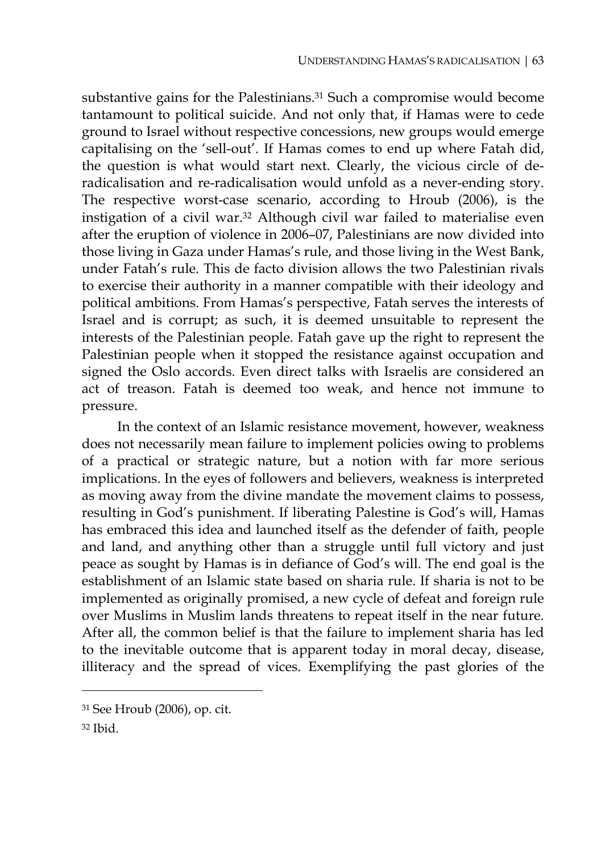substantive gains for the Palestinians.31 Such a compromise would become tantamount to political suicide. And not only that, if Hamas were to cede ground to Israel without respective concessions, new groups would emerge capitalising on the 'sell-out'. If Hamas comes to end up where Fatah did, the question is what would start next. Clearly, the vicious circle of deradicalisation and re-radicalisation would unfold as a never-ending story. The respective worst-case scenario, according to Hroub (2006), is the instigation of a civil war.32 Although civil war failed to materialise even after the eruption of violence in 2006–07, Palestinians are now divided into those living in Gaza under Hamas's rule, and those living in the West Bank, under Fatah's rule. This de facto division allows the two Palestinian rivals to exercise their authority in a manner compatible with their ideology and political ambitions. From Hamas's perspective, Fatah serves the interests of Israel and is corrupt; as such, it is deemed unsuitable to represent the interests of the Palestinian people. Fatah gave up the right to represent the Palestinian people when it stopped the resistance against occupation and signed the Oslo accords. Even direct talks with Israelis are considered an act of treason. Fatah is deemed too weak, and hence not immune to pressure.

In the context of an Islamic resistance movement, however, weakness does not necessarily mean failure to implement policies owing to problems of a practical or strategic nature, but a notion with far more serious implications. In the eyes of followers and believers, weakness is interpreted as moving away from the divine mandate the movement claims to possess, resulting in God's punishment. If liberating Palestine is God's will, Hamas has embraced this idea and launched itself as the defender of faith, people and land, and anything other than a struggle until full victory and just peace as sought by Hamas is in defiance of God's will. The end goal is the establishment of an Islamic state based on sharia rule. If sharia is not to be implemented as originally promised, a new cycle of defeat and foreign rule over Muslims in Muslim lands threatens to repeat itself in the near future. After all, the common belief is that the failure to implement sharia has led to the inevitable outcome that is apparent today in moral decay, disease, illiteracy and the spread of vices. Exemplifying the past glories of the

 $32$  Ibid.

<sup>31</sup> See Hroub (2006), op. cit.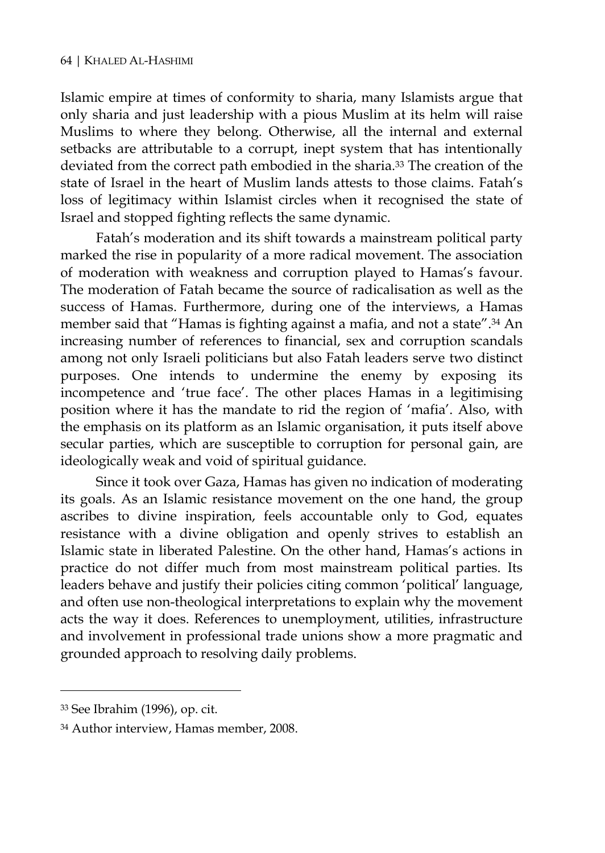Islamic empire at times of conformity to sharia, many Islamists argue that only sharia and just leadership with a pious Muslim at its helm will raise Muslims to where they belong. Otherwise, all the internal and external setbacks are attributable to a corrupt, inept system that has intentionally deviated from the correct path embodied in the sharia.<sup>33</sup> The creation of the state of Israel in the heart of Muslim lands attests to those claims. Fatah's loss of legitimacy within Islamist circles when it recognised the state of Israel and stopped fighting reflects the same dynamic.

Fatah's moderation and its shift towards a mainstream political party marked the rise in popularity of a more radical movement. The association of moderation with weakness and corruption played to Hamas's favour. The moderation of Fatah became the source of radicalisation as well as the success of Hamas. Furthermore, during one of the interviews, a Hamas member said that "Hamas is fighting against a mafia, and not a state".34 An increasing number of references to financial, sex and corruption scandals among not only Israeli politicians but also Fatah leaders serve two distinct purposes. One intends to undermine the enemy by exposing its incompetence and 'true face'. The other places Hamas in a legitimising position where it has the mandate to rid the region of 'mafia'. Also, with the emphasis on its platform as an Islamic organisation, it puts itself above secular parties, which are susceptible to corruption for personal gain, are ideologically weak and void of spiritual guidance.

Since it took over Gaza, Hamas has given no indication of moderating its goals. As an Islamic resistance movement on the one hand, the group ascribes to divine inspiration, feels accountable only to God, equates resistance with a divine obligation and openly strives to establish an Islamic state in liberated Palestine. On the other hand, Hamas's actions in practice do not differ much from most mainstream political parties. Its leaders behave and justify their policies citing common 'political' language, and often use non-theological interpretations to explain why the movement acts the way it does. References to unemployment, utilities, infrastructure and involvement in professional trade unions show a more pragmatic and grounded approach to resolving daily problems.

<sup>33</sup> See Ibrahim (1996), op. cit.

<sup>34</sup> Author interview, Hamas member, 2008.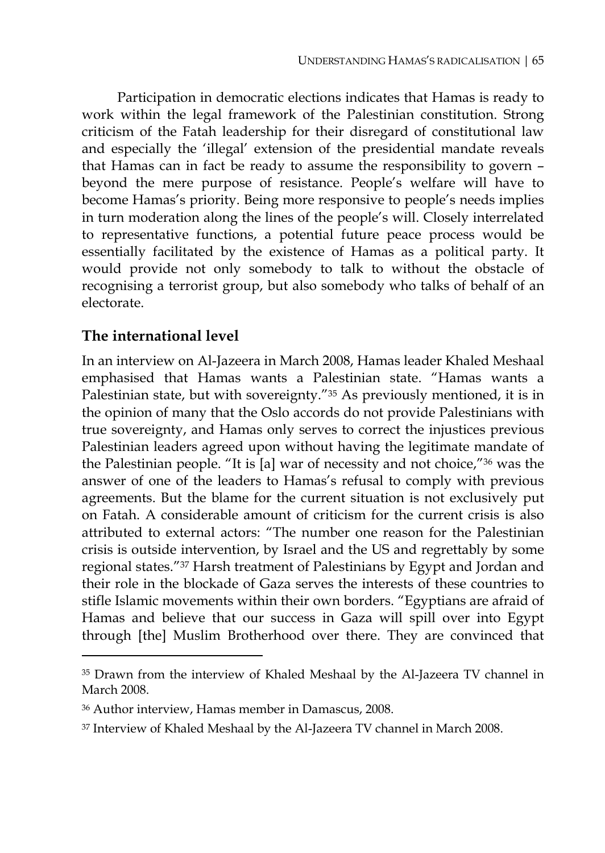Participation in democratic elections indicates that Hamas is ready to work within the legal framework of the Palestinian constitution. Strong criticism of the Fatah leadership for their disregard of constitutional law and especially the 'illegal' extension of the presidential mandate reveals that Hamas can in fact be ready to assume the responsibility to govern – beyond the mere purpose of resistance. People's welfare will have to become Hamas's priority. Being more responsive to people's needs implies in turn moderation along the lines of the people's will. Closely interrelated to representative functions, a potential future peace process would be essentially facilitated by the existence of Hamas as a political party. It would provide not only somebody to talk to without the obstacle of recognising a terrorist group, but also somebody who talks of behalf of an electorate.

## **The international level**

 $\overline{a}$ 

In an interview on Al-Jazeera in March 2008, Hamas leader Khaled Meshaal emphasised that Hamas wants a Palestinian state. "Hamas wants a Palestinian state, but with sovereignty."35 As previously mentioned, it is in the opinion of many that the Oslo accords do not provide Palestinians with true sovereignty, and Hamas only serves to correct the injustices previous Palestinian leaders agreed upon without having the legitimate mandate of the Palestinian people. "It is [a] war of necessity and not choice,"36 was the answer of one of the leaders to Hamas's refusal to comply with previous agreements. But the blame for the current situation is not exclusively put on Fatah. A considerable amount of criticism for the current crisis is also attributed to external actors: "The number one reason for the Palestinian crisis is outside intervention, by Israel and the US and regrettably by some regional states."37 Harsh treatment of Palestinians by Egypt and Jordan and their role in the blockade of Gaza serves the interests of these countries to stifle Islamic movements within their own borders. "Egyptians are afraid of Hamas and believe that our success in Gaza will spill over into Egypt through [the] Muslim Brotherhood over there. They are convinced that

<sup>&</sup>lt;sup>35</sup> Drawn from the interview of Khaled Meshaal by the Al-Jazeera TV channel in March 2008.

<sup>36</sup> Author interview, Hamas member in Damascus, 2008.

<sup>37</sup> Interview of Khaled Meshaal by the Al-Jazeera TV channel in March 2008.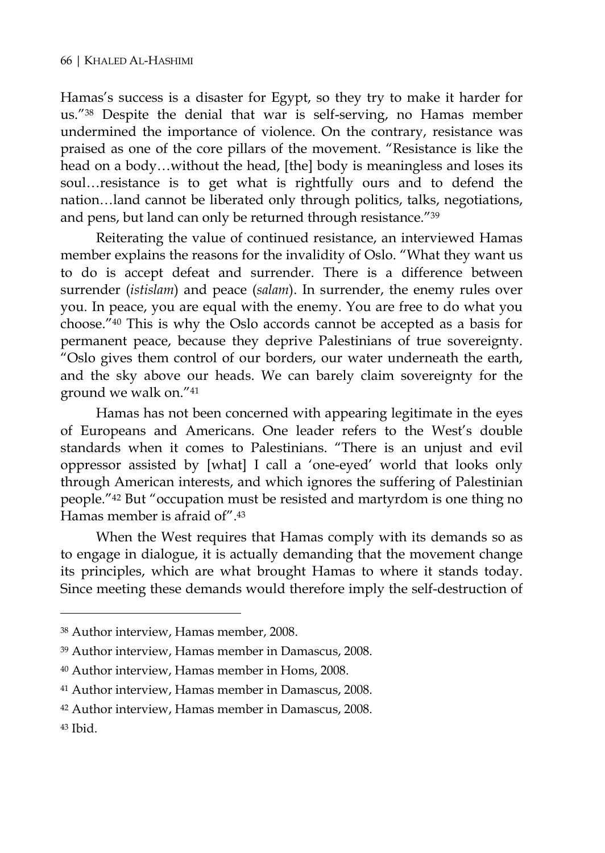Hamas's success is a disaster for Egypt, so they try to make it harder for us."38 Despite the denial that war is self-serving, no Hamas member undermined the importance of violence. On the contrary, resistance was praised as one of the core pillars of the movement. "Resistance is like the head on a body…without the head, [the] body is meaningless and loses its soul…resistance is to get what is rightfully ours and to defend the nation…land cannot be liberated only through politics, talks, negotiations, and pens, but land can only be returned through resistance."39

Reiterating the value of continued resistance, an interviewed Hamas member explains the reasons for the invalidity of Oslo. "What they want us to do is accept defeat and surrender. There is a difference between surrender (*istislam*) and peace (*salam*). In surrender, the enemy rules over you. In peace, you are equal with the enemy. You are free to do what you choose."40 This is why the Oslo accords cannot be accepted as a basis for permanent peace, because they deprive Palestinians of true sovereignty. "Oslo gives them control of our borders, our water underneath the earth, and the sky above our heads. We can barely claim sovereignty for the ground we walk on."41

Hamas has not been concerned with appearing legitimate in the eyes of Europeans and Americans. One leader refers to the West's double standards when it comes to Palestinians. "There is an unjust and evil oppressor assisted by [what] I call a 'one-eyed' world that looks only through American interests, and which ignores the suffering of Palestinian people."42 But "occupation must be resisted and martyrdom is one thing no Hamas member is afraid of".43

When the West requires that Hamas comply with its demands so as to engage in dialogue, it is actually demanding that the movement change its principles, which are what brought Hamas to where it stands today. Since meeting these demands would therefore imply the self-destruction of

<sup>38</sup> Author interview, Hamas member, 2008.

<sup>39</sup> Author interview, Hamas member in Damascus, 2008.

<sup>40</sup> Author interview, Hamas member in Homs, 2008.

<sup>41</sup> Author interview, Hamas member in Damascus, 2008.

<sup>42</sup> Author interview, Hamas member in Damascus, 2008.

<sup>43</sup> Ibid.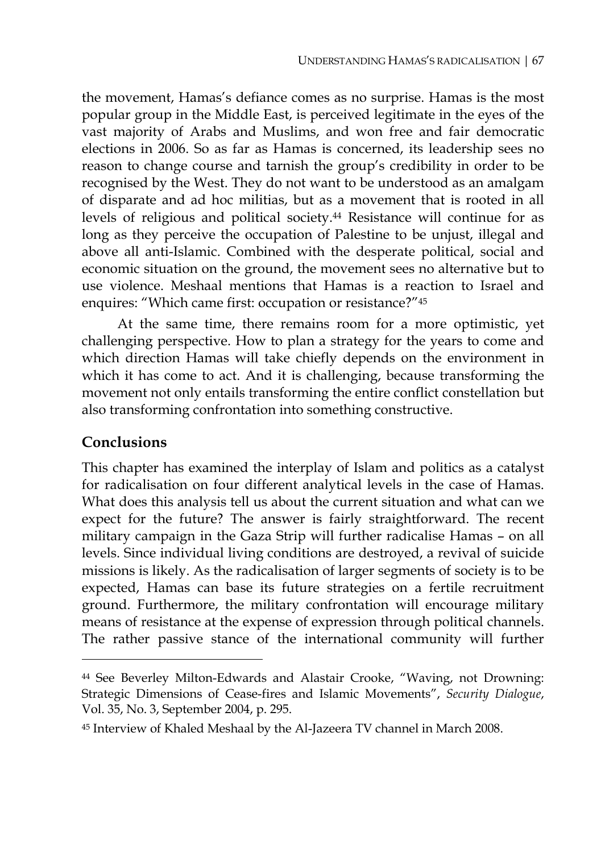the movement, Hamas's defiance comes as no surprise. Hamas is the most popular group in the Middle East, is perceived legitimate in the eyes of the vast majority of Arabs and Muslims, and won free and fair democratic elections in 2006. So as far as Hamas is concerned, its leadership sees no reason to change course and tarnish the group's credibility in order to be recognised by the West. They do not want to be understood as an amalgam of disparate and ad hoc militias, but as a movement that is rooted in all levels of religious and political society.44 Resistance will continue for as long as they perceive the occupation of Palestine to be unjust, illegal and above all anti-Islamic. Combined with the desperate political, social and economic situation on the ground, the movement sees no alternative but to use violence. Meshaal mentions that Hamas is a reaction to Israel and enquires: "Which came first: occupation or resistance?"45

At the same time, there remains room for a more optimistic, yet challenging perspective. How to plan a strategy for the years to come and which direction Hamas will take chiefly depends on the environment in which it has come to act. And it is challenging, because transforming the movement not only entails transforming the entire conflict constellation but also transforming confrontation into something constructive.

#### **Conclusions**

 $\overline{a}$ 

This chapter has examined the interplay of Islam and politics as a catalyst for radicalisation on four different analytical levels in the case of Hamas. What does this analysis tell us about the current situation and what can we expect for the future? The answer is fairly straightforward. The recent military campaign in the Gaza Strip will further radicalise Hamas – on all levels. Since individual living conditions are destroyed, a revival of suicide missions is likely. As the radicalisation of larger segments of society is to be expected, Hamas can base its future strategies on a fertile recruitment ground. Furthermore, the military confrontation will encourage military means of resistance at the expense of expression through political channels. The rather passive stance of the international community will further

<sup>44</sup> See Beverley Milton-Edwards and Alastair Crooke, "Waving, not Drowning: Strategic Dimensions of Cease-fires and Islamic Movements", *Security Dialogue*, Vol. 35, No. 3, September 2004, p. 295.

<sup>45</sup> Interview of Khaled Meshaal by the Al-Jazeera TV channel in March 2008.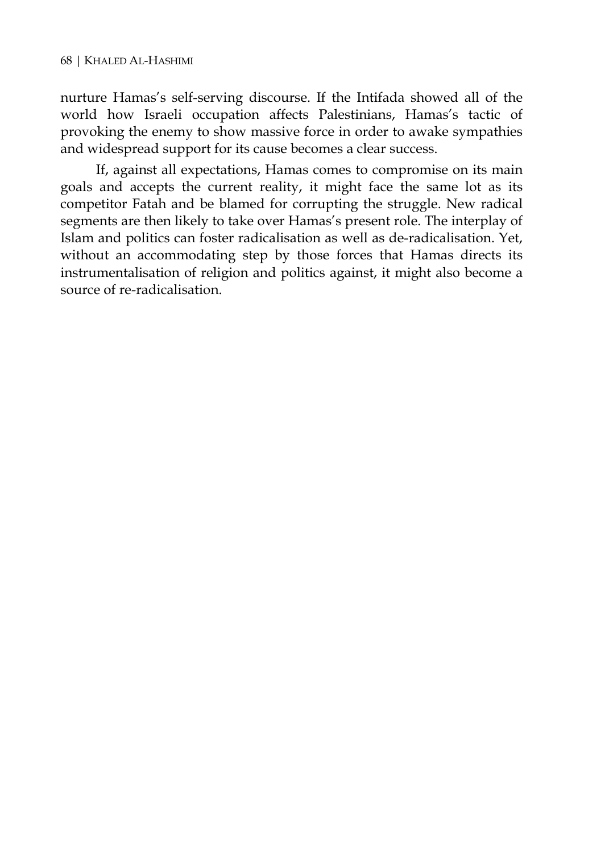nurture Hamas's self-serving discourse. If the Intifada showed all of the world how Israeli occupation affects Palestinians, Hamas's tactic of provoking the enemy to show massive force in order to awake sympathies and widespread support for its cause becomes a clear success.

If, against all expectations, Hamas comes to compromise on its main goals and accepts the current reality, it might face the same lot as its competitor Fatah and be blamed for corrupting the struggle. New radical segments are then likely to take over Hamas's present role. The interplay of Islam and politics can foster radicalisation as well as de-radicalisation. Yet, without an accommodating step by those forces that Hamas directs its instrumentalisation of religion and politics against, it might also become a source of re-radicalisation.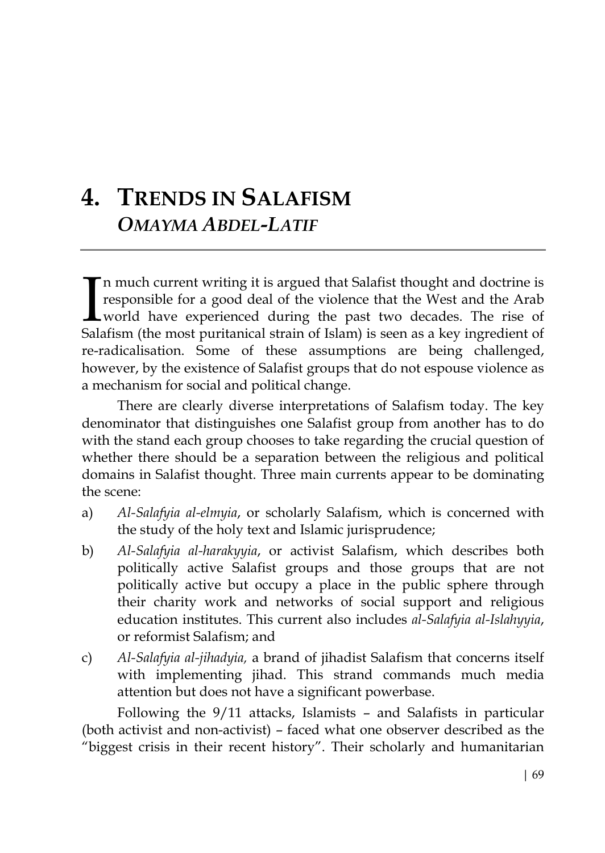## **4. TRENDS IN SALAFISM** *OMAYMA ABDEL-LATIF*

n much current writing it is argued that Salafist thought and doctrine is responsible for a good deal of the violence that the West and the Arab world have experienced during the past two decades. The rise of Salafism (the most puritanical strain of Islam) is seen as a key ingredient of re-radicalisation. Some of these assumptions are being challenged, however, by the existence of Salafist groups that do not espouse violence as a mechanism for social and political change.  $\prod_{\text{Sals}}$ 

There are clearly diverse interpretations of Salafism today. The key denominator that distinguishes one Salafist group from another has to do with the stand each group chooses to take regarding the crucial question of whether there should be a separation between the religious and political domains in Salafist thought. Three main currents appear to be dominating the scene:

- a) *Al-Salafyia al-elmyia*, or scholarly Salafism, which is concerned with the study of the holy text and Islamic jurisprudence;
- b) *Al-Salafyia al-harakyyia*, or activist Salafism, which describes both politically active Salafist groups and those groups that are not politically active but occupy a place in the public sphere through their charity work and networks of social support and religious education institutes. This current also includes *al-Salafyia al-Islahyyia*, or reformist Salafism; and
- c) *Al-Salafyia al-jihadyia,* a brand of jihadist Salafism that concerns itself with implementing jihad. This strand commands much media attention but does not have a significant powerbase.

Following the 9/11 attacks, Islamists – and Salafists in particular (both activist and non-activist) – faced what one observer described as the "biggest crisis in their recent history". Their scholarly and humanitarian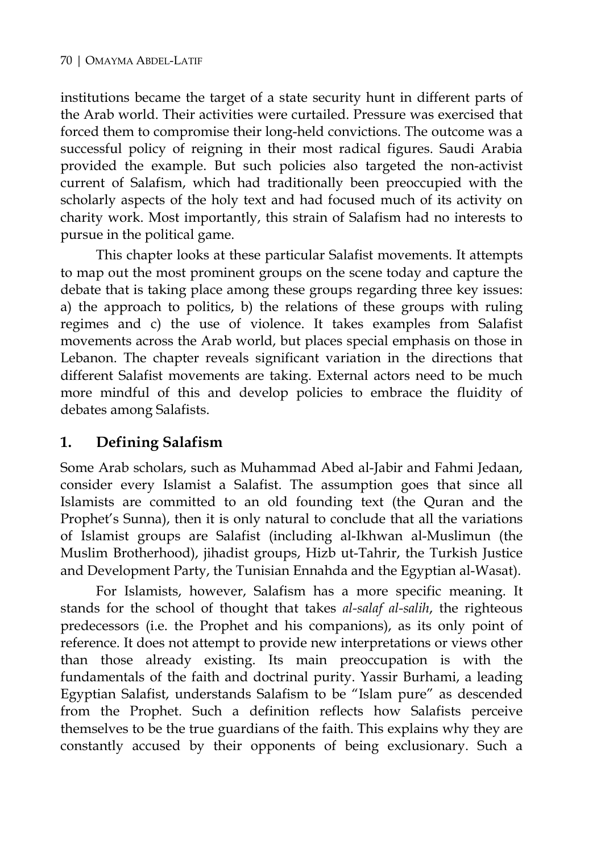institutions became the target of a state security hunt in different parts of the Arab world. Their activities were curtailed. Pressure was exercised that forced them to compromise their long-held convictions. The outcome was a successful policy of reigning in their most radical figures. Saudi Arabia provided the example. But such policies also targeted the non-activist current of Salafism, which had traditionally been preoccupied with the scholarly aspects of the holy text and had focused much of its activity on charity work. Most importantly, this strain of Salafism had no interests to pursue in the political game.

This chapter looks at these particular Salafist movements. It attempts to map out the most prominent groups on the scene today and capture the debate that is taking place among these groups regarding three key issues: a) the approach to politics, b) the relations of these groups with ruling regimes and c) the use of violence. It takes examples from Salafist movements across the Arab world, but places special emphasis on those in Lebanon. The chapter reveals significant variation in the directions that different Salafist movements are taking. External actors need to be much more mindful of this and develop policies to embrace the fluidity of debates among Salafists.

### **1. Defining Salafism**

Some Arab scholars, such as Muhammad Abed al-Jabir and Fahmi Jedaan, consider every Islamist a Salafist. The assumption goes that since all Islamists are committed to an old founding text (the Quran and the Prophet's Sunna), then it is only natural to conclude that all the variations of Islamist groups are Salafist (including al-Ikhwan al-Muslimun (the Muslim Brotherhood), jihadist groups, Hizb ut-Tahrir, the Turkish Justice and Development Party, the Tunisian Ennahda and the Egyptian al-Wasat).

For Islamists, however, Salafism has a more specific meaning. It stands for the school of thought that takes *al-salaf al-salih*, the righteous predecessors (i.e. the Prophet and his companions), as its only point of reference. It does not attempt to provide new interpretations or views other than those already existing. Its main preoccupation is with the fundamentals of the faith and doctrinal purity. Yassir Burhami, a leading Egyptian Salafist, understands Salafism to be "Islam pure" as descended from the Prophet. Such a definition reflects how Salafists perceive themselves to be the true guardians of the faith. This explains why they are constantly accused by their opponents of being exclusionary. Such a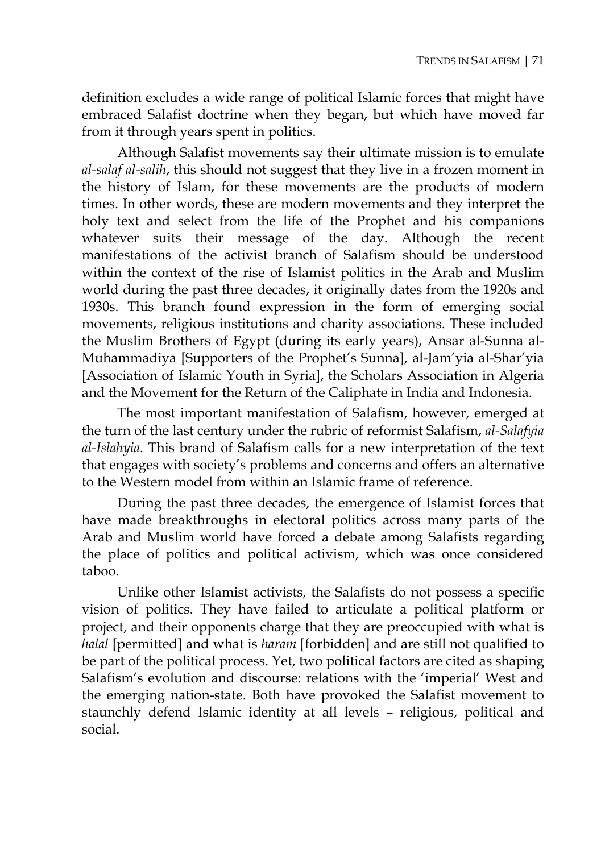definition excludes a wide range of political Islamic forces that might have embraced Salafist doctrine when they began, but which have moved far from it through years spent in politics.

Although Salafist movements say their ultimate mission is to emulate *al-salaf al-salih*, this should not suggest that they live in a frozen moment in the history of Islam, for these movements are the products of modern times. In other words, these are modern movements and they interpret the holy text and select from the life of the Prophet and his companions whatever suits their message of the day. Although the recent manifestations of the activist branch of Salafism should be understood within the context of the rise of Islamist politics in the Arab and Muslim world during the past three decades, it originally dates from the 1920s and 1930s. This branch found expression in the form of emerging social movements, religious institutions and charity associations. These included the Muslim Brothers of Egypt (during its early years), Ansar al-Sunna al-Muhammadiya [Supporters of the Prophet's Sunna], al-Jam'yia al-Shar'yia [Association of Islamic Youth in Syria], the Scholars Association in Algeria and the Movement for the Return of the Caliphate in India and Indonesia.

The most important manifestation of Salafism, however, emerged at the turn of the last century under the rubric of reformist Salafism, *al-Salafyia al-Islahyia*. This brand of Salafism calls for a new interpretation of the text that engages with society's problems and concerns and offers an alternative to the Western model from within an Islamic frame of reference.

During the past three decades, the emergence of Islamist forces that have made breakthroughs in electoral politics across many parts of the Arab and Muslim world have forced a debate among Salafists regarding the place of politics and political activism, which was once considered taboo.

Unlike other Islamist activists, the Salafists do not possess a specific vision of politics. They have failed to articulate a political platform or project, and their opponents charge that they are preoccupied with what is *halal* [permitted] and what is *haram* [forbidden] and are still not qualified to be part of the political process. Yet, two political factors are cited as shaping Salafism's evolution and discourse: relations with the 'imperial' West and the emerging nation-state. Both have provoked the Salafist movement to staunchly defend Islamic identity at all levels – religious, political and social.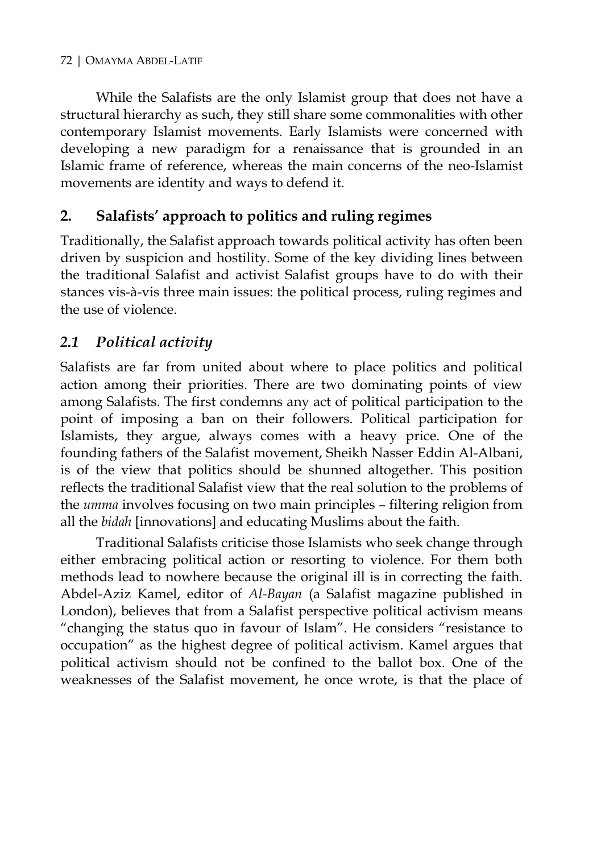#### 72 | OMAYMA ABDEL-LATIF

While the Salafists are the only Islamist group that does not have a structural hierarchy as such, they still share some commonalities with other contemporary Islamist movements. Early Islamists were concerned with developing a new paradigm for a renaissance that is grounded in an Islamic frame of reference, whereas the main concerns of the neo-Islamist movements are identity and ways to defend it.

#### **2. Salafists' approach to politics and ruling regimes**

Traditionally, the Salafist approach towards political activity has often been driven by suspicion and hostility. Some of the key dividing lines between the traditional Salafist and activist Salafist groups have to do with their stances vis-à-vis three main issues: the political process, ruling regimes and the use of violence.

#### *2.1 Political activity*

Salafists are far from united about where to place politics and political action among their priorities. There are two dominating points of view among Salafists. The first condemns any act of political participation to the point of imposing a ban on their followers. Political participation for Islamists, they argue, always comes with a heavy price. One of the founding fathers of the Salafist movement, Sheikh Nasser Eddin Al-Albani, is of the view that politics should be shunned altogether. This position reflects the traditional Salafist view that the real solution to the problems of the *umma* involves focusing on two main principles – filtering religion from all the *bidah* [innovations] and educating Muslims about the faith.

Traditional Salafists criticise those Islamists who seek change through either embracing political action or resorting to violence. For them both methods lead to nowhere because the original ill is in correcting the faith. Abdel-Aziz Kamel, editor of *Al-Bayan* (a Salafist magazine published in London), believes that from a Salafist perspective political activism means "changing the status quo in favour of Islam". He considers "resistance to occupation" as the highest degree of political activism. Kamel argues that political activism should not be confined to the ballot box. One of the weaknesses of the Salafist movement, he once wrote, is that the place of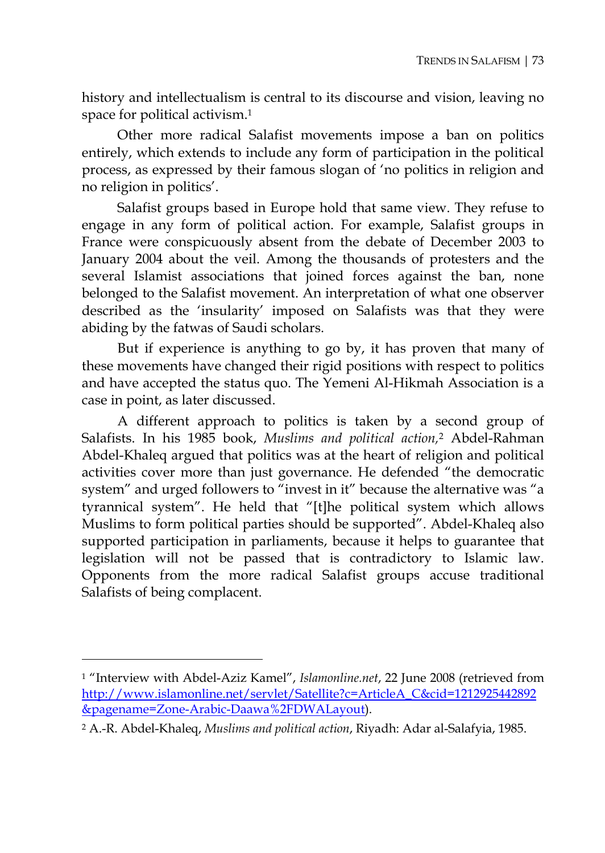history and intellectualism is central to its discourse and vision, leaving no space for political activism.1

Other more radical Salafist movements impose a ban on politics entirely, which extends to include any form of participation in the political process, as expressed by their famous slogan of 'no politics in religion and no religion in politics'.

Salafist groups based in Europe hold that same view. They refuse to engage in any form of political action. For example, Salafist groups in France were conspicuously absent from the debate of December 2003 to January 2004 about the veil. Among the thousands of protesters and the several Islamist associations that joined forces against the ban, none belonged to the Salafist movement. An interpretation of what one observer described as the 'insularity' imposed on Salafists was that they were abiding by the fatwas of Saudi scholars.

But if experience is anything to go by, it has proven that many of these movements have changed their rigid positions with respect to politics and have accepted the status quo. The Yemeni Al-Hikmah Association is a case in point, as later discussed.

A different approach to politics is taken by a second group of Salafists. In his 1985 book, *Muslims and political action,*2 Abdel-Rahman Abdel-Khaleq argued that politics was at the heart of religion and political activities cover more than just governance. He defended "the democratic system" and urged followers to "invest in it" because the alternative was "a tyrannical system". He held that "[t]he political system which allows Muslims to form political parties should be supported". Abdel-Khaleq also supported participation in parliaments, because it helps to guarantee that legislation will not be passed that is contradictory to Islamic law. Opponents from the more radical Salafist groups accuse traditional Salafists of being complacent.

<sup>1 &</sup>quot;Interview with Abdel-Aziz Kamel", *Islamonline.net*, 22 June 2008 (retrieved from http://www.islamonline.net/servlet/Satellite?c=ArticleA\_C&cid=1212925442892 &pagename=Zone-Arabic-Daawa%2FDWALayout).

<sup>2</sup> A.-R. Abdel-Khaleq, *Muslims and political action*, Riyadh: Adar al-Salafyia, 1985.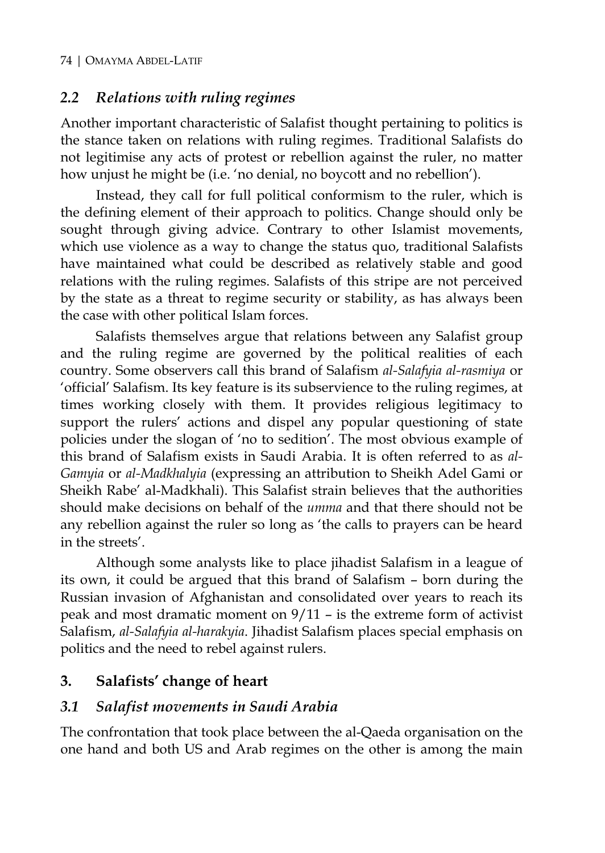#### *2.2 Relations with ruling regimes*

Another important characteristic of Salafist thought pertaining to politics is the stance taken on relations with ruling regimes. Traditional Salafists do not legitimise any acts of protest or rebellion against the ruler, no matter how unjust he might be (i.e. 'no denial, no boycott and no rebellion').

Instead, they call for full political conformism to the ruler, which is the defining element of their approach to politics. Change should only be sought through giving advice. Contrary to other Islamist movements, which use violence as a way to change the status quo, traditional Salafists have maintained what could be described as relatively stable and good relations with the ruling regimes. Salafists of this stripe are not perceived by the state as a threat to regime security or stability, as has always been the case with other political Islam forces.

Salafists themselves argue that relations between any Salafist group and the ruling regime are governed by the political realities of each country. Some observers call this brand of Salafism *al-Salafyia al-rasmiya* or 'official' Salafism. Its key feature is its subservience to the ruling regimes, at times working closely with them. It provides religious legitimacy to support the rulers' actions and dispel any popular questioning of state policies under the slogan of 'no to sedition'. The most obvious example of this brand of Salafism exists in Saudi Arabia. It is often referred to as *al-Gamyia* or *al-Madkhalyia* (expressing an attribution to Sheikh Adel Gami or Sheikh Rabe' al-Madkhali). This Salafist strain believes that the authorities should make decisions on behalf of the *umma* and that there should not be any rebellion against the ruler so long as 'the calls to prayers can be heard in the streets'.

Although some analysts like to place jihadist Salafism in a league of its own, it could be argued that this brand of Salafism – born during the Russian invasion of Afghanistan and consolidated over years to reach its peak and most dramatic moment on 9/11 – is the extreme form of activist Salafism, *al-Salafyia al-harakyia*. Jihadist Salafism places special emphasis on politics and the need to rebel against rulers.

### **3. Salafists' change of heart**

#### *3.1 Salafist movements in Saudi Arabia*

The confrontation that took place between the al-Qaeda organisation on the one hand and both US and Arab regimes on the other is among the main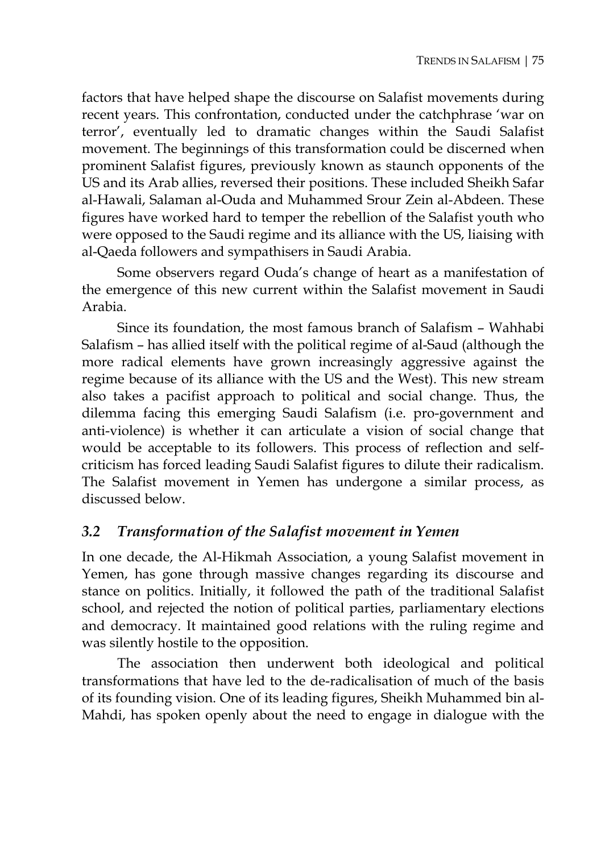factors that have helped shape the discourse on Salafist movements during recent years. This confrontation, conducted under the catchphrase 'war on terror', eventually led to dramatic changes within the Saudi Salafist movement. The beginnings of this transformation could be discerned when prominent Salafist figures, previously known as staunch opponents of the US and its Arab allies, reversed their positions. These included Sheikh Safar al-Hawali, Salaman al-Ouda and Muhammed Srour Zein al-Abdeen. These figures have worked hard to temper the rebellion of the Salafist youth who were opposed to the Saudi regime and its alliance with the US, liaising with al-Qaeda followers and sympathisers in Saudi Arabia.

Some observers regard Ouda's change of heart as a manifestation of the emergence of this new current within the Salafist movement in Saudi Arabia.

Since its foundation, the most famous branch of Salafism – Wahhabi Salafism – has allied itself with the political regime of al-Saud (although the more radical elements have grown increasingly aggressive against the regime because of its alliance with the US and the West). This new stream also takes a pacifist approach to political and social change. Thus, the dilemma facing this emerging Saudi Salafism (i.e. pro-government and anti-violence) is whether it can articulate a vision of social change that would be acceptable to its followers. This process of reflection and selfcriticism has forced leading Saudi Salafist figures to dilute their radicalism. The Salafist movement in Yemen has undergone a similar process, as discussed below.

#### *3.2 Transformation of the Salafist movement in Yemen*

In one decade, the Al-Hikmah Association, a young Salafist movement in Yemen, has gone through massive changes regarding its discourse and stance on politics. Initially, it followed the path of the traditional Salafist school, and rejected the notion of political parties, parliamentary elections and democracy. It maintained good relations with the ruling regime and was silently hostile to the opposition.

The association then underwent both ideological and political transformations that have led to the de-radicalisation of much of the basis of its founding vision. One of its leading figures, Sheikh Muhammed bin al-Mahdi, has spoken openly about the need to engage in dialogue with the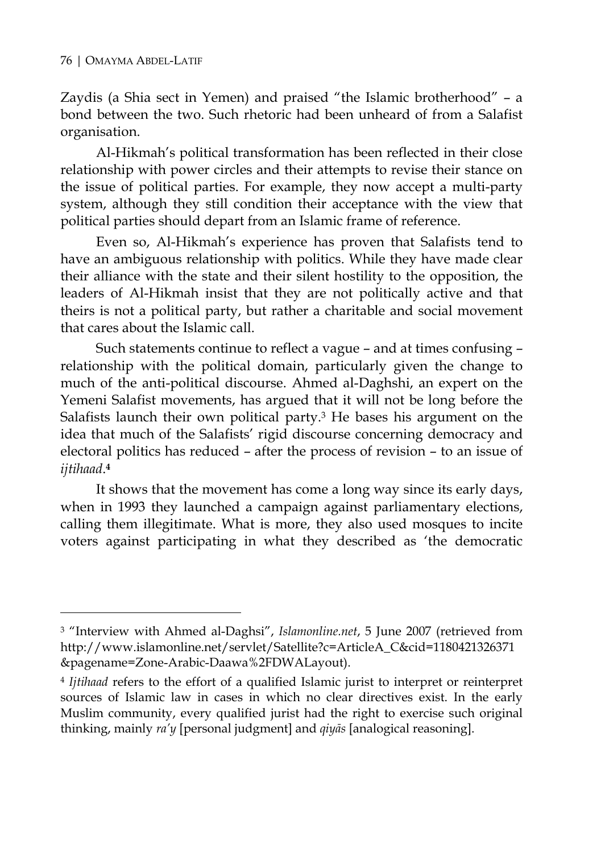$\overline{a}$ 

Zaydis (a Shia sect in Yemen) and praised "the Islamic brotherhood" – a bond between the two. Such rhetoric had been unheard of from a Salafist organisation.

Al-Hikmah's political transformation has been reflected in their close relationship with power circles and their attempts to revise their stance on the issue of political parties. For example, they now accept a multi-party system, although they still condition their acceptance with the view that political parties should depart from an Islamic frame of reference.

Even so, Al-Hikmah's experience has proven that Salafists tend to have an ambiguous relationship with politics. While they have made clear their alliance with the state and their silent hostility to the opposition, the leaders of Al-Hikmah insist that they are not politically active and that theirs is not a political party, but rather a charitable and social movement that cares about the Islamic call.

Such statements continue to reflect a vague – and at times confusing – relationship with the political domain, particularly given the change to much of the anti-political discourse. Ahmed al-Daghshi, an expert on the Yemeni Salafist movements, has argued that it will not be long before the Salafists launch their own political party.3 He bases his argument on the idea that much of the Salafists' rigid discourse concerning democracy and electoral politics has reduced – after the process of revision – to an issue of *ijtihaad*.**<sup>4</sup>**

It shows that the movement has come a long way since its early days, when in 1993 they launched a campaign against parliamentary elections, calling them illegitimate. What is more, they also used mosques to incite voters against participating in what they described as 'the democratic

<sup>3 &</sup>quot;Interview with Ahmed al-Daghsi", *Islamonline.net*, 5 June 2007 (retrieved from http://www.islamonline.net/servlet/Satellite?c=ArticleA\_C&cid=1180421326371 &pagename=Zone-Arabic-Daawa%2FDWALayout).

<sup>4</sup> *Ijtihaad* refers to the effort of a qualified Islamic jurist to interpret or reinterpret sources of Islamic law in cases in which no clear directives exist. In the early Muslim community, every qualified jurist had the right to exercise such original thinking, mainly *ra'y* [personal judgment] and *qiyās* [analogical reasoning].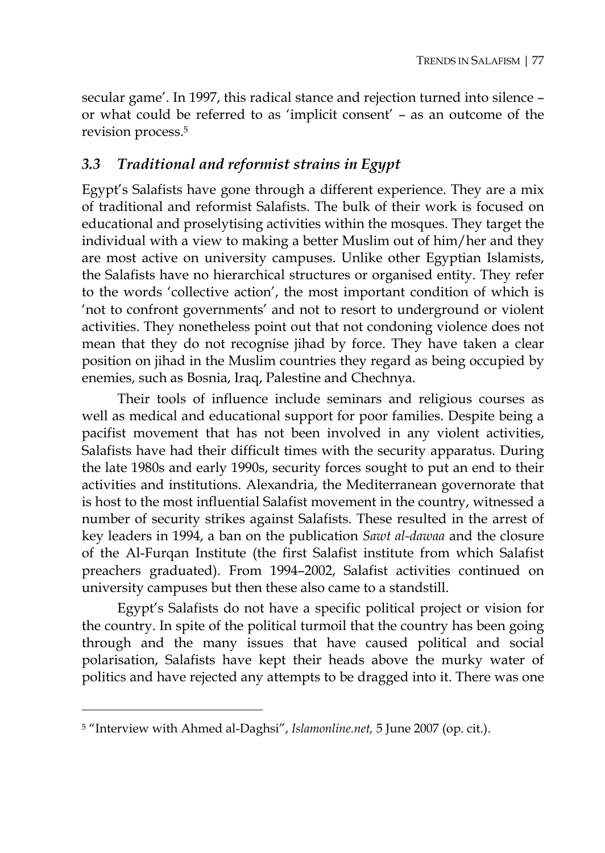secular game'. In 1997, this radical stance and rejection turned into silence – or what could be referred to as 'implicit consent' – as an outcome of the revision process.5

#### *3.3 Traditional and reformist strains in Egypt*

Egypt's Salafists have gone through a different experience. They are a mix of traditional and reformist Salafists. The bulk of their work is focused on educational and proselytising activities within the mosques. They target the individual with a view to making a better Muslim out of him/her and they are most active on university campuses. Unlike other Egyptian Islamists, the Salafists have no hierarchical structures or organised entity. They refer to the words 'collective action', the most important condition of which is 'not to confront governments' and not to resort to underground or violent activities. They nonetheless point out that not condoning violence does not mean that they do not recognise jihad by force. They have taken a clear position on jihad in the Muslim countries they regard as being occupied by enemies, such as Bosnia, Iraq, Palestine and Chechnya.

Their tools of influence include seminars and religious courses as well as medical and educational support for poor families. Despite being a pacifist movement that has not been involved in any violent activities, Salafists have had their difficult times with the security apparatus. During the late 1980s and early 1990s, security forces sought to put an end to their activities and institutions. Alexandria, the Mediterranean governorate that is host to the most influential Salafist movement in the country, witnessed a number of security strikes against Salafists. These resulted in the arrest of key leaders in 1994, a ban on the publication *Sawt al-dawaa* and the closure of the Al-Furqan Institute (the first Salafist institute from which Salafist preachers graduated). From 1994–2002, Salafist activities continued on university campuses but then these also came to a standstill.

Egypt's Salafists do not have a specific political project or vision for the country. In spite of the political turmoil that the country has been going through and the many issues that have caused political and social polarisation, Salafists have kept their heads above the murky water of politics and have rejected any attempts to be dragged into it. There was one

<sup>5 &</sup>quot;Interview with Ahmed al-Daghsi", *Islamonline.net,* 5 June 2007 (op. cit.).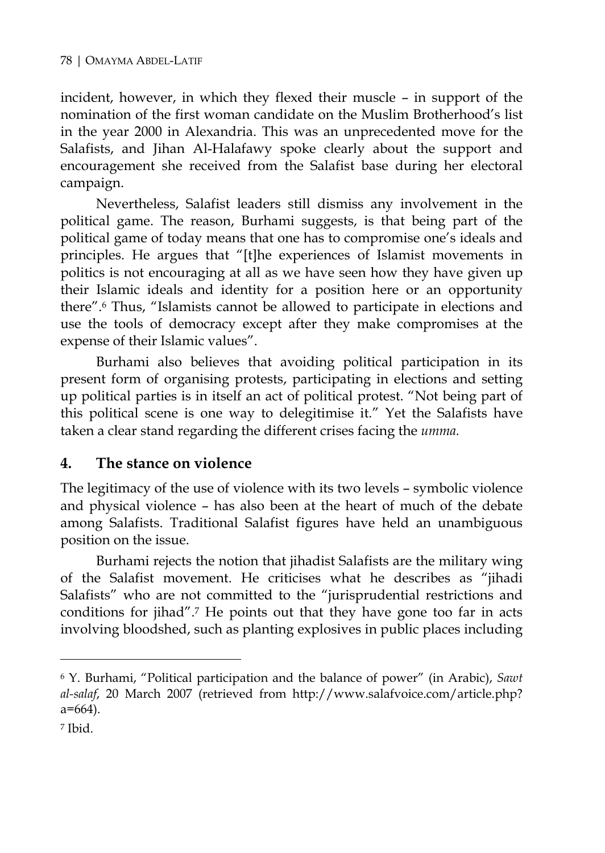incident, however, in which they flexed their muscle – in support of the nomination of the first woman candidate on the Muslim Brotherhood's list in the year 2000 in Alexandria. This was an unprecedented move for the Salafists, and Jihan Al-Halafawy spoke clearly about the support and encouragement she received from the Salafist base during her electoral campaign.

Nevertheless, Salafist leaders still dismiss any involvement in the political game. The reason, Burhami suggests, is that being part of the political game of today means that one has to compromise one's ideals and principles. He argues that "[t]he experiences of Islamist movements in politics is not encouraging at all as we have seen how they have given up their Islamic ideals and identity for a position here or an opportunity there".6 Thus, "Islamists cannot be allowed to participate in elections and use the tools of democracy except after they make compromises at the expense of their Islamic values".

Burhami also believes that avoiding political participation in its present form of organising protests, participating in elections and setting up political parties is in itself an act of political protest. "Not being part of this political scene is one way to delegitimise it." Yet the Salafists have taken a clear stand regarding the different crises facing the *umma.*

#### **4. The stance on violence**

The legitimacy of the use of violence with its two levels – symbolic violence and physical violence – has also been at the heart of much of the debate among Salafists. Traditional Salafist figures have held an unambiguous position on the issue.

Burhami rejects the notion that jihadist Salafists are the military wing of the Salafist movement. He criticises what he describes as "jihadi Salafists" who are not committed to the "jurisprudential restrictions and conditions for jihad".7 He points out that they have gone too far in acts involving bloodshed, such as planting explosives in public places including

<sup>6</sup> Y. Burhami, "Political participation and the balance of power" (in Arabic), *Sawt al-salaf*, 20 March 2007 (retrieved from http://www.salafvoice.com/article.php? a=664).

<sup>7</sup> Ibid.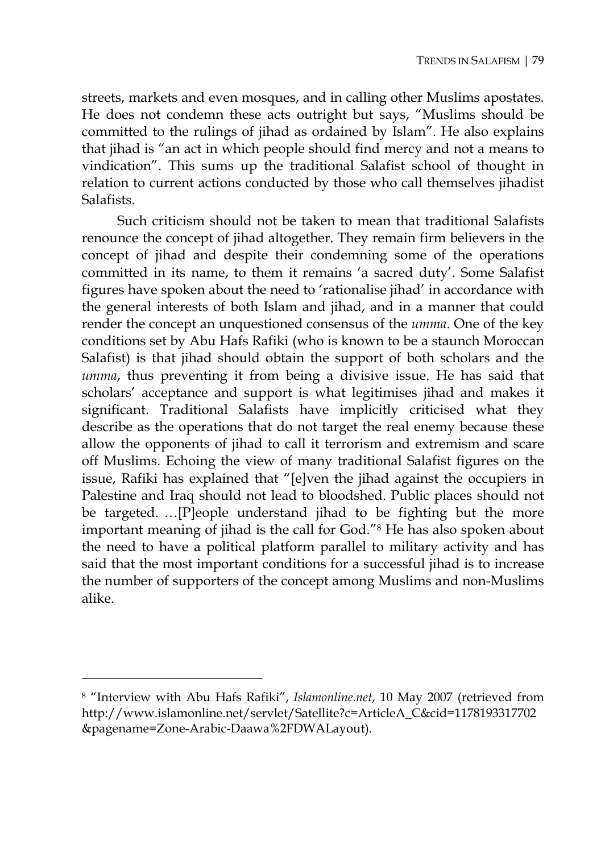streets, markets and even mosques, and in calling other Muslims apostates. He does not condemn these acts outright but says, "Muslims should be committed to the rulings of jihad as ordained by Islam". He also explains that jihad is "an act in which people should find mercy and not a means to vindication". This sums up the traditional Salafist school of thought in relation to current actions conducted by those who call themselves jihadist Salafists.

Such criticism should not be taken to mean that traditional Salafists renounce the concept of jihad altogether. They remain firm believers in the concept of jihad and despite their condemning some of the operations committed in its name, to them it remains 'a sacred duty'. Some Salafist figures have spoken about the need to 'rationalise jihad' in accordance with the general interests of both Islam and jihad, and in a manner that could render the concept an unquestioned consensus of the *umma*. One of the key conditions set by Abu Hafs Rafiki (who is known to be a staunch Moroccan Salafist) is that jihad should obtain the support of both scholars and the *umma*, thus preventing it from being a divisive issue. He has said that scholars' acceptance and support is what legitimises jihad and makes it significant. Traditional Salafists have implicitly criticised what they describe as the operations that do not target the real enemy because these allow the opponents of jihad to call it terrorism and extremism and scare off Muslims. Echoing the view of many traditional Salafist figures on the issue, Rafiki has explained that "[e]ven the jihad against the occupiers in Palestine and Iraq should not lead to bloodshed. Public places should not be targeted. …[P]eople understand jihad to be fighting but the more important meaning of jihad is the call for God."8 He has also spoken about the need to have a political platform parallel to military activity and has said that the most important conditions for a successful jihad is to increase the number of supporters of the concept among Muslims and non-Muslims alike.

<sup>8 &</sup>quot;Interview with Abu Hafs Rafiki", *Islamonline.net*, 10 May 2007 (retrieved from http://www.islamonline.net/servlet/Satellite?c=ArticleA\_C&cid=1178193317702 &pagename=Zone-Arabic-Daawa%2FDWALayout).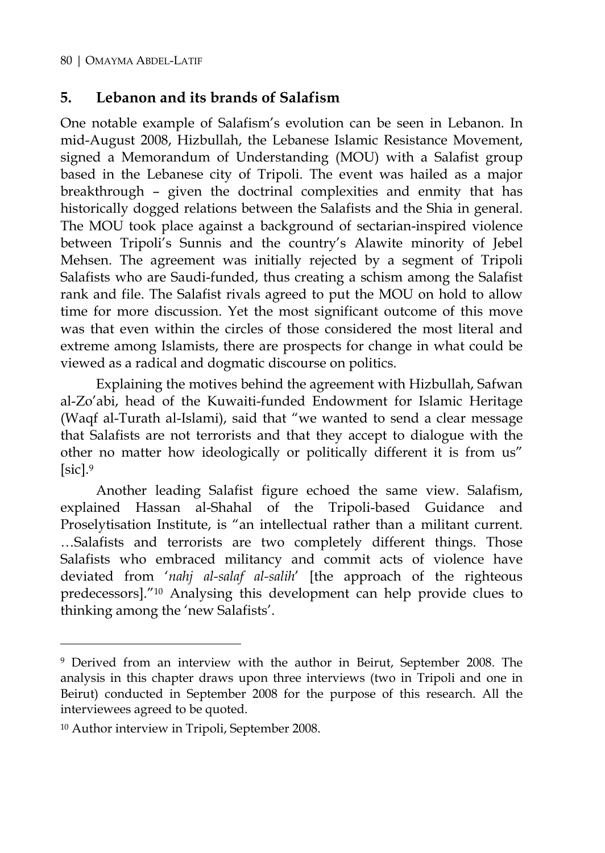#### **5. Lebanon and its brands of Salafism**

One notable example of Salafism's evolution can be seen in Lebanon. In mid-August 2008, Hizbullah, the Lebanese Islamic Resistance Movement, signed a Memorandum of Understanding (MOU) with a Salafist group based in the Lebanese city of Tripoli. The event was hailed as a major breakthrough – given the doctrinal complexities and enmity that has historically dogged relations between the Salafists and the Shia in general. The MOU took place against a background of sectarian-inspired violence between Tripoli's Sunnis and the country's Alawite minority of Jebel Mehsen. The agreement was initially rejected by a segment of Tripoli Salafists who are Saudi-funded, thus creating a schism among the Salafist rank and file. The Salafist rivals agreed to put the MOU on hold to allow time for more discussion. Yet the most significant outcome of this move was that even within the circles of those considered the most literal and extreme among Islamists, there are prospects for change in what could be viewed as a radical and dogmatic discourse on politics.

Explaining the motives behind the agreement with Hizbullah, Safwan al-Zo'abi, head of the Kuwaiti-funded Endowment for Islamic Heritage (Waqf al-Turath al-Islami), said that "we wanted to send a clear message that Salafists are not terrorists and that they accept to dialogue with the other no matter how ideologically or politically different it is from us"  $[sic].9$ 

Another leading Salafist figure echoed the same view. Salafism, explained Hassan al-Shahal of the Tripoli-based Guidance and Proselytisation Institute, is "an intellectual rather than a militant current. …Salafists and terrorists are two completely different things. Those Salafists who embraced militancy and commit acts of violence have deviated from '*nahj al-salaf al-salih*' [the approach of the righteous predecessors]."10 Analysing this development can help provide clues to thinking among the 'new Salafists'.

<sup>&</sup>lt;sup>9</sup> Derived from an interview with the author in Beirut, September 2008. The analysis in this chapter draws upon three interviews (two in Tripoli and one in Beirut) conducted in September 2008 for the purpose of this research. All the interviewees agreed to be quoted.

<sup>10</sup> Author interview in Tripoli, September 2008.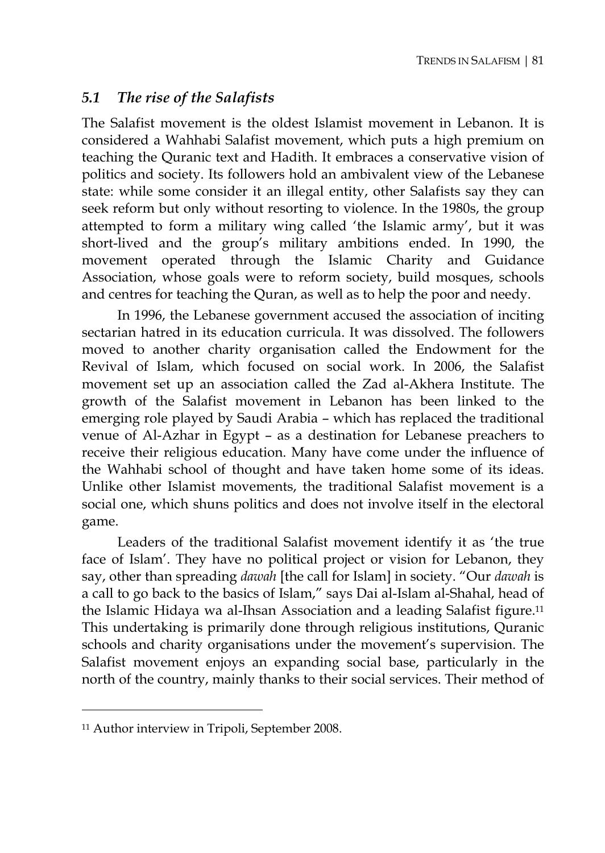#### *5.1 The rise of the Salafists*

The Salafist movement is the oldest Islamist movement in Lebanon. It is considered a Wahhabi Salafist movement, which puts a high premium on teaching the Quranic text and Hadith. It embraces a conservative vision of politics and society. Its followers hold an ambivalent view of the Lebanese state: while some consider it an illegal entity, other Salafists say they can seek reform but only without resorting to violence. In the 1980s, the group attempted to form a military wing called 'the Islamic army', but it was short-lived and the group's military ambitions ended. In 1990, the movement operated through the Islamic Charity and Guidance Association, whose goals were to reform society, build mosques, schools and centres for teaching the Quran, as well as to help the poor and needy.

In 1996, the Lebanese government accused the association of inciting sectarian hatred in its education curricula. It was dissolved. The followers moved to another charity organisation called the Endowment for the Revival of Islam, which focused on social work. In 2006, the Salafist movement set up an association called the Zad al-Akhera Institute. The growth of the Salafist movement in Lebanon has been linked to the emerging role played by Saudi Arabia – which has replaced the traditional venue of Al-Azhar in Egypt – as a destination for Lebanese preachers to receive their religious education. Many have come under the influence of the Wahhabi school of thought and have taken home some of its ideas. Unlike other Islamist movements, the traditional Salafist movement is a social one, which shuns politics and does not involve itself in the electoral game.

Leaders of the traditional Salafist movement identify it as 'the true face of Islam'. They have no political project or vision for Lebanon, they say, other than spreading *dawah* [the call for Islam] in society. "Our *dawah* is a call to go back to the basics of Islam," says Dai al-Islam al-Shahal, head of the Islamic Hidaya wa al-Ihsan Association and a leading Salafist figure.11 This undertaking is primarily done through religious institutions, Quranic schools and charity organisations under the movement's supervision. The Salafist movement enjoys an expanding social base, particularly in the north of the country, mainly thanks to their social services. Their method of

<sup>11</sup> Author interview in Tripoli, September 2008.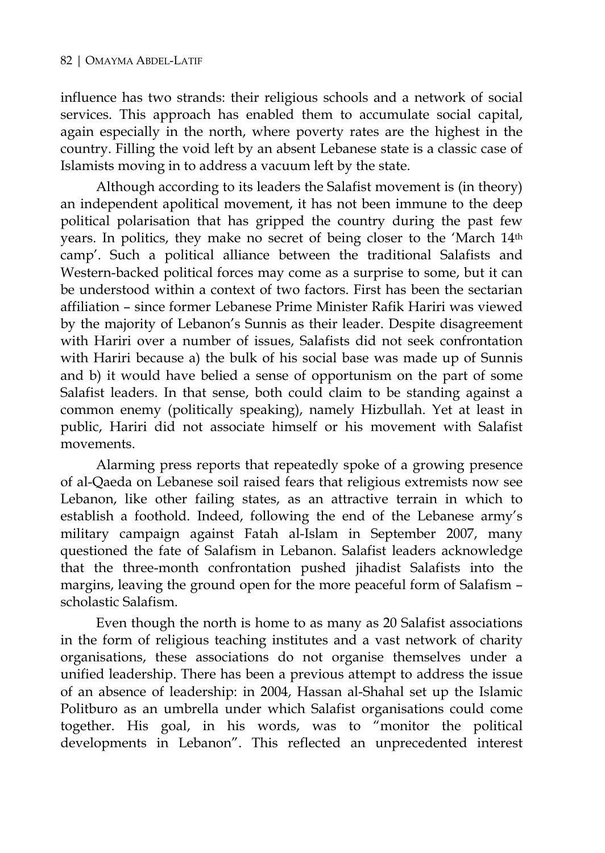influence has two strands: their religious schools and a network of social services. This approach has enabled them to accumulate social capital, again especially in the north, where poverty rates are the highest in the country. Filling the void left by an absent Lebanese state is a classic case of Islamists moving in to address a vacuum left by the state.

Although according to its leaders the Salafist movement is (in theory) an independent apolitical movement, it has not been immune to the deep political polarisation that has gripped the country during the past few years. In politics, they make no secret of being closer to the 'March 14th camp'. Such a political alliance between the traditional Salafists and Western-backed political forces may come as a surprise to some, but it can be understood within a context of two factors. First has been the sectarian affiliation – since former Lebanese Prime Minister Rafik Hariri was viewed by the majority of Lebanon's Sunnis as their leader. Despite disagreement with Hariri over a number of issues, Salafists did not seek confrontation with Hariri because a) the bulk of his social base was made up of Sunnis and b) it would have belied a sense of opportunism on the part of some Salafist leaders. In that sense, both could claim to be standing against a common enemy (politically speaking), namely Hizbullah. Yet at least in public, Hariri did not associate himself or his movement with Salafist movements.

Alarming press reports that repeatedly spoke of a growing presence of al-Qaeda on Lebanese soil raised fears that religious extremists now see Lebanon, like other failing states, as an attractive terrain in which to establish a foothold. Indeed, following the end of the Lebanese army's military campaign against Fatah al-Islam in September 2007, many questioned the fate of Salafism in Lebanon. Salafist leaders acknowledge that the three-month confrontation pushed jihadist Salafists into the margins, leaving the ground open for the more peaceful form of Salafism – scholastic Salafism.

Even though the north is home to as many as 20 Salafist associations in the form of religious teaching institutes and a vast network of charity organisations, these associations do not organise themselves under a unified leadership. There has been a previous attempt to address the issue of an absence of leadership: in 2004, Hassan al-Shahal set up the Islamic Politburo as an umbrella under which Salafist organisations could come together. His goal, in his words, was to "monitor the political developments in Lebanon". This reflected an unprecedented interest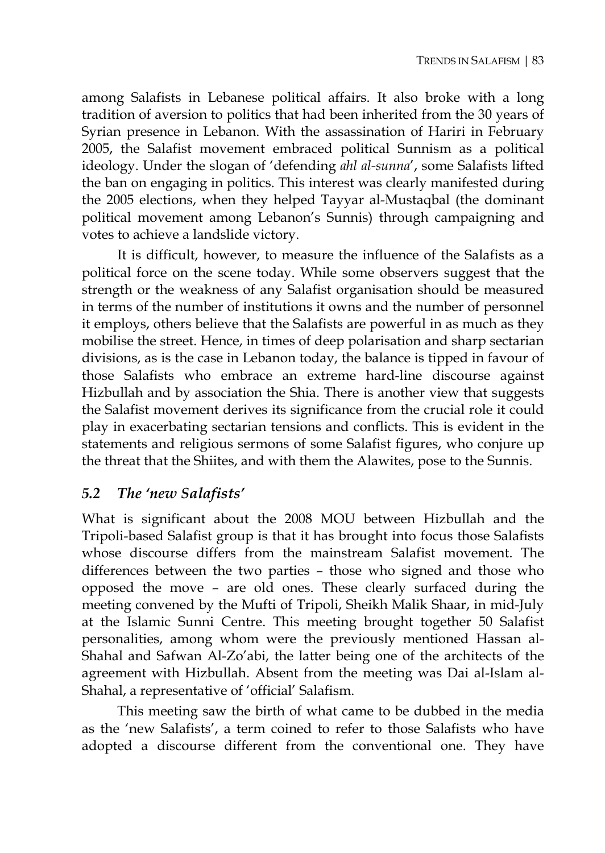among Salafists in Lebanese political affairs. It also broke with a long tradition of aversion to politics that had been inherited from the 30 years of Syrian presence in Lebanon. With the assassination of Hariri in February 2005, the Salafist movement embraced political Sunnism as a political ideology. Under the slogan of 'defending *ahl al-sunna*', some Salafists lifted the ban on engaging in politics. This interest was clearly manifested during the 2005 elections, when they helped Tayyar al-Mustaqbal (the dominant political movement among Lebanon's Sunnis) through campaigning and votes to achieve a landslide victory.

It is difficult, however, to measure the influence of the Salafists as a political force on the scene today. While some observers suggest that the strength or the weakness of any Salafist organisation should be measured in terms of the number of institutions it owns and the number of personnel it employs, others believe that the Salafists are powerful in as much as they mobilise the street. Hence, in times of deep polarisation and sharp sectarian divisions, as is the case in Lebanon today, the balance is tipped in favour of those Salafists who embrace an extreme hard-line discourse against Hizbullah and by association the Shia. There is another view that suggests the Salafist movement derives its significance from the crucial role it could play in exacerbating sectarian tensions and conflicts. This is evident in the statements and religious sermons of some Salafist figures, who conjure up the threat that the Shiites, and with them the Alawites, pose to the Sunnis.

### *5.2 The 'new Salafists'*

What is significant about the 2008 MOU between Hizbullah and the Tripoli-based Salafist group is that it has brought into focus those Salafists whose discourse differs from the mainstream Salafist movement. The differences between the two parties – those who signed and those who opposed the move – are old ones. These clearly surfaced during the meeting convened by the Mufti of Tripoli, Sheikh Malik Shaar, in mid-July at the Islamic Sunni Centre. This meeting brought together 50 Salafist personalities, among whom were the previously mentioned Hassan al-Shahal and Safwan Al-Zo'abi, the latter being one of the architects of the agreement with Hizbullah. Absent from the meeting was Dai al-Islam al-Shahal, a representative of 'official' Salafism.

This meeting saw the birth of what came to be dubbed in the media as the 'new Salafists', a term coined to refer to those Salafists who have adopted a discourse different from the conventional one. They have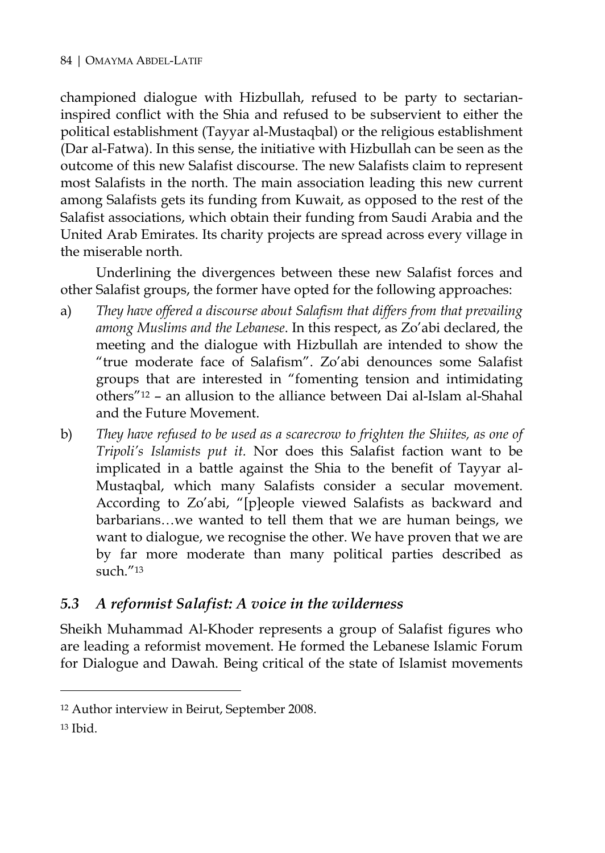championed dialogue with Hizbullah, refused to be party to sectarianinspired conflict with the Shia and refused to be subservient to either the political establishment (Tayyar al-Mustaqbal) or the religious establishment (Dar al-Fatwa). In this sense, the initiative with Hizbullah can be seen as the outcome of this new Salafist discourse. The new Salafists claim to represent most Salafists in the north. The main association leading this new current among Salafists gets its funding from Kuwait, as opposed to the rest of the Salafist associations, which obtain their funding from Saudi Arabia and the United Arab Emirates. Its charity projects are spread across every village in the miserable north.

Underlining the divergences between these new Salafist forces and other Salafist groups, the former have opted for the following approaches:

- a) *They have offered a discourse about Salafism that differs from that prevailing among Muslims and the Lebanese*. In this respect, as Zo'abi declared, the meeting and the dialogue with Hizbullah are intended to show the "true moderate face of Salafism". Zo'abi denounces some Salafist groups that are interested in "fomenting tension and intimidating others"12 – an allusion to the alliance between Dai al-Islam al-Shahal and the Future Movement.
- b) *They have refused to be used as a scarecrow to frighten the Shiites, as one of Tripoli's Islamists put it.* Nor does this Salafist faction want to be implicated in a battle against the Shia to the benefit of Tayyar al-Mustaqbal, which many Salafists consider a secular movement. According to Zo'abi, "[p]eople viewed Salafists as backward and barbarians…we wanted to tell them that we are human beings, we want to dialogue, we recognise the other. We have proven that we are by far more moderate than many political parties described as such."13

#### *5.3 A reformist Salafist: A voice in the wilderness*

Sheikh Muhammad Al-Khoder represents a group of Salafist figures who are leading a reformist movement. He formed the Lebanese Islamic Forum for Dialogue and Dawah. Being critical of the state of Islamist movements

<sup>12</sup> Author interview in Beirut, September 2008.

<sup>13</sup> Ibid.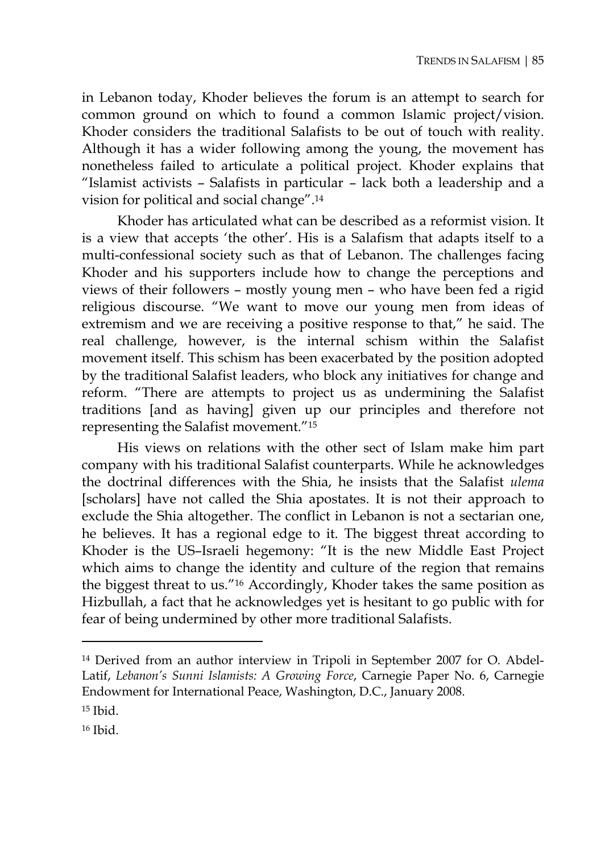in Lebanon today, Khoder believes the forum is an attempt to search for common ground on which to found a common Islamic project/vision. Khoder considers the traditional Salafists to be out of touch with reality. Although it has a wider following among the young, the movement has nonetheless failed to articulate a political project. Khoder explains that "Islamist activists – Salafists in particular – lack both a leadership and a vision for political and social change".14

Khoder has articulated what can be described as a reformist vision. It is a view that accepts 'the other'. His is a Salafism that adapts itself to a multi-confessional society such as that of Lebanon. The challenges facing Khoder and his supporters include how to change the perceptions and views of their followers – mostly young men – who have been fed a rigid religious discourse. "We want to move our young men from ideas of extremism and we are receiving a positive response to that," he said. The real challenge, however, is the internal schism within the Salafist movement itself. This schism has been exacerbated by the position adopted by the traditional Salafist leaders, who block any initiatives for change and reform. "There are attempts to project us as undermining the Salafist traditions [and as having] given up our principles and therefore not representing the Salafist movement."15

His views on relations with the other sect of Islam make him part company with his traditional Salafist counterparts. While he acknowledges the doctrinal differences with the Shia, he insists that the Salafist *ulema* [scholars] have not called the Shia apostates. It is not their approach to exclude the Shia altogether. The conflict in Lebanon is not a sectarian one, he believes. It has a regional edge to it. The biggest threat according to Khoder is the US–Israeli hegemony: "It is the new Middle East Project which aims to change the identity and culture of the region that remains the biggest threat to us."16 Accordingly, Khoder takes the same position as Hizbullah, a fact that he acknowledges yet is hesitant to go public with for fear of being undermined by other more traditional Salafists.

<sup>14</sup> Derived from an author interview in Tripoli in September 2007 for O. Abdel-Latif, *Lebanon's Sunni Islamists: A Growing Force*, Carnegie Paper No. 6, Carnegie Endowment for International Peace, Washington, D.C., January 2008.

<sup>15</sup> Ibid.

<sup>16</sup> Ibid.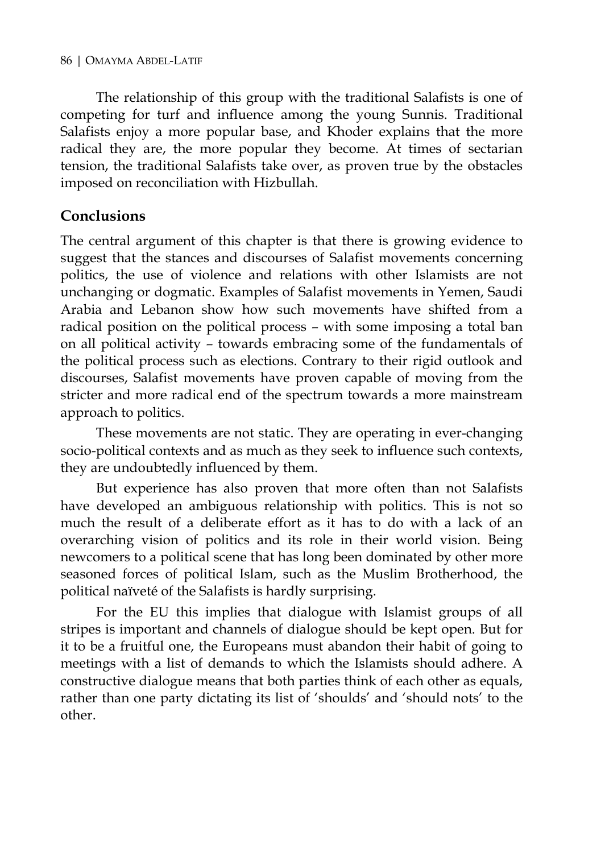The relationship of this group with the traditional Salafists is one of competing for turf and influence among the young Sunnis. Traditional Salafists enjoy a more popular base, and Khoder explains that the more radical they are, the more popular they become. At times of sectarian tension, the traditional Salafists take over, as proven true by the obstacles imposed on reconciliation with Hizbullah.

#### **Conclusions**

The central argument of this chapter is that there is growing evidence to suggest that the stances and discourses of Salafist movements concerning politics, the use of violence and relations with other Islamists are not unchanging or dogmatic. Examples of Salafist movements in Yemen, Saudi Arabia and Lebanon show how such movements have shifted from a radical position on the political process – with some imposing a total ban on all political activity – towards embracing some of the fundamentals of the political process such as elections. Contrary to their rigid outlook and discourses, Salafist movements have proven capable of moving from the stricter and more radical end of the spectrum towards a more mainstream approach to politics.

These movements are not static. They are operating in ever-changing socio-political contexts and as much as they seek to influence such contexts, they are undoubtedly influenced by them.

But experience has also proven that more often than not Salafists have developed an ambiguous relationship with politics. This is not so much the result of a deliberate effort as it has to do with a lack of an overarching vision of politics and its role in their world vision. Being newcomers to a political scene that has long been dominated by other more seasoned forces of political Islam, such as the Muslim Brotherhood, the political naïveté of the Salafists is hardly surprising.

For the EU this implies that dialogue with Islamist groups of all stripes is important and channels of dialogue should be kept open. But for it to be a fruitful one, the Europeans must abandon their habit of going to meetings with a list of demands to which the Islamists should adhere. A constructive dialogue means that both parties think of each other as equals, rather than one party dictating its list of 'shoulds' and 'should nots' to the other.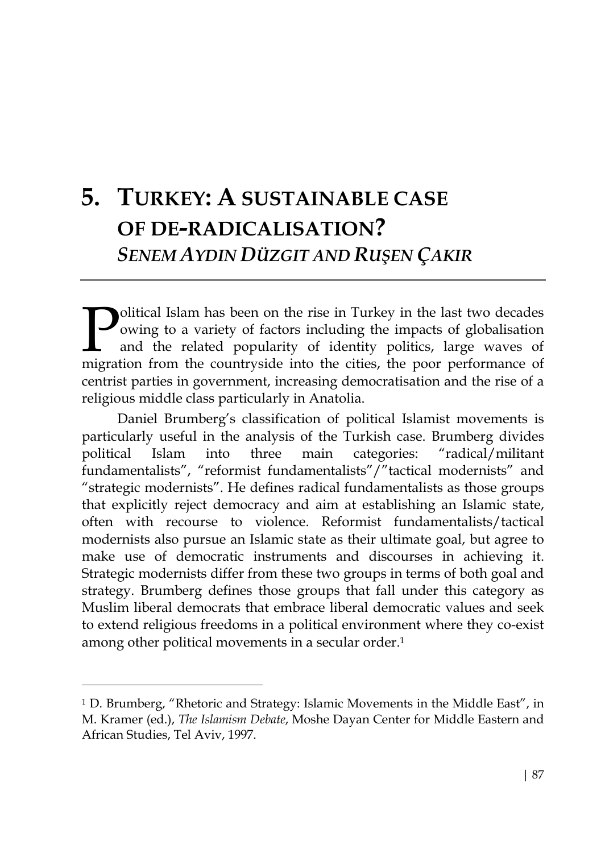# **5. TURKEY: A SUSTAINABLE CASE OF DE-RADICALISATION?**  *SENEM AYDIN DÜZGIT AND RUŞEN ÇAKIR*

olitical Islam has been on the rise in Turkey in the last two decades owing to a variety of factors including the impacts of globalisation and the related popularity of identity politics, large waves of **Molitical Islam has been on the rise in Turkey in the last two decades** owing to a variety of factors including the impacts of globalisation and the related popularity of identity politics, large waves of migration from t centrist parties in government, increasing democratisation and the rise of a religious middle class particularly in Anatolia.

Daniel Brumberg's classification of political Islamist movements is particularly useful in the analysis of the Turkish case. Brumberg divides political Islam into three main categories: "radical/militant fundamentalists", "reformist fundamentalists"/"tactical modernists" and "strategic modernists". He defines radical fundamentalists as those groups that explicitly reject democracy and aim at establishing an Islamic state, often with recourse to violence. Reformist fundamentalists/tactical modernists also pursue an Islamic state as their ultimate goal, but agree to make use of democratic instruments and discourses in achieving it. Strategic modernists differ from these two groups in terms of both goal and strategy. Brumberg defines those groups that fall under this category as Muslim liberal democrats that embrace liberal democratic values and seek to extend religious freedoms in a political environment where they co-exist among other political movements in a secular order.1

<sup>&</sup>lt;sup>1</sup> D. Brumberg, "Rhetoric and Strategy: Islamic Movements in the Middle East", in M. Kramer (ed.), *The Islamism Debate*, Moshe Dayan Center for Middle Eastern and African Studies, Tel Aviv, 1997.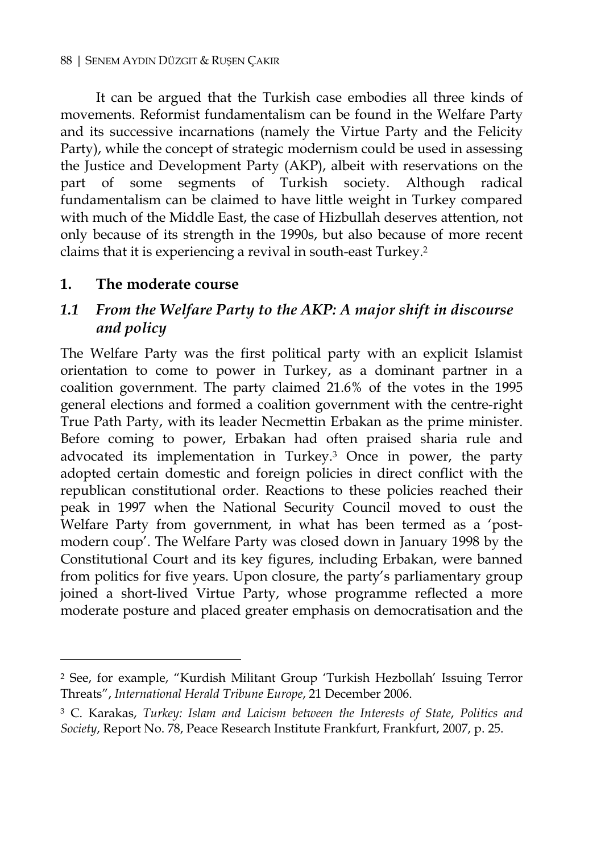It can be argued that the Turkish case embodies all three kinds of movements. Reformist fundamentalism can be found in the Welfare Party and its successive incarnations (namely the Virtue Party and the Felicity Party), while the concept of strategic modernism could be used in assessing the Justice and Development Party (AKP), albeit with reservations on the part of some segments of Turkish society. Although radical fundamentalism can be claimed to have little weight in Turkey compared with much of the Middle East, the case of Hizbullah deserves attention, not only because of its strength in the 1990s, but also because of more recent claims that it is experiencing a revival in south-east Turkey.2

#### **1. The moderate course**

 $\overline{a}$ 

#### *1.1 From the Welfare Party to the AKP: A major shift in discourse and policy*

The Welfare Party was the first political party with an explicit Islamist orientation to come to power in Turkey, as a dominant partner in a coalition government. The party claimed 21.6% of the votes in the 1995 general elections and formed a coalition government with the centre-right True Path Party, with its leader Necmettin Erbakan as the prime minister. Before coming to power, Erbakan had often praised sharia rule and advocated its implementation in Turkey.3 Once in power, the party adopted certain domestic and foreign policies in direct conflict with the republican constitutional order. Reactions to these policies reached their peak in 1997 when the National Security Council moved to oust the Welfare Party from government, in what has been termed as a 'postmodern coup'. The Welfare Party was closed down in January 1998 by the Constitutional Court and its key figures, including Erbakan, were banned from politics for five years. Upon closure, the party's parliamentary group joined a short-lived Virtue Party, whose programme reflected a more moderate posture and placed greater emphasis on democratisation and the

<sup>2</sup> See, for example, "Kurdish Militant Group 'Turkish Hezbollah' Issuing Terror Threats", *International Herald Tribune Europe*, 21 December 2006.

<sup>3</sup> C. Karakas, *Turkey: Islam and Laicism between the Interests of State*, *Politics and Society*, Report No. 78, Peace Research Institute Frankfurt, Frankfurt, 2007, p. 25.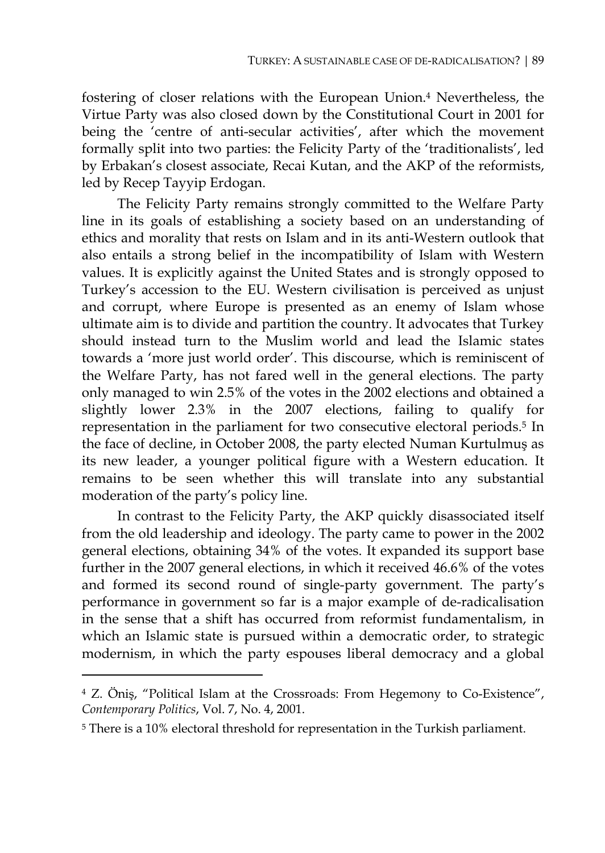fostering of closer relations with the European Union.4 Nevertheless, the Virtue Party was also closed down by the Constitutional Court in 2001 for being the 'centre of anti-secular activities', after which the movement formally split into two parties: the Felicity Party of the 'traditionalists', led by Erbakan's closest associate, Recai Kutan, and the AKP of the reformists, led by Recep Tayyip Erdogan.

The Felicity Party remains strongly committed to the Welfare Party line in its goals of establishing a society based on an understanding of ethics and morality that rests on Islam and in its anti-Western outlook that also entails a strong belief in the incompatibility of Islam with Western values. It is explicitly against the United States and is strongly opposed to Turkey's accession to the EU. Western civilisation is perceived as unjust and corrupt, where Europe is presented as an enemy of Islam whose ultimate aim is to divide and partition the country. It advocates that Turkey should instead turn to the Muslim world and lead the Islamic states towards a 'more just world order'. This discourse, which is reminiscent of the Welfare Party, has not fared well in the general elections. The party only managed to win 2.5% of the votes in the 2002 elections and obtained a slightly lower 2.3% in the 2007 elections, failing to qualify for representation in the parliament for two consecutive electoral periods.5 In the face of decline, in October 2008, the party elected Numan Kurtulmuş as its new leader, a younger political figure with a Western education. It remains to be seen whether this will translate into any substantial moderation of the party's policy line.

In contrast to the Felicity Party, the AKP quickly disassociated itself from the old leadership and ideology. The party came to power in the 2002 general elections, obtaining 34% of the votes. It expanded its support base further in the 2007 general elections, in which it received 46.6% of the votes and formed its second round of single-party government. The party's performance in government so far is a major example of de-radicalisation in the sense that a shift has occurred from reformist fundamentalism, in which an Islamic state is pursued within a democratic order, to strategic modernism, in which the party espouses liberal democracy and a global

<sup>4</sup> Z. Öniş, "Political Islam at the Crossroads: From Hegemony to Co-Existence", *Contemporary Politics*, Vol. 7, No. 4, 2001.

<sup>5</sup> There is a 10% electoral threshold for representation in the Turkish parliament.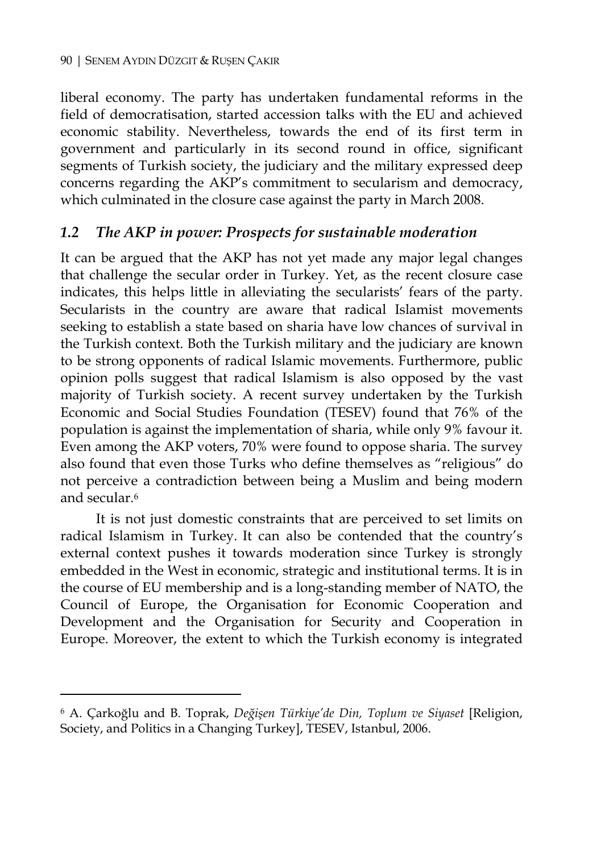liberal economy. The party has undertaken fundamental reforms in the field of democratisation, started accession talks with the EU and achieved economic stability. Nevertheless, towards the end of its first term in government and particularly in its second round in office, significant segments of Turkish society, the judiciary and the military expressed deep concerns regarding the AKP's commitment to secularism and democracy, which culminated in the closure case against the party in March 2008.

#### *1.2 The AKP in power: Prospects for sustainable moderation*

It can be argued that the AKP has not yet made any major legal changes that challenge the secular order in Turkey. Yet, as the recent closure case indicates, this helps little in alleviating the secularists' fears of the party. Secularists in the country are aware that radical Islamist movements seeking to establish a state based on sharia have low chances of survival in the Turkish context. Both the Turkish military and the judiciary are known to be strong opponents of radical Islamic movements. Furthermore, public opinion polls suggest that radical Islamism is also opposed by the vast majority of Turkish society. A recent survey undertaken by the Turkish Economic and Social Studies Foundation (TESEV) found that 76% of the population is against the implementation of sharia, while only 9% favour it. Even among the AKP voters, 70% were found to oppose sharia. The survey also found that even those Turks who define themselves as "religious" do not perceive a contradiction between being a Muslim and being modern and secular<sup>6</sup>

It is not just domestic constraints that are perceived to set limits on radical Islamism in Turkey. It can also be contended that the country's external context pushes it towards moderation since Turkey is strongly embedded in the West in economic, strategic and institutional terms. It is in the course of EU membership and is a long-standing member of NATO, the Council of Europe, the Organisation for Economic Cooperation and Development and the Organisation for Security and Cooperation in Europe. Moreover, the extent to which the Turkish economy is integrated

<sup>6</sup> A. Çarkoğlu and B. Toprak, *Değişen Türkiye'de Din, Toplum ve Siyaset* [Religion, Society, and Politics in a Changing Turkey], TESEV, Istanbul, 2006.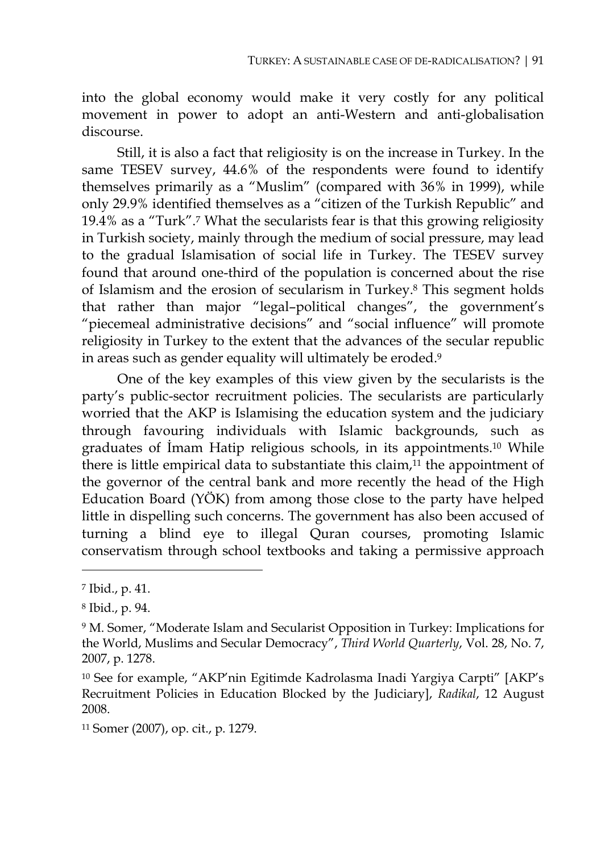into the global economy would make it very costly for any political movement in power to adopt an anti-Western and anti-globalisation discourse.

Still, it is also a fact that religiosity is on the increase in Turkey. In the same TESEV survey, 44.6% of the respondents were found to identify themselves primarily as a "Muslim" (compared with 36% in 1999), while only 29.9% identified themselves as a "citizen of the Turkish Republic" and 19.4% as a "Turk".7 What the secularists fear is that this growing religiosity in Turkish society, mainly through the medium of social pressure, may lead to the gradual Islamisation of social life in Turkey. The TESEV survey found that around one-third of the population is concerned about the rise of Islamism and the erosion of secularism in Turkey.8 This segment holds that rather than major "legal–political changes", the government's "piecemeal administrative decisions" and "social influence" will promote religiosity in Turkey to the extent that the advances of the secular republic in areas such as gender equality will ultimately be eroded.9

One of the key examples of this view given by the secularists is the party's public-sector recruitment policies. The secularists are particularly worried that the AKP is Islamising the education system and the judiciary through favouring individuals with Islamic backgrounds, such as graduates of İmam Hatip religious schools, in its appointments.10 While there is little empirical data to substantiate this claim,<sup>11</sup> the appointment of the governor of the central bank and more recently the head of the High Education Board (YÖK) from among those close to the party have helped little in dispelling such concerns. The government has also been accused of turning a blind eye to illegal Quran courses, promoting Islamic conservatism through school textbooks and taking a permissive approach

<sup>7</sup> Ibid., p. 41.

<sup>8</sup> Ibid., p. 94.

<sup>9</sup> M. Somer, "Moderate Islam and Secularist Opposition in Turkey: Implications for the World, Muslims and Secular Democracy", *Third World Quarterly*, Vol. 28, No. 7, 2007, p. 1278.

<sup>10</sup> See for example, "AKP'nin Egitimde Kadrolasma Inadi Yargiya Carpti" [AKP's Recruitment Policies in Education Blocked by the Judiciary], *Radikal*, 12 August 2008.

<sup>11</sup> Somer (2007), op. cit., p. 1279.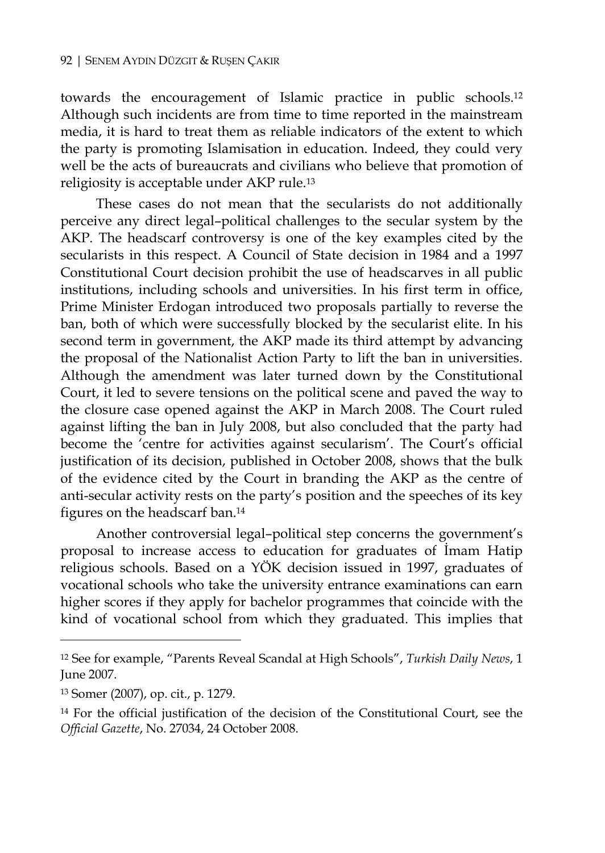towards the encouragement of Islamic practice in public schools.12 Although such incidents are from time to time reported in the mainstream media, it is hard to treat them as reliable indicators of the extent to which the party is promoting Islamisation in education. Indeed, they could very well be the acts of bureaucrats and civilians who believe that promotion of religiosity is acceptable under AKP rule.13

These cases do not mean that the secularists do not additionally perceive any direct legal–political challenges to the secular system by the AKP. The headscarf controversy is one of the key examples cited by the secularists in this respect. A Council of State decision in 1984 and a 1997 Constitutional Court decision prohibit the use of headscarves in all public institutions, including schools and universities. In his first term in office, Prime Minister Erdogan introduced two proposals partially to reverse the ban, both of which were successfully blocked by the secularist elite. In his second term in government, the AKP made its third attempt by advancing the proposal of the Nationalist Action Party to lift the ban in universities. Although the amendment was later turned down by the Constitutional Court, it led to severe tensions on the political scene and paved the way to the closure case opened against the AKP in March 2008. The Court ruled against lifting the ban in July 2008, but also concluded that the party had become the 'centre for activities against secularism'. The Court's official justification of its decision, published in October 2008, shows that the bulk of the evidence cited by the Court in branding the AKP as the centre of anti-secular activity rests on the party's position and the speeches of its key figures on the headscarf ban.14

Another controversial legal–political step concerns the government's proposal to increase access to education for graduates of İmam Hatip religious schools. Based on a YÖK decision issued in 1997, graduates of vocational schools who take the university entrance examinations can earn higher scores if they apply for bachelor programmes that coincide with the kind of vocational school from which they graduated. This implies that

<sup>12</sup> See for example, "Parents Reveal Scandal at High Schools", *Turkish Daily News*, 1 June 2007.

<sup>13</sup> Somer (2007), op. cit., p. 1279.

<sup>14</sup> For the official justification of the decision of the Constitutional Court, see the *Official Gazette*, No. 27034, 24 October 2008.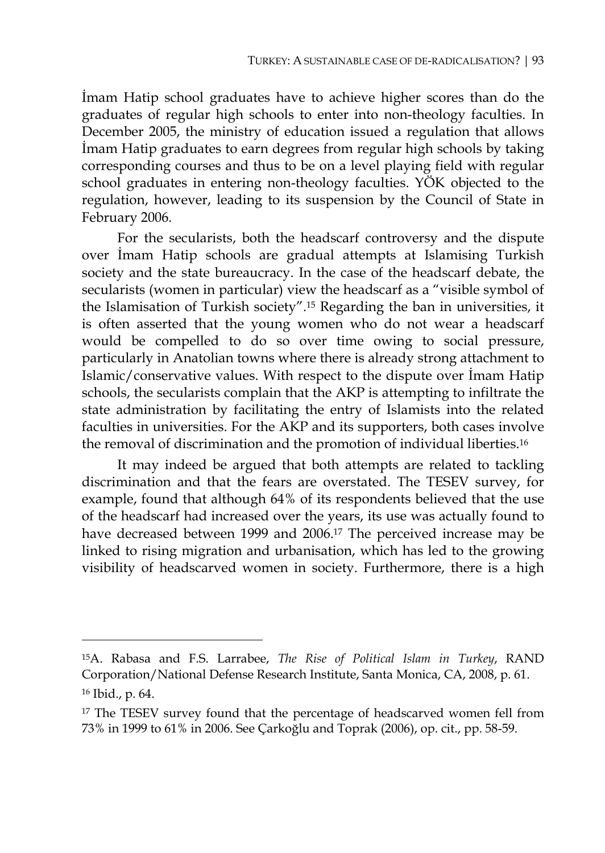İmam Hatip school graduates have to achieve higher scores than do the graduates of regular high schools to enter into non-theology faculties. In December 2005, the ministry of education issued a regulation that allows İmam Hatip graduates to earn degrees from regular high schools by taking corresponding courses and thus to be on a level playing field with regular school graduates in entering non-theology faculties. YÖK objected to the regulation, however, leading to its suspension by the Council of State in February 2006.

For the secularists, both the headscarf controversy and the dispute over İmam Hatip schools are gradual attempts at Islamising Turkish society and the state bureaucracy. In the case of the headscarf debate, the secularists (women in particular) view the headscarf as a "visible symbol of the Islamisation of Turkish society".15 Regarding the ban in universities, it is often asserted that the young women who do not wear a headscarf would be compelled to do so over time owing to social pressure, particularly in Anatolian towns where there is already strong attachment to Islamic/conservative values. With respect to the dispute over İmam Hatip schools, the secularists complain that the AKP is attempting to infiltrate the state administration by facilitating the entry of Islamists into the related faculties in universities. For the AKP and its supporters, both cases involve the removal of discrimination and the promotion of individual liberties.16

It may indeed be argued that both attempts are related to tackling discrimination and that the fears are overstated. The TESEV survey, for example, found that although 64% of its respondents believed that the use of the headscarf had increased over the years, its use was actually found to have decreased between 1999 and 2006.17 The perceived increase may be linked to rising migration and urbanisation, which has led to the growing visibility of headscarved women in society. Furthermore, there is a high

<sup>15</sup>A. Rabasa and F.S. Larrabee, *The Rise of Political Islam in Turkey*, RAND Corporation/National Defense Research Institute, Santa Monica, CA, 2008, p. 61. 16 Ibid., p. 64.

<sup>&</sup>lt;sup>17</sup> The TESEV survey found that the percentage of headscarved women fell from 73% in 1999 to 61% in 2006. See Çarkoğlu and Toprak (2006), op. cit., pp. 58-59.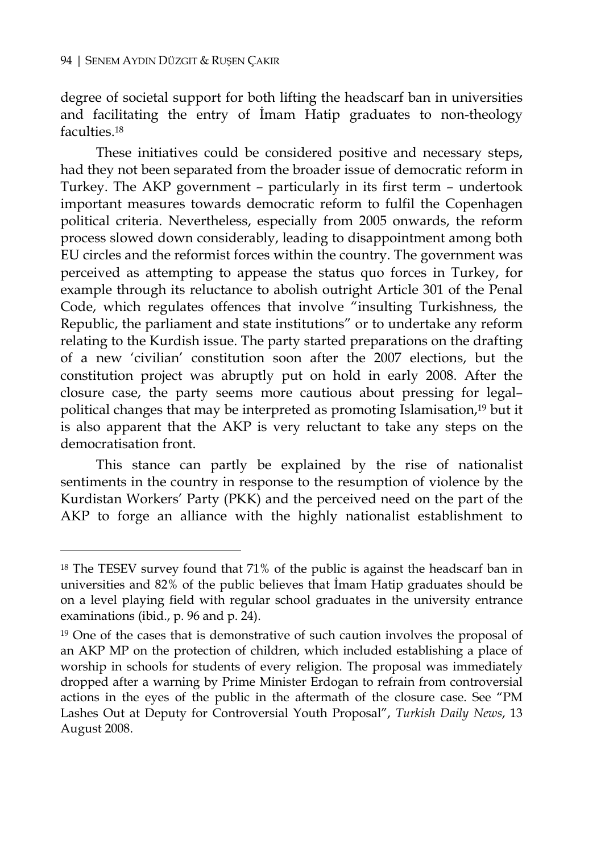$\overline{a}$ 

degree of societal support for both lifting the headscarf ban in universities and facilitating the entry of İmam Hatip graduates to non-theology faculties.18

These initiatives could be considered positive and necessary steps, had they not been separated from the broader issue of democratic reform in Turkey. The AKP government – particularly in its first term – undertook important measures towards democratic reform to fulfil the Copenhagen political criteria. Nevertheless, especially from 2005 onwards, the reform process slowed down considerably, leading to disappointment among both EU circles and the reformist forces within the country. The government was perceived as attempting to appease the status quo forces in Turkey, for example through its reluctance to abolish outright Article 301 of the Penal Code, which regulates offences that involve "insulting Turkishness, the Republic, the parliament and state institutions" or to undertake any reform relating to the Kurdish issue. The party started preparations on the drafting of a new 'civilian' constitution soon after the 2007 elections, but the constitution project was abruptly put on hold in early 2008. After the closure case, the party seems more cautious about pressing for legal– political changes that may be interpreted as promoting Islamisation,19 but it is also apparent that the AKP is very reluctant to take any steps on the democratisation front.

This stance can partly be explained by the rise of nationalist sentiments in the country in response to the resumption of violence by the Kurdistan Workers' Party (PKK) and the perceived need on the part of the AKP to forge an alliance with the highly nationalist establishment to

<sup>&</sup>lt;sup>18</sup> The TESEV survey found that 71% of the public is against the headscarf ban in universities and 82% of the public believes that İmam Hatip graduates should be on a level playing field with regular school graduates in the university entrance examinations (ibid., p. 96 and p. 24).

<sup>&</sup>lt;sup>19</sup> One of the cases that is demonstrative of such caution involves the proposal of an AKP MP on the protection of children, which included establishing a place of worship in schools for students of every religion. The proposal was immediately dropped after a warning by Prime Minister Erdogan to refrain from controversial actions in the eyes of the public in the aftermath of the closure case. See "PM Lashes Out at Deputy for Controversial Youth Proposal", *Turkish Daily News*, 13 August 2008.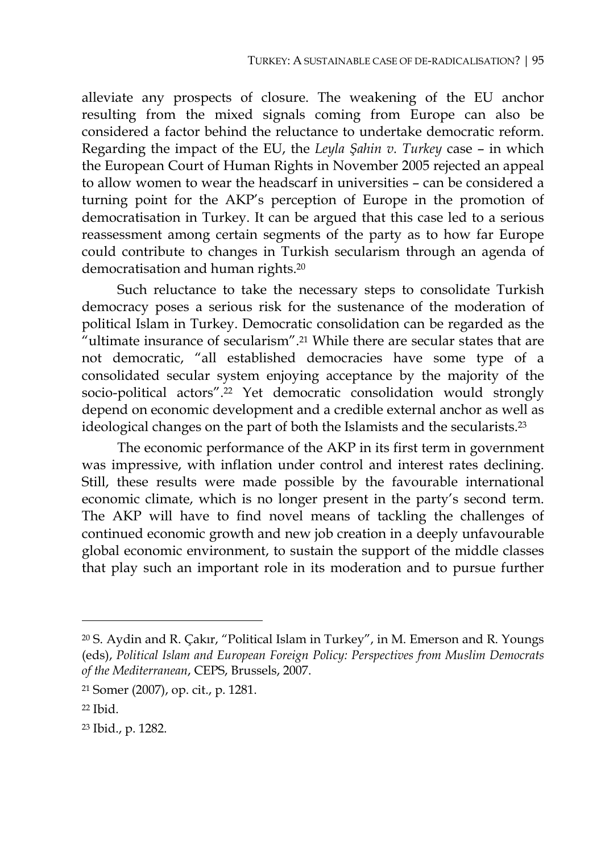alleviate any prospects of closure. The weakening of the EU anchor resulting from the mixed signals coming from Europe can also be considered a factor behind the reluctance to undertake democratic reform. Regarding the impact of the EU, the *Leyla Şahin v. Turkey* case – in which the European Court of Human Rights in November 2005 rejected an appeal to allow women to wear the headscarf in universities – can be considered a turning point for the AKP's perception of Europe in the promotion of democratisation in Turkey. It can be argued that this case led to a serious reassessment among certain segments of the party as to how far Europe could contribute to changes in Turkish secularism through an agenda of democratisation and human rights.20

Such reluctance to take the necessary steps to consolidate Turkish democracy poses a serious risk for the sustenance of the moderation of political Islam in Turkey. Democratic consolidation can be regarded as the "ultimate insurance of secularism".<sup>21</sup> While there are secular states that are not democratic, "all established democracies have some type of a consolidated secular system enjoying acceptance by the majority of the socio-political actors".22 Yet democratic consolidation would strongly depend on economic development and a credible external anchor as well as ideological changes on the part of both the Islamists and the secularists.23

The economic performance of the AKP in its first term in government was impressive, with inflation under control and interest rates declining. Still, these results were made possible by the favourable international economic climate, which is no longer present in the party's second term. The AKP will have to find novel means of tackling the challenges of continued economic growth and new job creation in a deeply unfavourable global economic environment, to sustain the support of the middle classes that play such an important role in its moderation and to pursue further

<sup>20</sup> S. Aydin and R. Çakır, "Political Islam in Turkey", in M. Emerson and R. Youngs (eds), *Political Islam and European Foreign Policy: Perspectives from Muslim Democrats of the Mediterranean*, CEPS, Brussels, 2007.

<sup>21</sup> Somer (2007), op. cit., p. 1281.

<sup>22</sup> Ibid.

<sup>23</sup> Ibid., p. 1282.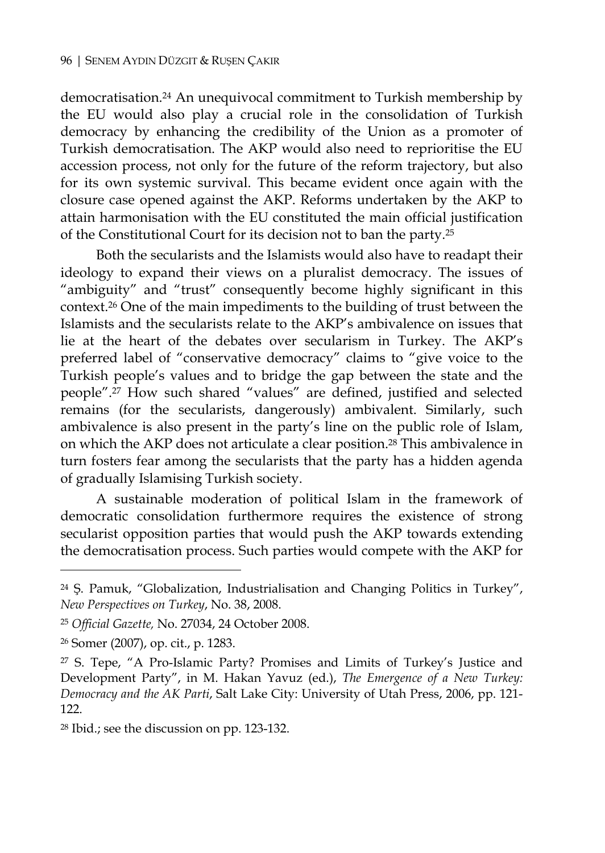democratisation.24 An unequivocal commitment to Turkish membership by the EU would also play a crucial role in the consolidation of Turkish democracy by enhancing the credibility of the Union as a promoter of Turkish democratisation. The AKP would also need to reprioritise the EU accession process, not only for the future of the reform trajectory, but also for its own systemic survival. This became evident once again with the closure case opened against the AKP. Reforms undertaken by the AKP to attain harmonisation with the EU constituted the main official justification of the Constitutional Court for its decision not to ban the party.25

Both the secularists and the Islamists would also have to readapt their ideology to expand their views on a pluralist democracy. The issues of "ambiguity" and "trust" consequently become highly significant in this context.26 One of the main impediments to the building of trust between the Islamists and the secularists relate to the AKP's ambivalence on issues that lie at the heart of the debates over secularism in Turkey. The AKP's preferred label of "conservative democracy" claims to "give voice to the Turkish people's values and to bridge the gap between the state and the people".27 How such shared "values" are defined, justified and selected remains (for the secularists, dangerously) ambivalent. Similarly, such ambivalence is also present in the party's line on the public role of Islam, on which the AKP does not articulate a clear position.28 This ambivalence in turn fosters fear among the secularists that the party has a hidden agenda of gradually Islamising Turkish society.

A sustainable moderation of political Islam in the framework of democratic consolidation furthermore requires the existence of strong secularist opposition parties that would push the AKP towards extending the democratisation process. Such parties would compete with the AKP for

<sup>24</sup> Ş. Pamuk, "Globalization, Industrialisation and Changing Politics in Turkey", *New Perspectives on Turkey*, No. 38, 2008.

<sup>25</sup> *Official Gazette,* No. 27034, 24 October 2008.

<sup>26</sup> Somer (2007), op. cit., p. 1283.

<sup>27</sup> S. Tepe, "A Pro-Islamic Party? Promises and Limits of Turkey's Justice and Development Party", in M. Hakan Yavuz (ed.), *The Emergence of a New Turkey: Democracy and the AK Parti*, Salt Lake City: University of Utah Press, 2006, pp. 121- 122.

<sup>28</sup> Ibid.; see the discussion on pp. 123-132.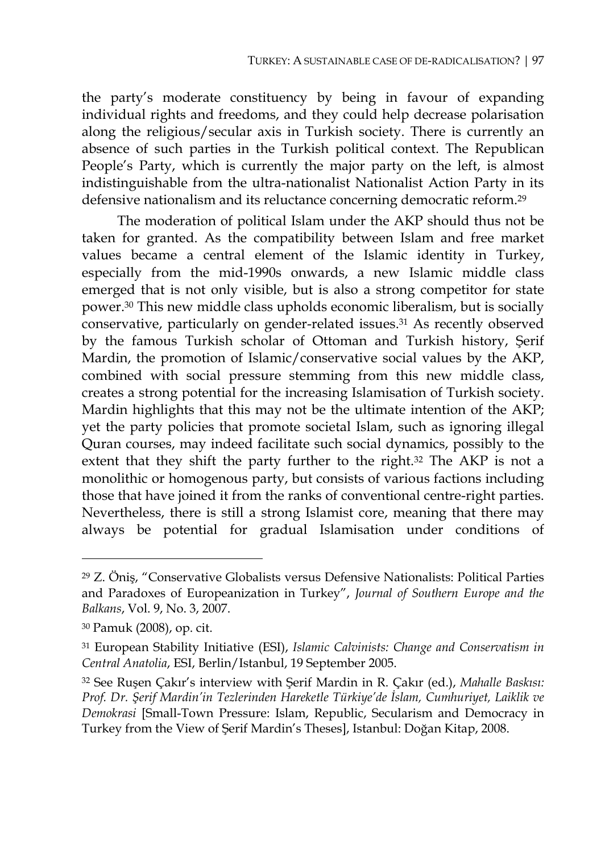the party's moderate constituency by being in favour of expanding individual rights and freedoms, and they could help decrease polarisation along the religious/secular axis in Turkish society. There is currently an absence of such parties in the Turkish political context. The Republican People's Party, which is currently the major party on the left, is almost indistinguishable from the ultra-nationalist Nationalist Action Party in its defensive nationalism and its reluctance concerning democratic reform.29

The moderation of political Islam under the AKP should thus not be taken for granted. As the compatibility between Islam and free market values became a central element of the Islamic identity in Turkey, especially from the mid-1990s onwards, a new Islamic middle class emerged that is not only visible, but is also a strong competitor for state power.30 This new middle class upholds economic liberalism, but is socially conservative, particularly on gender-related issues.31 As recently observed by the famous Turkish scholar of Ottoman and Turkish history, Şerif Mardin, the promotion of Islamic/conservative social values by the AKP, combined with social pressure stemming from this new middle class, creates a strong potential for the increasing Islamisation of Turkish society. Mardin highlights that this may not be the ultimate intention of the AKP; yet the party policies that promote societal Islam, such as ignoring illegal Quran courses, may indeed facilitate such social dynamics, possibly to the extent that they shift the party further to the right.32 The AKP is not a monolithic or homogenous party, but consists of various factions including those that have joined it from the ranks of conventional centre-right parties. Nevertheless, there is still a strong Islamist core, meaning that there may always be potential for gradual Islamisation under conditions of

<sup>29</sup> Z. Öniş, "Conservative Globalists versus Defensive Nationalists: Political Parties and Paradoxes of Europeanization in Turkey", *Journal of Southern Europe and the Balkans*, Vol. 9, No. 3, 2007.

<sup>30</sup> Pamuk (2008), op. cit.

<sup>31</sup> European Stability Initiative (ESI), *Islamic Calvinists: Change and Conservatism in Central Anatolia*, ESI, Berlin/Istanbul, 19 September 2005.

<sup>32</sup> See Ruşen Çakır's interview with Şerif Mardin in R. Çakır (ed.), *Mahalle Baskısı: Prof. Dr. Şerif Mardin'in Tezlerinden Hareketle Türkiye'de İslam, Cumhuriyet, Laiklik ve Demokrasi* [Small-Town Pressure: Islam, Republic, Secularism and Democracy in Turkey from the View of Şerif Mardin's Theses], Istanbul: Doğan Kitap, 2008.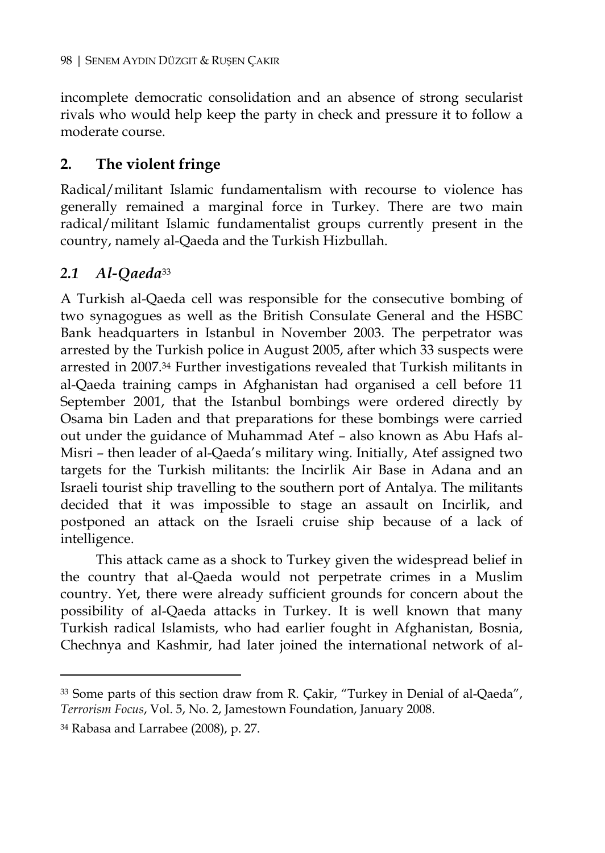incomplete democratic consolidation and an absence of strong secularist rivals who would help keep the party in check and pressure it to follow a moderate course.

#### **2. The violent fringe**

Radical/militant Islamic fundamentalism with recourse to violence has generally remained a marginal force in Turkey. There are two main radical/militant Islamic fundamentalist groups currently present in the country, namely al-Qaeda and the Turkish Hizbullah.

## *2.1 Al-Qaeda*<sup>33</sup>

A Turkish al-Qaeda cell was responsible for the consecutive bombing of two synagogues as well as the British Consulate General and the HSBC Bank headquarters in Istanbul in November 2003. The perpetrator was arrested by the Turkish police in August 2005, after which 33 suspects were arrested in 2007.34 Further investigations revealed that Turkish militants in al-Qaeda training camps in Afghanistan had organised a cell before 11 September 2001, that the Istanbul bombings were ordered directly by Osama bin Laden and that preparations for these bombings were carried out under the guidance of Muhammad Atef – also known as Abu Hafs al-Misri – then leader of al-Qaeda's military wing. Initially, Atef assigned two targets for the Turkish militants: the Incirlik Air Base in Adana and an Israeli tourist ship travelling to the southern port of Antalya. The militants decided that it was impossible to stage an assault on Incirlik, and postponed an attack on the Israeli cruise ship because of a lack of intelligence.

This attack came as a shock to Turkey given the widespread belief in the country that al-Qaeda would not perpetrate crimes in a Muslim country. Yet, there were already sufficient grounds for concern about the possibility of al-Qaeda attacks in Turkey. It is well known that many Turkish radical Islamists, who had earlier fought in Afghanistan, Bosnia, Chechnya and Kashmir, had later joined the international network of al-

<sup>33</sup> Some parts of this section draw from R. Çakir, "Turkey in Denial of al-Qaeda", *Terrorism Focus*, Vol. 5, No. 2, Jamestown Foundation, January 2008.

<sup>34</sup> Rabasa and Larrabee (2008), p. 27.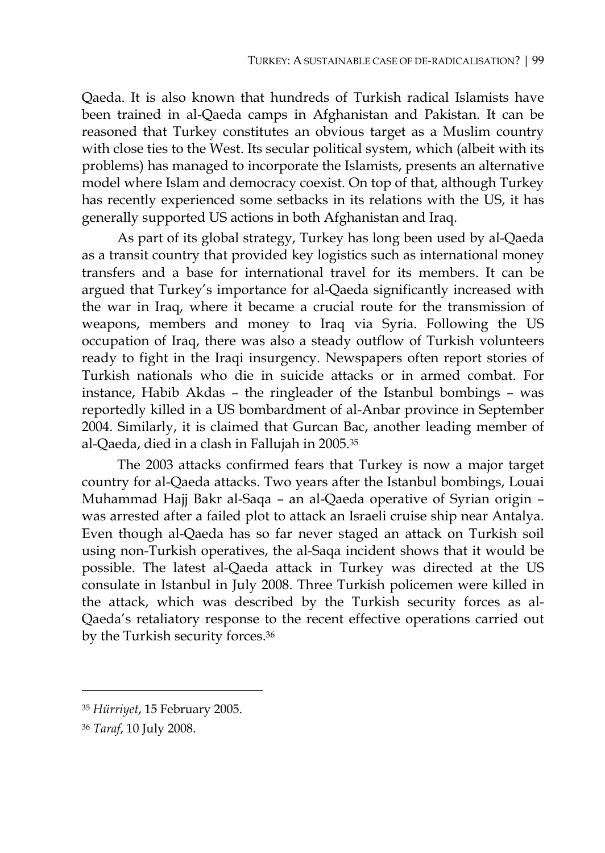Qaeda. It is also known that hundreds of Turkish radical Islamists have been trained in al-Qaeda camps in Afghanistan and Pakistan. It can be reasoned that Turkey constitutes an obvious target as a Muslim country with close ties to the West. Its secular political system, which (albeit with its problems) has managed to incorporate the Islamists, presents an alternative model where Islam and democracy coexist. On top of that, although Turkey has recently experienced some setbacks in its relations with the US, it has generally supported US actions in both Afghanistan and Iraq.

As part of its global strategy, Turkey has long been used by al-Qaeda as a transit country that provided key logistics such as international money transfers and a base for international travel for its members. It can be argued that Turkey's importance for al-Qaeda significantly increased with the war in Iraq, where it became a crucial route for the transmission of weapons, members and money to Iraq via Syria. Following the US occupation of Iraq, there was also a steady outflow of Turkish volunteers ready to fight in the Iraqi insurgency. Newspapers often report stories of Turkish nationals who die in suicide attacks or in armed combat. For instance, Habib Akdas – the ringleader of the Istanbul bombings – was reportedly killed in a US bombardment of al-Anbar province in September 2004. Similarly, it is claimed that Gurcan Bac, another leading member of al-Qaeda, died in a clash in Fallujah in 2005.35

The 2003 attacks confirmed fears that Turkey is now a major target country for al-Qaeda attacks. Two years after the Istanbul bombings, Louai Muhammad Hajj Bakr al-Saqa – an al-Qaeda operative of Syrian origin – was arrested after a failed plot to attack an Israeli cruise ship near Antalya. Even though al-Qaeda has so far never staged an attack on Turkish soil using non-Turkish operatives, the al-Saqa incident shows that it would be possible. The latest al-Qaeda attack in Turkey was directed at the US consulate in Istanbul in July 2008. Three Turkish policemen were killed in the attack, which was described by the Turkish security forces as al-Qaeda's retaliatory response to the recent effective operations carried out by the Turkish security forces.36

<sup>35</sup> *Hürriyet*, 15 February 2005.

<sup>36</sup> *Taraf*, 10 July 2008.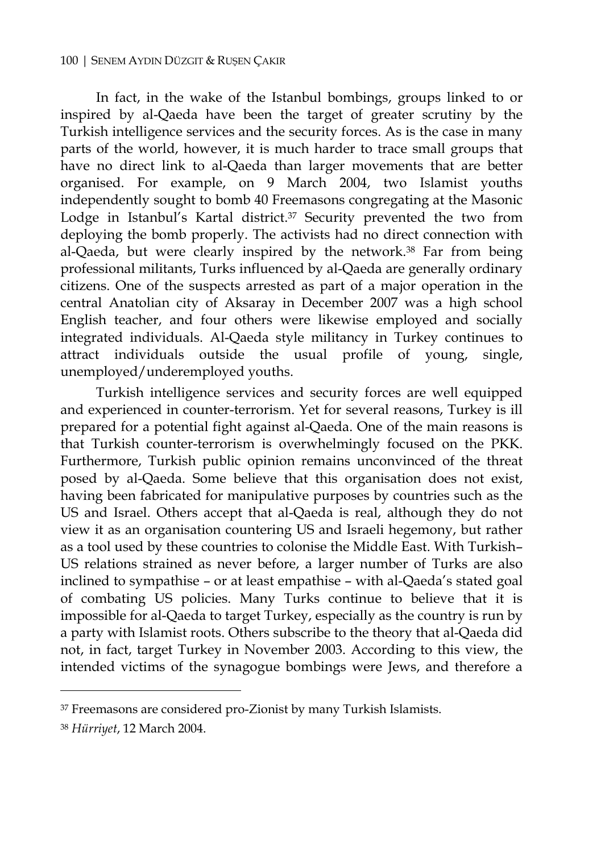In fact, in the wake of the Istanbul bombings, groups linked to or inspired by al-Qaeda have been the target of greater scrutiny by the Turkish intelligence services and the security forces. As is the case in many parts of the world, however, it is much harder to trace small groups that have no direct link to al-Qaeda than larger movements that are better organised. For example, on 9 March 2004, two Islamist youths independently sought to bomb 40 Freemasons congregating at the Masonic Lodge in Istanbul's Kartal district.<sup>37</sup> Security prevented the two from deploying the bomb properly. The activists had no direct connection with al-Qaeda, but were clearly inspired by the network.38 Far from being professional militants, Turks influenced by al-Qaeda are generally ordinary citizens. One of the suspects arrested as part of a major operation in the central Anatolian city of Aksaray in December 2007 was a high school English teacher, and four others were likewise employed and socially integrated individuals. Al-Qaeda style militancy in Turkey continues to attract individuals outside the usual profile of young, single, unemployed/underemployed youths.

Turkish intelligence services and security forces are well equipped and experienced in counter-terrorism. Yet for several reasons, Turkey is ill prepared for a potential fight against al-Qaeda. One of the main reasons is that Turkish counter-terrorism is overwhelmingly focused on the PKK. Furthermore, Turkish public opinion remains unconvinced of the threat posed by al-Qaeda. Some believe that this organisation does not exist, having been fabricated for manipulative purposes by countries such as the US and Israel. Others accept that al-Qaeda is real, although they do not view it as an organisation countering US and Israeli hegemony, but rather as a tool used by these countries to colonise the Middle East. With Turkish– US relations strained as never before, a larger number of Turks are also inclined to sympathise – or at least empathise – with al-Qaeda's stated goal of combating US policies. Many Turks continue to believe that it is impossible for al-Qaeda to target Turkey, especially as the country is run by a party with Islamist roots. Others subscribe to the theory that al-Qaeda did not, in fact, target Turkey in November 2003. According to this view, the intended victims of the synagogue bombings were Jews, and therefore a

38 *Hürriyet*, 12 March 2004.

<sup>37</sup> Freemasons are considered pro-Zionist by many Turkish Islamists.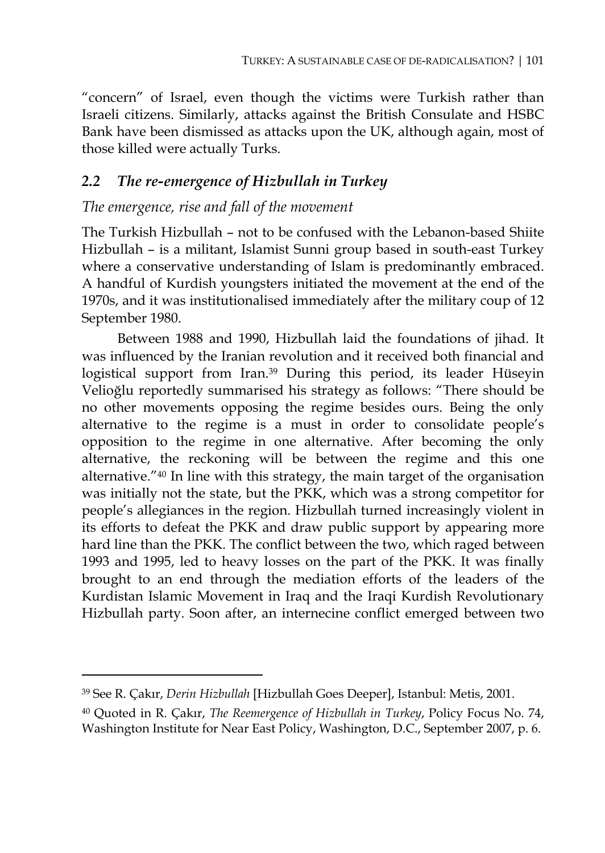"concern" of Israel, even though the victims were Turkish rather than Israeli citizens. Similarly, attacks against the British Consulate and HSBC Bank have been dismissed as attacks upon the UK, although again, most of those killed were actually Turks.

#### *2.2 The re-emergence of Hizbullah in Turkey*

#### *The emergence, rise and fall of the movement*

The Turkish Hizbullah – not to be confused with the Lebanon-based Shiite Hizbullah – is a militant, Islamist Sunni group based in south-east Turkey where a conservative understanding of Islam is predominantly embraced. A handful of Kurdish youngsters initiated the movement at the end of the 1970s, and it was institutionalised immediately after the military coup of 12 September 1980.

Between 1988 and 1990, Hizbullah laid the foundations of jihad. It was influenced by the Iranian revolution and it received both financial and logistical support from Iran.39 During this period, its leader Hüseyin Velioğlu reportedly summarised his strategy as follows: "There should be no other movements opposing the regime besides ours. Being the only alternative to the regime is a must in order to consolidate people's opposition to the regime in one alternative. After becoming the only alternative, the reckoning will be between the regime and this one alternative."40 In line with this strategy, the main target of the organisation was initially not the state, but the PKK, which was a strong competitor for people's allegiances in the region. Hizbullah turned increasingly violent in its efforts to defeat the PKK and draw public support by appearing more hard line than the PKK. The conflict between the two, which raged between 1993 and 1995, led to heavy losses on the part of the PKK. It was finally brought to an end through the mediation efforts of the leaders of the Kurdistan Islamic Movement in Iraq and the Iraqi Kurdish Revolutionary Hizbullah party. Soon after, an internecine conflict emerged between two

<sup>39</sup> See R. Çakır, *Derin Hizbullah* [Hizbullah Goes Deeper], Istanbul: Metis, 2001.

<sup>40</sup> Quoted in R. Çakır, *The Reemergence of Hizbullah in Turkey*, Policy Focus No. 74, Washington Institute for Near East Policy, Washington, D.C., September 2007, p. 6.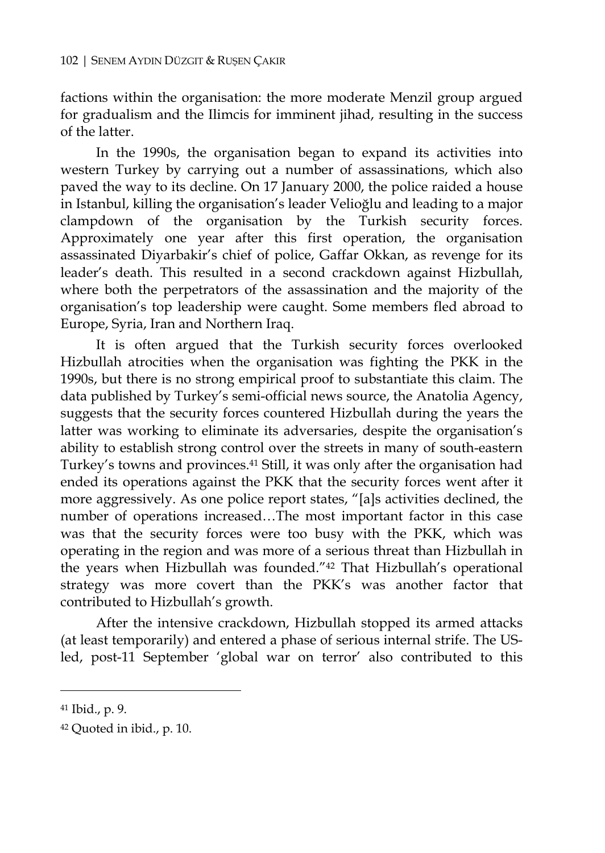factions within the organisation: the more moderate Menzil group argued for gradualism and the Ilimcis for imminent jihad, resulting in the success of the latter.

In the 1990s, the organisation began to expand its activities into western Turkey by carrying out a number of assassinations, which also paved the way to its decline. On 17 January 2000, the police raided a house in Istanbul, killing the organisation's leader Velioğlu and leading to a major clampdown of the organisation by the Turkish security forces. Approximately one year after this first operation, the organisation assassinated Diyarbakir's chief of police, Gaffar Okkan, as revenge for its leader's death. This resulted in a second crackdown against Hizbullah, where both the perpetrators of the assassination and the majority of the organisation's top leadership were caught. Some members fled abroad to Europe, Syria, Iran and Northern Iraq.

It is often argued that the Turkish security forces overlooked Hizbullah atrocities when the organisation was fighting the PKK in the 1990s, but there is no strong empirical proof to substantiate this claim. The data published by Turkey's semi-official news source, the Anatolia Agency, suggests that the security forces countered Hizbullah during the years the latter was working to eliminate its adversaries, despite the organisation's ability to establish strong control over the streets in many of south-eastern Turkey's towns and provinces.41 Still, it was only after the organisation had ended its operations against the PKK that the security forces went after it more aggressively. As one police report states, "[a]s activities declined, the number of operations increased…The most important factor in this case was that the security forces were too busy with the PKK, which was operating in the region and was more of a serious threat than Hizbullah in the years when Hizbullah was founded."42 That Hizbullah's operational strategy was more covert than the PKK's was another factor that contributed to Hizbullah's growth.

After the intensive crackdown, Hizbullah stopped its armed attacks (at least temporarily) and entered a phase of serious internal strife. The USled, post-11 September 'global war on terror' also contributed to this

<sup>41</sup> Ibid., p. 9.

<sup>42</sup> Quoted in ibid., p. 10.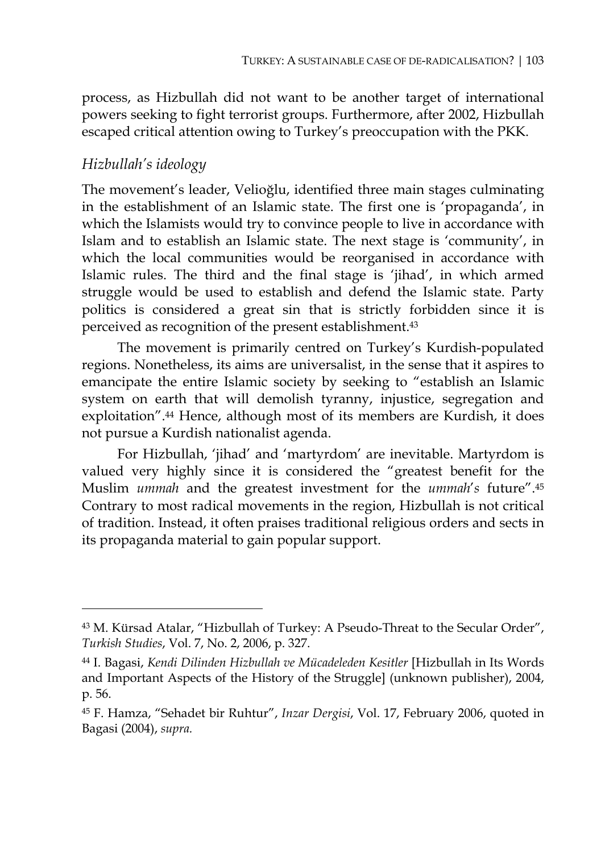process, as Hizbullah did not want to be another target of international powers seeking to fight terrorist groups. Furthermore, after 2002, Hizbullah escaped critical attention owing to Turkey's preoccupation with the PKK.

#### *Hizbullah's ideology*

 $\overline{a}$ 

The movement's leader, Velioğlu, identified three main stages culminating in the establishment of an Islamic state. The first one is 'propaganda', in which the Islamists would try to convince people to live in accordance with Islam and to establish an Islamic state. The next stage is 'community', in which the local communities would be reorganised in accordance with Islamic rules. The third and the final stage is 'jihad', in which armed struggle would be used to establish and defend the Islamic state. Party politics is considered a great sin that is strictly forbidden since it is perceived as recognition of the present establishment.43

The movement is primarily centred on Turkey's Kurdish-populated regions. Nonetheless, its aims are universalist, in the sense that it aspires to emancipate the entire Islamic society by seeking to "establish an Islamic system on earth that will demolish tyranny, injustice, segregation and exploitation".44 Hence, although most of its members are Kurdish, it does not pursue a Kurdish nationalist agenda.

For Hizbullah, 'jihad' and 'martyrdom' are inevitable. Martyrdom is valued very highly since it is considered the "greatest benefit for the Muslim *ummah* and the greatest investment for the *ummah*'*s* future".45 Contrary to most radical movements in the region, Hizbullah is not critical of tradition. Instead, it often praises traditional religious orders and sects in its propaganda material to gain popular support.

<sup>43</sup> M. Kürsad Atalar, "Hizbullah of Turkey: A Pseudo-Threat to the Secular Order", *Turkish Studies*, Vol. 7, No. 2, 2006, p. 327.

<sup>44</sup> I. Bagasi, *Kendi Dilinden Hizbullah ve Mücadeleden Kesitler* [Hizbullah in Its Words and Important Aspects of the History of the Struggle] (unknown publisher), 2004, p. 56.

<sup>45</sup> F. Hamza, "Sehadet bir Ruhtur", *Inzar Dergisi*, Vol. 17, February 2006, quoted in Bagasi (2004), *supra.*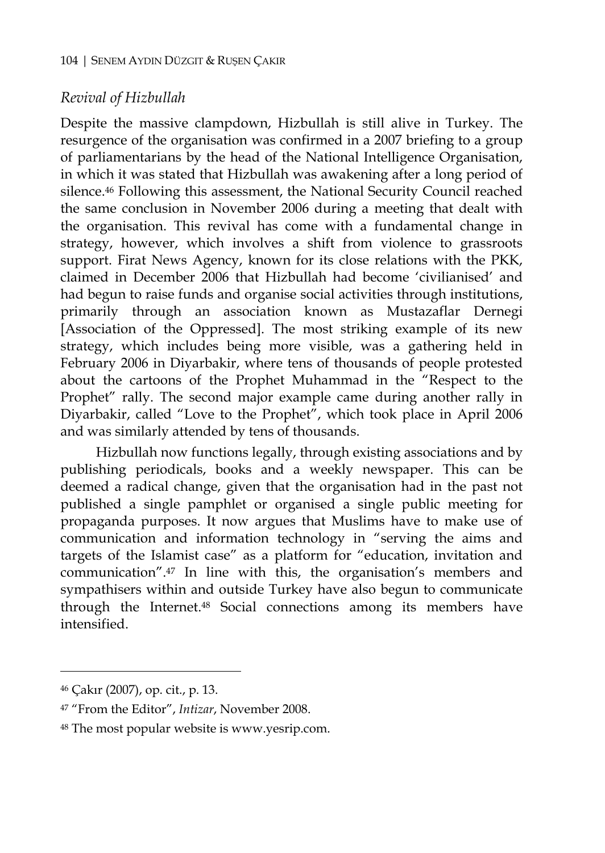## *Revival of Hizbullah*

Despite the massive clampdown, Hizbullah is still alive in Turkey. The resurgence of the organisation was confirmed in a 2007 briefing to a group of parliamentarians by the head of the National Intelligence Organisation, in which it was stated that Hizbullah was awakening after a long period of silence.46 Following this assessment, the National Security Council reached the same conclusion in November 2006 during a meeting that dealt with the organisation. This revival has come with a fundamental change in strategy, however, which involves a shift from violence to grassroots support. Firat News Agency, known for its close relations with the PKK, claimed in December 2006 that Hizbullah had become 'civilianised' and had begun to raise funds and organise social activities through institutions, primarily through an association known as Mustazaflar Dernegi [Association of the Oppressed]. The most striking example of its new strategy, which includes being more visible, was a gathering held in February 2006 in Diyarbakir, where tens of thousands of people protested about the cartoons of the Prophet Muhammad in the "Respect to the Prophet" rally. The second major example came during another rally in Diyarbakir, called "Love to the Prophet", which took place in April 2006 and was similarly attended by tens of thousands.

Hizbullah now functions legally, through existing associations and by publishing periodicals, books and a weekly newspaper. This can be deemed a radical change, given that the organisation had in the past not published a single pamphlet or organised a single public meeting for propaganda purposes. It now argues that Muslims have to make use of communication and information technology in "serving the aims and targets of the Islamist case" as a platform for "education, invitation and communication".47 In line with this, the organisation's members and sympathisers within and outside Turkey have also begun to communicate through the Internet.48 Social connections among its members have intensified.

 $\ddot{\phantom{a}}$ 

<sup>46</sup> Çakır (2007), op. cit., p. 13.

<sup>47 &</sup>quot;From the Editor", *Intizar*, November 2008.

<sup>48</sup> The most popular website is www.yesrip.com.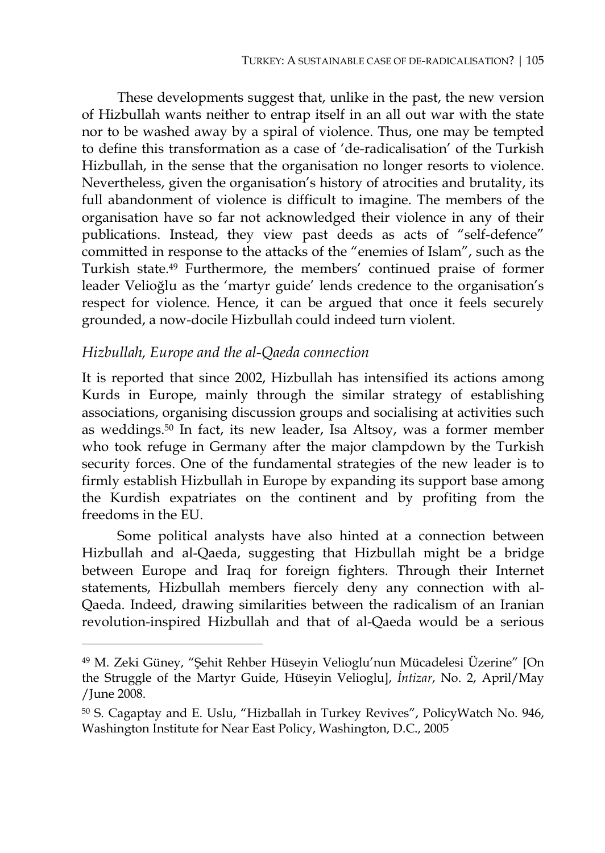These developments suggest that, unlike in the past, the new version of Hizbullah wants neither to entrap itself in an all out war with the state nor to be washed away by a spiral of violence. Thus, one may be tempted to define this transformation as a case of 'de-radicalisation' of the Turkish Hizbullah, in the sense that the organisation no longer resorts to violence. Nevertheless, given the organisation's history of atrocities and brutality, its full abandonment of violence is difficult to imagine. The members of the organisation have so far not acknowledged their violence in any of their publications. Instead, they view past deeds as acts of "self-defence" committed in response to the attacks of the "enemies of Islam", such as the Turkish state.49 Furthermore, the members' continued praise of former leader Velioğlu as the 'martyr guide' lends credence to the organisation's respect for violence. Hence, it can be argued that once it feels securely grounded, a now-docile Hizbullah could indeed turn violent.

#### *Hizbullah, Europe and the al-Qaeda connection*

 $\overline{a}$ 

It is reported that since 2002, Hizbullah has intensified its actions among Kurds in Europe, mainly through the similar strategy of establishing associations, organising discussion groups and socialising at activities such as weddings.50 In fact, its new leader, Isa Altsoy, was a former member who took refuge in Germany after the major clampdown by the Turkish security forces. One of the fundamental strategies of the new leader is to firmly establish Hizbullah in Europe by expanding its support base among the Kurdish expatriates on the continent and by profiting from the freedoms in the EU.

Some political analysts have also hinted at a connection between Hizbullah and al-Qaeda, suggesting that Hizbullah might be a bridge between Europe and Iraq for foreign fighters. Through their Internet statements, Hizbullah members fiercely deny any connection with al-Qaeda. Indeed, drawing similarities between the radicalism of an Iranian revolution-inspired Hizbullah and that of al-Qaeda would be a serious

<sup>49</sup> M. Zeki Güney, "Şehit Rehber Hüseyin Velioglu'nun Mücadelesi Üzerine" [On the Struggle of the Martyr Guide, Hüseyin Velioglu], *İntizar*, No. 2, April/May /June 2008.

<sup>50</sup> S. Cagaptay and E. Uslu, "Hizballah in Turkey Revives", PolicyWatch No. 946, Washington Institute for Near East Policy, Washington, D.C., 2005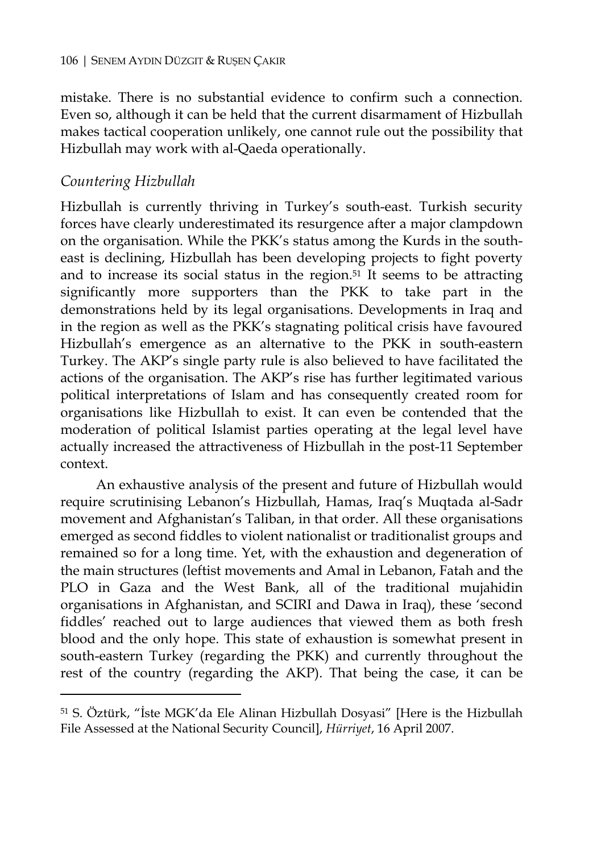mistake. There is no substantial evidence to confirm such a connection. Even so, although it can be held that the current disarmament of Hizbullah makes tactical cooperation unlikely, one cannot rule out the possibility that Hizbullah may work with al-Qaeda operationally.

# *Countering Hizbullah*

 $\overline{a}$ 

Hizbullah is currently thriving in Turkey's south-east. Turkish security forces have clearly underestimated its resurgence after a major clampdown on the organisation. While the PKK's status among the Kurds in the southeast is declining, Hizbullah has been developing projects to fight poverty and to increase its social status in the region.51 It seems to be attracting significantly more supporters than the PKK to take part in the demonstrations held by its legal organisations. Developments in Iraq and in the region as well as the PKK's stagnating political crisis have favoured Hizbullah's emergence as an alternative to the PKK in south-eastern Turkey. The AKP's single party rule is also believed to have facilitated the actions of the organisation. The AKP's rise has further legitimated various political interpretations of Islam and has consequently created room for organisations like Hizbullah to exist. It can even be contended that the moderation of political Islamist parties operating at the legal level have actually increased the attractiveness of Hizbullah in the post-11 September context.

An exhaustive analysis of the present and future of Hizbullah would require scrutinising Lebanon's Hizbullah, Hamas, Iraq's Muqtada al-Sadr movement and Afghanistan's Taliban, in that order. All these organisations emerged as second fiddles to violent nationalist or traditionalist groups and remained so for a long time. Yet, with the exhaustion and degeneration of the main structures (leftist movements and Amal in Lebanon, Fatah and the PLO in Gaza and the West Bank, all of the traditional mujahidin organisations in Afghanistan, and SCIRI and Dawa in Iraq), these 'second fiddles' reached out to large audiences that viewed them as both fresh blood and the only hope. This state of exhaustion is somewhat present in south-eastern Turkey (regarding the PKK) and currently throughout the rest of the country (regarding the AKP). That being the case, it can be

<sup>51</sup> S. Öztürk, "İste MGK'da Ele Alinan Hizbullah Dosyasi" [Here is the Hizbullah File Assessed at the National Security Council], *Hürriyet*, 16 April 2007.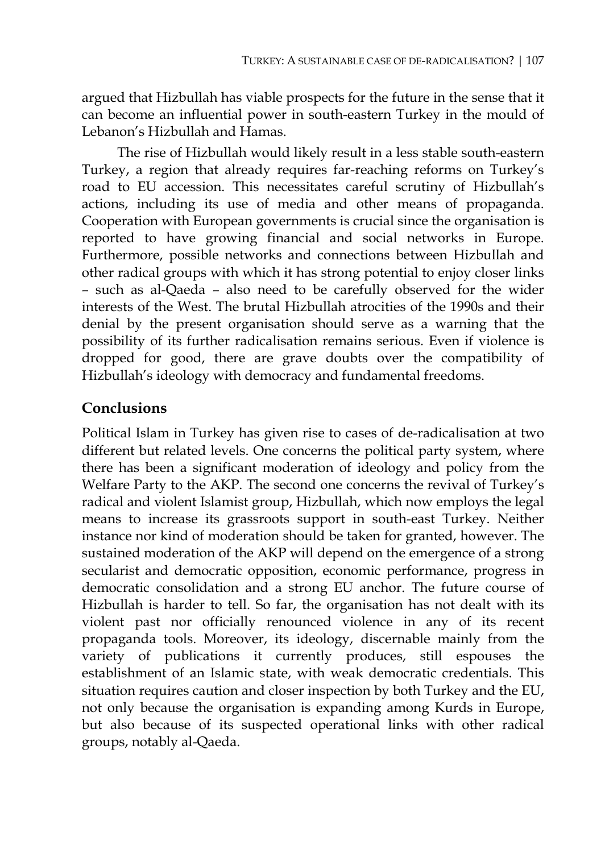argued that Hizbullah has viable prospects for the future in the sense that it can become an influential power in south-eastern Turkey in the mould of Lebanon's Hizbullah and Hamas.

The rise of Hizbullah would likely result in a less stable south-eastern Turkey, a region that already requires far-reaching reforms on Turkey's road to EU accession. This necessitates careful scrutiny of Hizbullah's actions, including its use of media and other means of propaganda. Cooperation with European governments is crucial since the organisation is reported to have growing financial and social networks in Europe. Furthermore, possible networks and connections between Hizbullah and other radical groups with which it has strong potential to enjoy closer links – such as al-Qaeda – also need to be carefully observed for the wider interests of the West. The brutal Hizbullah atrocities of the 1990s and their denial by the present organisation should serve as a warning that the possibility of its further radicalisation remains serious. Even if violence is dropped for good, there are grave doubts over the compatibility of Hizbullah's ideology with democracy and fundamental freedoms.

# **Conclusions**

Political Islam in Turkey has given rise to cases of de-radicalisation at two different but related levels. One concerns the political party system, where there has been a significant moderation of ideology and policy from the Welfare Party to the AKP. The second one concerns the revival of Turkey's radical and violent Islamist group, Hizbullah, which now employs the legal means to increase its grassroots support in south-east Turkey. Neither instance nor kind of moderation should be taken for granted, however. The sustained moderation of the AKP will depend on the emergence of a strong secularist and democratic opposition, economic performance, progress in democratic consolidation and a strong EU anchor. The future course of Hizbullah is harder to tell. So far, the organisation has not dealt with its violent past nor officially renounced violence in any of its recent propaganda tools. Moreover, its ideology, discernable mainly from the variety of publications it currently produces, still espouses the establishment of an Islamic state, with weak democratic credentials. This situation requires caution and closer inspection by both Turkey and the EU, not only because the organisation is expanding among Kurds in Europe, but also because of its suspected operational links with other radical groups, notably al-Qaeda.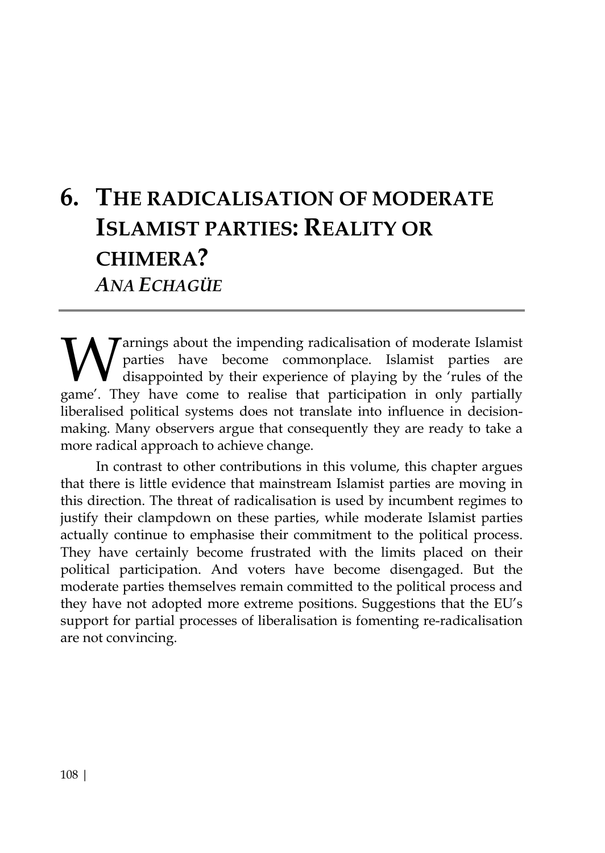# **6. THE RADICALISATION OF MODERATE ISLAMIST PARTIES: REALITY OR CHIMERA?**  *ANA ECHAGÜE*

arnings about the impending radicalisation of moderate Islamist parties have become commonplace. Islamist parties are disappointed by their experience of playing by the 'rules of the **W** arrings about the impending radicalisation of moderate Islamist parties are disappointed by their experience of playing by the 'rules of the game'. They have come to realise that participation in only partially liberalised political systems does not translate into influence in decisionmaking. Many observers argue that consequently they are ready to take a more radical approach to achieve change.

In contrast to other contributions in this volume, this chapter argues that there is little evidence that mainstream Islamist parties are moving in this direction. The threat of radicalisation is used by incumbent regimes to justify their clampdown on these parties, while moderate Islamist parties actually continue to emphasise their commitment to the political process. They have certainly become frustrated with the limits placed on their political participation. And voters have become disengaged. But the moderate parties themselves remain committed to the political process and they have not adopted more extreme positions. Suggestions that the EU's support for partial processes of liberalisation is fomenting re-radicalisation are not convincing.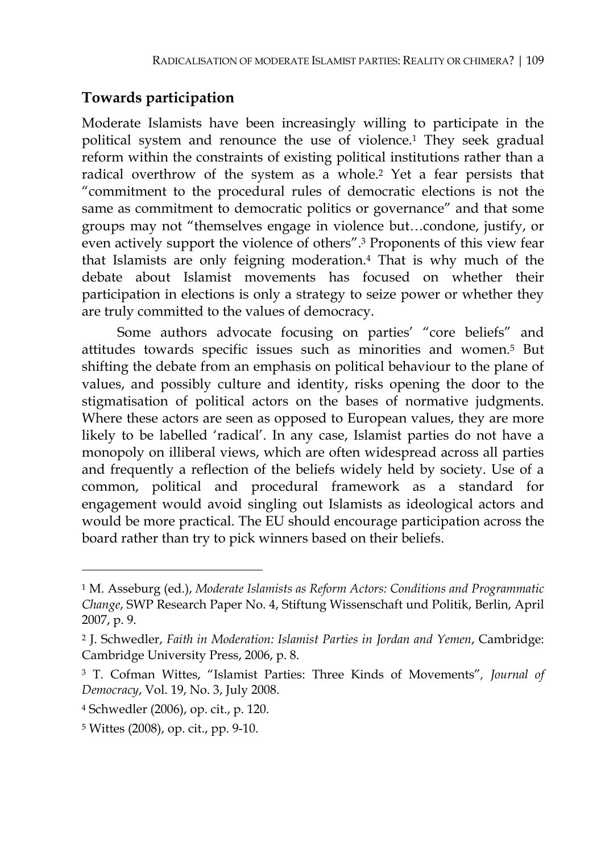## **Towards participation**

Moderate Islamists have been increasingly willing to participate in the political system and renounce the use of violence.1 They seek gradual reform within the constraints of existing political institutions rather than a radical overthrow of the system as a whole.2 Yet a fear persists that "commitment to the procedural rules of democratic elections is not the same as commitment to democratic politics or governance" and that some groups may not "themselves engage in violence but…condone, justify, or even actively support the violence of others".3 Proponents of this view fear that Islamists are only feigning moderation.4 That is why much of the debate about Islamist movements has focused on whether their participation in elections is only a strategy to seize power or whether they are truly committed to the values of democracy.

Some authors advocate focusing on parties' "core beliefs" and attitudes towards specific issues such as minorities and women.5 But shifting the debate from an emphasis on political behaviour to the plane of values, and possibly culture and identity, risks opening the door to the stigmatisation of political actors on the bases of normative judgments. Where these actors are seen as opposed to European values, they are more likely to be labelled 'radical'. In any case, Islamist parties do not have a monopoly on illiberal views, which are often widespread across all parties and frequently a reflection of the beliefs widely held by society. Use of a common, political and procedural framework as a standard for engagement would avoid singling out Islamists as ideological actors and would be more practical. The EU should encourage participation across the board rather than try to pick winners based on their beliefs.

<sup>1</sup> M. Asseburg (ed.), *Moderate Islamists as Reform Actors: Conditions and Programmatic Change*, SWP Research Paper No. 4, Stiftung Wissenschaft und Politik, Berlin, April 2007, p. 9.

<sup>2</sup> J. Schwedler, *Faith in Moderation: Islamist Parties in Jordan and Yemen*, Cambridge: Cambridge University Press, 2006, p. 8.

<sup>3</sup> T. Cofman Wittes, "Islamist Parties: Three Kinds of Movements"*, Journal of Democracy*, Vol. 19, No. 3, July 2008.

<sup>4</sup> Schwedler (2006), op. cit., p. 120.

<sup>5</sup> Wittes (2008), op. cit., pp. 9-10.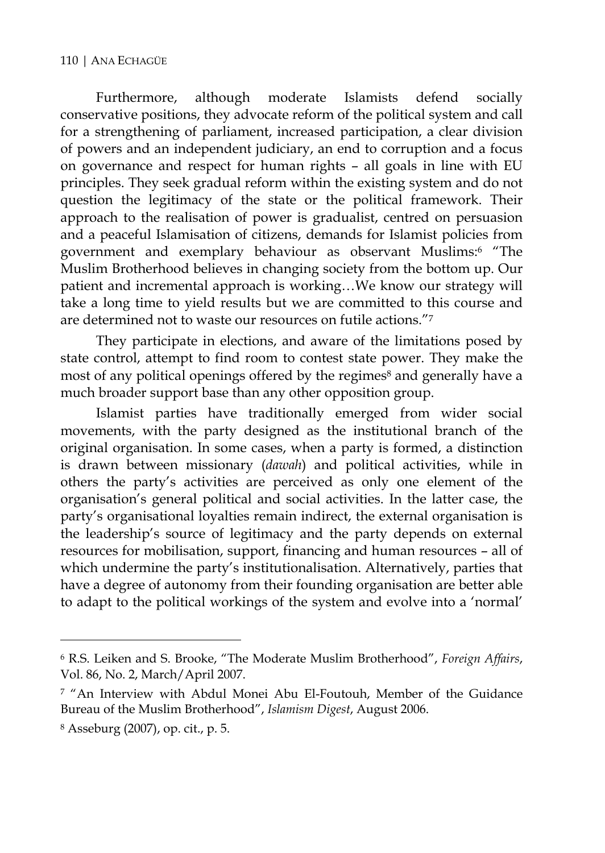Furthermore, although moderate Islamists defend socially conservative positions, they advocate reform of the political system and call for a strengthening of parliament, increased participation, a clear division of powers and an independent judiciary, an end to corruption and a focus on governance and respect for human rights – all goals in line with EU principles. They seek gradual reform within the existing system and do not question the legitimacy of the state or the political framework. Their approach to the realisation of power is gradualist, centred on persuasion and a peaceful Islamisation of citizens, demands for Islamist policies from government and exemplary behaviour as observant Muslims:6 "The Muslim Brotherhood believes in changing society from the bottom up. Our patient and incremental approach is working…We know our strategy will take a long time to yield results but we are committed to this course and are determined not to waste our resources on futile actions."7

They participate in elections, and aware of the limitations posed by state control, attempt to find room to contest state power. They make the most of any political openings offered by the regimes<sup>8</sup> and generally have a much broader support base than any other opposition group.

Islamist parties have traditionally emerged from wider social movements, with the party designed as the institutional branch of the original organisation. In some cases, when a party is formed, a distinction is drawn between missionary (*dawah*) and political activities, while in others the party's activities are perceived as only one element of the organisation's general political and social activities. In the latter case, the party's organisational loyalties remain indirect, the external organisation is the leadership's source of legitimacy and the party depends on external resources for mobilisation, support, financing and human resources – all of which undermine the party's institutionalisation. Alternatively, parties that have a degree of autonomy from their founding organisation are better able to adapt to the political workings of the system and evolve into a 'normal'

<sup>6</sup> R.S. Leiken and S. Brooke, "The Moderate Muslim Brotherhood", *Foreign Affairs*, Vol. 86, No. 2, March/April 2007.

<sup>7 &</sup>quot;An Interview with Abdul Monei Abu El-Foutouh, Member of the Guidance Bureau of the Muslim Brotherhood", *Islamism Digest*, August 2006.

<sup>8</sup> Asseburg (2007), op. cit., p. 5.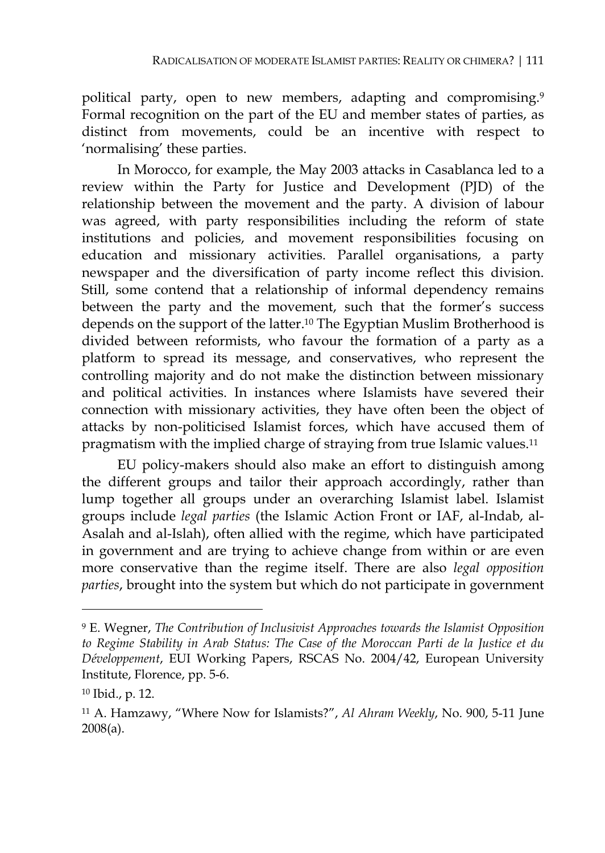political party, open to new members, adapting and compromising.<sup>9</sup> Formal recognition on the part of the EU and member states of parties, as distinct from movements, could be an incentive with respect to 'normalising' these parties.

In Morocco, for example, the May 2003 attacks in Casablanca led to a review within the Party for Justice and Development (PJD) of the relationship between the movement and the party. A division of labour was agreed, with party responsibilities including the reform of state institutions and policies, and movement responsibilities focusing on education and missionary activities. Parallel organisations, a party newspaper and the diversification of party income reflect this division. Still, some contend that a relationship of informal dependency remains between the party and the movement, such that the former's success depends on the support of the latter.10 The Egyptian Muslim Brotherhood is divided between reformists, who favour the formation of a party as a platform to spread its message, and conservatives, who represent the controlling majority and do not make the distinction between missionary and political activities. In instances where Islamists have severed their connection with missionary activities, they have often been the object of attacks by non-politicised Islamist forces, which have accused them of pragmatism with the implied charge of straying from true Islamic values.11

EU policy-makers should also make an effort to distinguish among the different groups and tailor their approach accordingly, rather than lump together all groups under an overarching Islamist label. Islamist groups include *legal parties* (the Islamic Action Front or IAF, al-Indab, al-Asalah and al-Islah), often allied with the regime, which have participated in government and are trying to achieve change from within or are even more conservative than the regime itself. There are also *legal opposition parties*, brought into the system but which do not participate in government

<sup>9</sup> E. Wegner, *The Contribution of Inclusivist Approaches towards the Islamist Opposition to Regime Stability in Arab Status: The Case of the Moroccan Parti de la Justice et du Développement*, EUI Working Papers, RSCAS No. 2004/42, European University Institute, Florence, pp. 5-6.

<sup>10</sup> Ibid., p. 12.

<sup>11</sup> A. Hamzawy, "Where Now for Islamists?", *Al Ahram Weekly*, No. 900, 5-11 June 2008(a).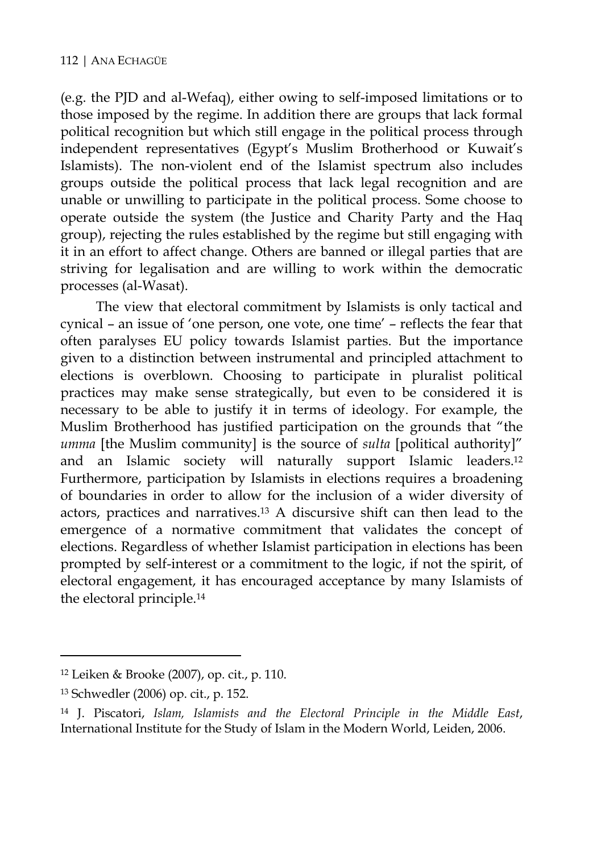(e.g. the PJD and al-Wefaq), either owing to self-imposed limitations or to those imposed by the regime. In addition there are groups that lack formal political recognition but which still engage in the political process through independent representatives (Egypt's Muslim Brotherhood or Kuwait's Islamists). The non-violent end of the Islamist spectrum also includes groups outside the political process that lack legal recognition and are unable or unwilling to participate in the political process. Some choose to operate outside the system (the Justice and Charity Party and the Haq group), rejecting the rules established by the regime but still engaging with it in an effort to affect change. Others are banned or illegal parties that are striving for legalisation and are willing to work within the democratic processes (al-Wasat).

The view that electoral commitment by Islamists is only tactical and cynical – an issue of 'one person, one vote, one time' – reflects the fear that often paralyses EU policy towards Islamist parties. But the importance given to a distinction between instrumental and principled attachment to elections is overblown. Choosing to participate in pluralist political practices may make sense strategically, but even to be considered it is necessary to be able to justify it in terms of ideology. For example, the Muslim Brotherhood has justified participation on the grounds that "the *umma* [the Muslim community] is the source of *sulta* [political authority]" and an Islamic society will naturally support Islamic leaders.12 Furthermore, participation by Islamists in elections requires a broadening of boundaries in order to allow for the inclusion of a wider diversity of actors, practices and narratives.13 A discursive shift can then lead to the emergence of a normative commitment that validates the concept of elections. Regardless of whether Islamist participation in elections has been prompted by self-interest or a commitment to the logic, if not the spirit, of electoral engagement, it has encouraged acceptance by many Islamists of the electoral principle.14

<sup>12</sup> Leiken & Brooke (2007), op. cit., p. 110.

<sup>13</sup> Schwedler (2006) op. cit., p. 152.

<sup>14</sup> J. Piscatori, *Islam, Islamists and the Electoral Principle in the Middle East*, International Institute for the Study of Islam in the Modern World, Leiden, 2006.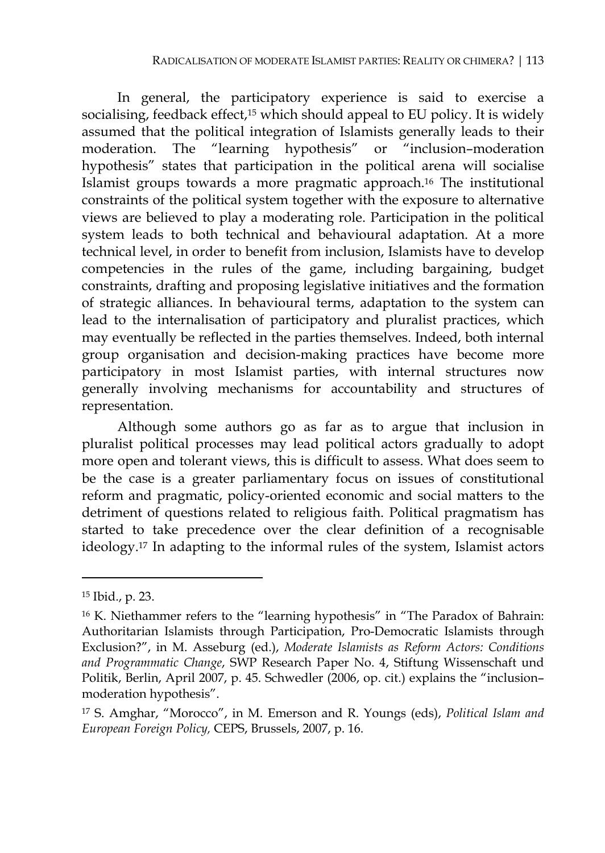In general, the participatory experience is said to exercise a socialising, feedback effect,<sup>15</sup> which should appeal to EU policy. It is widely assumed that the political integration of Islamists generally leads to their moderation. The "learning hypothesis" or "inclusion–moderation hypothesis" states that participation in the political arena will socialise Islamist groups towards a more pragmatic approach.16 The institutional constraints of the political system together with the exposure to alternative views are believed to play a moderating role. Participation in the political system leads to both technical and behavioural adaptation. At a more technical level, in order to benefit from inclusion, Islamists have to develop competencies in the rules of the game, including bargaining, budget constraints, drafting and proposing legislative initiatives and the formation of strategic alliances. In behavioural terms, adaptation to the system can lead to the internalisation of participatory and pluralist practices, which may eventually be reflected in the parties themselves. Indeed, both internal group organisation and decision-making practices have become more participatory in most Islamist parties, with internal structures now generally involving mechanisms for accountability and structures of representation.

Although some authors go as far as to argue that inclusion in pluralist political processes may lead political actors gradually to adopt more open and tolerant views, this is difficult to assess. What does seem to be the case is a greater parliamentary focus on issues of constitutional reform and pragmatic, policy-oriented economic and social matters to the detriment of questions related to religious faith. Political pragmatism has started to take precedence over the clear definition of a recognisable ideology.17 In adapting to the informal rules of the system, Islamist actors

<sup>15</sup> Ibid., p. 23.

<sup>16</sup> K. Niethammer refers to the "learning hypothesis" in "The Paradox of Bahrain: Authoritarian Islamists through Participation, Pro-Democratic Islamists through Exclusion?", in M. Asseburg (ed.), *Moderate Islamists as Reform Actors: Conditions and Programmatic Change*, SWP Research Paper No. 4, Stiftung Wissenschaft und Politik, Berlin, April 2007, p. 45. Schwedler (2006, op. cit.) explains the "inclusion– moderation hypothesis".

<sup>17</sup> S. Amghar, "Morocco", in M. Emerson and R. Youngs (eds), *Political Islam and European Foreign Policy,* CEPS, Brussels, 2007, p. 16.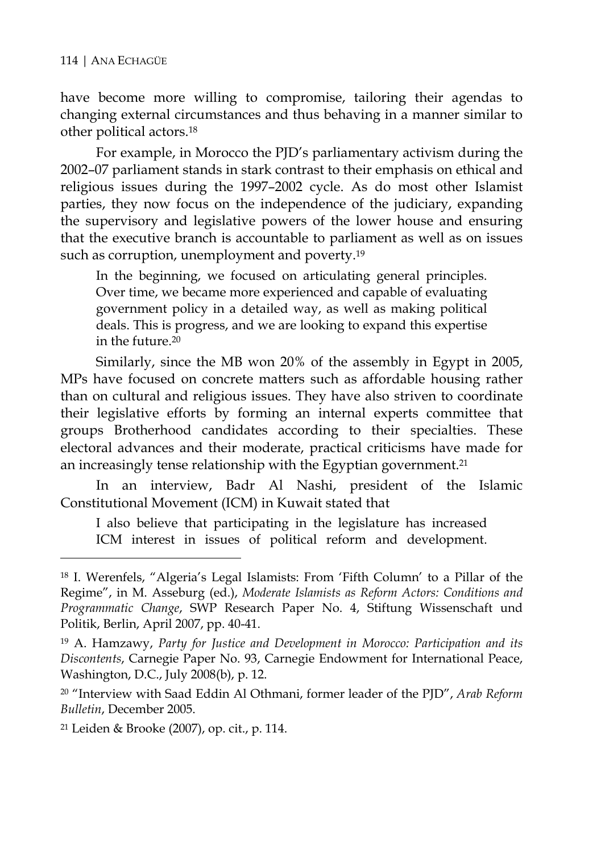have become more willing to compromise, tailoring their agendas to changing external circumstances and thus behaving in a manner similar to other political actors.18

For example, in Morocco the PJD's parliamentary activism during the 2002–07 parliament stands in stark contrast to their emphasis on ethical and religious issues during the 1997–2002 cycle. As do most other Islamist parties, they now focus on the independence of the judiciary, expanding the supervisory and legislative powers of the lower house and ensuring that the executive branch is accountable to parliament as well as on issues such as corruption, unemployment and poverty.<sup>19</sup>

In the beginning, we focused on articulating general principles. Over time, we became more experienced and capable of evaluating government policy in a detailed way, as well as making political deals. This is progress, and we are looking to expand this expertise in the future.20

Similarly, since the MB won 20% of the assembly in Egypt in 2005, MPs have focused on concrete matters such as affordable housing rather than on cultural and religious issues. They have also striven to coordinate their legislative efforts by forming an internal experts committee that groups Brotherhood candidates according to their specialties. These electoral advances and their moderate, practical criticisms have made for an increasingly tense relationship with the Egyptian government.<sup>21</sup>

In an interview, Badr Al Nashi, president of the Islamic Constitutional Movement (ICM) in Kuwait stated that

I also believe that participating in the legislature has increased ICM interest in issues of political reform and development.

21 Leiden & Brooke (2007), op. cit., p. 114.

 $\ddot{\phantom{a}}$ 

<sup>18</sup> I. Werenfels, "Algeria's Legal Islamists: From 'Fifth Column' to a Pillar of the Regime", in M. Asseburg (ed.), *Moderate Islamists as Reform Actors: Conditions and Programmatic Change*, SWP Research Paper No. 4, Stiftung Wissenschaft und Politik, Berlin, April 2007, pp. 40-41.

<sup>19</sup> A. Hamzawy, *Party for Justice and Development in Morocco: Participation and its Discontents*, Carnegie Paper No. 93, Carnegie Endowment for International Peace, Washington, D.C., July 2008(b), p. 12.

<sup>20 &</sup>quot;Interview with Saad Eddin Al Othmani, former leader of the PJD", *Arab Reform Bulletin*, December 2005.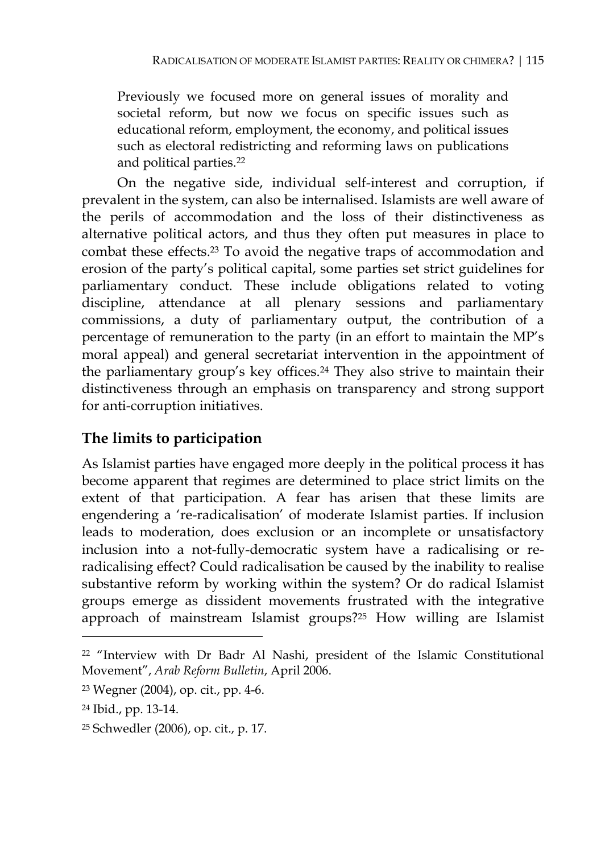Previously we focused more on general issues of morality and societal reform, but now we focus on specific issues such as educational reform, employment, the economy, and political issues such as electoral redistricting and reforming laws on publications and political parties.22

On the negative side, individual self-interest and corruption, if prevalent in the system, can also be internalised. Islamists are well aware of the perils of accommodation and the loss of their distinctiveness as alternative political actors, and thus they often put measures in place to combat these effects.23 To avoid the negative traps of accommodation and erosion of the party's political capital, some parties set strict guidelines for parliamentary conduct. These include obligations related to voting discipline, attendance at all plenary sessions and parliamentary commissions, a duty of parliamentary output, the contribution of a percentage of remuneration to the party (in an effort to maintain the MP's moral appeal) and general secretariat intervention in the appointment of the parliamentary group's key offices.24 They also strive to maintain their distinctiveness through an emphasis on transparency and strong support for anti-corruption initiatives.

# **The limits to participation**

As Islamist parties have engaged more deeply in the political process it has become apparent that regimes are determined to place strict limits on the extent of that participation. A fear has arisen that these limits are engendering a 're-radicalisation' of moderate Islamist parties. If inclusion leads to moderation, does exclusion or an incomplete or unsatisfactory inclusion into a not-fully-democratic system have a radicalising or reradicalising effect? Could radicalisation be caused by the inability to realise substantive reform by working within the system? Or do radical Islamist groups emerge as dissident movements frustrated with the integrative approach of mainstream Islamist groups?25 How willing are Islamist

 $\ddot{\phantom{a}}$ 

<sup>22 &</sup>quot;Interview with Dr Badr Al Nashi, president of the Islamic Constitutional Movement", *Arab Reform Bulletin*, April 2006.

<sup>23</sup> Wegner (2004), op. cit., pp. 4-6.

<sup>24</sup> Ibid., pp. 13-14.

<sup>25</sup> Schwedler (2006), op. cit., p. 17.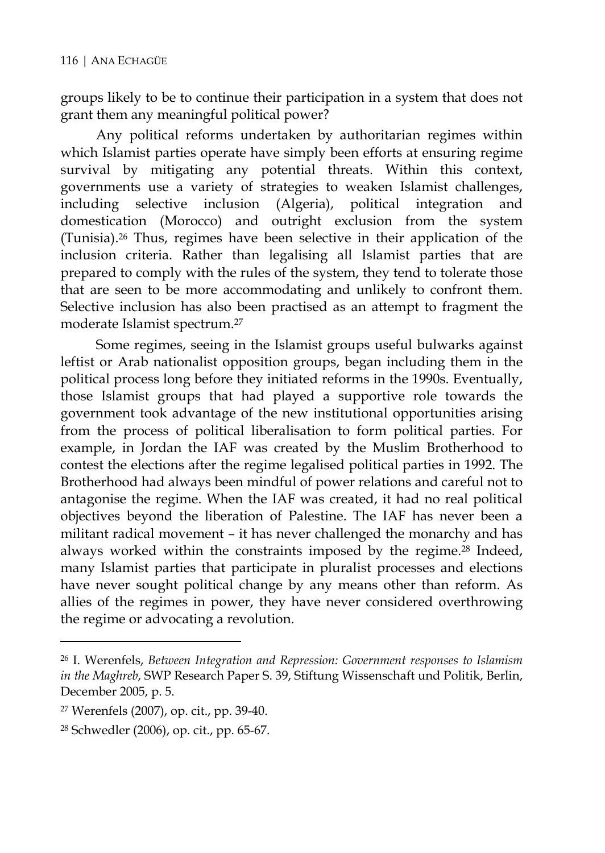groups likely to be to continue their participation in a system that does not grant them any meaningful political power?

Any political reforms undertaken by authoritarian regimes within which Islamist parties operate have simply been efforts at ensuring regime survival by mitigating any potential threats. Within this context, governments use a variety of strategies to weaken Islamist challenges, including selective inclusion (Algeria), political integration and domestication (Morocco) and outright exclusion from the system (Tunisia).26 Thus, regimes have been selective in their application of the inclusion criteria. Rather than legalising all Islamist parties that are prepared to comply with the rules of the system, they tend to tolerate those that are seen to be more accommodating and unlikely to confront them. Selective inclusion has also been practised as an attempt to fragment the moderate Islamist spectrum.27

Some regimes, seeing in the Islamist groups useful bulwarks against leftist or Arab nationalist opposition groups, began including them in the political process long before they initiated reforms in the 1990s. Eventually, those Islamist groups that had played a supportive role towards the government took advantage of the new institutional opportunities arising from the process of political liberalisation to form political parties. For example, in Jordan the IAF was created by the Muslim Brotherhood to contest the elections after the regime legalised political parties in 1992. The Brotherhood had always been mindful of power relations and careful not to antagonise the regime. When the IAF was created, it had no real political objectives beyond the liberation of Palestine. The IAF has never been a militant radical movement – it has never challenged the monarchy and has always worked within the constraints imposed by the regime.<sup>28</sup> Indeed, many Islamist parties that participate in pluralist processes and elections have never sought political change by any means other than reform. As allies of the regimes in power, they have never considered overthrowing the regime or advocating a revolution.

<sup>26</sup> I. Werenfels, *Between Integration and Repression: Government responses to Islamism in the Maghreb*, SWP Research Paper S. 39, Stiftung Wissenschaft und Politik, Berlin, December 2005, p. 5.

<sup>27</sup> Werenfels (2007), op. cit., pp. 39-40.

<sup>28</sup> Schwedler (2006), op. cit., pp. 65-67.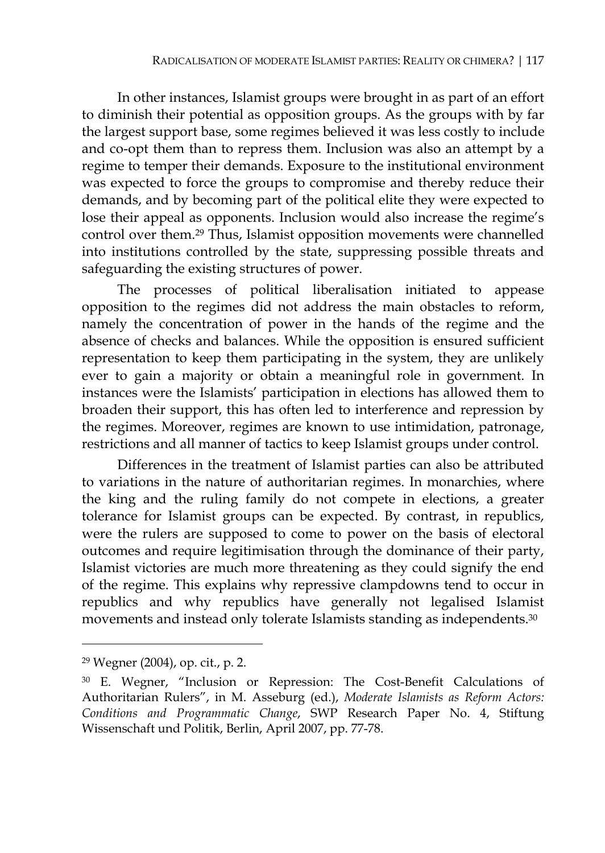In other instances, Islamist groups were brought in as part of an effort to diminish their potential as opposition groups. As the groups with by far the largest support base, some regimes believed it was less costly to include and co-opt them than to repress them. Inclusion was also an attempt by a regime to temper their demands. Exposure to the institutional environment was expected to force the groups to compromise and thereby reduce their demands, and by becoming part of the political elite they were expected to lose their appeal as opponents. Inclusion would also increase the regime's control over them.29 Thus, Islamist opposition movements were channelled into institutions controlled by the state, suppressing possible threats and safeguarding the existing structures of power.

The processes of political liberalisation initiated to appease opposition to the regimes did not address the main obstacles to reform, namely the concentration of power in the hands of the regime and the absence of checks and balances. While the opposition is ensured sufficient representation to keep them participating in the system, they are unlikely ever to gain a majority or obtain a meaningful role in government. In instances were the Islamists' participation in elections has allowed them to broaden their support, this has often led to interference and repression by the regimes. Moreover, regimes are known to use intimidation, patronage, restrictions and all manner of tactics to keep Islamist groups under control.

Differences in the treatment of Islamist parties can also be attributed to variations in the nature of authoritarian regimes. In monarchies, where the king and the ruling family do not compete in elections, a greater tolerance for Islamist groups can be expected. By contrast, in republics, were the rulers are supposed to come to power on the basis of electoral outcomes and require legitimisation through the dominance of their party, Islamist victories are much more threatening as they could signify the end of the regime. This explains why repressive clampdowns tend to occur in republics and why republics have generally not legalised Islamist movements and instead only tolerate Islamists standing as independents.30

<sup>29</sup> Wegner (2004), op. cit., p. 2.

<sup>30</sup> E. Wegner, "Inclusion or Repression: The Cost-Benefit Calculations of Authoritarian Rulers", in M. Asseburg (ed.), *Moderate Islamists as Reform Actors: Conditions and Programmatic Change*, SWP Research Paper No. 4, Stiftung Wissenschaft und Politik, Berlin, April 2007, pp. 77-78.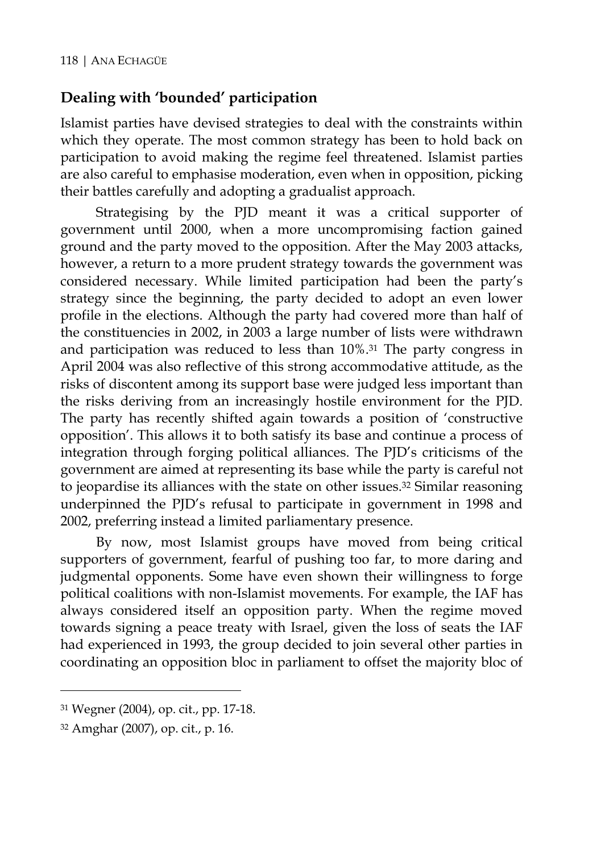#### **Dealing with 'bounded' participation**

Islamist parties have devised strategies to deal with the constraints within which they operate. The most common strategy has been to hold back on participation to avoid making the regime feel threatened. Islamist parties are also careful to emphasise moderation, even when in opposition, picking their battles carefully and adopting a gradualist approach.

Strategising by the PJD meant it was a critical supporter of government until 2000, when a more uncompromising faction gained ground and the party moved to the opposition. After the May 2003 attacks, however, a return to a more prudent strategy towards the government was considered necessary. While limited participation had been the party's strategy since the beginning, the party decided to adopt an even lower profile in the elections. Although the party had covered more than half of the constituencies in 2002, in 2003 a large number of lists were withdrawn and participation was reduced to less than 10%.31 The party congress in April 2004 was also reflective of this strong accommodative attitude, as the risks of discontent among its support base were judged less important than the risks deriving from an increasingly hostile environment for the PJD. The party has recently shifted again towards a position of 'constructive opposition'. This allows it to both satisfy its base and continue a process of integration through forging political alliances. The PJD's criticisms of the government are aimed at representing its base while the party is careful not to jeopardise its alliances with the state on other issues.32 Similar reasoning underpinned the PJD's refusal to participate in government in 1998 and 2002, preferring instead a limited parliamentary presence.

By now, most Islamist groups have moved from being critical supporters of government, fearful of pushing too far, to more daring and judgmental opponents. Some have even shown their willingness to forge political coalitions with non-Islamist movements. For example, the IAF has always considered itself an opposition party. When the regime moved towards signing a peace treaty with Israel, given the loss of seats the IAF had experienced in 1993, the group decided to join several other parties in coordinating an opposition bloc in parliament to offset the majority bloc of

<sup>31</sup> Wegner (2004), op. cit., pp. 17-18.

<sup>32</sup> Amghar (2007), op. cit., p. 16.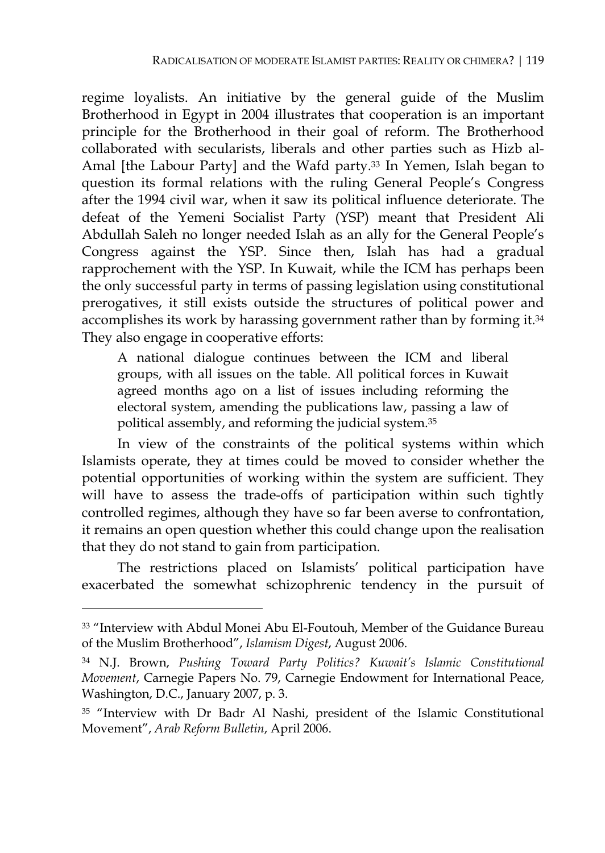regime loyalists. An initiative by the general guide of the Muslim Brotherhood in Egypt in 2004 illustrates that cooperation is an important principle for the Brotherhood in their goal of reform. The Brotherhood collaborated with secularists, liberals and other parties such as Hizb al-Amal [the Labour Party] and the Wafd party.<sup>33</sup> In Yemen, Islah began to question its formal relations with the ruling General People's Congress after the 1994 civil war, when it saw its political influence deteriorate. The defeat of the Yemeni Socialist Party (YSP) meant that President Ali Abdullah Saleh no longer needed Islah as an ally for the General People's Congress against the YSP. Since then, Islah has had a gradual rapprochement with the YSP. In Kuwait, while the ICM has perhaps been the only successful party in terms of passing legislation using constitutional prerogatives, it still exists outside the structures of political power and accomplishes its work by harassing government rather than by forming it.34 They also engage in cooperative efforts:

A national dialogue continues between the ICM and liberal groups, with all issues on the table. All political forces in Kuwait agreed months ago on a list of issues including reforming the electoral system, amending the publications law, passing a law of political assembly, and reforming the judicial system.35

In view of the constraints of the political systems within which Islamists operate, they at times could be moved to consider whether the potential opportunities of working within the system are sufficient. They will have to assess the trade-offs of participation within such tightly controlled regimes, although they have so far been averse to confrontation, it remains an open question whether this could change upon the realisation that they do not stand to gain from participation.

The restrictions placed on Islamists' political participation have exacerbated the somewhat schizophrenic tendency in the pursuit of

<sup>33 &</sup>quot;Interview with Abdul Monei Abu El-Foutouh, Member of the Guidance Bureau of the Muslim Brotherhood", *Islamism Digest*, August 2006.

<sup>34</sup> N.J. Brown, *Pushing Toward Party Politics? Kuwait's Islamic Constitutional Movement*, Carnegie Papers No. 79, Carnegie Endowment for International Peace, Washington, D.C., January 2007, p. 3.

<sup>35 &</sup>quot;Interview with Dr Badr Al Nashi, president of the Islamic Constitutional Movement", *Arab Reform Bulletin*, April 2006.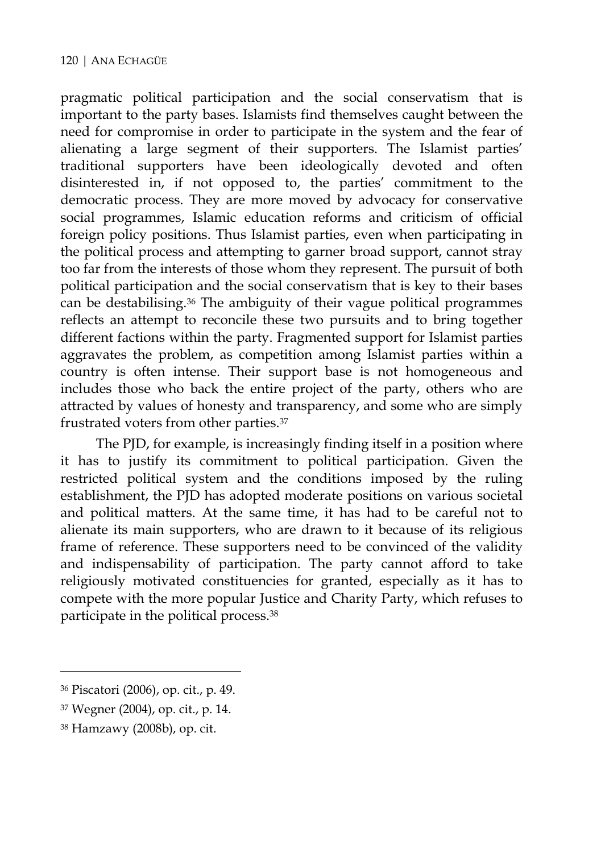pragmatic political participation and the social conservatism that is important to the party bases. Islamists find themselves caught between the need for compromise in order to participate in the system and the fear of alienating a large segment of their supporters. The Islamist parties' traditional supporters have been ideologically devoted and often disinterested in, if not opposed to, the parties' commitment to the democratic process. They are more moved by advocacy for conservative social programmes, Islamic education reforms and criticism of official foreign policy positions. Thus Islamist parties, even when participating in the political process and attempting to garner broad support, cannot stray too far from the interests of those whom they represent. The pursuit of both political participation and the social conservatism that is key to their bases can be destabilising.36 The ambiguity of their vague political programmes reflects an attempt to reconcile these two pursuits and to bring together different factions within the party. Fragmented support for Islamist parties aggravates the problem, as competition among Islamist parties within a country is often intense. Their support base is not homogeneous and includes those who back the entire project of the party, others who are attracted by values of honesty and transparency, and some who are simply frustrated voters from other parties.37

The PJD, for example, is increasingly finding itself in a position where it has to justify its commitment to political participation. Given the restricted political system and the conditions imposed by the ruling establishment, the PJD has adopted moderate positions on various societal and political matters. At the same time, it has had to be careful not to alienate its main supporters, who are drawn to it because of its religious frame of reference. These supporters need to be convinced of the validity and indispensability of participation. The party cannot afford to take religiously motivated constituencies for granted, especially as it has to compete with the more popular Justice and Charity Party, which refuses to participate in the political process.38

<sup>36</sup> Piscatori (2006), op. cit., p. 49.

<sup>37</sup> Wegner (2004), op. cit., p. 14.

<sup>38</sup> Hamzawy (2008b), op. cit.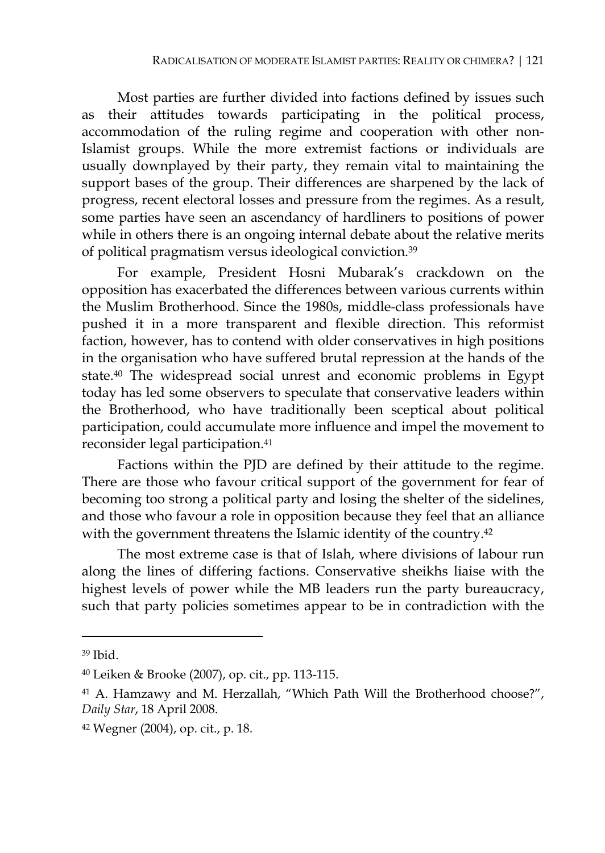Most parties are further divided into factions defined by issues such as their attitudes towards participating in the political process, accommodation of the ruling regime and cooperation with other non-Islamist groups. While the more extremist factions or individuals are usually downplayed by their party, they remain vital to maintaining the support bases of the group. Their differences are sharpened by the lack of progress, recent electoral losses and pressure from the regimes. As a result, some parties have seen an ascendancy of hardliners to positions of power while in others there is an ongoing internal debate about the relative merits of political pragmatism versus ideological conviction.39

For example, President Hosni Mubarak's crackdown on the opposition has exacerbated the differences between various currents within the Muslim Brotherhood. Since the 1980s, middle-class professionals have pushed it in a more transparent and flexible direction. This reformist faction, however, has to contend with older conservatives in high positions in the organisation who have suffered brutal repression at the hands of the state.40 The widespread social unrest and economic problems in Egypt today has led some observers to speculate that conservative leaders within the Brotherhood, who have traditionally been sceptical about political participation, could accumulate more influence and impel the movement to reconsider legal participation.41

Factions within the PJD are defined by their attitude to the regime. There are those who favour critical support of the government for fear of becoming too strong a political party and losing the shelter of the sidelines, and those who favour a role in opposition because they feel that an alliance with the government threatens the Islamic identity of the country.<sup>42</sup>

The most extreme case is that of Islah, where divisions of labour run along the lines of differing factions. Conservative sheikhs liaise with the highest levels of power while the MB leaders run the party bureaucracy, such that party policies sometimes appear to be in contradiction with the

<sup>39</sup> Ibid.

<sup>40</sup> Leiken & Brooke (2007), op. cit., pp. 113-115.

<sup>41</sup> A. Hamzawy and M. Herzallah, "Which Path Will the Brotherhood choose?", *Daily Star*, 18 April 2008.

<sup>42</sup> Wegner (2004), op. cit., p. 18.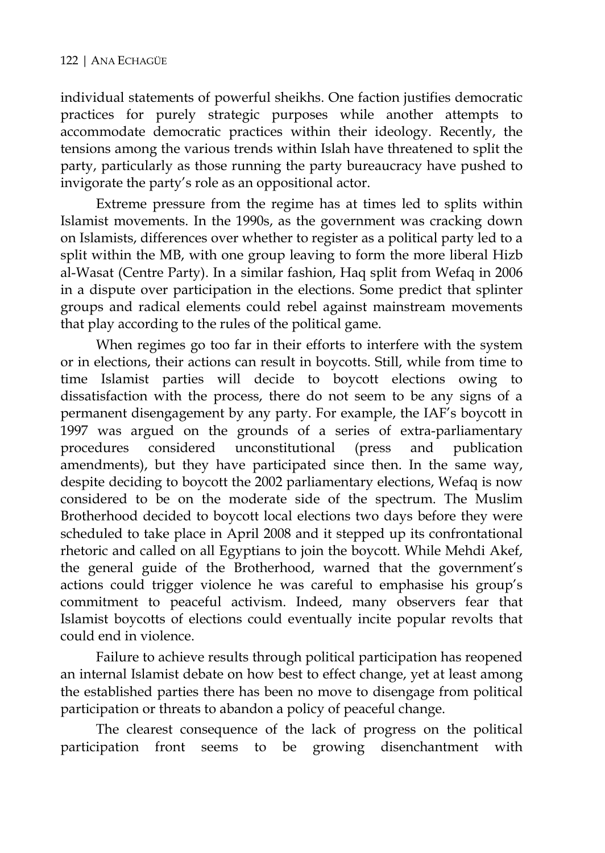individual statements of powerful sheikhs. One faction justifies democratic practices for purely strategic purposes while another attempts to accommodate democratic practices within their ideology. Recently, the tensions among the various trends within Islah have threatened to split the party, particularly as those running the party bureaucracy have pushed to invigorate the party's role as an oppositional actor.

Extreme pressure from the regime has at times led to splits within Islamist movements. In the 1990s, as the government was cracking down on Islamists, differences over whether to register as a political party led to a split within the MB, with one group leaving to form the more liberal Hizb al-Wasat (Centre Party). In a similar fashion, Haq split from Wefaq in 2006 in a dispute over participation in the elections. Some predict that splinter groups and radical elements could rebel against mainstream movements that play according to the rules of the political game.

When regimes go too far in their efforts to interfere with the system or in elections, their actions can result in boycotts. Still, while from time to time Islamist parties will decide to boycott elections owing to dissatisfaction with the process, there do not seem to be any signs of a permanent disengagement by any party. For example, the IAF's boycott in 1997 was argued on the grounds of a series of extra-parliamentary procedures considered unconstitutional (press and publication amendments), but they have participated since then. In the same way, despite deciding to boycott the 2002 parliamentary elections, Wefaq is now considered to be on the moderate side of the spectrum. The Muslim Brotherhood decided to boycott local elections two days before they were scheduled to take place in April 2008 and it stepped up its confrontational rhetoric and called on all Egyptians to join the boycott. While Mehdi Akef, the general guide of the Brotherhood, warned that the government's actions could trigger violence he was careful to emphasise his group's commitment to peaceful activism. Indeed, many observers fear that Islamist boycotts of elections could eventually incite popular revolts that could end in violence.

Failure to achieve results through political participation has reopened an internal Islamist debate on how best to effect change, yet at least among the established parties there has been no move to disengage from political participation or threats to abandon a policy of peaceful change.

The clearest consequence of the lack of progress on the political participation front seems to be growing disenchantment with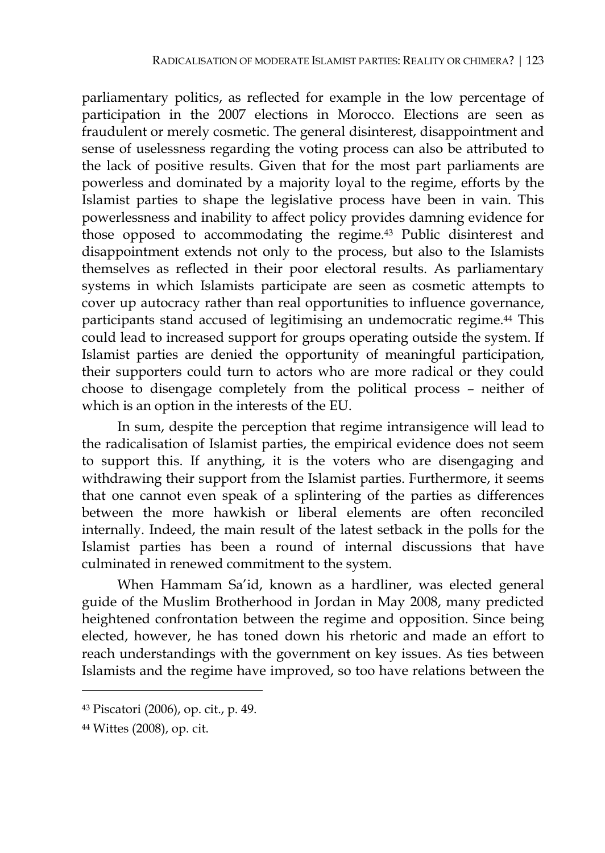parliamentary politics, as reflected for example in the low percentage of participation in the 2007 elections in Morocco. Elections are seen as fraudulent or merely cosmetic. The general disinterest, disappointment and sense of uselessness regarding the voting process can also be attributed to the lack of positive results. Given that for the most part parliaments are powerless and dominated by a majority loyal to the regime, efforts by the Islamist parties to shape the legislative process have been in vain. This powerlessness and inability to affect policy provides damning evidence for those opposed to accommodating the regime.43 Public disinterest and disappointment extends not only to the process, but also to the Islamists themselves as reflected in their poor electoral results. As parliamentary systems in which Islamists participate are seen as cosmetic attempts to cover up autocracy rather than real opportunities to influence governance, participants stand accused of legitimising an undemocratic regime.44 This could lead to increased support for groups operating outside the system. If Islamist parties are denied the opportunity of meaningful participation, their supporters could turn to actors who are more radical or they could choose to disengage completely from the political process – neither of which is an option in the interests of the EU.

In sum, despite the perception that regime intransigence will lead to the radicalisation of Islamist parties, the empirical evidence does not seem to support this. If anything, it is the voters who are disengaging and withdrawing their support from the Islamist parties. Furthermore, it seems that one cannot even speak of a splintering of the parties as differences between the more hawkish or liberal elements are often reconciled internally. Indeed, the main result of the latest setback in the polls for the Islamist parties has been a round of internal discussions that have culminated in renewed commitment to the system.

When Hammam Sa'id, known as a hardliner, was elected general guide of the Muslim Brotherhood in Jordan in May 2008, many predicted heightened confrontation between the regime and opposition. Since being elected, however, he has toned down his rhetoric and made an effort to reach understandings with the government on key issues. As ties between Islamists and the regime have improved, so too have relations between the

<sup>43</sup> Piscatori (2006), op. cit., p. 49.

<sup>44</sup> Wittes (2008), op. cit.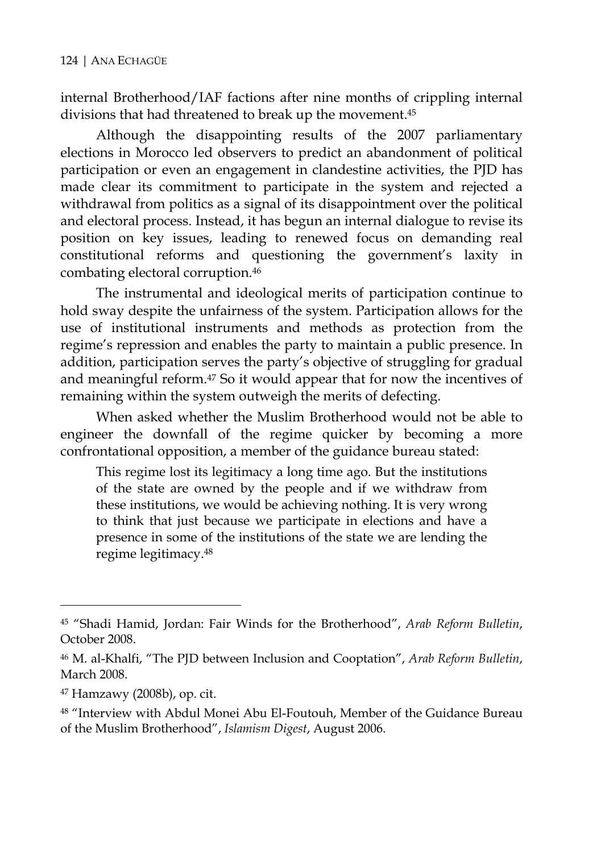internal Brotherhood/IAF factions after nine months of crippling internal divisions that had threatened to break up the movement.45

Although the disappointing results of the 2007 parliamentary elections in Morocco led observers to predict an abandonment of political participation or even an engagement in clandestine activities, the PJD has made clear its commitment to participate in the system and rejected a withdrawal from politics as a signal of its disappointment over the political and electoral process. Instead, it has begun an internal dialogue to revise its position on key issues, leading to renewed focus on demanding real constitutional reforms and questioning the government's laxity in combating electoral corruption.46

The instrumental and ideological merits of participation continue to hold sway despite the unfairness of the system. Participation allows for the use of institutional instruments and methods as protection from the regime's repression and enables the party to maintain a public presence. In addition, participation serves the party's objective of struggling for gradual and meaningful reform.47 So it would appear that for now the incentives of remaining within the system outweigh the merits of defecting.

When asked whether the Muslim Brotherhood would not be able to engineer the downfall of the regime quicker by becoming a more confrontational opposition, a member of the guidance bureau stated:

This regime lost its legitimacy a long time ago. But the institutions of the state are owned by the people and if we withdraw from these institutions, we would be achieving nothing. It is very wrong to think that just because we participate in elections and have a presence in some of the institutions of the state we are lending the regime legitimacy.48

<sup>45 &</sup>quot;Shadi Hamid, Jordan: Fair Winds for the Brotherhood", *Arab Reform Bulletin*, October 2008.

<sup>46</sup> M. al-Khalfi, "The PJD between Inclusion and Cooptation", *Arab Reform Bulletin*, March 2008.

<sup>47</sup> Hamzawy (2008b), op. cit.

<sup>48 &</sup>quot;Interview with Abdul Monei Abu El-Foutouh, Member of the Guidance Bureau of the Muslim Brotherhood", *Islamism Digest*, August 2006.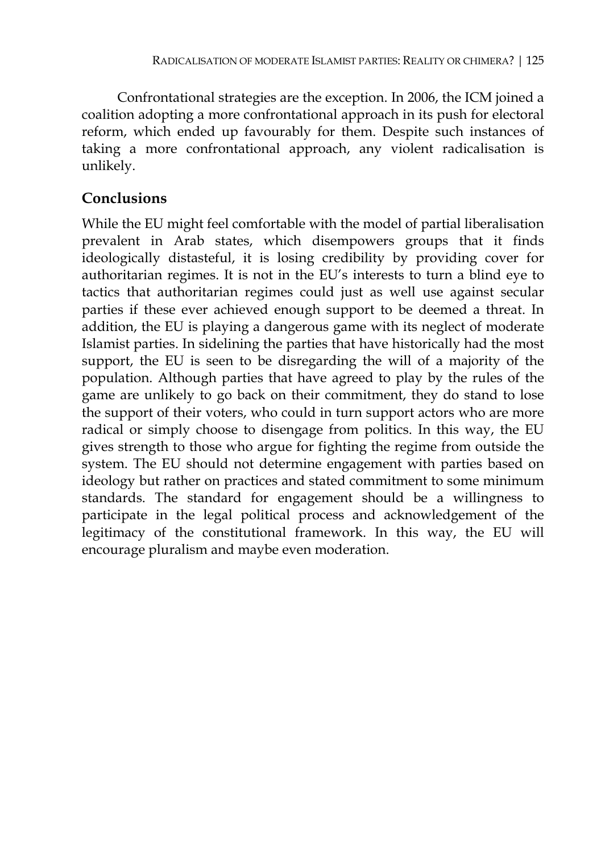Confrontational strategies are the exception. In 2006, the ICM joined a coalition adopting a more confrontational approach in its push for electoral reform, which ended up favourably for them. Despite such instances of taking a more confrontational approach, any violent radicalisation is unlikely.

#### **Conclusions**

While the EU might feel comfortable with the model of partial liberalisation prevalent in Arab states, which disempowers groups that it finds ideologically distasteful, it is losing credibility by providing cover for authoritarian regimes. It is not in the EU's interests to turn a blind eye to tactics that authoritarian regimes could just as well use against secular parties if these ever achieved enough support to be deemed a threat. In addition, the EU is playing a dangerous game with its neglect of moderate Islamist parties. In sidelining the parties that have historically had the most support, the EU is seen to be disregarding the will of a majority of the population. Although parties that have agreed to play by the rules of the game are unlikely to go back on their commitment, they do stand to lose the support of their voters, who could in turn support actors who are more radical or simply choose to disengage from politics. In this way, the EU gives strength to those who argue for fighting the regime from outside the system. The EU should not determine engagement with parties based on ideology but rather on practices and stated commitment to some minimum standards. The standard for engagement should be a willingness to participate in the legal political process and acknowledgement of the legitimacy of the constitutional framework. In this way, the EU will encourage pluralism and maybe even moderation.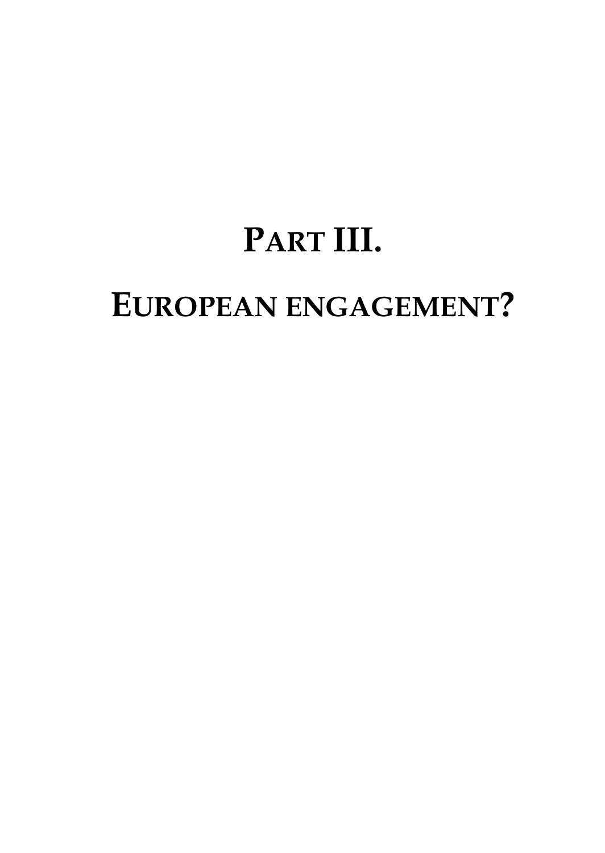# **PART III.**

# **EUROPEAN ENGAGEMENT?**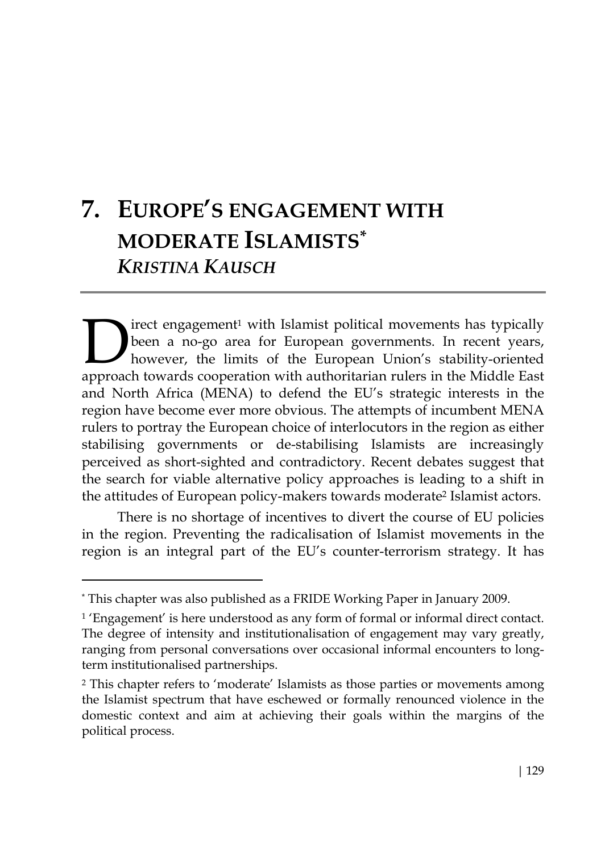# **7. EUROPE'S ENGAGEMENT WITH MODERATE ISLAMISTS\*** *KRISTINA KAUSCH*

irect engagement<sup>1</sup> with Islamist political movements has typically been a no-go area for European governments. In recent years, however, the limits of the European Union's stability-oriented The internal movements has typically been a no-go area for European governments. In recent years, however, the limits of the European Union's stability-oriented approach towards cooperation with authoritarian rulers in the and North Africa (MENA) to defend the EU's strategic interests in the region have become ever more obvious. The attempts of incumbent MENA rulers to portray the European choice of interlocutors in the region as either stabilising governments or de-stabilising Islamists are increasingly perceived as short-sighted and contradictory. Recent debates suggest that the search for viable alternative policy approaches is leading to a shift in the attitudes of European policy-makers towards moderate<sup>2</sup> Islamist actors.

There is no shortage of incentives to divert the course of EU policies in the region. Preventing the radicalisation of Islamist movements in the region is an integral part of the EU's counter-terrorism strategy. It has

<sup>\*</sup> This chapter was also published as a FRIDE Working Paper in January 2009.

<sup>1 &#</sup>x27;Engagement' is here understood as any form of formal or informal direct contact. The degree of intensity and institutionalisation of engagement may vary greatly, ranging from personal conversations over occasional informal encounters to longterm institutionalised partnerships.

<sup>&</sup>lt;sup>2</sup> This chapter refers to 'moderate' Islamists as those parties or movements among the Islamist spectrum that have eschewed or formally renounced violence in the domestic context and aim at achieving their goals within the margins of the political process.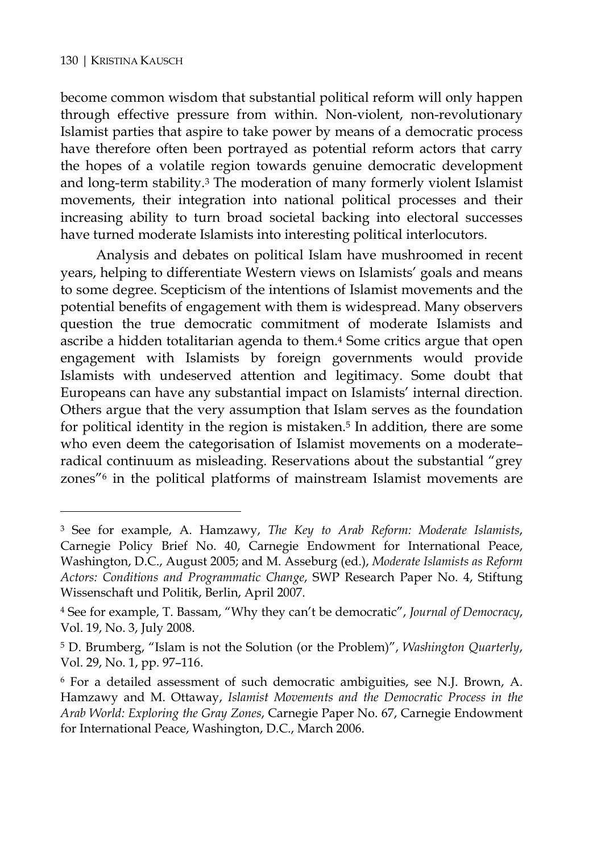$\overline{a}$ 

become common wisdom that substantial political reform will only happen through effective pressure from within. Non-violent, non-revolutionary Islamist parties that aspire to take power by means of a democratic process have therefore often been portrayed as potential reform actors that carry the hopes of a volatile region towards genuine democratic development and long-term stability.3 The moderation of many formerly violent Islamist movements, their integration into national political processes and their increasing ability to turn broad societal backing into electoral successes have turned moderate Islamists into interesting political interlocutors.

Analysis and debates on political Islam have mushroomed in recent years, helping to differentiate Western views on Islamists' goals and means to some degree. Scepticism of the intentions of Islamist movements and the potential benefits of engagement with them is widespread. Many observers question the true democratic commitment of moderate Islamists and ascribe a hidden totalitarian agenda to them.4 Some critics argue that open engagement with Islamists by foreign governments would provide Islamists with undeserved attention and legitimacy. Some doubt that Europeans can have any substantial impact on Islamists' internal direction. Others argue that the very assumption that Islam serves as the foundation for political identity in the region is mistaken.<sup>5</sup> In addition, there are some who even deem the categorisation of Islamist movements on a moderate– radical continuum as misleading. Reservations about the substantial "grey zones"6 in the political platforms of mainstream Islamist movements are

<sup>3</sup> See for example, A. Hamzawy, *The Key to Arab Reform: Moderate Islamists*, Carnegie Policy Brief No. 40, Carnegie Endowment for International Peace, Washington, D.C., August 2005; and M. Asseburg (ed.), *Moderate Islamists as Reform Actors: Conditions and Programmatic Change*, SWP Research Paper No. 4, Stiftung Wissenschaft und Politik, Berlin, April 2007.

<sup>4</sup> See for example, T. Bassam, "Why they can't be democratic", *Journal of Democracy*, Vol. 19, No. 3, July 2008.

<sup>5</sup> D. Brumberg, "Islam is not the Solution (or the Problem)", *Washington Quarterly*, Vol. 29, No. 1, pp. 97–116.

<sup>6</sup> For a detailed assessment of such democratic ambiguities, see N.J. Brown, A. Hamzawy and M. Ottaway, *Islamist Movements and the Democratic Process in the Arab World: Exploring the Gray Zones*, Carnegie Paper No. 67, Carnegie Endowment for International Peace, Washington, D.C., March 2006.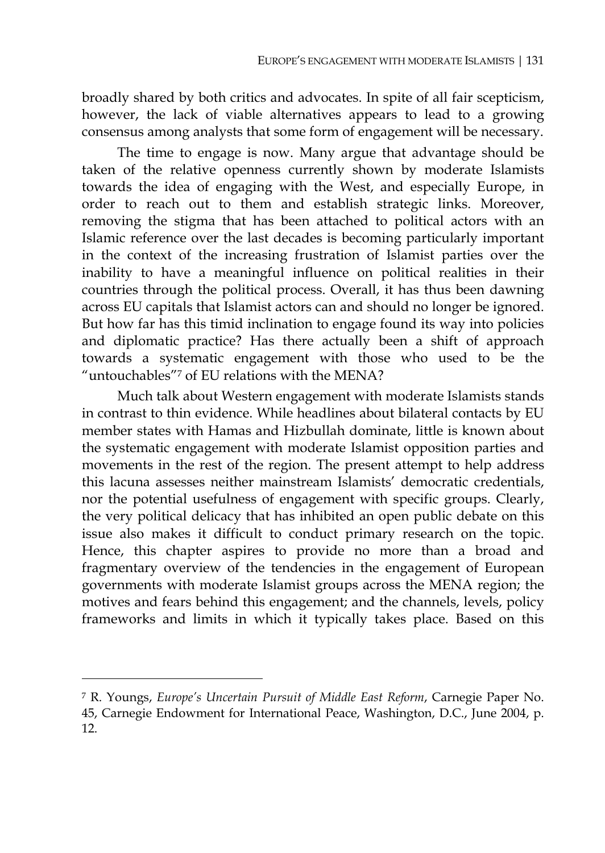broadly shared by both critics and advocates. In spite of all fair scepticism, however, the lack of viable alternatives appears to lead to a growing consensus among analysts that some form of engagement will be necessary.

The time to engage is now. Many argue that advantage should be taken of the relative openness currently shown by moderate Islamists towards the idea of engaging with the West, and especially Europe, in order to reach out to them and establish strategic links. Moreover, removing the stigma that has been attached to political actors with an Islamic reference over the last decades is becoming particularly important in the context of the increasing frustration of Islamist parties over the inability to have a meaningful influence on political realities in their countries through the political process. Overall, it has thus been dawning across EU capitals that Islamist actors can and should no longer be ignored. But how far has this timid inclination to engage found its way into policies and diplomatic practice? Has there actually been a shift of approach towards a systematic engagement with those who used to be the "untouchables"7 of EU relations with the MENA?

Much talk about Western engagement with moderate Islamists stands in contrast to thin evidence. While headlines about bilateral contacts by EU member states with Hamas and Hizbullah dominate, little is known about the systematic engagement with moderate Islamist opposition parties and movements in the rest of the region. The present attempt to help address this lacuna assesses neither mainstream Islamists' democratic credentials, nor the potential usefulness of engagement with specific groups. Clearly, the very political delicacy that has inhibited an open public debate on this issue also makes it difficult to conduct primary research on the topic. Hence, this chapter aspires to provide no more than a broad and fragmentary overview of the tendencies in the engagement of European governments with moderate Islamist groups across the MENA region; the motives and fears behind this engagement; and the channels, levels, policy frameworks and limits in which it typically takes place. Based on this

<sup>7</sup> R. Youngs, *Europe's Uncertain Pursuit of Middle East Reform*, Carnegie Paper No. 45, Carnegie Endowment for International Peace, Washington, D.C., June 2004, p. 12.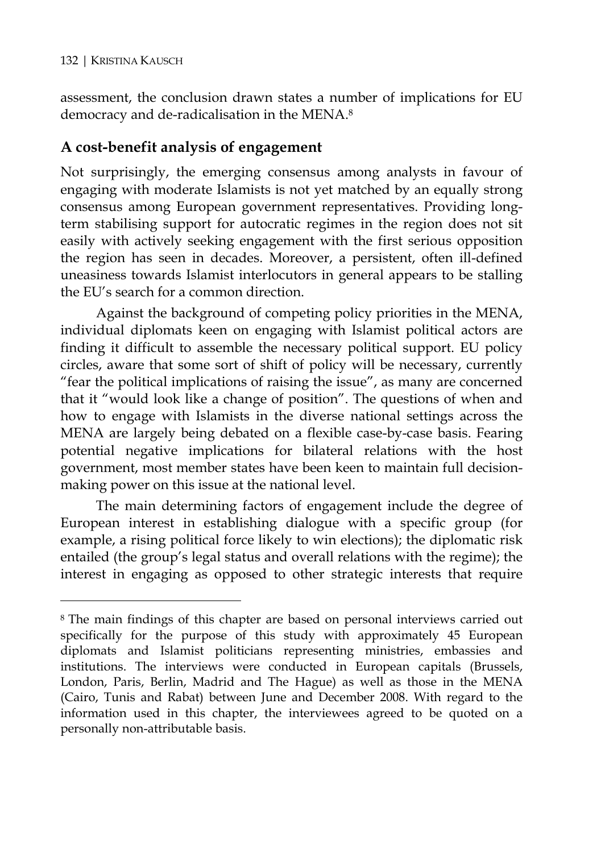#### 132 | KRISTINA KAUSCH

 $\overline{a}$ 

assessment, the conclusion drawn states a number of implications for EU democracy and de-radicalisation in the MENA.8

## **A cost-benefit analysis of engagement**

Not surprisingly, the emerging consensus among analysts in favour of engaging with moderate Islamists is not yet matched by an equally strong consensus among European government representatives. Providing longterm stabilising support for autocratic regimes in the region does not sit easily with actively seeking engagement with the first serious opposition the region has seen in decades. Moreover, a persistent, often ill-defined uneasiness towards Islamist interlocutors in general appears to be stalling the EU's search for a common direction.

Against the background of competing policy priorities in the MENA, individual diplomats keen on engaging with Islamist political actors are finding it difficult to assemble the necessary political support. EU policy circles, aware that some sort of shift of policy will be necessary, currently "fear the political implications of raising the issue", as many are concerned that it "would look like a change of position". The questions of when and how to engage with Islamists in the diverse national settings across the MENA are largely being debated on a flexible case-by-case basis. Fearing potential negative implications for bilateral relations with the host government, most member states have been keen to maintain full decisionmaking power on this issue at the national level.

The main determining factors of engagement include the degree of European interest in establishing dialogue with a specific group (for example, a rising political force likely to win elections); the diplomatic risk entailed (the group's legal status and overall relations with the regime); the interest in engaging as opposed to other strategic interests that require

<sup>8</sup> The main findings of this chapter are based on personal interviews carried out specifically for the purpose of this study with approximately 45 European diplomats and Islamist politicians representing ministries, embassies and institutions. The interviews were conducted in European capitals (Brussels, London, Paris, Berlin, Madrid and The Hague) as well as those in the MENA (Cairo, Tunis and Rabat) between June and December 2008. With regard to the information used in this chapter, the interviewees agreed to be quoted on a personally non-attributable basis.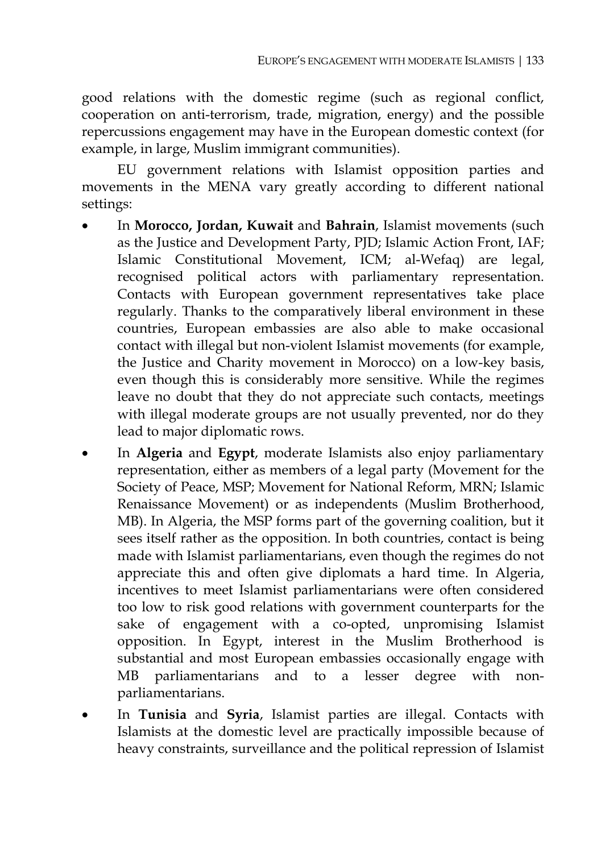good relations with the domestic regime (such as regional conflict, cooperation on anti-terrorism, trade, migration, energy) and the possible repercussions engagement may have in the European domestic context (for example, in large, Muslim immigrant communities).

EU government relations with Islamist opposition parties and movements in the MENA vary greatly according to different national settings:

- In **Morocco, Jordan, Kuwait** and **Bahrain**, Islamist movements (such as the Justice and Development Party, PJD; Islamic Action Front, IAF; Islamic Constitutional Movement, ICM; al-Wefaq) are legal, recognised political actors with parliamentary representation. Contacts with European government representatives take place regularly. Thanks to the comparatively liberal environment in these countries, European embassies are also able to make occasional contact with illegal but non-violent Islamist movements (for example, the Justice and Charity movement in Morocco) on a low-key basis, even though this is considerably more sensitive. While the regimes leave no doubt that they do not appreciate such contacts, meetings with illegal moderate groups are not usually prevented, nor do they lead to major diplomatic rows.
- In **Algeria** and **Egypt**, moderate Islamists also enjoy parliamentary representation, either as members of a legal party (Movement for the Society of Peace, MSP; Movement for National Reform, MRN; Islamic Renaissance Movement) or as independents (Muslim Brotherhood, MB). In Algeria, the MSP forms part of the governing coalition, but it sees itself rather as the opposition. In both countries, contact is being made with Islamist parliamentarians, even though the regimes do not appreciate this and often give diplomats a hard time. In Algeria, incentives to meet Islamist parliamentarians were often considered too low to risk good relations with government counterparts for the sake of engagement with a co-opted, unpromising Islamist opposition. In Egypt, interest in the Muslim Brotherhood is substantial and most European embassies occasionally engage with MB parliamentarians and to a lesser degree with nonparliamentarians.
- In **Tunisia** and **Syria**, Islamist parties are illegal. Contacts with Islamists at the domestic level are practically impossible because of heavy constraints, surveillance and the political repression of Islamist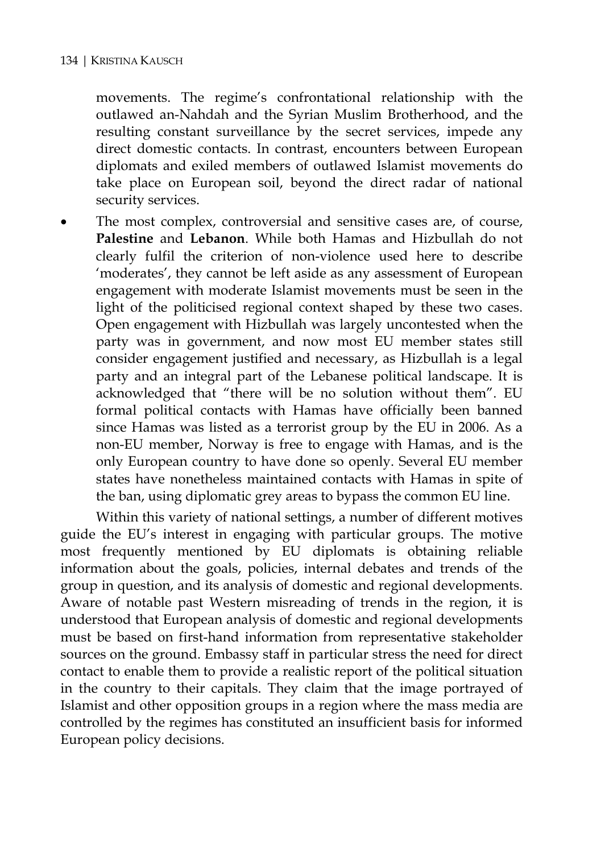movements. The regime's confrontational relationship with the outlawed an-Nahdah and the Syrian Muslim Brotherhood, and the resulting constant surveillance by the secret services, impede any direct domestic contacts. In contrast, encounters between European diplomats and exiled members of outlawed Islamist movements do take place on European soil, beyond the direct radar of national security services.

The most complex, controversial and sensitive cases are, of course, **Palestine** and **Lebanon**. While both Hamas and Hizbullah do not clearly fulfil the criterion of non-violence used here to describe 'moderates', they cannot be left aside as any assessment of European engagement with moderate Islamist movements must be seen in the light of the politicised regional context shaped by these two cases. Open engagement with Hizbullah was largely uncontested when the party was in government, and now most EU member states still consider engagement justified and necessary, as Hizbullah is a legal party and an integral part of the Lebanese political landscape. It is acknowledged that "there will be no solution without them". EU formal political contacts with Hamas have officially been banned since Hamas was listed as a terrorist group by the EU in 2006. As a non-EU member, Norway is free to engage with Hamas, and is the only European country to have done so openly. Several EU member states have nonetheless maintained contacts with Hamas in spite of the ban, using diplomatic grey areas to bypass the common EU line.

Within this variety of national settings, a number of different motives guide the EU's interest in engaging with particular groups. The motive most frequently mentioned by EU diplomats is obtaining reliable information about the goals, policies, internal debates and trends of the group in question, and its analysis of domestic and regional developments. Aware of notable past Western misreading of trends in the region, it is understood that European analysis of domestic and regional developments must be based on first-hand information from representative stakeholder sources on the ground. Embassy staff in particular stress the need for direct contact to enable them to provide a realistic report of the political situation in the country to their capitals. They claim that the image portrayed of Islamist and other opposition groups in a region where the mass media are controlled by the regimes has constituted an insufficient basis for informed European policy decisions.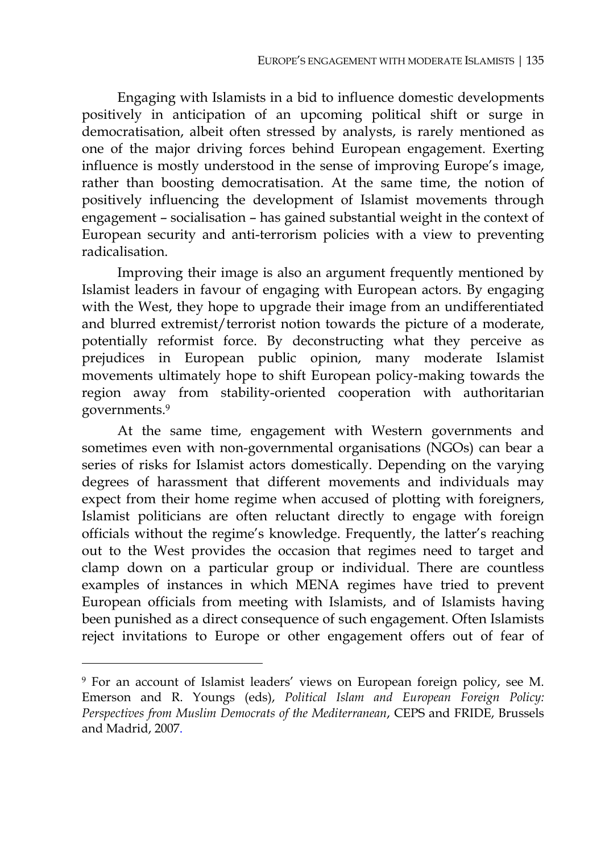Engaging with Islamists in a bid to influence domestic developments positively in anticipation of an upcoming political shift or surge in democratisation, albeit often stressed by analysts, is rarely mentioned as one of the major driving forces behind European engagement. Exerting influence is mostly understood in the sense of improving Europe's image, rather than boosting democratisation. At the same time, the notion of positively influencing the development of Islamist movements through engagement – socialisation – has gained substantial weight in the context of European security and anti-terrorism policies with a view to preventing radicalisation.

Improving their image is also an argument frequently mentioned by Islamist leaders in favour of engaging with European actors. By engaging with the West, they hope to upgrade their image from an undifferentiated and blurred extremist/terrorist notion towards the picture of a moderate, potentially reformist force. By deconstructing what they perceive as prejudices in European public opinion, many moderate Islamist movements ultimately hope to shift European policy-making towards the region away from stability-oriented cooperation with authoritarian governments.9

At the same time, engagement with Western governments and sometimes even with non-governmental organisations (NGOs) can bear a series of risks for Islamist actors domestically. Depending on the varying degrees of harassment that different movements and individuals may expect from their home regime when accused of plotting with foreigners, Islamist politicians are often reluctant directly to engage with foreign officials without the regime's knowledge. Frequently, the latter's reaching out to the West provides the occasion that regimes need to target and clamp down on a particular group or individual. There are countless examples of instances in which MENA regimes have tried to prevent European officials from meeting with Islamists, and of Islamists having been punished as a direct consequence of such engagement. Often Islamists reject invitations to Europe or other engagement offers out of fear of

<sup>9</sup> For an account of Islamist leaders' views on European foreign policy, see M. Emerson and R. Youngs (eds), *Political Islam and European Foreign Policy: Perspectives from Muslim Democrats of the Mediterranean*, CEPS and FRIDE, Brussels and Madrid, 2007.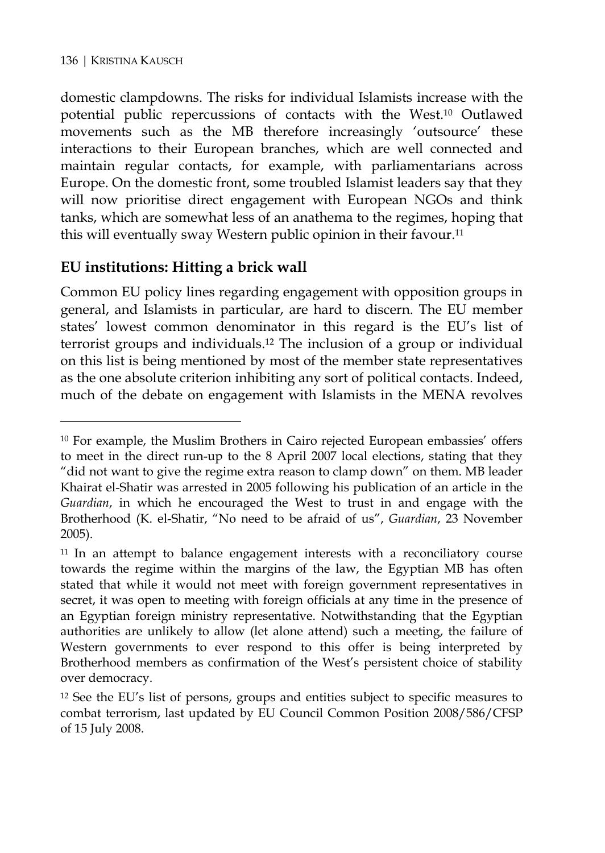$\overline{a}$ 

domestic clampdowns. The risks for individual Islamists increase with the potential public repercussions of contacts with the West.10 Outlawed movements such as the MB therefore increasingly 'outsource' these interactions to their European branches, which are well connected and maintain regular contacts, for example, with parliamentarians across Europe. On the domestic front, some troubled Islamist leaders say that they will now prioritise direct engagement with European NGOs and think tanks, which are somewhat less of an anathema to the regimes, hoping that this will eventually sway Western public opinion in their favour.11

# **EU institutions: Hitting a brick wall**

Common EU policy lines regarding engagement with opposition groups in general, and Islamists in particular, are hard to discern. The EU member states' lowest common denominator in this regard is the EU's list of terrorist groups and individuals.12 The inclusion of a group or individual on this list is being mentioned by most of the member state representatives as the one absolute criterion inhibiting any sort of political contacts. Indeed, much of the debate on engagement with Islamists in the MENA revolves

<sup>10</sup> For example, the Muslim Brothers in Cairo rejected European embassies' offers to meet in the direct run-up to the 8 April 2007 local elections, stating that they "did not want to give the regime extra reason to clamp down" on them. MB leader Khairat el-Shatir was arrested in 2005 following his publication of an article in the *Guardian*, in which he encouraged the West to trust in and engage with the Brotherhood (K. el-Shatir, "No need to be afraid of us", *Guardian*, 23 November 2005).

<sup>11</sup> In an attempt to balance engagement interests with a reconciliatory course towards the regime within the margins of the law, the Egyptian MB has often stated that while it would not meet with foreign government representatives in secret, it was open to meeting with foreign officials at any time in the presence of an Egyptian foreign ministry representative. Notwithstanding that the Egyptian authorities are unlikely to allow (let alone attend) such a meeting, the failure of Western governments to ever respond to this offer is being interpreted by Brotherhood members as confirmation of the West's persistent choice of stability over democracy.

<sup>12</sup> See the EU's list of persons, groups and entities subject to specific measures to combat terrorism, last updated by EU Council Common Position 2008/586/CFSP of 15 July 2008.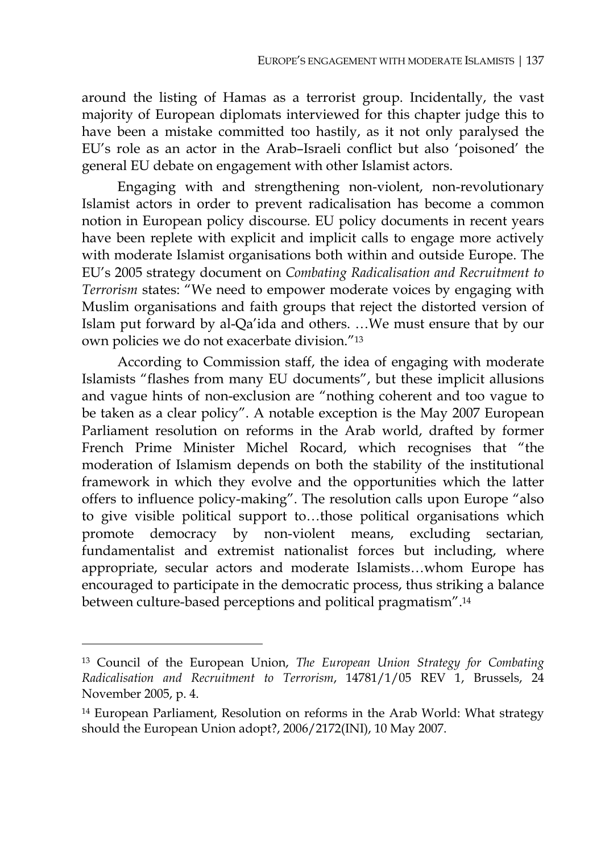around the listing of Hamas as a terrorist group. Incidentally, the vast majority of European diplomats interviewed for this chapter judge this to have been a mistake committed too hastily, as it not only paralysed the EU's role as an actor in the Arab–Israeli conflict but also 'poisoned' the general EU debate on engagement with other Islamist actors.

Engaging with and strengthening non-violent, non-revolutionary Islamist actors in order to prevent radicalisation has become a common notion in European policy discourse*.* EU policy documents in recent years have been replete with explicit and implicit calls to engage more actively with moderate Islamist organisations both within and outside Europe. The EU's 2005 strategy document on *Combating Radicalisation and Recruitment to Terrorism* states: "We need to empower moderate voices by engaging with Muslim organisations and faith groups that reject the distorted version of Islam put forward by al-Qa'ida and others. …We must ensure that by our own policies we do not exacerbate division."13

According to Commission staff, the idea of engaging with moderate Islamists "flashes from many EU documents", but these implicit allusions and vague hints of non-exclusion are "nothing coherent and too vague to be taken as a clear policy". A notable exception is the May 2007 European Parliament resolution on reforms in the Arab world, drafted by former French Prime Minister Michel Rocard, which recognises that "the moderation of Islamism depends on both the stability of the institutional framework in which they evolve and the opportunities which the latter offers to influence policy-making". The resolution calls upon Europe "also to give visible political support to…those political organisations which promote democracy by non-violent means, excluding sectarian*,*  fundamentalist and extremist nationalist forces but including, where appropriate, secular actors and moderate Islamists…whom Europe has encouraged to participate in the democratic process, thus striking a balance between culture-based perceptions and political pragmatism".14

<sup>13</sup> Council of the European Union, *The European Union Strategy for Combating Radicalisation and Recruitment to Terrorism*, 14781/1/05 REV 1, Brussels, 24 November 2005, p. 4.

<sup>14</sup> European Parliament, Resolution on reforms in the Arab World: What strategy should the European Union adopt?, 2006/2172(INI), 10 May 2007.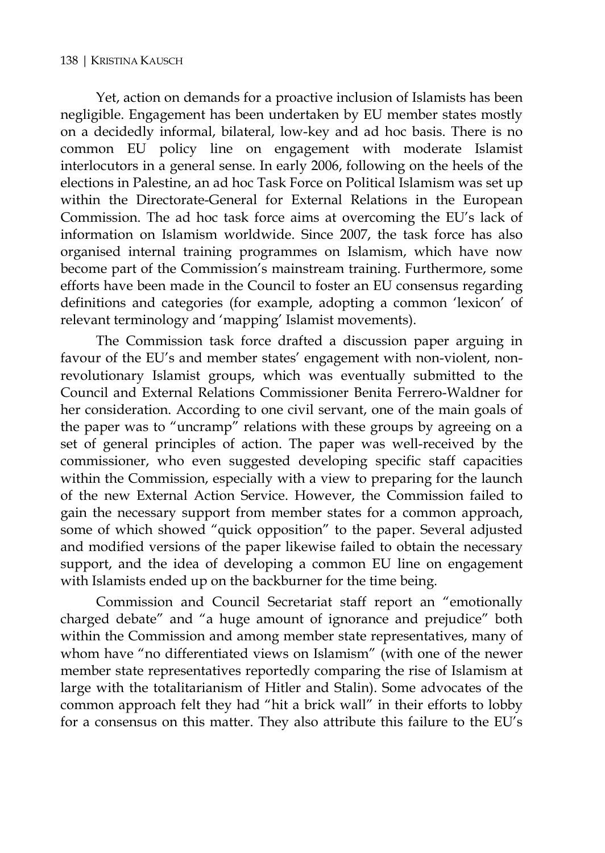Yet, action on demands for a proactive inclusion of Islamists has been negligible. Engagement has been undertaken by EU member states mostly on a decidedly informal, bilateral, low-key and ad hoc basis. There is no common EU policy line on engagement with moderate Islamist interlocutors in a general sense. In early 2006, following on the heels of the elections in Palestine, an ad hoc Task Force on Political Islamism was set up within the Directorate-General for External Relations in the European Commission. The ad hoc task force aims at overcoming the EU's lack of information on Islamism worldwide. Since 2007, the task force has also organised internal training programmes on Islamism, which have now become part of the Commission's mainstream training. Furthermore, some efforts have been made in the Council to foster an EU consensus regarding definitions and categories (for example, adopting a common 'lexicon' of relevant terminology and 'mapping' Islamist movements).

The Commission task force drafted a discussion paper arguing in favour of the EU's and member states' engagement with non-violent, nonrevolutionary Islamist groups, which was eventually submitted to the Council and External Relations Commissioner Benita Ferrero-Waldner for her consideration. According to one civil servant, one of the main goals of the paper was to "uncramp" relations with these groups by agreeing on a set of general principles of action. The paper was well-received by the commissioner, who even suggested developing specific staff capacities within the Commission, especially with a view to preparing for the launch of the new External Action Service. However, the Commission failed to gain the necessary support from member states for a common approach, some of which showed "quick opposition" to the paper. Several adjusted and modified versions of the paper likewise failed to obtain the necessary support, and the idea of developing a common EU line on engagement with Islamists ended up on the backburner for the time being.

Commission and Council Secretariat staff report an "emotionally charged debate" and "a huge amount of ignorance and prejudice" both within the Commission and among member state representatives, many of whom have "no differentiated views on Islamism" (with one of the newer member state representatives reportedly comparing the rise of Islamism at large with the totalitarianism of Hitler and Stalin). Some advocates of the common approach felt they had "hit a brick wall" in their efforts to lobby for a consensus on this matter. They also attribute this failure to the EU's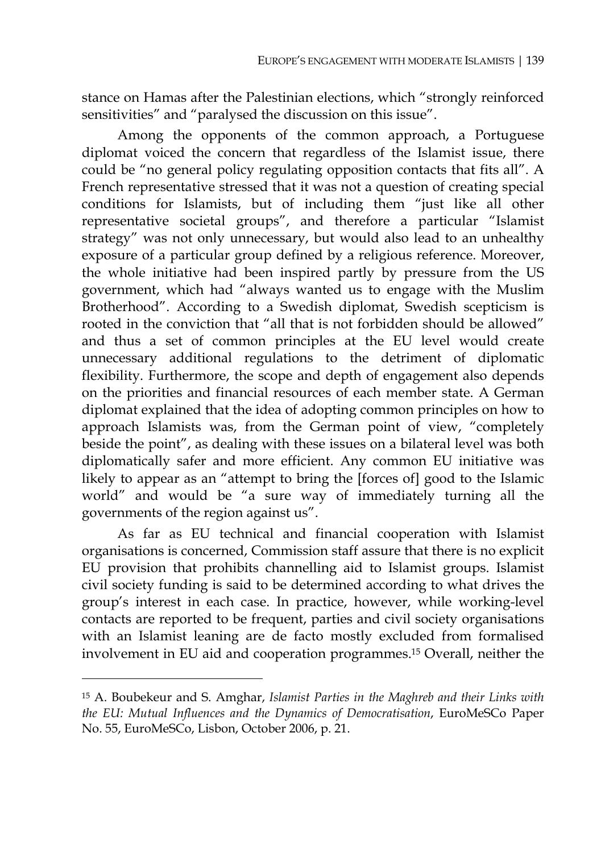stance on Hamas after the Palestinian elections, which "strongly reinforced sensitivities" and "paralysed the discussion on this issue".

Among the opponents of the common approach, a Portuguese diplomat voiced the concern that regardless of the Islamist issue, there could be "no general policy regulating opposition contacts that fits all". A French representative stressed that it was not a question of creating special conditions for Islamists, but of including them "just like all other representative societal groups", and therefore a particular "Islamist strategy" was not only unnecessary, but would also lead to an unhealthy exposure of a particular group defined by a religious reference. Moreover, the whole initiative had been inspired partly by pressure from the US government, which had "always wanted us to engage with the Muslim Brotherhood". According to a Swedish diplomat, Swedish scepticism is rooted in the conviction that "all that is not forbidden should be allowed" and thus a set of common principles at the EU level would create unnecessary additional regulations to the detriment of diplomatic flexibility. Furthermore, the scope and depth of engagement also depends on the priorities and financial resources of each member state. A German diplomat explained that the idea of adopting common principles on how to approach Islamists was, from the German point of view, "completely beside the point", as dealing with these issues on a bilateral level was both diplomatically safer and more efficient. Any common EU initiative was likely to appear as an "attempt to bring the [forces of] good to the Islamic world" and would be "a sure way of immediately turning all the governments of the region against us".

As far as EU technical and financial cooperation with Islamist organisations is concerned, Commission staff assure that there is no explicit EU provision that prohibits channelling aid to Islamist groups. Islamist civil society funding is said to be determined according to what drives the group's interest in each case. In practice, however, while working-level contacts are reported to be frequent, parties and civil society organisations with an Islamist leaning are de facto mostly excluded from formalised involvement in EU aid and cooperation programmes.15 Overall, neither the

<sup>15</sup> A. Boubekeur and S. Amghar, *Islamist Parties in the Maghreb and their Links with the EU: Mutual Influences and the Dynamics of Democratisation*, EuroMeSCo Paper No. 55, EuroMeSCo, Lisbon, October 2006, p. 21.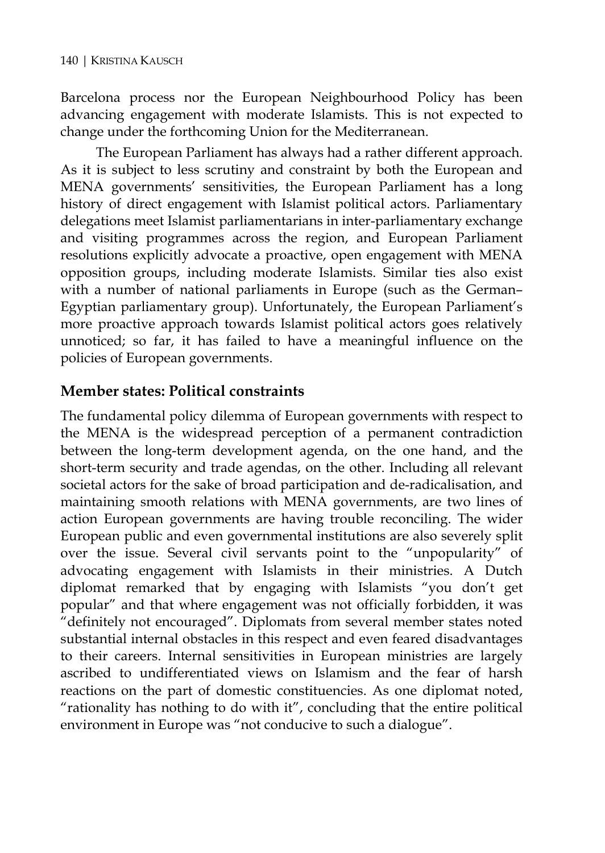Barcelona process nor the European Neighbourhood Policy has been advancing engagement with moderate Islamists. This is not expected to change under the forthcoming Union for the Mediterranean.

The European Parliament has always had a rather different approach. As it is subject to less scrutiny and constraint by both the European and MENA governments' sensitivities, the European Parliament has a long history of direct engagement with Islamist political actors. Parliamentary delegations meet Islamist parliamentarians in inter-parliamentary exchange and visiting programmes across the region, and European Parliament resolutions explicitly advocate a proactive, open engagement with MENA opposition groups, including moderate Islamists. Similar ties also exist with a number of national parliaments in Europe (such as the German– Egyptian parliamentary group). Unfortunately, the European Parliament's more proactive approach towards Islamist political actors goes relatively unnoticed; so far, it has failed to have a meaningful influence on the policies of European governments.

# **Member states: Political constraints**

The fundamental policy dilemma of European governments with respect to the MENA is the widespread perception of a permanent contradiction between the long-term development agenda, on the one hand, and the short-term security and trade agendas, on the other. Including all relevant societal actors for the sake of broad participation and de-radicalisation, and maintaining smooth relations with MENA governments, are two lines of action European governments are having trouble reconciling. The wider European public and even governmental institutions are also severely split over the issue. Several civil servants point to the "unpopularity" of advocating engagement with Islamists in their ministries. A Dutch diplomat remarked that by engaging with Islamists "you don't get popular" and that where engagement was not officially forbidden, it was "definitely not encouraged". Diplomats from several member states noted substantial internal obstacles in this respect and even feared disadvantages to their careers. Internal sensitivities in European ministries are largely ascribed to undifferentiated views on Islamism and the fear of harsh reactions on the part of domestic constituencies. As one diplomat noted, "rationality has nothing to do with it", concluding that the entire political environment in Europe was "not conducive to such a dialogue".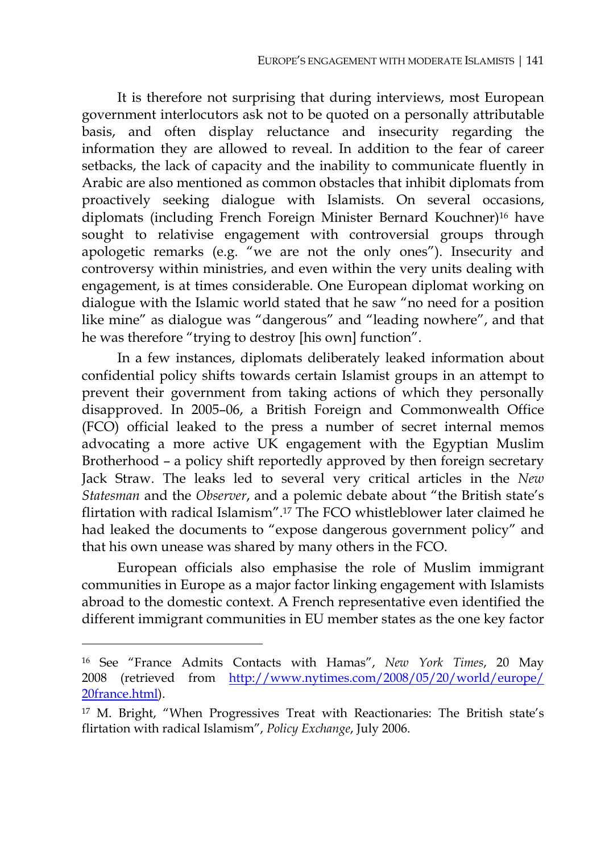It is therefore not surprising that during interviews, most European government interlocutors ask not to be quoted on a personally attributable basis, and often display reluctance and insecurity regarding the information they are allowed to reveal. In addition to the fear of career setbacks, the lack of capacity and the inability to communicate fluently in Arabic are also mentioned as common obstacles that inhibit diplomats from proactively seeking dialogue with Islamists. On several occasions, diplomats (including French Foreign Minister Bernard Kouchner)16 have sought to relativise engagement with controversial groups through apologetic remarks (e.g. "we are not the only ones"). Insecurity and controversy within ministries, and even within the very units dealing with engagement, is at times considerable. One European diplomat working on dialogue with the Islamic world stated that he saw "no need for a position like mine" as dialogue was "dangerous" and "leading nowhere", and that he was therefore "trying to destroy [his own] function".

In a few instances, diplomats deliberately leaked information about confidential policy shifts towards certain Islamist groups in an attempt to prevent their government from taking actions of which they personally disapproved. In 2005–06, a British Foreign and Commonwealth Office (FCO) official leaked to the press a number of secret internal memos advocating a more active UK engagement with the Egyptian Muslim Brotherhood – a policy shift reportedly approved by then foreign secretary Jack Straw. The leaks led to several very critical articles in the *New Statesman* and the *Observer*, and a polemic debate about "the British state's flirtation with radical Islamism".17 The FCO whistleblower later claimed he had leaked the documents to "expose dangerous government policy" and that his own unease was shared by many others in the FCO.

European officials also emphasise the role of Muslim immigrant communities in Europe as a major factor linking engagement with Islamists abroad to the domestic context. A French representative even identified the different immigrant communities in EU member states as the one key factor

<sup>16</sup> See "France Admits Contacts with Hamas", *New York Times*, 20 May 2008 (retrieved from http://www.nytimes.com/2008/05/20/world/europe/ 20france.html).

<sup>17</sup> M. Bright, "When Progressives Treat with Reactionaries: The British state's flirtation with radical Islamism", *Policy Exchange*, July 2006.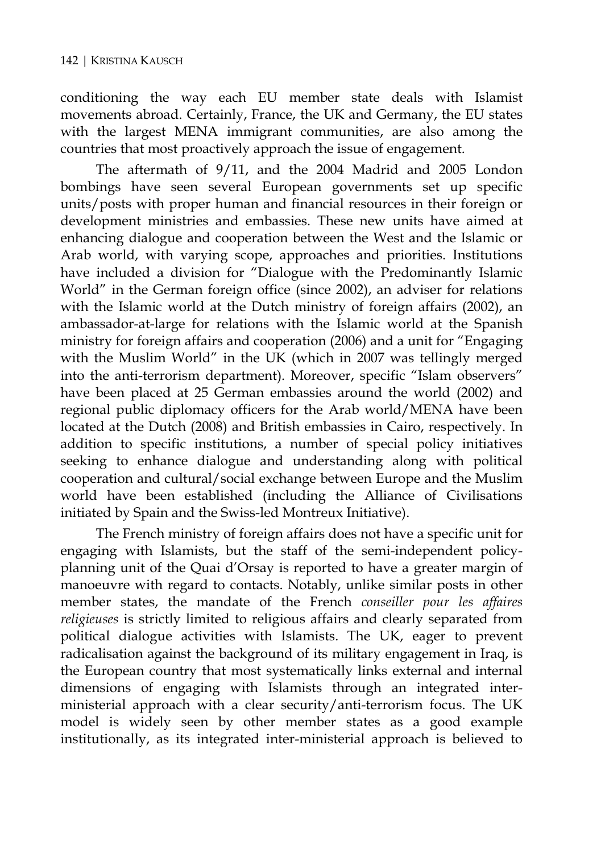conditioning the way each EU member state deals with Islamist movements abroad. Certainly, France, the UK and Germany, the EU states with the largest MENA immigrant communities, are also among the countries that most proactively approach the issue of engagement.

The aftermath of 9/11, and the 2004 Madrid and 2005 London bombings have seen several European governments set up specific units/posts with proper human and financial resources in their foreign or development ministries and embassies. These new units have aimed at enhancing dialogue and cooperation between the West and the Islamic or Arab world, with varying scope, approaches and priorities. Institutions have included a division for "Dialogue with the Predominantly Islamic World" in the German foreign office (since 2002), an adviser for relations with the Islamic world at the Dutch ministry of foreign affairs (2002), an ambassador-at-large for relations with the Islamic world at the Spanish ministry for foreign affairs and cooperation (2006) and a unit for "Engaging with the Muslim World" in the UK (which in 2007 was tellingly merged into the anti-terrorism department). Moreover, specific "Islam observers" have been placed at 25 German embassies around the world (2002) and regional public diplomacy officers for the Arab world/MENA have been located at the Dutch (2008) and British embassies in Cairo, respectively. In addition to specific institutions, a number of special policy initiatives seeking to enhance dialogue and understanding along with political cooperation and cultural/social exchange between Europe and the Muslim world have been established (including the Alliance of Civilisations initiated by Spain and the Swiss-led Montreux Initiative).

The French ministry of foreign affairs does not have a specific unit for engaging with Islamists, but the staff of the semi-independent policyplanning unit of the Quai d'Orsay is reported to have a greater margin of manoeuvre with regard to contacts. Notably, unlike similar posts in other member states, the mandate of the French *conseiller pour les affaires religieuses* is strictly limited to religious affairs and clearly separated from political dialogue activities with Islamists. The UK, eager to prevent radicalisation against the background of its military engagement in Iraq, is the European country that most systematically links external and internal dimensions of engaging with Islamists through an integrated interministerial approach with a clear security/anti-terrorism focus. The UK model is widely seen by other member states as a good example institutionally, as its integrated inter-ministerial approach is believed to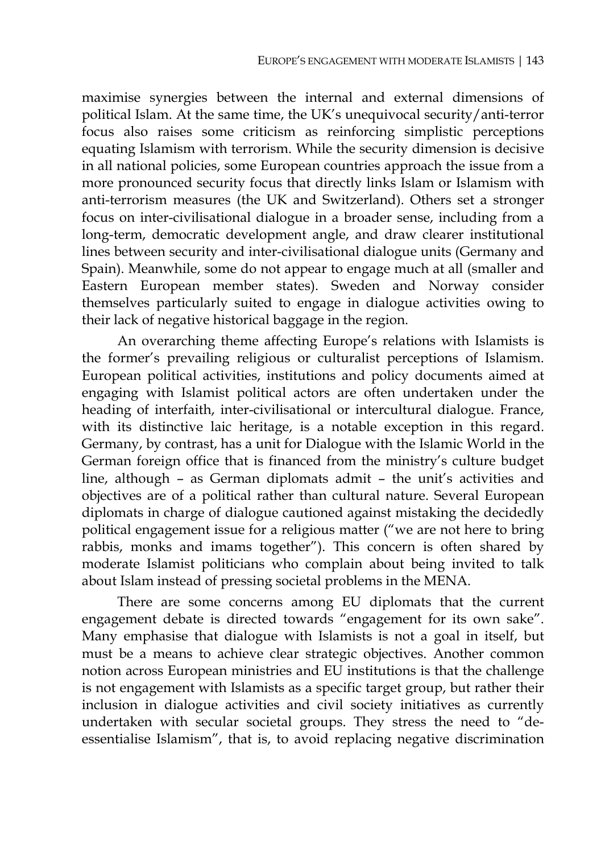maximise synergies between the internal and external dimensions of political Islam. At the same time, the UK's unequivocal security/anti-terror focus also raises some criticism as reinforcing simplistic perceptions equating Islamism with terrorism. While the security dimension is decisive in all national policies, some European countries approach the issue from a more pronounced security focus that directly links Islam or Islamism with anti-terrorism measures (the UK and Switzerland). Others set a stronger focus on inter-civilisational dialogue in a broader sense, including from a long-term, democratic development angle, and draw clearer institutional lines between security and inter-civilisational dialogue units (Germany and Spain). Meanwhile, some do not appear to engage much at all (smaller and Eastern European member states). Sweden and Norway consider themselves particularly suited to engage in dialogue activities owing to their lack of negative historical baggage in the region.

An overarching theme affecting Europe's relations with Islamists is the former's prevailing religious or culturalist perceptions of Islamism. European political activities, institutions and policy documents aimed at engaging with Islamist political actors are often undertaken under the heading of interfaith, inter-civilisational or intercultural dialogue. France, with its distinctive laic heritage, is a notable exception in this regard. Germany, by contrast, has a unit for Dialogue with the Islamic World in the German foreign office that is financed from the ministry's culture budget line, although – as German diplomats admit – the unit's activities and objectives are of a political rather than cultural nature. Several European diplomats in charge of dialogue cautioned against mistaking the decidedly political engagement issue for a religious matter ("we are not here to bring rabbis, monks and imams together"). This concern is often shared by moderate Islamist politicians who complain about being invited to talk about Islam instead of pressing societal problems in the MENA.

There are some concerns among EU diplomats that the current engagement debate is directed towards "engagement for its own sake". Many emphasise that dialogue with Islamists is not a goal in itself, but must be a means to achieve clear strategic objectives. Another common notion across European ministries and EU institutions is that the challenge is not engagement with Islamists as a specific target group, but rather their inclusion in dialogue activities and civil society initiatives as currently undertaken with secular societal groups. They stress the need to "deessentialise Islamism", that is, to avoid replacing negative discrimination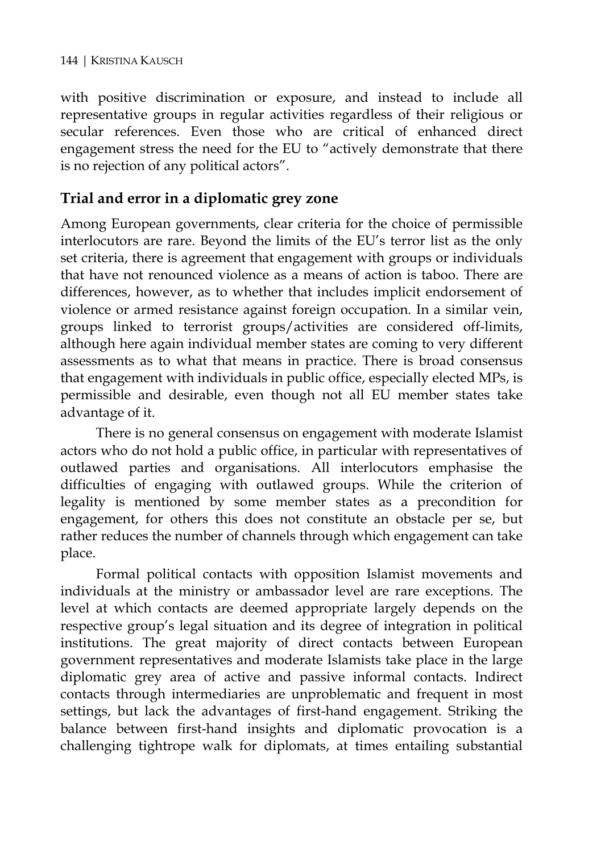with positive discrimination or exposure, and instead to include all representative groups in regular activities regardless of their religious or secular references. Even those who are critical of enhanced direct engagement stress the need for the EU to "actively demonstrate that there is no rejection of any political actors".

# **Trial and error in a diplomatic grey zone**

Among European governments, clear criteria for the choice of permissible interlocutors are rare. Beyond the limits of the EU's terror list as the only set criteria, there is agreement that engagement with groups or individuals that have not renounced violence as a means of action is taboo. There are differences, however, as to whether that includes implicit endorsement of violence or armed resistance against foreign occupation. In a similar vein, groups linked to terrorist groups/activities are considered off-limits, although here again individual member states are coming to very different assessments as to what that means in practice. There is broad consensus that engagement with individuals in public office, especially elected MPs, is permissible and desirable, even though not all EU member states take advantage of it.

There is no general consensus on engagement with moderate Islamist actors who do not hold a public office, in particular with representatives of outlawed parties and organisations. All interlocutors emphasise the difficulties of engaging with outlawed groups. While the criterion of legality is mentioned by some member states as a precondition for engagement, for others this does not constitute an obstacle per se, but rather reduces the number of channels through which engagement can take place.

Formal political contacts with opposition Islamist movements and individuals at the ministry or ambassador level are rare exceptions. The level at which contacts are deemed appropriate largely depends on the respective group's legal situation and its degree of integration in political institutions. The great majority of direct contacts between European government representatives and moderate Islamists take place in the large diplomatic grey area of active and passive informal contacts. Indirect contacts through intermediaries are unproblematic and frequent in most settings, but lack the advantages of first-hand engagement. Striking the balance between first-hand insights and diplomatic provocation is a challenging tightrope walk for diplomats, at times entailing substantial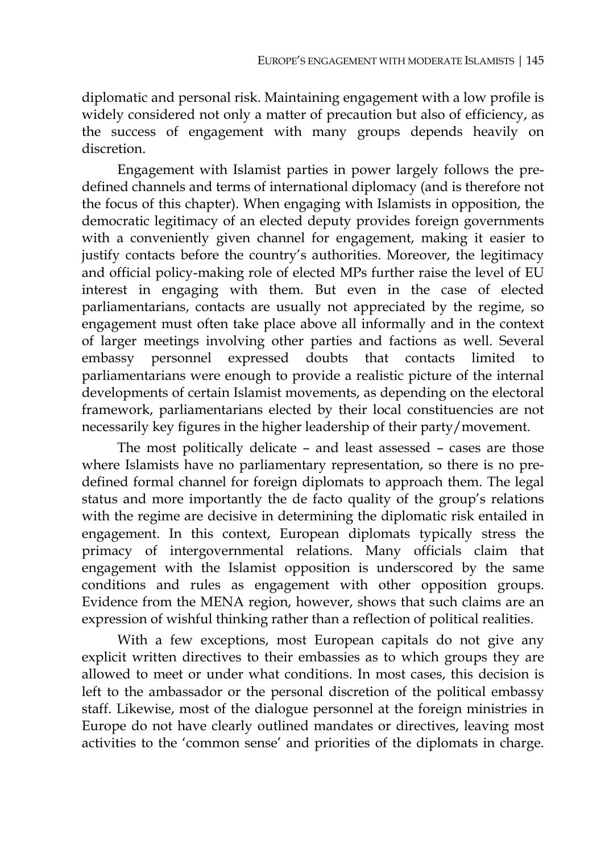diplomatic and personal risk. Maintaining engagement with a low profile is widely considered not only a matter of precaution but also of efficiency, as the success of engagement with many groups depends heavily on discretion.

Engagement with Islamist parties in power largely follows the predefined channels and terms of international diplomacy (and is therefore not the focus of this chapter). When engaging with Islamists in opposition, the democratic legitimacy of an elected deputy provides foreign governments with a conveniently given channel for engagement, making it easier to justify contacts before the country's authorities. Moreover, the legitimacy and official policy-making role of elected MPs further raise the level of EU interest in engaging with them. But even in the case of elected parliamentarians, contacts are usually not appreciated by the regime, so engagement must often take place above all informally and in the context of larger meetings involving other parties and factions as well. Several embassy personnel expressed doubts that contacts limited to parliamentarians were enough to provide a realistic picture of the internal developments of certain Islamist movements, as depending on the electoral framework, parliamentarians elected by their local constituencies are not necessarily key figures in the higher leadership of their party/movement.

The most politically delicate – and least assessed – cases are those where Islamists have no parliamentary representation, so there is no predefined formal channel for foreign diplomats to approach them. The legal status and more importantly the de facto quality of the group's relations with the regime are decisive in determining the diplomatic risk entailed in engagement. In this context, European diplomats typically stress the primacy of intergovernmental relations. Many officials claim that engagement with the Islamist opposition is underscored by the same conditions and rules as engagement with other opposition groups. Evidence from the MENA region, however, shows that such claims are an expression of wishful thinking rather than a reflection of political realities.

With a few exceptions, most European capitals do not give any explicit written directives to their embassies as to which groups they are allowed to meet or under what conditions. In most cases, this decision is left to the ambassador or the personal discretion of the political embassy staff. Likewise, most of the dialogue personnel at the foreign ministries in Europe do not have clearly outlined mandates or directives, leaving most activities to the 'common sense' and priorities of the diplomats in charge.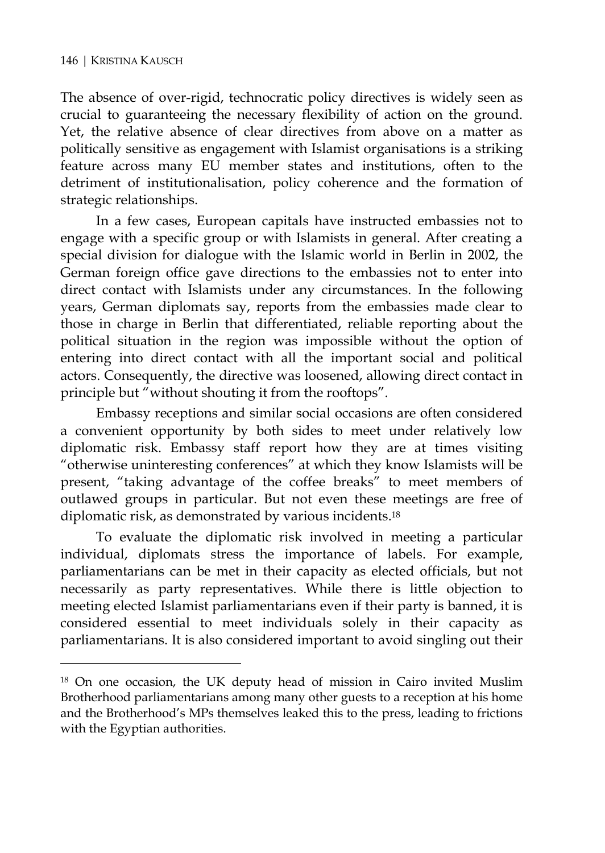$\overline{a}$ 

The absence of over-rigid, technocratic policy directives is widely seen as crucial to guaranteeing the necessary flexibility of action on the ground. Yet, the relative absence of clear directives from above on a matter as politically sensitive as engagement with Islamist organisations is a striking feature across many EU member states and institutions, often to the detriment of institutionalisation, policy coherence and the formation of strategic relationships.

In a few cases, European capitals have instructed embassies not to engage with a specific group or with Islamists in general. After creating a special division for dialogue with the Islamic world in Berlin in 2002, the German foreign office gave directions to the embassies not to enter into direct contact with Islamists under any circumstances. In the following years, German diplomats say, reports from the embassies made clear to those in charge in Berlin that differentiated, reliable reporting about the political situation in the region was impossible without the option of entering into direct contact with all the important social and political actors. Consequently, the directive was loosened, allowing direct contact in principle but "without shouting it from the rooftops".

Embassy receptions and similar social occasions are often considered a convenient opportunity by both sides to meet under relatively low diplomatic risk. Embassy staff report how they are at times visiting "otherwise uninteresting conferences" at which they know Islamists will be present, "taking advantage of the coffee breaks" to meet members of outlawed groups in particular. But not even these meetings are free of diplomatic risk, as demonstrated by various incidents.18

To evaluate the diplomatic risk involved in meeting a particular individual, diplomats stress the importance of labels. For example, parliamentarians can be met in their capacity as elected officials, but not necessarily as party representatives. While there is little objection to meeting elected Islamist parliamentarians even if their party is banned, it is considered essential to meet individuals solely in their capacity as parliamentarians. It is also considered important to avoid singling out their

<sup>18</sup> On one occasion, the UK deputy head of mission in Cairo invited Muslim Brotherhood parliamentarians among many other guests to a reception at his home and the Brotherhood's MPs themselves leaked this to the press, leading to frictions with the Egyptian authorities.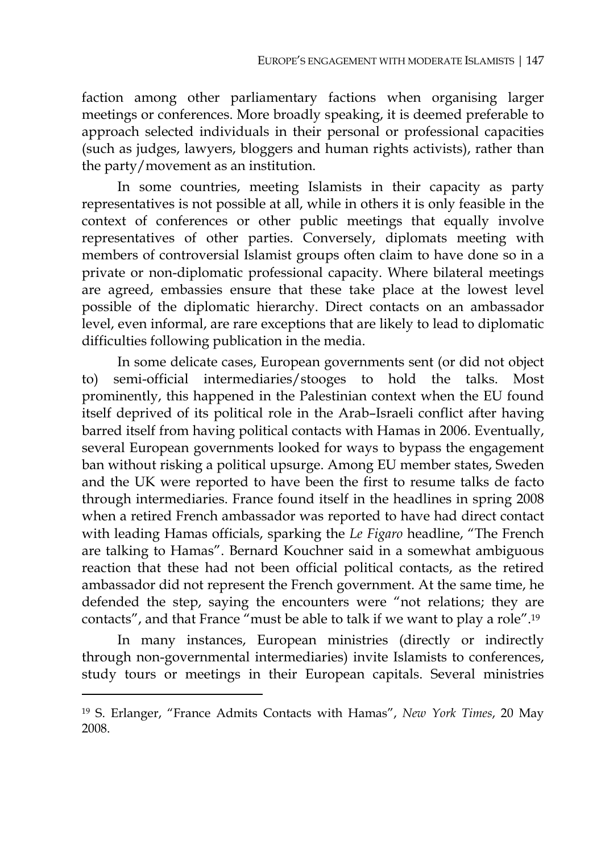faction among other parliamentary factions when organising larger meetings or conferences. More broadly speaking, it is deemed preferable to approach selected individuals in their personal or professional capacities (such as judges, lawyers, bloggers and human rights activists), rather than the party/movement as an institution.

In some countries, meeting Islamists in their capacity as party representatives is not possible at all, while in others it is only feasible in the context of conferences or other public meetings that equally involve representatives of other parties. Conversely, diplomats meeting with members of controversial Islamist groups often claim to have done so in a private or non-diplomatic professional capacity. Where bilateral meetings are agreed, embassies ensure that these take place at the lowest level possible of the diplomatic hierarchy. Direct contacts on an ambassador level, even informal, are rare exceptions that are likely to lead to diplomatic difficulties following publication in the media.

In some delicate cases, European governments sent (or did not object to) semi-official intermediaries/stooges to hold the talks. Most prominently, this happened in the Palestinian context when the EU found itself deprived of its political role in the Arab–Israeli conflict after having barred itself from having political contacts with Hamas in 2006. Eventually, several European governments looked for ways to bypass the engagement ban without risking a political upsurge. Among EU member states, Sweden and the UK were reported to have been the first to resume talks de facto through intermediaries. France found itself in the headlines in spring 2008 when a retired French ambassador was reported to have had direct contact with leading Hamas officials, sparking the *Le Figaro* headline, "The French are talking to Hamas". Bernard Kouchner said in a somewhat ambiguous reaction that these had not been official political contacts, as the retired ambassador did not represent the French government. At the same time, he defended the step, saying the encounters were "not relations; they are contacts", and that France "must be able to talk if we want to play a role".19

In many instances, European ministries (directly or indirectly through non-governmental intermediaries) invite Islamists to conferences, study tours or meetings in their European capitals. Several ministries

<sup>19</sup> S. Erlanger, "France Admits Contacts with Hamas", *New York Times*, 20 May 2008.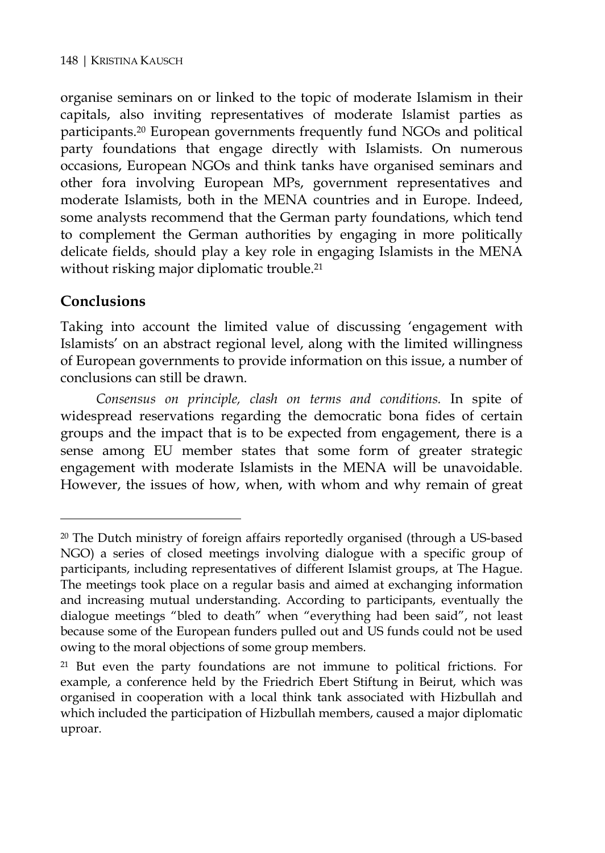organise seminars on or linked to the topic of moderate Islamism in their capitals, also inviting representatives of moderate Islamist parties as participants.20 European governments frequently fund NGOs and political party foundations that engage directly with Islamists. On numerous occasions, European NGOs and think tanks have organised seminars and other fora involving European MPs, government representatives and moderate Islamists, both in the MENA countries and in Europe. Indeed, some analysts recommend that the German party foundations, which tend to complement the German authorities by engaging in more politically delicate fields, should play a key role in engaging Islamists in the MENA without risking major diplomatic trouble.<sup>21</sup>

## **Conclusions**

 $\overline{a}$ 

Taking into account the limited value of discussing 'engagement with Islamists' on an abstract regional level, along with the limited willingness of European governments to provide information on this issue, a number of conclusions can still be drawn.

*Consensus on principle, clash on terms and conditions.* In spite of widespread reservations regarding the democratic bona fides of certain groups and the impact that is to be expected from engagement, there is a sense among EU member states that some form of greater strategic engagement with moderate Islamists in the MENA will be unavoidable. However, the issues of how, when, with whom and why remain of great

 $20$  The Dutch ministry of foreign affairs reportedly organised (through a US-based NGO) a series of closed meetings involving dialogue with a specific group of participants, including representatives of different Islamist groups, at The Hague. The meetings took place on a regular basis and aimed at exchanging information and increasing mutual understanding. According to participants, eventually the dialogue meetings "bled to death" when "everything had been said", not least because some of the European funders pulled out and US funds could not be used owing to the moral objections of some group members.

<sup>21</sup> But even the party foundations are not immune to political frictions. For example, a conference held by the Friedrich Ebert Stiftung in Beirut, which was organised in cooperation with a local think tank associated with Hizbullah and which included the participation of Hizbullah members, caused a major diplomatic uproar.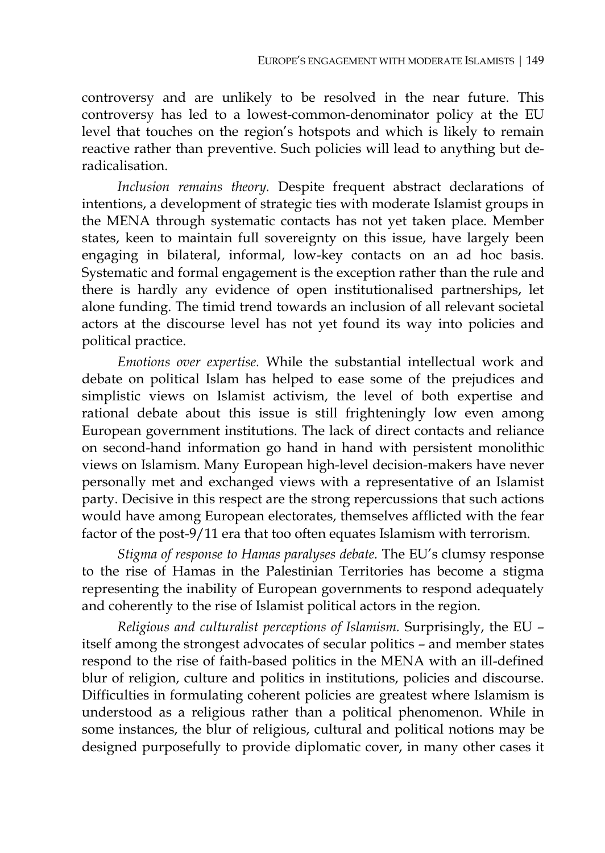controversy and are unlikely to be resolved in the near future. This controversy has led to a lowest-common-denominator policy at the EU level that touches on the region's hotspots and which is likely to remain reactive rather than preventive. Such policies will lead to anything but deradicalisation.

*Inclusion remains theory.* Despite frequent abstract declarations of intentions, a development of strategic ties with moderate Islamist groups in the MENA through systematic contacts has not yet taken place. Member states, keen to maintain full sovereignty on this issue, have largely been engaging in bilateral, informal, low-key contacts on an ad hoc basis. Systematic and formal engagement is the exception rather than the rule and there is hardly any evidence of open institutionalised partnerships, let alone funding. The timid trend towards an inclusion of all relevant societal actors at the discourse level has not yet found its way into policies and political practice.

*Emotions over expertise.* While the substantial intellectual work and debate on political Islam has helped to ease some of the prejudices and simplistic views on Islamist activism, the level of both expertise and rational debate about this issue is still frighteningly low even among European government institutions. The lack of direct contacts and reliance on second-hand information go hand in hand with persistent monolithic views on Islamism. Many European high-level decision-makers have never personally met and exchanged views with a representative of an Islamist party. Decisive in this respect are the strong repercussions that such actions would have among European electorates, themselves afflicted with the fear factor of the post-9/11 era that too often equates Islamism with terrorism.

*Stigma of response to Hamas paralyses debate.* The EU's clumsy response to the rise of Hamas in the Palestinian Territories has become a stigma representing the inability of European governments to respond adequately and coherently to the rise of Islamist political actors in the region.

*Religious and culturalist perceptions of Islamism.* Surprisingly, the EU – itself among the strongest advocates of secular politics – and member states respond to the rise of faith-based politics in the MENA with an ill-defined blur of religion, culture and politics in institutions, policies and discourse. Difficulties in formulating coherent policies are greatest where Islamism is understood as a religious rather than a political phenomenon. While in some instances, the blur of religious, cultural and political notions may be designed purposefully to provide diplomatic cover, in many other cases it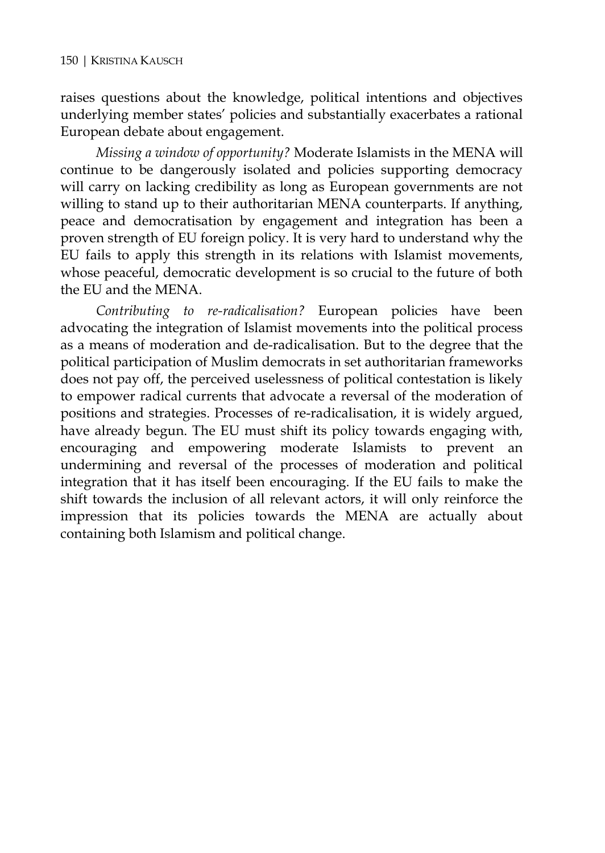raises questions about the knowledge, political intentions and objectives underlying member states' policies and substantially exacerbates a rational European debate about engagement.

*Missing a window of opportunity?* Moderate Islamists in the MENA will continue to be dangerously isolated and policies supporting democracy will carry on lacking credibility as long as European governments are not willing to stand up to their authoritarian MENA counterparts. If anything, peace and democratisation by engagement and integration has been a proven strength of EU foreign policy. It is very hard to understand why the EU fails to apply this strength in its relations with Islamist movements, whose peaceful, democratic development is so crucial to the future of both the EU and the MENA.

*Contributing to re-radicalisation?* European policies have been advocating the integration of Islamist movements into the political process as a means of moderation and de-radicalisation. But to the degree that the political participation of Muslim democrats in set authoritarian frameworks does not pay off, the perceived uselessness of political contestation is likely to empower radical currents that advocate a reversal of the moderation of positions and strategies. Processes of re-radicalisation, it is widely argued, have already begun. The EU must shift its policy towards engaging with, encouraging and empowering moderate Islamists to prevent an undermining and reversal of the processes of moderation and political integration that it has itself been encouraging. If the EU fails to make the shift towards the inclusion of all relevant actors, it will only reinforce the impression that its policies towards the MENA are actually about containing both Islamism and political change.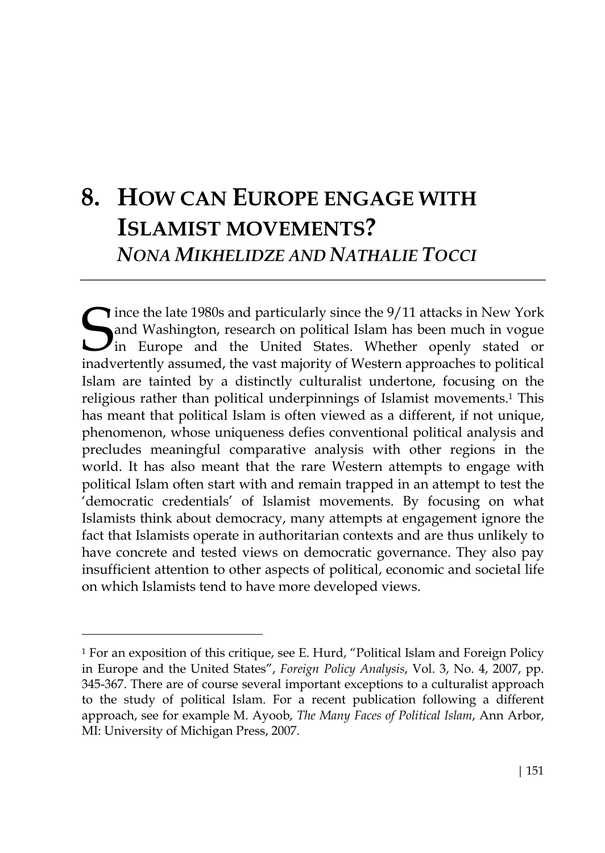# **8. HOW CAN EUROPE ENGAGE WITH ISLAMIST MOVEMENTS?**  *NONA MIKHELIDZE AND NATHALIE TOCCI*

Since the late 1980s and particularly since the 9/11 attacks in New York<br>and Washington, research on political Islam has been much in vogue<br>in Europe and the United States. Whether openly stated or<br>inadvariantly assumed th and Washington, research on political Islam has been much in vogue In Europe and the United States. Whether openly stated or inadvertently assumed, the vast majority of Western approaches to political Islam are tainted by a distinctly culturalist undertone, focusing on the religious rather than political underpinnings of Islamist movements.1 This has meant that political Islam is often viewed as a different, if not unique, phenomenon, whose uniqueness defies conventional political analysis and precludes meaningful comparative analysis with other regions in the world. It has also meant that the rare Western attempts to engage with political Islam often start with and remain trapped in an attempt to test the 'democratic credentials' of Islamist movements. By focusing on what Islamists think about democracy, many attempts at engagement ignore the fact that Islamists operate in authoritarian contexts and are thus unlikely to have concrete and tested views on democratic governance. They also pay insufficient attention to other aspects of political, economic and societal life on which Islamists tend to have more developed views.

<sup>&</sup>lt;sup>1</sup> For an exposition of this critique, see E. Hurd, "Political Islam and Foreign Policy in Europe and the United States", *Foreign Policy Analysis*, Vol. 3, No. 4, 2007, pp. 345-367. There are of course several important exceptions to a culturalist approach to the study of political Islam. For a recent publication following a different approach, see for example M. Ayoob, *The Many Faces of Political Islam*, Ann Arbor, MI: University of Michigan Press, 2007.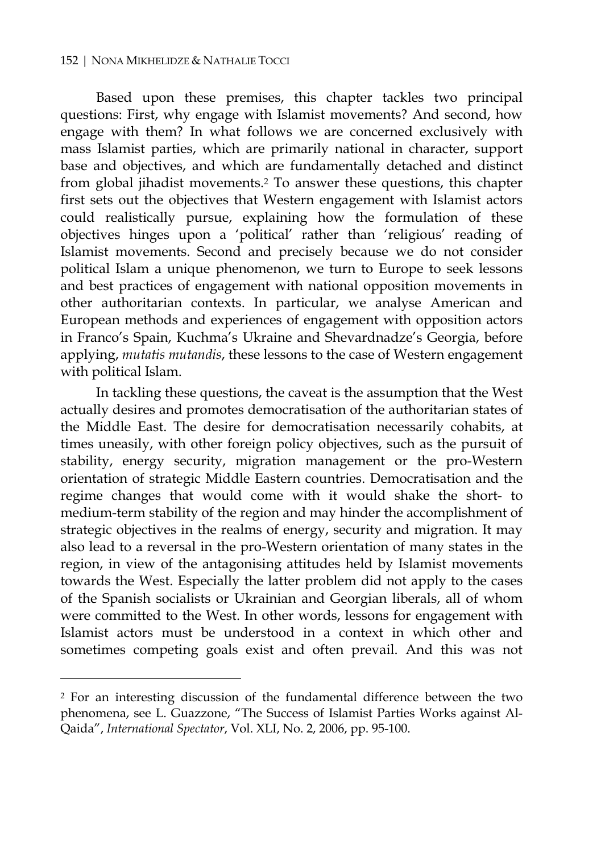#### 152 | NONA MIKHELIDZE & NATHALIE TOCCI

Based upon these premises, this chapter tackles two principal questions: First, why engage with Islamist movements? And second, how engage with them? In what follows we are concerned exclusively with mass Islamist parties, which are primarily national in character, support base and objectives, and which are fundamentally detached and distinct from global jihadist movements.2 To answer these questions, this chapter first sets out the objectives that Western engagement with Islamist actors could realistically pursue, explaining how the formulation of these objectives hinges upon a 'political' rather than 'religious' reading of Islamist movements. Second and precisely because we do not consider political Islam a unique phenomenon, we turn to Europe to seek lessons and best practices of engagement with national opposition movements in other authoritarian contexts. In particular, we analyse American and European methods and experiences of engagement with opposition actors in Franco's Spain, Kuchma's Ukraine and Shevardnadze's Georgia, before applying, *mutatis mutandis*, these lessons to the case of Western engagement with political Islam.

In tackling these questions, the caveat is the assumption that the West actually desires and promotes democratisation of the authoritarian states of the Middle East. The desire for democratisation necessarily cohabits, at times uneasily, with other foreign policy objectives, such as the pursuit of stability, energy security, migration management or the pro-Western orientation of strategic Middle Eastern countries. Democratisation and the regime changes that would come with it would shake the short- to medium-term stability of the region and may hinder the accomplishment of strategic objectives in the realms of energy, security and migration. It may also lead to a reversal in the pro-Western orientation of many states in the region, in view of the antagonising attitudes held by Islamist movements towards the West. Especially the latter problem did not apply to the cases of the Spanish socialists or Ukrainian and Georgian liberals, all of whom were committed to the West. In other words, lessons for engagement with Islamist actors must be understood in a context in which other and sometimes competing goals exist and often prevail. And this was not

<sup>2</sup> For an interesting discussion of the fundamental difference between the two phenomena, see L. Guazzone, "The Success of Islamist Parties Works against Al-Qaida", *International Spectator*, Vol. XLI, No. 2, 2006, pp. 95-100.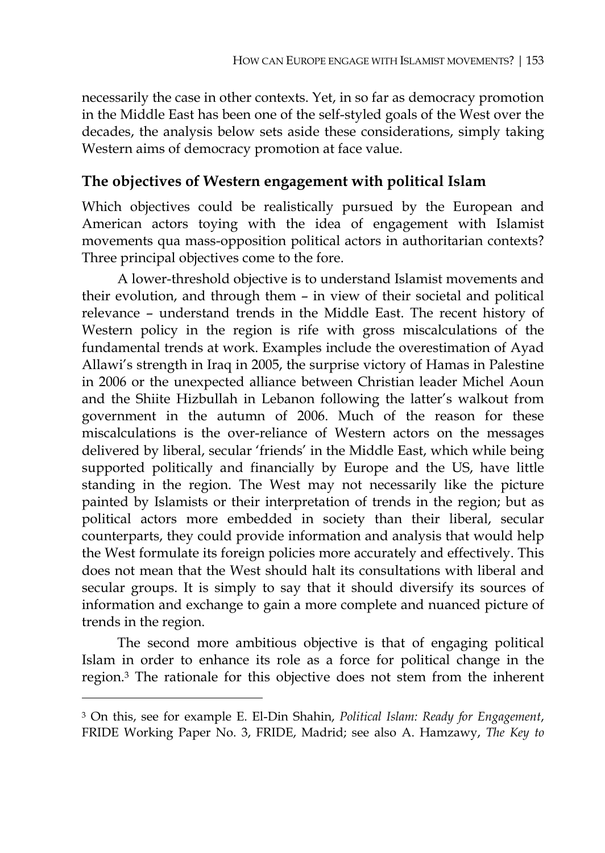necessarily the case in other contexts. Yet, in so far as democracy promotion in the Middle East has been one of the self-styled goals of the West over the decades, the analysis below sets aside these considerations, simply taking Western aims of democracy promotion at face value.

### **The objectives of Western engagement with political Islam**

Which objectives could be realistically pursued by the European and American actors toying with the idea of engagement with Islamist movements qua mass-opposition political actors in authoritarian contexts? Three principal objectives come to the fore.

A lower-threshold objective is to understand Islamist movements and their evolution, and through them – in view of their societal and political relevance – understand trends in the Middle East. The recent history of Western policy in the region is rife with gross miscalculations of the fundamental trends at work. Examples include the overestimation of Ayad Allawi's strength in Iraq in 2005, the surprise victory of Hamas in Palestine in 2006 or the unexpected alliance between Christian leader Michel Aoun and the Shiite Hizbullah in Lebanon following the latter's walkout from government in the autumn of 2006. Much of the reason for these miscalculations is the over-reliance of Western actors on the messages delivered by liberal, secular 'friends' in the Middle East, which while being supported politically and financially by Europe and the US, have little standing in the region. The West may not necessarily like the picture painted by Islamists or their interpretation of trends in the region; but as political actors more embedded in society than their liberal, secular counterparts, they could provide information and analysis that would help the West formulate its foreign policies more accurately and effectively. This does not mean that the West should halt its consultations with liberal and secular groups. It is simply to say that it should diversify its sources of information and exchange to gain a more complete and nuanced picture of trends in the region.

The second more ambitious objective is that of engaging political Islam in order to enhance its role as a force for political change in the region.3 The rationale for this objective does not stem from the inherent

<sup>3</sup> On this, see for example E. El-Din Shahin, *Political Islam: Ready for Engagement*, FRIDE Working Paper No. 3, FRIDE, Madrid; see also A. Hamzawy, *The Key to*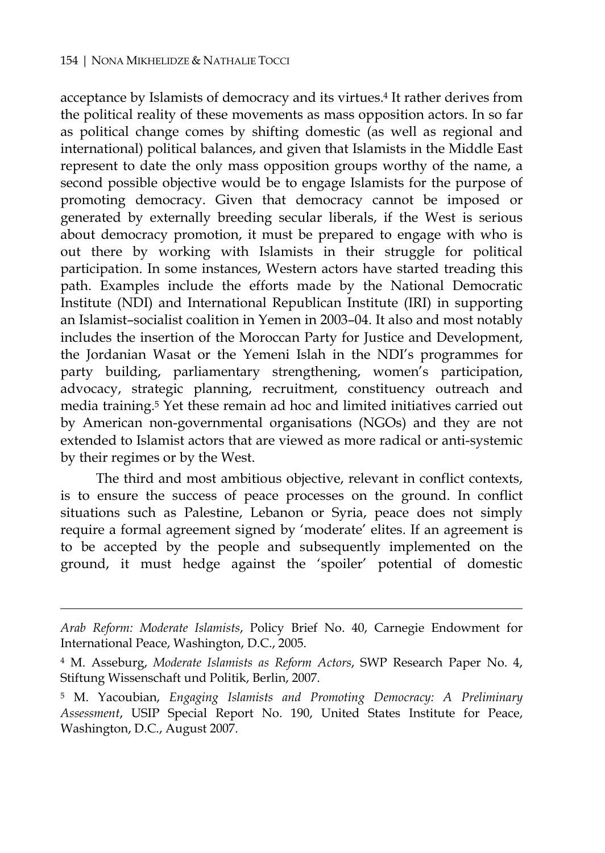$\overline{a}$ 

acceptance by Islamists of democracy and its virtues.4 It rather derives from the political reality of these movements as mass opposition actors. In so far as political change comes by shifting domestic (as well as regional and international) political balances, and given that Islamists in the Middle East represent to date the only mass opposition groups worthy of the name, a second possible objective would be to engage Islamists for the purpose of promoting democracy. Given that democracy cannot be imposed or generated by externally breeding secular liberals, if the West is serious about democracy promotion, it must be prepared to engage with who is out there by working with Islamists in their struggle for political participation. In some instances, Western actors have started treading this path. Examples include the efforts made by the National Democratic Institute (NDI) and International Republican Institute (IRI) in supporting an Islamist–socialist coalition in Yemen in 2003–04. It also and most notably includes the insertion of the Moroccan Party for Justice and Development, the Jordanian Wasat or the Yemeni Islah in the NDI's programmes for party building, parliamentary strengthening, women's participation, advocacy, strategic planning, recruitment, constituency outreach and media training.5 Yet these remain ad hoc and limited initiatives carried out by American non-governmental organisations (NGOs) and they are not extended to Islamist actors that are viewed as more radical or anti-systemic by their regimes or by the West.

The third and most ambitious objective, relevant in conflict contexts, is to ensure the success of peace processes on the ground. In conflict situations such as Palestine, Lebanon or Syria, peace does not simply require a formal agreement signed by 'moderate' elites. If an agreement is to be accepted by the people and subsequently implemented on the ground, it must hedge against the 'spoiler' potential of domestic

*Arab Reform: Moderate Islamists*, Policy Brief No. 40, Carnegie Endowment for International Peace, Washington, D.C., 2005.

<sup>4</sup> M. Asseburg, *Moderate Islamists as Reform Actors*, SWP Research Paper No. 4, Stiftung Wissenschaft und Politik, Berlin, 2007.

<sup>5</sup> M. Yacoubian, *Engaging Islamists and Promoting Democracy: A Preliminary Assessment*, USIP Special Report No. 190, United States Institute for Peace, Washington, D.C., August 2007.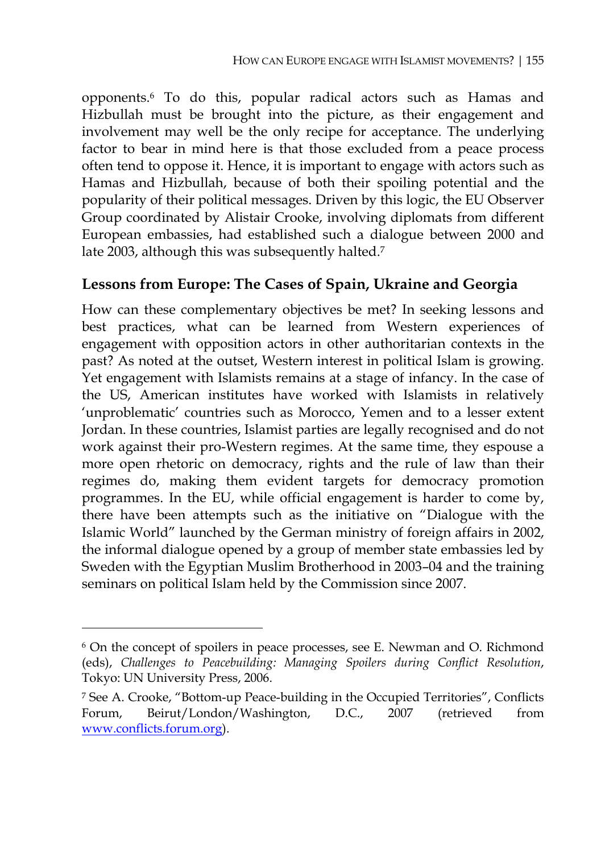opponents.6 To do this, popular radical actors such as Hamas and Hizbullah must be brought into the picture, as their engagement and involvement may well be the only recipe for acceptance. The underlying factor to bear in mind here is that those excluded from a peace process often tend to oppose it. Hence, it is important to engage with actors such as Hamas and Hizbullah, because of both their spoiling potential and the popularity of their political messages. Driven by this logic, the EU Observer Group coordinated by Alistair Crooke, involving diplomats from different European embassies, had established such a dialogue between 2000 and late 2003, although this was subsequently halted.<sup>7</sup>

#### **Lessons from Europe: The Cases of Spain, Ukraine and Georgia**

How can these complementary objectives be met? In seeking lessons and best practices, what can be learned from Western experiences of engagement with opposition actors in other authoritarian contexts in the past? As noted at the outset, Western interest in political Islam is growing. Yet engagement with Islamists remains at a stage of infancy. In the case of the US, American institutes have worked with Islamists in relatively 'unproblematic' countries such as Morocco, Yemen and to a lesser extent Jordan. In these countries, Islamist parties are legally recognised and do not work against their pro-Western regimes. At the same time, they espouse a more open rhetoric on democracy, rights and the rule of law than their regimes do, making them evident targets for democracy promotion programmes. In the EU, while official engagement is harder to come by, there have been attempts such as the initiative on "Dialogue with the Islamic World" launched by the German ministry of foreign affairs in 2002, the informal dialogue opened by a group of member state embassies led by Sweden with the Egyptian Muslim Brotherhood in 2003–04 and the training seminars on political Islam held by the Commission since 2007.

<sup>6</sup> On the concept of spoilers in peace processes, see E. Newman and O. Richmond (eds), *Challenges to Peacebuilding: Managing Spoilers during Conflict Resolution*, Tokyo: UN University Press, 2006.

<sup>7</sup> See A. Crooke, "Bottom-up Peace-building in the Occupied Territories", Conflicts Forum, Beirut/London/Washington, D.C., 2007 (retrieved from www.conflicts.forum.org).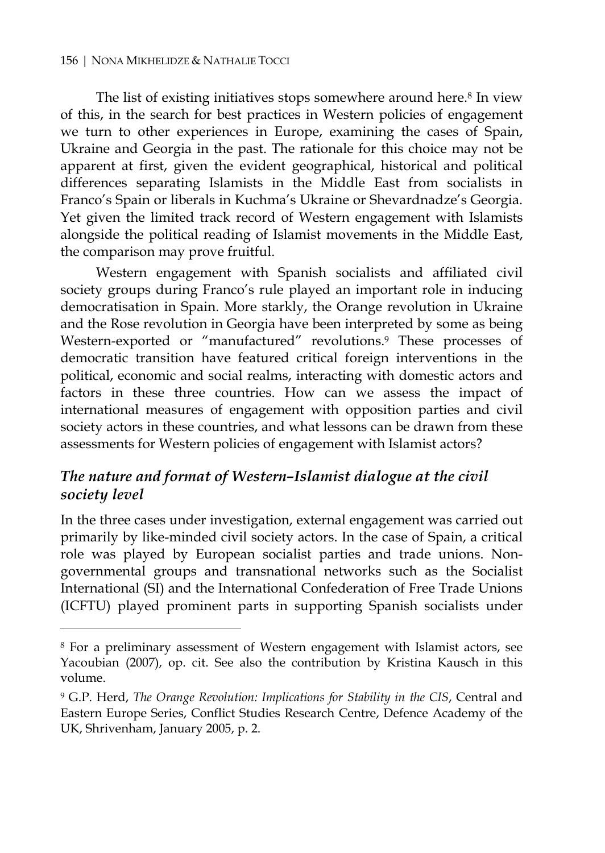#### 156 | NONA MIKHELIDZE & NATHALIE TOCCI

 $\overline{a}$ 

The list of existing initiatives stops somewhere around here.<sup>8</sup> In view of this, in the search for best practices in Western policies of engagement we turn to other experiences in Europe, examining the cases of Spain, Ukraine and Georgia in the past. The rationale for this choice may not be apparent at first, given the evident geographical, historical and political differences separating Islamists in the Middle East from socialists in Franco's Spain or liberals in Kuchma's Ukraine or Shevardnadze's Georgia. Yet given the limited track record of Western engagement with Islamists alongside the political reading of Islamist movements in the Middle East, the comparison may prove fruitful.

Western engagement with Spanish socialists and affiliated civil society groups during Franco's rule played an important role in inducing democratisation in Spain. More starkly, the Orange revolution in Ukraine and the Rose revolution in Georgia have been interpreted by some as being Western-exported or "manufactured" revolutions.<sup>9</sup> These processes of democratic transition have featured critical foreign interventions in the political, economic and social realms, interacting with domestic actors and factors in these three countries. How can we assess the impact of international measures of engagement with opposition parties and civil society actors in these countries, and what lessons can be drawn from these assessments for Western policies of engagement with Islamist actors?

### *The nature and format of Western–Islamist dialogue at the civil society level*

In the three cases under investigation, external engagement was carried out primarily by like-minded civil society actors. In the case of Spain, a critical role was played by European socialist parties and trade unions. Nongovernmental groups and transnational networks such as the Socialist International (SI) and the International Confederation of Free Trade Unions (ICFTU) played prominent parts in supporting Spanish socialists under

<sup>8</sup> For a preliminary assessment of Western engagement with Islamist actors, see Yacoubian (2007), op. cit. See also the contribution by Kristina Kausch in this volume.

<sup>9</sup> G.P. Herd, *The Orange Revolution: Implications for Stability in the CIS*, Central and Eastern Europe Series, Conflict Studies Research Centre, Defence Academy of the UK, Shrivenham, January 2005, p. 2.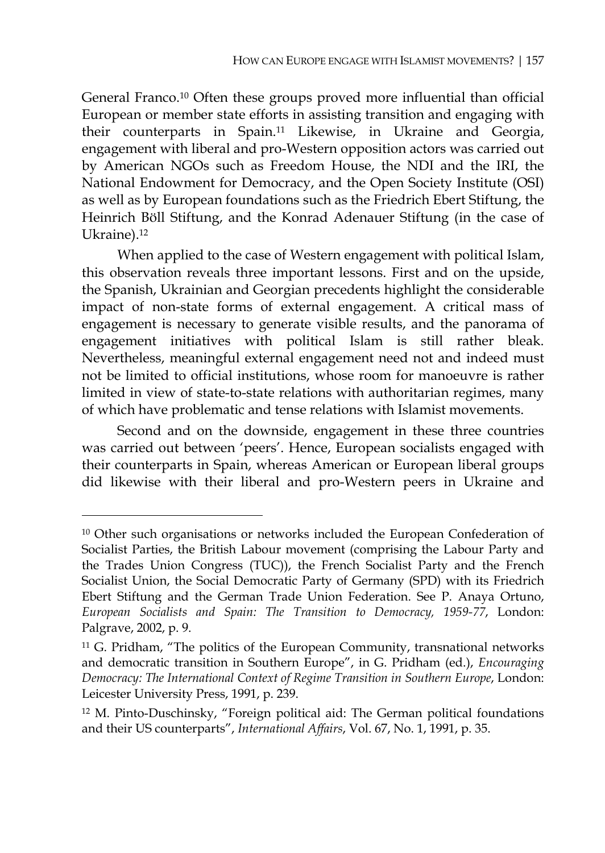General Franco.10 Often these groups proved more influential than official European or member state efforts in assisting transition and engaging with their counterparts in Spain.11 Likewise, in Ukraine and Georgia, engagement with liberal and pro-Western opposition actors was carried out by American NGOs such as Freedom House, the NDI and the IRI, the National Endowment for Democracy, and the Open Society Institute (OSI) as well as by European foundations such as the Friedrich Ebert Stiftung, the Heinrich Böll Stiftung, and the Konrad Adenauer Stiftung (in the case of Ukraine).<sup>12</sup>

When applied to the case of Western engagement with political Islam, this observation reveals three important lessons. First and on the upside, the Spanish, Ukrainian and Georgian precedents highlight the considerable impact of non-state forms of external engagement. A critical mass of engagement is necessary to generate visible results, and the panorama of engagement initiatives with political Islam is still rather bleak. Nevertheless, meaningful external engagement need not and indeed must not be limited to official institutions, whose room for manoeuvre is rather limited in view of state-to-state relations with authoritarian regimes, many of which have problematic and tense relations with Islamist movements.

Second and on the downside, engagement in these three countries was carried out between 'peers'. Hence, European socialists engaged with their counterparts in Spain, whereas American or European liberal groups did likewise with their liberal and pro-Western peers in Ukraine and

<sup>10</sup> Other such organisations or networks included the European Confederation of Socialist Parties, the British Labour movement (comprising the Labour Party and the Trades Union Congress (TUC)), the French Socialist Party and the French Socialist Union, the Social Democratic Party of Germany (SPD) with its Friedrich Ebert Stiftung and the German Trade Union Federation. See P. Anaya Ortuno, *European Socialists and Spain: The Transition to Democracy, 1959-77*, London: Palgrave, 2002, p. 9.

<sup>&</sup>lt;sup>11</sup> G. Pridham, "The politics of the European Community, transnational networks and democratic transition in Southern Europe", in G. Pridham (ed.), *Encouraging Democracy: The International Context of Regime Transition in Southern Europe*, London: Leicester University Press, 1991, p. 239.

<sup>12</sup> M. Pinto-Duschinsky, "Foreign political aid: The German political foundations and their US counterparts", *International Affairs*, Vol. 67, No. 1, 1991, p. 35.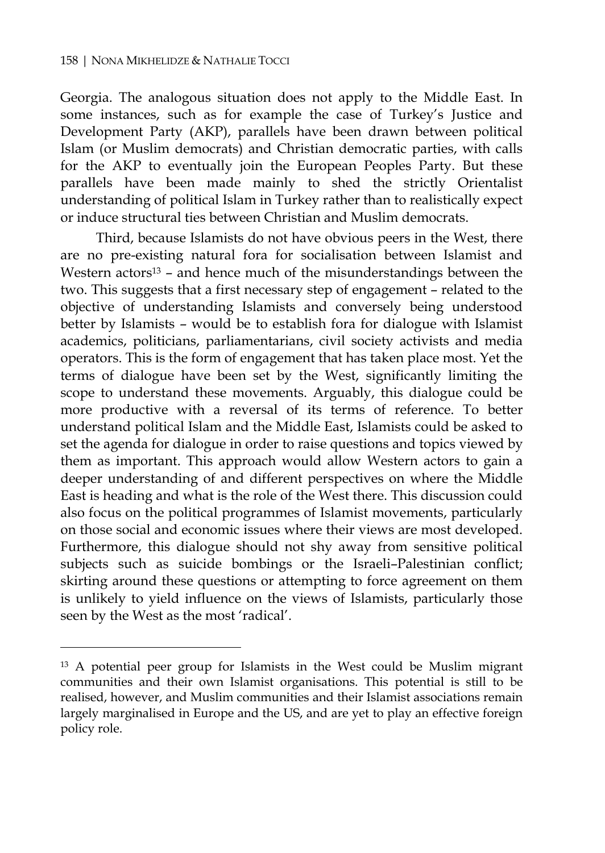$\overline{a}$ 

Georgia. The analogous situation does not apply to the Middle East. In some instances, such as for example the case of Turkey's Justice and Development Party (AKP), parallels have been drawn between political Islam (or Muslim democrats) and Christian democratic parties, with calls for the AKP to eventually join the European Peoples Party. But these parallels have been made mainly to shed the strictly Orientalist understanding of political Islam in Turkey rather than to realistically expect or induce structural ties between Christian and Muslim democrats.

Third, because Islamists do not have obvious peers in the West, there are no pre-existing natural fora for socialisation between Islamist and Western actors $13$  – and hence much of the misunderstandings between the two. This suggests that a first necessary step of engagement – related to the objective of understanding Islamists and conversely being understood better by Islamists – would be to establish fora for dialogue with Islamist academics, politicians, parliamentarians, civil society activists and media operators. This is the form of engagement that has taken place most. Yet the terms of dialogue have been set by the West, significantly limiting the scope to understand these movements. Arguably, this dialogue could be more productive with a reversal of its terms of reference. To better understand political Islam and the Middle East, Islamists could be asked to set the agenda for dialogue in order to raise questions and topics viewed by them as important. This approach would allow Western actors to gain a deeper understanding of and different perspectives on where the Middle East is heading and what is the role of the West there. This discussion could also focus on the political programmes of Islamist movements, particularly on those social and economic issues where their views are most developed. Furthermore, this dialogue should not shy away from sensitive political subjects such as suicide bombings or the Israeli–Palestinian conflict; skirting around these questions or attempting to force agreement on them is unlikely to yield influence on the views of Islamists, particularly those seen by the West as the most 'radical'.

<sup>&</sup>lt;sup>13</sup> A potential peer group for Islamists in the West could be Muslim migrant communities and their own Islamist organisations. This potential is still to be realised, however, and Muslim communities and their Islamist associations remain largely marginalised in Europe and the US, and are yet to play an effective foreign policy role.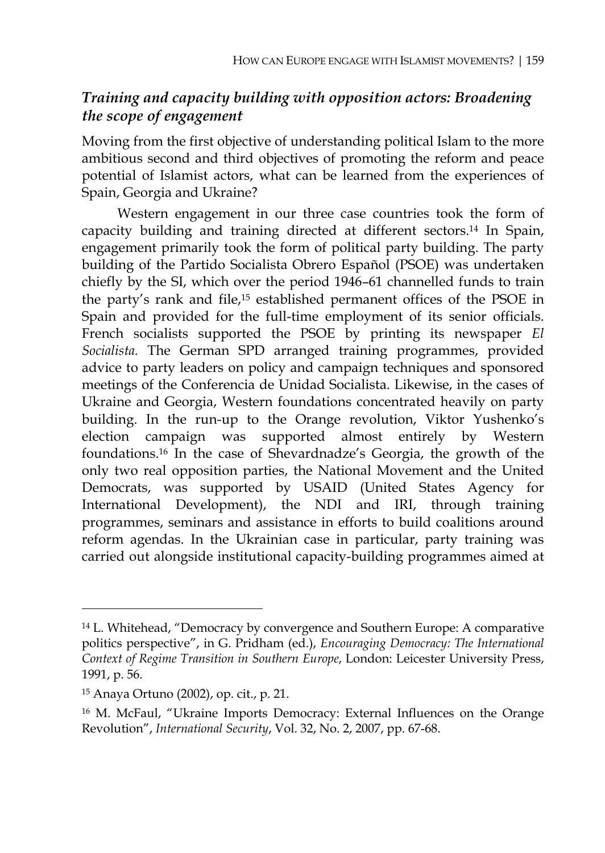## *Training and capacity building with opposition actors: Broadening the scope of engagement*

Moving from the first objective of understanding political Islam to the more ambitious second and third objectives of promoting the reform and peace potential of Islamist actors, what can be learned from the experiences of Spain, Georgia and Ukraine?

Western engagement in our three case countries took the form of capacity building and training directed at different sectors.14 In Spain, engagement primarily took the form of political party building. The party building of the Partido Socialista Obrero Español (PSOE) was undertaken chiefly by the SI, which over the period 1946–61 channelled funds to train the party's rank and file,15 established permanent offices of the PSOE in Spain and provided for the full-time employment of its senior officials. French socialists supported the PSOE by printing its newspaper *El Socialista.* The German SPD arranged training programmes, provided advice to party leaders on policy and campaign techniques and sponsored meetings of the Conferencia de Unidad Socialista. Likewise, in the cases of Ukraine and Georgia, Western foundations concentrated heavily on party building. In the run-up to the Orange revolution, Viktor Yushenko's election campaign was supported almost entirely by Western foundations.16 In the case of Shevardnadze's Georgia, the growth of the only two real opposition parties, the National Movement and the United Democrats, was supported by USAID (United States Agency for International Development), the NDI and IRI, through training programmes, seminars and assistance in efforts to build coalitions around reform agendas. In the Ukrainian case in particular, party training was carried out alongside institutional capacity-building programmes aimed at

<sup>14</sup> L. Whitehead, "Democracy by convergence and Southern Europe: A comparative politics perspective", in G. Pridham (ed.), *Encouraging Democracy: The International Context of Regime Transition in Southern Europe*, London: Leicester University Press, 1991, p. 56.

<sup>15</sup> Anaya Ortuno (2002), op. cit., p. 21.

<sup>16</sup> M. McFaul, "Ukraine Imports Democracy: External Influences on the Orange Revolution", *International Security*, Vol. 32, No. 2, 2007, pp. 67-68.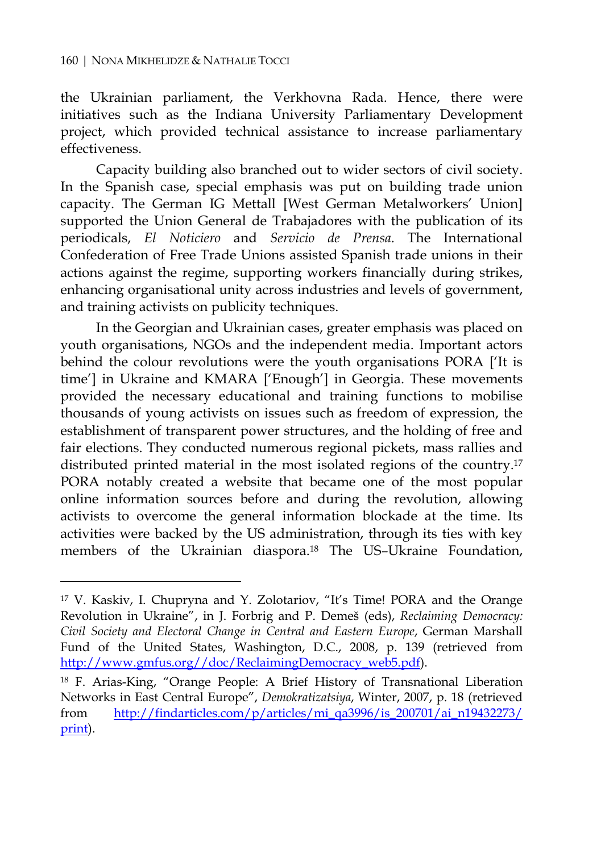$\overline{a}$ 

the Ukrainian parliament, the Verkhovna Rada. Hence, there were initiatives such as the Indiana University Parliamentary Development project, which provided technical assistance to increase parliamentary effectiveness.

Capacity building also branched out to wider sectors of civil society. In the Spanish case, special emphasis was put on building trade union capacity. The German IG Mettall [West German Metalworkers' Union] supported the Union General de Trabajadores with the publication of its periodicals, *El Noticiero* and *Servicio de Prensa*. The International Confederation of Free Trade Unions assisted Spanish trade unions in their actions against the regime, supporting workers financially during strikes, enhancing organisational unity across industries and levels of government, and training activists on publicity techniques.

In the Georgian and Ukrainian cases, greater emphasis was placed on youth organisations, NGOs and the independent media. Important actors behind the colour revolutions were the youth organisations PORA ['It is time'] in Ukraine and KMARA ['Enough'] in Georgia. These movements provided the necessary educational and training functions to mobilise thousands of young activists on issues such as freedom of expression, the establishment of transparent power structures, and the holding of free and fair elections. They conducted numerous regional pickets, mass rallies and distributed printed material in the most isolated regions of the country.17 PORA notably created a website that became one of the most popular online information sources before and during the revolution, allowing activists to overcome the general information blockade at the time. Its activities were backed by the US administration, through its ties with key members of the Ukrainian diaspora.18 The US–Ukraine Foundation,

<sup>17</sup> V. Kaskiv, I. Chupryna and Y. Zolotariov, "It's Time! PORA and the Orange Revolution in Ukraine", in J. Forbrig and P. Demeš (eds), *Reclaiming Democracy: Civil Society and Electoral Change in Central and Eastern Europe*, German Marshall Fund of the United States, Washington, D.C., 2008, p. 139 (retrieved from http://www.gmfus.org//doc/ReclaimingDemocracy\_web5.pdf).

<sup>18</sup> F. Arias-King, "Orange People: A Brief History of Transnational Liberation Networks in East Central Europe", *Demokratizatsiya*, Winter, 2007, p. 18 (retrieved from http://findarticles.com/p/articles/mi\_qa3996/is\_200701/ai\_n19432273/ print).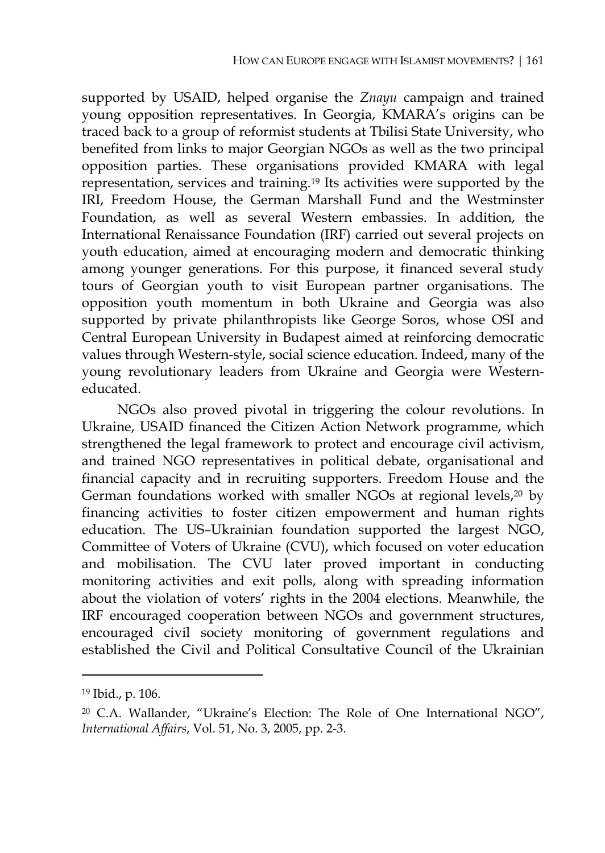supported by USAID, helped organise the *Znayu* campaign and trained young opposition representatives. In Georgia, KMARA's origins can be traced back to a group of reformist students at Tbilisi State University, who benefited from links to major Georgian NGOs as well as the two principal opposition parties. These organisations provided KMARA with legal representation, services and training.19 Its activities were supported by the IRI, Freedom House, the German Marshall Fund and the Westminster Foundation, as well as several Western embassies. In addition, the International Renaissance Foundation (IRF) carried out several projects on youth education, aimed at encouraging modern and democratic thinking among younger generations. For this purpose, it financed several study tours of Georgian youth to visit European partner organisations. The opposition youth momentum in both Ukraine and Georgia was also supported by private philanthropists like George Soros, whose OSI and Central European University in Budapest aimed at reinforcing democratic values through Western-style, social science education. Indeed, many of the young revolutionary leaders from Ukraine and Georgia were Westerneducated.

NGOs also proved pivotal in triggering the colour revolutions. In Ukraine, USAID financed the Citizen Action Network programme, which strengthened the legal framework to protect and encourage civil activism, and trained NGO representatives in political debate, organisational and financial capacity and in recruiting supporters. Freedom House and the German foundations worked with smaller NGOs at regional levels,20 by financing activities to foster citizen empowerment and human rights education. The US–Ukrainian foundation supported the largest NGO, Committee of Voters of Ukraine (CVU), which focused on voter education and mobilisation. The CVU later proved important in conducting monitoring activities and exit polls, along with spreading information about the violation of voters' rights in the 2004 elections. Meanwhile, the IRF encouraged cooperation between NGOs and government structures, encouraged civil society monitoring of government regulations and established the Civil and Political Consultative Council of the Ukrainian

<sup>19</sup> Ibid., p. 106.

<sup>20</sup> C.A. Wallander, "Ukraine's Election: The Role of One International NGO", *International Affairs*, Vol. 51, No. 3, 2005, pp. 2-3.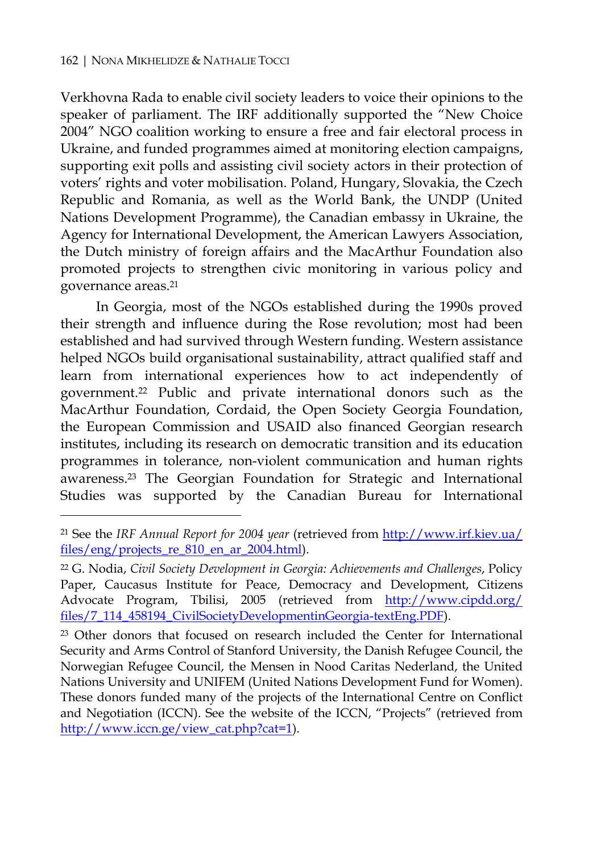$\overline{a}$ 

Verkhovna Rada to enable civil society leaders to voice their opinions to the speaker of parliament. The IRF additionally supported the "New Choice 2004" NGO coalition working to ensure a free and fair electoral process in Ukraine, and funded programmes aimed at monitoring election campaigns, supporting exit polls and assisting civil society actors in their protection of voters' rights and voter mobilisation. Poland, Hungary, Slovakia, the Czech Republic and Romania, as well as the World Bank, the UNDP (United Nations Development Programme), the Canadian embassy in Ukraine, the Agency for International Development, the American Lawyers Association, the Dutch ministry of foreign affairs and the MacArthur Foundation also promoted projects to strengthen civic monitoring in various policy and governance areas.21

In Georgia, most of the NGOs established during the 1990s proved their strength and influence during the Rose revolution; most had been established and had survived through Western funding. Western assistance helped NGOs build organisational sustainability, attract qualified staff and learn from international experiences how to act independently of government.22 Public and private international donors such as the MacArthur Foundation, Cordaid, the Open Society Georgia Foundation, the European Commission and USAID also financed Georgian research institutes, including its research on democratic transition and its education programmes in tolerance, non-violent communication and human rights awareness.23 The Georgian Foundation for Strategic and International Studies was supported by the Canadian Bureau for International

<sup>21</sup> See the *IRF Annual Report for 2004 year* (retrieved from http://www.irf.kiev.ua/ files/eng/projects\_re\_810\_en\_ar\_2004.html).

<sup>22</sup> G. Nodia, *Civil Society Development in Georgia: Achievements and Challenges*, Policy Paper, Caucasus Institute for Peace, Democracy and Development, Citizens Advocate Program, Tbilisi, 2005 (retrieved from http://www.cipdd.org/ files/7\_114\_458194\_CivilSocietyDevelopmentinGeorgia-textEng.PDF).

<sup>23</sup> Other donors that focused on research included the Center for International Security and Arms Control of Stanford University, the Danish Refugee Council, the Norwegian Refugee Council, the Mensen in Nood Caritas Nederland, the United Nations University and UNIFEM (United Nations Development Fund for Women). These donors funded many of the projects of the International Centre on Conflict and Negotiation (ICCN). See the website of the ICCN, "Projects" (retrieved from http://www.iccn.ge/view\_cat.php?cat=1).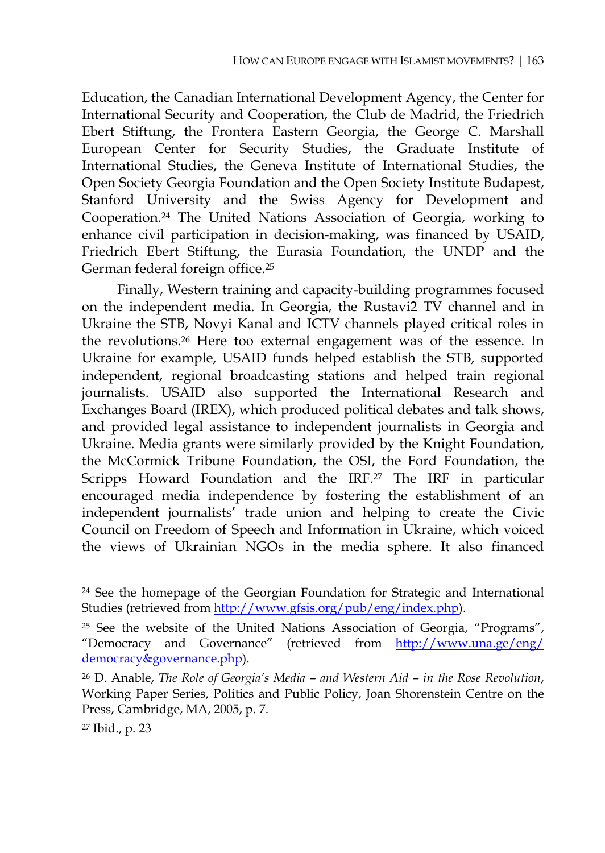Education, the Canadian International Development Agency, the Center for International Security and Cooperation, the Club de Madrid, the Friedrich Ebert Stiftung, the Frontera Eastern Georgia, the George C. Marshall European Center for Security Studies, the Graduate Institute of International Studies, the Geneva Institute of International Studies, the Open Society Georgia Foundation and the Open Society Institute Budapest, Stanford University and the Swiss Agency for Development and Cooperation.24 The United Nations Association of Georgia, working to enhance civil participation in decision-making, was financed by USAID, Friedrich Ebert Stiftung, the Eurasia Foundation, the UNDP and the German federal foreign office.25

Finally, Western training and capacity-building programmes focused on the independent media. In Georgia, the Rustavi2 TV channel and in Ukraine the STB, Novyi Kanal and ICTV channels played critical roles in the revolutions.26 Here too external engagement was of the essence. In Ukraine for example, USAID funds helped establish the STB, supported independent, regional broadcasting stations and helped train regional journalists. USAID also supported the International Research and Exchanges Board (IREX), which produced political debates and talk shows, and provided legal assistance to independent journalists in Georgia and Ukraine. Media grants were similarly provided by the Knight Foundation, the McCormick Tribune Foundation, the OSI, the Ford Foundation, the Scripps Howard Foundation and the IRF.<sup>27</sup> The IRF in particular encouraged media independence by fostering the establishment of an independent journalists' trade union and helping to create the Civic Council on Freedom of Speech and Information in Ukraine, which voiced the views of Ukrainian NGOs in the media sphere. It also financed

<sup>24</sup> See the homepage of the Georgian Foundation for Strategic and International Studies (retrieved from http://www.gfsis.org/pub/eng/index.php).

<sup>&</sup>lt;sup>25</sup> See the website of the United Nations Association of Georgia, "Programs", "Democracy and Governance" (retrieved from http://www.una.ge/eng/ democracy&governance.php).

<sup>26</sup> D. Anable, *The Role of Georgia's Media – and Western Aid – in the Rose Revolution*, Working Paper Series, Politics and Public Policy, Joan Shorenstein Centre on the Press, Cambridge, MA, 2005, p. 7.

<sup>27</sup> Ibid., p. 23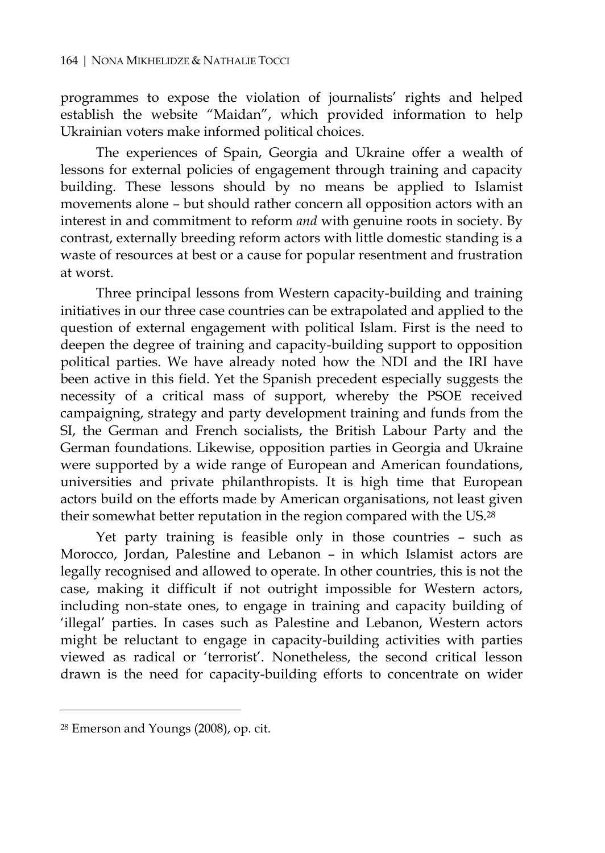programmes to expose the violation of journalists' rights and helped establish the website "Maidan", which provided information to help Ukrainian voters make informed political choices.

The experiences of Spain, Georgia and Ukraine offer a wealth of lessons for external policies of engagement through training and capacity building. These lessons should by no means be applied to Islamist movements alone – but should rather concern all opposition actors with an interest in and commitment to reform *and* with genuine roots in society. By contrast, externally breeding reform actors with little domestic standing is a waste of resources at best or a cause for popular resentment and frustration at worst.

Three principal lessons from Western capacity-building and training initiatives in our three case countries can be extrapolated and applied to the question of external engagement with political Islam. First is the need to deepen the degree of training and capacity-building support to opposition political parties. We have already noted how the NDI and the IRI have been active in this field. Yet the Spanish precedent especially suggests the necessity of a critical mass of support, whereby the PSOE received campaigning, strategy and party development training and funds from the SI, the German and French socialists, the British Labour Party and the German foundations. Likewise, opposition parties in Georgia and Ukraine were supported by a wide range of European and American foundations, universities and private philanthropists. It is high time that European actors build on the efforts made by American organisations, not least given their somewhat better reputation in the region compared with the US.28

Yet party training is feasible only in those countries – such as Morocco, Jordan, Palestine and Lebanon – in which Islamist actors are legally recognised and allowed to operate. In other countries, this is not the case, making it difficult if not outright impossible for Western actors, including non-state ones, to engage in training and capacity building of 'illegal' parties. In cases such as Palestine and Lebanon, Western actors might be reluctant to engage in capacity-building activities with parties viewed as radical or 'terrorist'. Nonetheless, the second critical lesson drawn is the need for capacity-building efforts to concentrate on wider

<sup>28</sup> Emerson and Youngs (2008), op. cit.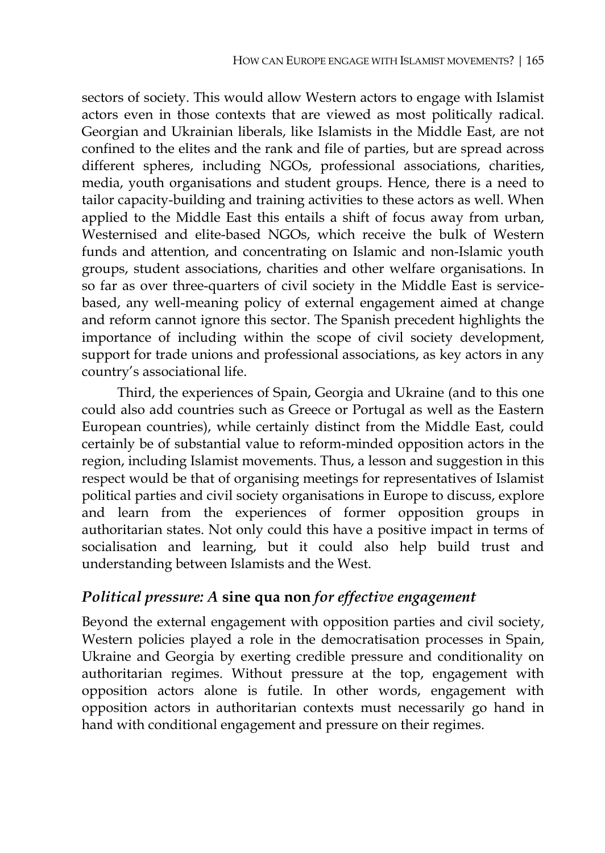sectors of society. This would allow Western actors to engage with Islamist actors even in those contexts that are viewed as most politically radical. Georgian and Ukrainian liberals, like Islamists in the Middle East, are not confined to the elites and the rank and file of parties, but are spread across different spheres, including NGOs, professional associations, charities, media, youth organisations and student groups. Hence, there is a need to tailor capacity-building and training activities to these actors as well. When applied to the Middle East this entails a shift of focus away from urban, Westernised and elite-based NGOs, which receive the bulk of Western funds and attention, and concentrating on Islamic and non-Islamic youth groups, student associations, charities and other welfare organisations. In so far as over three-quarters of civil society in the Middle East is servicebased, any well-meaning policy of external engagement aimed at change and reform cannot ignore this sector. The Spanish precedent highlights the importance of including within the scope of civil society development, support for trade unions and professional associations, as key actors in any country's associational life.

Third, the experiences of Spain, Georgia and Ukraine (and to this one could also add countries such as Greece or Portugal as well as the Eastern European countries), while certainly distinct from the Middle East, could certainly be of substantial value to reform-minded opposition actors in the region, including Islamist movements. Thus, a lesson and suggestion in this respect would be that of organising meetings for representatives of Islamist political parties and civil society organisations in Europe to discuss, explore and learn from the experiences of former opposition groups in authoritarian states. Not only could this have a positive impact in terms of socialisation and learning, but it could also help build trust and understanding between Islamists and the West.

### *Political pressure: A* **sine qua non** *for effective engagement*

Beyond the external engagement with opposition parties and civil society, Western policies played a role in the democratisation processes in Spain, Ukraine and Georgia by exerting credible pressure and conditionality on authoritarian regimes. Without pressure at the top, engagement with opposition actors alone is futile. In other words, engagement with opposition actors in authoritarian contexts must necessarily go hand in hand with conditional engagement and pressure on their regimes.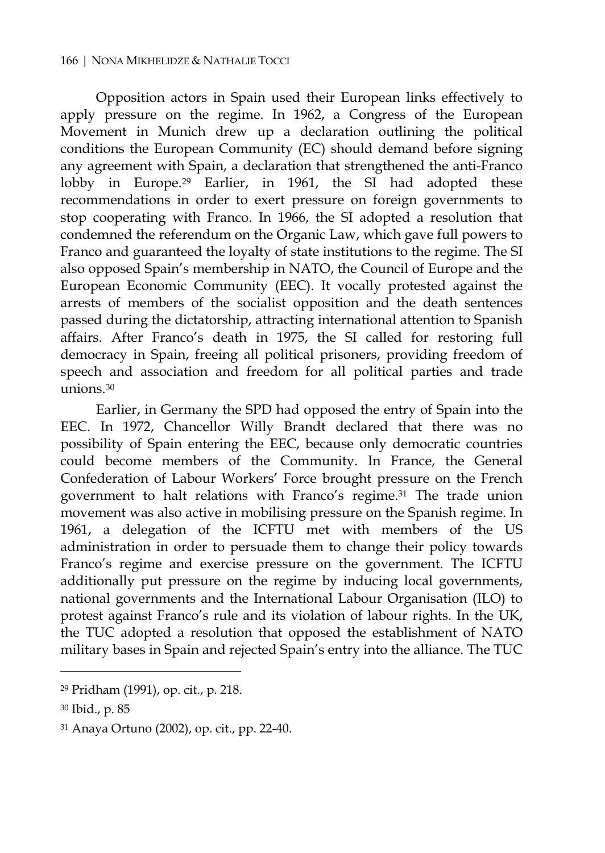Opposition actors in Spain used their European links effectively to apply pressure on the regime. In 1962, a Congress of the European Movement in Munich drew up a declaration outlining the political conditions the European Community (EC) should demand before signing any agreement with Spain, a declaration that strengthened the anti-Franco lobby in Europe.<sup>29</sup> Earlier, in 1961, the SI had adopted these recommendations in order to exert pressure on foreign governments to stop cooperating with Franco. In 1966, the SI adopted a resolution that condemned the referendum on the Organic Law, which gave full powers to Franco and guaranteed the loyalty of state institutions to the regime. The SI also opposed Spain's membership in NATO, the Council of Europe and the European Economic Community (EEC). It vocally protested against the arrests of members of the socialist opposition and the death sentences passed during the dictatorship, attracting international attention to Spanish affairs. After Franco's death in 1975, the SI called for restoring full democracy in Spain, freeing all political prisoners, providing freedom of speech and association and freedom for all political parties and trade unions.30

Earlier, in Germany the SPD had opposed the entry of Spain into the EEC. In 1972, Chancellor Willy Brandt declared that there was no possibility of Spain entering the EEC, because only democratic countries could become members of the Community. In France, the General Confederation of Labour Workers' Force brought pressure on the French government to halt relations with Franco's regime.31 The trade union movement was also active in mobilising pressure on the Spanish regime. In 1961, a delegation of the ICFTU met with members of the US administration in order to persuade them to change their policy towards Franco's regime and exercise pressure on the government. The ICFTU additionally put pressure on the regime by inducing local governments, national governments and the International Labour Organisation (ILO) to protest against Franco's rule and its violation of labour rights. In the UK, the TUC adopted a resolution that opposed the establishment of NATO military bases in Spain and rejected Spain's entry into the alliance. The TUC

<sup>29</sup> Pridham (1991), op. cit., p. 218.

<sup>30</sup> Ibid., p. 85

<sup>31</sup> Anaya Ortuno (2002), op. cit., pp. 22-40.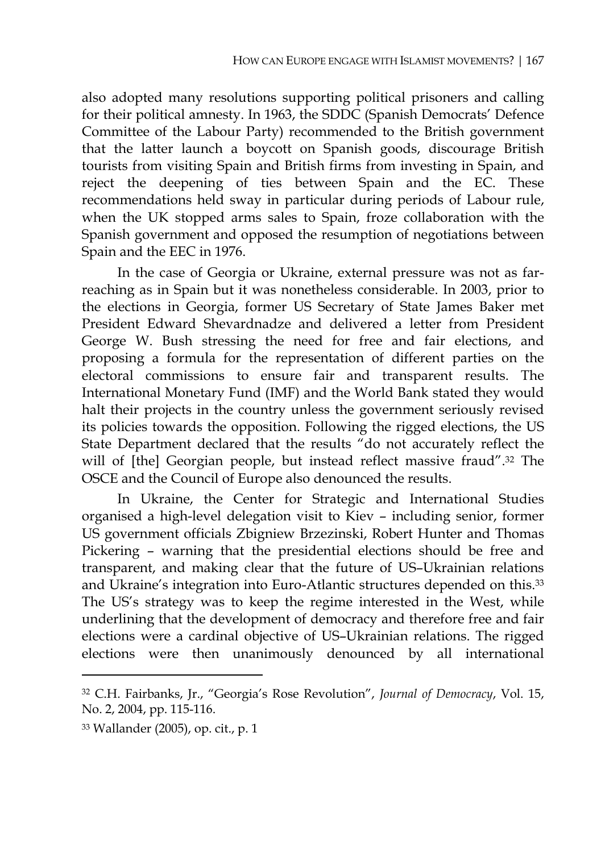also adopted many resolutions supporting political prisoners and calling for their political amnesty. In 1963, the SDDC (Spanish Democrats' Defence Committee of the Labour Party) recommended to the British government that the latter launch a boycott on Spanish goods, discourage British tourists from visiting Spain and British firms from investing in Spain, and reject the deepening of ties between Spain and the EC. These recommendations held sway in particular during periods of Labour rule, when the UK stopped arms sales to Spain, froze collaboration with the Spanish government and opposed the resumption of negotiations between Spain and the EEC in 1976.

In the case of Georgia or Ukraine, external pressure was not as farreaching as in Spain but it was nonetheless considerable. In 2003, prior to the elections in Georgia, former US Secretary of State James Baker met President Edward Shevardnadze and delivered a letter from President George W. Bush stressing the need for free and fair elections, and proposing a formula for the representation of different parties on the electoral commissions to ensure fair and transparent results. The International Monetary Fund (IMF) and the World Bank stated they would halt their projects in the country unless the government seriously revised its policies towards the opposition. Following the rigged elections, the US State Department declared that the results "do not accurately reflect the will of [the] Georgian people, but instead reflect massive fraud".32 The OSCE and the Council of Europe also denounced the results.

In Ukraine, the Center for Strategic and International Studies organised a high-level delegation visit to Kiev – including senior, former US government officials Zbigniew Brzezinski, Robert Hunter and Thomas Pickering – warning that the presidential elections should be free and transparent, and making clear that the future of US–Ukrainian relations and Ukraine's integration into Euro-Atlantic structures depended on this.33 The US's strategy was to keep the regime interested in the West, while underlining that the development of democracy and therefore free and fair elections were a cardinal objective of US–Ukrainian relations. The rigged elections were then unanimously denounced by all international

<sup>32</sup> C.H. Fairbanks, Jr., "Georgia's Rose Revolution", *Journal of Democracy*, Vol. 15, No. 2, 2004, pp. 115-116.

<sup>33</sup> Wallander (2005), op. cit., p. 1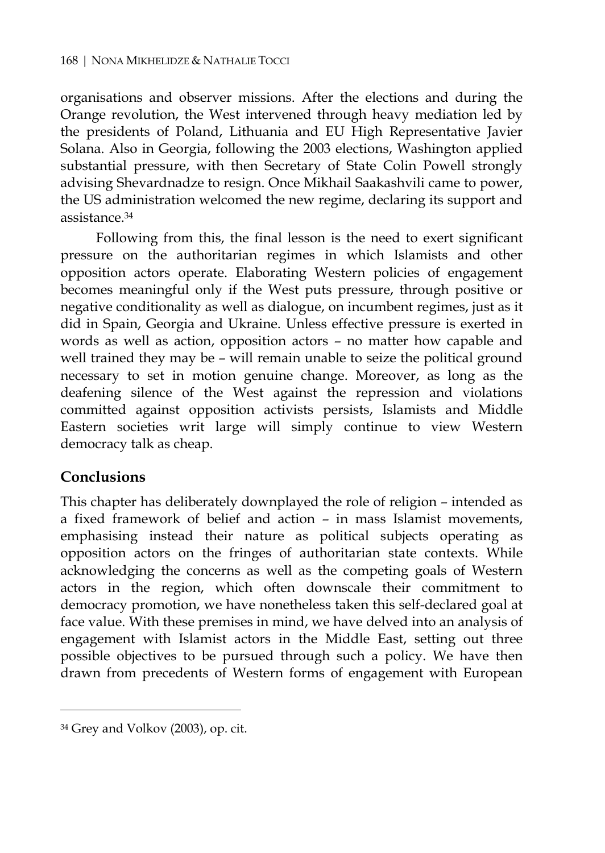organisations and observer missions. After the elections and during the Orange revolution, the West intervened through heavy mediation led by the presidents of Poland, Lithuania and EU High Representative Javier Solana. Also in Georgia, following the 2003 elections, Washington applied substantial pressure, with then Secretary of State Colin Powell strongly advising Shevardnadze to resign. Once Mikhail Saakashvili came to power, the US administration welcomed the new regime, declaring its support and assistance.34

Following from this, the final lesson is the need to exert significant pressure on the authoritarian regimes in which Islamists and other opposition actors operate. Elaborating Western policies of engagement becomes meaningful only if the West puts pressure, through positive or negative conditionality as well as dialogue, on incumbent regimes, just as it did in Spain, Georgia and Ukraine. Unless effective pressure is exerted in words as well as action, opposition actors – no matter how capable and well trained they may be – will remain unable to seize the political ground necessary to set in motion genuine change. Moreover, as long as the deafening silence of the West against the repression and violations committed against opposition activists persists, Islamists and Middle Eastern societies writ large will simply continue to view Western democracy talk as cheap.

### **Conclusions**

 $\overline{a}$ 

This chapter has deliberately downplayed the role of religion – intended as a fixed framework of belief and action – in mass Islamist movements, emphasising instead their nature as political subjects operating as opposition actors on the fringes of authoritarian state contexts. While acknowledging the concerns as well as the competing goals of Western actors in the region, which often downscale their commitment to democracy promotion, we have nonetheless taken this self-declared goal at face value. With these premises in mind, we have delved into an analysis of engagement with Islamist actors in the Middle East, setting out three possible objectives to be pursued through such a policy. We have then drawn from precedents of Western forms of engagement with European

<sup>34</sup> Grey and Volkov (2003), op. cit.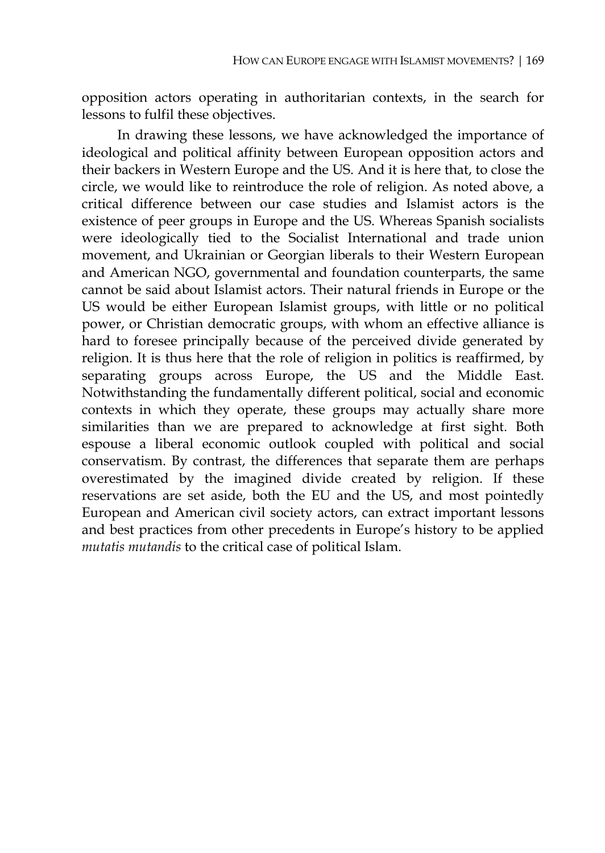opposition actors operating in authoritarian contexts, in the search for lessons to fulfil these objectives.

In drawing these lessons, we have acknowledged the importance of ideological and political affinity between European opposition actors and their backers in Western Europe and the US. And it is here that, to close the circle, we would like to reintroduce the role of religion. As noted above, a critical difference between our case studies and Islamist actors is the existence of peer groups in Europe and the US. Whereas Spanish socialists were ideologically tied to the Socialist International and trade union movement, and Ukrainian or Georgian liberals to their Western European and American NGO, governmental and foundation counterparts, the same cannot be said about Islamist actors. Their natural friends in Europe or the US would be either European Islamist groups, with little or no political power, or Christian democratic groups, with whom an effective alliance is hard to foresee principally because of the perceived divide generated by religion. It is thus here that the role of religion in politics is reaffirmed, by separating groups across Europe, the US and the Middle East. Notwithstanding the fundamentally different political, social and economic contexts in which they operate, these groups may actually share more similarities than we are prepared to acknowledge at first sight. Both espouse a liberal economic outlook coupled with political and social conservatism. By contrast, the differences that separate them are perhaps overestimated by the imagined divide created by religion. If these reservations are set aside, both the EU and the US, and most pointedly European and American civil society actors, can extract important lessons and best practices from other precedents in Europe's history to be applied *mutatis mutandis* to the critical case of political Islam.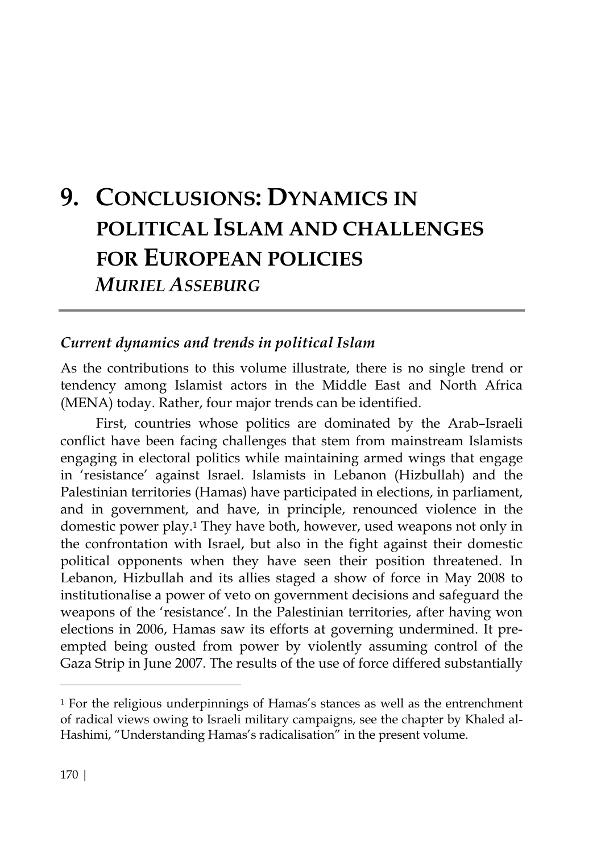# **9. CONCLUSIONS: DYNAMICS IN POLITICAL ISLAM AND CHALLENGES FOR EUROPEAN POLICIES** *MURIEL ASSEBURG*

#### *Current dynamics and trends in political Islam*

As the contributions to this volume illustrate, there is no single trend or tendency among Islamist actors in the Middle East and North Africa (MENA) today. Rather, four major trends can be identified.

First, countries whose politics are dominated by the Arab–Israeli conflict have been facing challenges that stem from mainstream Islamists engaging in electoral politics while maintaining armed wings that engage in 'resistance' against Israel. Islamists in Lebanon (Hizbullah) and the Palestinian territories (Hamas) have participated in elections, in parliament, and in government, and have, in principle, renounced violence in the domestic power play.1 They have both, however, used weapons not only in the confrontation with Israel, but also in the fight against their domestic political opponents when they have seen their position threatened. In Lebanon, Hizbullah and its allies staged a show of force in May 2008 to institutionalise a power of veto on government decisions and safeguard the weapons of the 'resistance'. In the Palestinian territories, after having won elections in 2006, Hamas saw its efforts at governing undermined. It preempted being ousted from power by violently assuming control of the Gaza Strip in June 2007. The results of the use of force differed substantially

<sup>&</sup>lt;sup>1</sup> For the religious underpinnings of Hamas's stances as well as the entrenchment of radical views owing to Israeli military campaigns, see the chapter by Khaled al-Hashimi, "Understanding Hamas's radicalisation" in the present volume.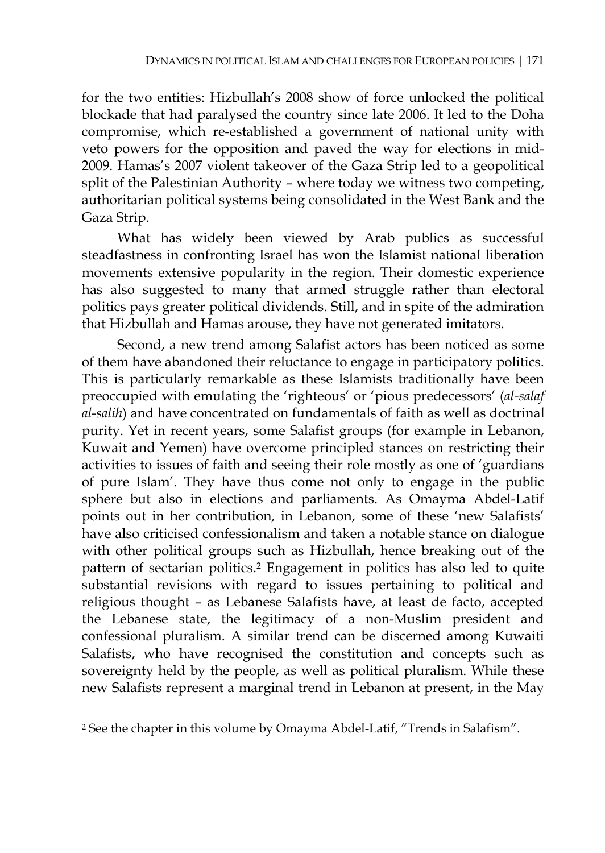for the two entities: Hizbullah's 2008 show of force unlocked the political blockade that had paralysed the country since late 2006. It led to the Doha compromise, which re-established a government of national unity with veto powers for the opposition and paved the way for elections in mid-2009. Hamas's 2007 violent takeover of the Gaza Strip led to a geopolitical split of the Palestinian Authority – where today we witness two competing, authoritarian political systems being consolidated in the West Bank and the Gaza Strip.

What has widely been viewed by Arab publics as successful steadfastness in confronting Israel has won the Islamist national liberation movements extensive popularity in the region. Their domestic experience has also suggested to many that armed struggle rather than electoral politics pays greater political dividends. Still, and in spite of the admiration that Hizbullah and Hamas arouse, they have not generated imitators.

Second, a new trend among Salafist actors has been noticed as some of them have abandoned their reluctance to engage in participatory politics. This is particularly remarkable as these Islamists traditionally have been preoccupied with emulating the 'righteous' or 'pious predecessors' (*al-salaf al-salih*) and have concentrated on fundamentals of faith as well as doctrinal purity. Yet in recent years, some Salafist groups (for example in Lebanon, Kuwait and Yemen) have overcome principled stances on restricting their activities to issues of faith and seeing their role mostly as one of 'guardians of pure Islam'. They have thus come not only to engage in the public sphere but also in elections and parliaments. As Omayma Abdel-Latif points out in her contribution, in Lebanon, some of these 'new Salafists' have also criticised confessionalism and taken a notable stance on dialogue with other political groups such as Hizbullah, hence breaking out of the pattern of sectarian politics.2 Engagement in politics has also led to quite substantial revisions with regard to issues pertaining to political and religious thought – as Lebanese Salafists have, at least de facto, accepted the Lebanese state, the legitimacy of a non-Muslim president and confessional pluralism. A similar trend can be discerned among Kuwaiti Salafists, who have recognised the constitution and concepts such as sovereignty held by the people, as well as political pluralism. While these new Salafists represent a marginal trend in Lebanon at present, in the May

<sup>2</sup> See the chapter in this volume by Omayma Abdel-Latif, "Trends in Salafism".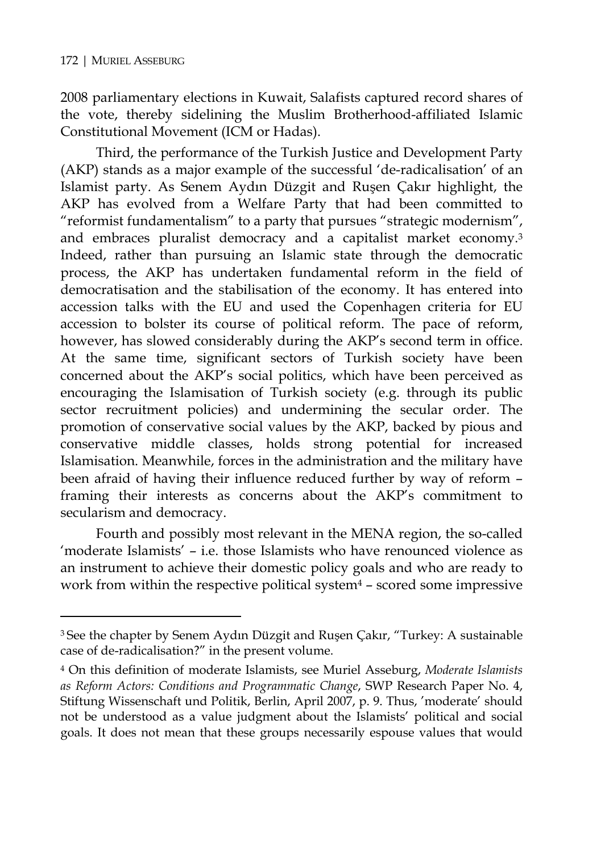$\overline{a}$ 

2008 parliamentary elections in Kuwait, Salafists captured record shares of the vote, thereby sidelining the Muslim Brotherhood-affiliated Islamic Constitutional Movement (ICM or Hadas).

Third, the performance of the Turkish Justice and Development Party (AKP) stands as a major example of the successful 'de-radicalisation' of an Islamist party. As Senem Aydın Düzgit and Ruşen Çakır highlight, the AKP has evolved from a Welfare Party that had been committed to "reformist fundamentalism" to a party that pursues "strategic modernism", and embraces pluralist democracy and a capitalist market economy.3 Indeed, rather than pursuing an Islamic state through the democratic process, the AKP has undertaken fundamental reform in the field of democratisation and the stabilisation of the economy. It has entered into accession talks with the EU and used the Copenhagen criteria for EU accession to bolster its course of political reform. The pace of reform, however, has slowed considerably during the AKP's second term in office. At the same time, significant sectors of Turkish society have been concerned about the AKP's social politics, which have been perceived as encouraging the Islamisation of Turkish society (e.g. through its public sector recruitment policies) and undermining the secular order. The promotion of conservative social values by the AKP, backed by pious and conservative middle classes, holds strong potential for increased Islamisation. Meanwhile, forces in the administration and the military have been afraid of having their influence reduced further by way of reform – framing their interests as concerns about the AKP's commitment to secularism and democracy.

Fourth and possibly most relevant in the MENA region, the so-called 'moderate Islamists' – i.e. those Islamists who have renounced violence as an instrument to achieve their domestic policy goals and who are ready to work from within the respective political system<sup>4</sup> - scored some impressive

<sup>3</sup> See the chapter by Senem Aydın Düzgit and Ruşen Çakır, "Turkey: A sustainable case of de-radicalisation?" in the present volume.

<sup>4</sup> On this definition of moderate Islamists, see Muriel Asseburg, *Moderate Islamists as Reform Actors: Conditions and Programmatic Change*, SWP Research Paper No. 4, Stiftung Wissenschaft und Politik, Berlin, April 2007, p. 9. Thus, 'moderate' should not be understood as a value judgment about the Islamists' political and social goals. It does not mean that these groups necessarily espouse values that would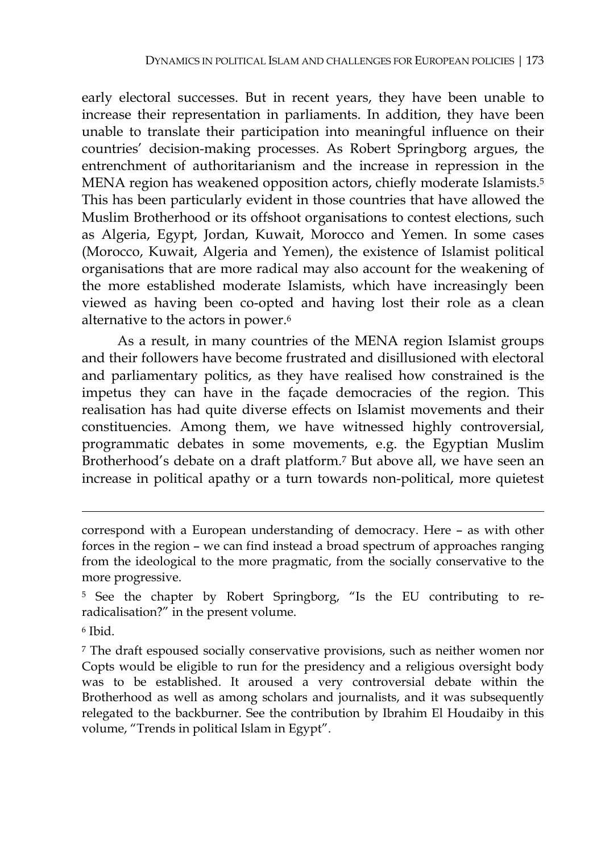early electoral successes. But in recent years, they have been unable to increase their representation in parliaments. In addition, they have been unable to translate their participation into meaningful influence on their countries' decision-making processes. As Robert Springborg argues, the entrenchment of authoritarianism and the increase in repression in the MENA region has weakened opposition actors, chiefly moderate Islamists.5 This has been particularly evident in those countries that have allowed the Muslim Brotherhood or its offshoot organisations to contest elections, such as Algeria, Egypt, Jordan, Kuwait, Morocco and Yemen. In some cases (Morocco, Kuwait, Algeria and Yemen), the existence of Islamist political organisations that are more radical may also account for the weakening of the more established moderate Islamists, which have increasingly been viewed as having been co-opted and having lost their role as a clean alternative to the actors in power.6

As a result, in many countries of the MENA region Islamist groups and their followers have become frustrated and disillusioned with electoral and parliamentary politics, as they have realised how constrained is the impetus they can have in the façade democracies of the region. This realisation has had quite diverse effects on Islamist movements and their constituencies. Among them, we have witnessed highly controversial, programmatic debates in some movements, e.g. the Egyptian Muslim Brotherhood's debate on a draft platform.7 But above all, we have seen an increase in political apathy or a turn towards non-political, more quietest

correspond with a European understanding of democracy. Here – as with other forces in the region – we can find instead a broad spectrum of approaches ranging from the ideological to the more pragmatic, from the socially conservative to the more progressive.

<sup>5</sup> See the chapter by Robert Springborg, "Is the EU contributing to reradicalisation?" in the present volume.

<sup>6</sup> Ibid.

<sup>7</sup> The draft espoused socially conservative provisions, such as neither women nor Copts would be eligible to run for the presidency and a religious oversight body was to be established. It aroused a very controversial debate within the Brotherhood as well as among scholars and journalists, and it was subsequently relegated to the backburner. See the contribution by Ibrahim El Houdaiby in this volume, "Trends in political Islam in Egypt".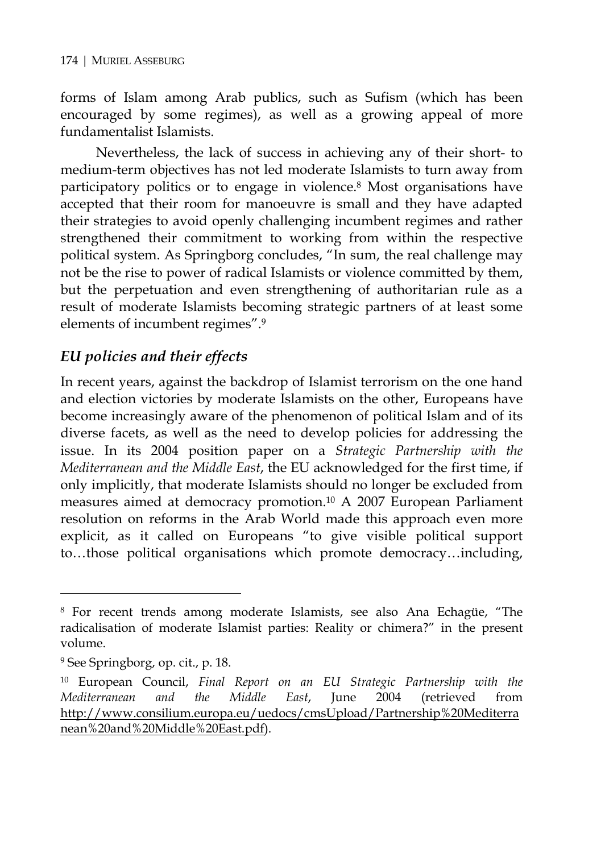forms of Islam among Arab publics, such as Sufism (which has been encouraged by some regimes), as well as a growing appeal of more fundamentalist Islamists.

Nevertheless, the lack of success in achieving any of their short- to medium-term objectives has not led moderate Islamists to turn away from participatory politics or to engage in violence.8 Most organisations have accepted that their room for manoeuvre is small and they have adapted their strategies to avoid openly challenging incumbent regimes and rather strengthened their commitment to working from within the respective political system. As Springborg concludes, "In sum, the real challenge may not be the rise to power of radical Islamists or violence committed by them, but the perpetuation and even strengthening of authoritarian rule as a result of moderate Islamists becoming strategic partners of at least some elements of incumbent regimes".9

# *EU policies and their effects*

In recent years, against the backdrop of Islamist terrorism on the one hand and election victories by moderate Islamists on the other, Europeans have become increasingly aware of the phenomenon of political Islam and of its diverse facets, as well as the need to develop policies for addressing the issue. In its 2004 position paper on a *Strategic Partnership with the Mediterranean and the Middle East*, the EU acknowledged for the first time, if only implicitly, that moderate Islamists should no longer be excluded from measures aimed at democracy promotion.10 A 2007 European Parliament resolution on reforms in the Arab World made this approach even more explicit, as it called on Europeans "to give visible political support to…those political organisations which promote democracy…including,

<sup>8</sup> For recent trends among moderate Islamists, see also Ana Echagüe, "The radicalisation of moderate Islamist parties: Reality or chimera?" in the present volume.

<sup>9</sup> See Springborg, op. cit., p. 18.

<sup>10</sup> European Council, *Final Report on an EU Strategic Partnership with the Mediterranean and the Middle East*, June 2004 (retrieved from http://www.consilium.europa.eu/uedocs/cmsUpload/Partnership%20Mediterra nean%20and%20Middle%20East.pdf).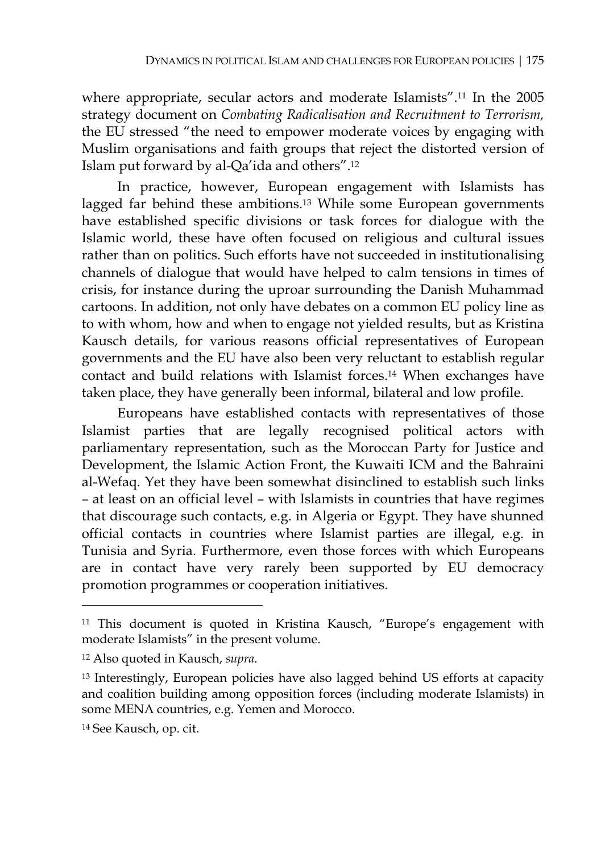where appropriate, secular actors and moderate Islamists".11 In the 2005 strategy document on *Combating Radicalisation and Recruitment to Terrorism,*  the EU stressed "the need to empower moderate voices by engaging with Muslim organisations and faith groups that reject the distorted version of Islam put forward by al-Qa'ida and others".12

In practice, however, European engagement with Islamists has lagged far behind these ambitions.13 While some European governments have established specific divisions or task forces for dialogue with the Islamic world, these have often focused on religious and cultural issues rather than on politics. Such efforts have not succeeded in institutionalising channels of dialogue that would have helped to calm tensions in times of crisis, for instance during the uproar surrounding the Danish Muhammad cartoons. In addition, not only have debates on a common EU policy line as to with whom, how and when to engage not yielded results, but as Kristina Kausch details, for various reasons official representatives of European governments and the EU have also been very reluctant to establish regular contact and build relations with Islamist forces.14 When exchanges have taken place, they have generally been informal, bilateral and low profile.

Europeans have established contacts with representatives of those Islamist parties that are legally recognised political actors with parliamentary representation, such as the Moroccan Party for Justice and Development, the Islamic Action Front, the Kuwaiti ICM and the Bahraini al-Wefaq. Yet they have been somewhat disinclined to establish such links – at least on an official level – with Islamists in countries that have regimes that discourage such contacts, e.g. in Algeria or Egypt. They have shunned official contacts in countries where Islamist parties are illegal, e.g. in Tunisia and Syria. Furthermore, even those forces with which Europeans are in contact have very rarely been supported by EU democracy promotion programmes or cooperation initiatives.

<sup>&</sup>lt;sup>11</sup> This document is quoted in Kristina Kausch, "Europe's engagement with moderate Islamists" in the present volume.

<sup>12</sup> Also quoted in Kausch, *supra*.

<sup>&</sup>lt;sup>13</sup> Interestingly, European policies have also lagged behind US efforts at capacity and coalition building among opposition forces (including moderate Islamists) in some MENA countries, e.g. Yemen and Morocco.

<sup>14</sup> See Kausch, op. cit.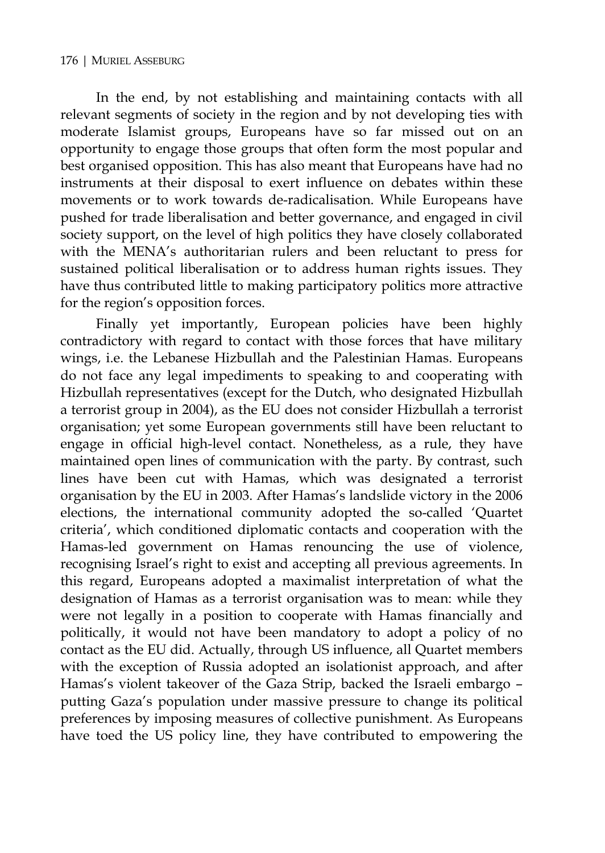In the end, by not establishing and maintaining contacts with all relevant segments of society in the region and by not developing ties with moderate Islamist groups, Europeans have so far missed out on an opportunity to engage those groups that often form the most popular and best organised opposition. This has also meant that Europeans have had no instruments at their disposal to exert influence on debates within these movements or to work towards de-radicalisation. While Europeans have pushed for trade liberalisation and better governance, and engaged in civil society support, on the level of high politics they have closely collaborated with the MENA's authoritarian rulers and been reluctant to press for sustained political liberalisation or to address human rights issues. They have thus contributed little to making participatory politics more attractive for the region's opposition forces.

Finally yet importantly, European policies have been highly contradictory with regard to contact with those forces that have military wings, i.e. the Lebanese Hizbullah and the Palestinian Hamas. Europeans do not face any legal impediments to speaking to and cooperating with Hizbullah representatives (except for the Dutch, who designated Hizbullah a terrorist group in 2004), as the EU does not consider Hizbullah a terrorist organisation; yet some European governments still have been reluctant to engage in official high-level contact. Nonetheless, as a rule, they have maintained open lines of communication with the party. By contrast, such lines have been cut with Hamas, which was designated a terrorist organisation by the EU in 2003. After Hamas's landslide victory in the 2006 elections, the international community adopted the so-called 'Quartet criteria', which conditioned diplomatic contacts and cooperation with the Hamas-led government on Hamas renouncing the use of violence, recognising Israel's right to exist and accepting all previous agreements. In this regard, Europeans adopted a maximalist interpretation of what the designation of Hamas as a terrorist organisation was to mean: while they were not legally in a position to cooperate with Hamas financially and politically, it would not have been mandatory to adopt a policy of no contact as the EU did. Actually, through US influence, all Quartet members with the exception of Russia adopted an isolationist approach, and after Hamas's violent takeover of the Gaza Strip, backed the Israeli embargo – putting Gaza's population under massive pressure to change its political preferences by imposing measures of collective punishment. As Europeans have toed the US policy line, they have contributed to empowering the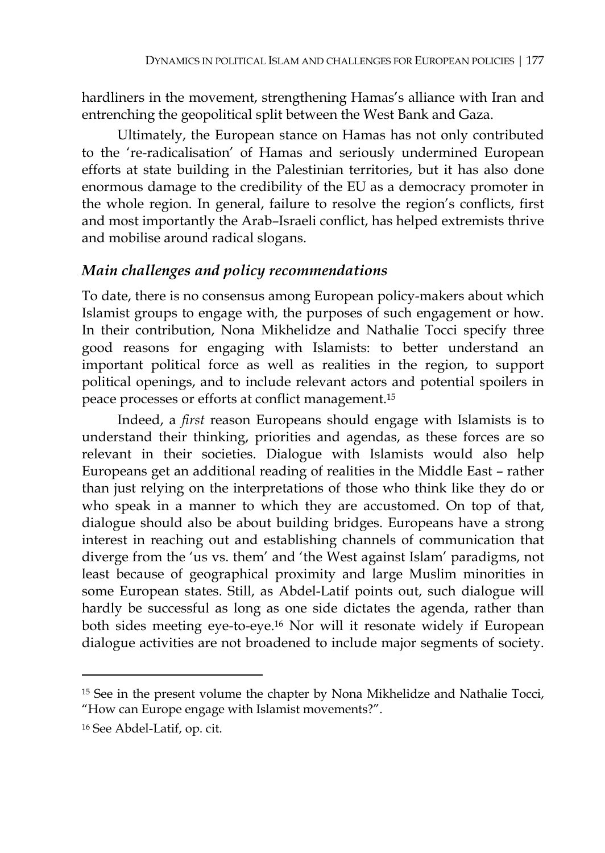hardliners in the movement, strengthening Hamas's alliance with Iran and entrenching the geopolitical split between the West Bank and Gaza.

Ultimately, the European stance on Hamas has not only contributed to the 're-radicalisation' of Hamas and seriously undermined European efforts at state building in the Palestinian territories, but it has also done enormous damage to the credibility of the EU as a democracy promoter in the whole region. In general, failure to resolve the region's conflicts, first and most importantly the Arab–Israeli conflict, has helped extremists thrive and mobilise around radical slogans.

## *Main challenges and policy recommendations*

To date, there is no consensus among European policy-makers about which Islamist groups to engage with, the purposes of such engagement or how. In their contribution, Nona Mikhelidze and Nathalie Tocci specify three good reasons for engaging with Islamists: to better understand an important political force as well as realities in the region, to support political openings, and to include relevant actors and potential spoilers in peace processes or efforts at conflict management.15

Indeed, a *first* reason Europeans should engage with Islamists is to understand their thinking, priorities and agendas, as these forces are so relevant in their societies. Dialogue with Islamists would also help Europeans get an additional reading of realities in the Middle East – rather than just relying on the interpretations of those who think like they do or who speak in a manner to which they are accustomed. On top of that, dialogue should also be about building bridges. Europeans have a strong interest in reaching out and establishing channels of communication that diverge from the 'us vs. them' and 'the West against Islam' paradigms, not least because of geographical proximity and large Muslim minorities in some European states. Still, as Abdel-Latif points out, such dialogue will hardly be successful as long as one side dictates the agenda, rather than both sides meeting eye-to-eye.16 Nor will it resonate widely if European dialogue activities are not broadened to include major segments of society.

 $\ddot{\phantom{a}}$ 

<sup>15</sup> See in the present volume the chapter by Nona Mikhelidze and Nathalie Tocci, "How can Europe engage with Islamist movements?".

<sup>16</sup> See Abdel-Latif, op. cit.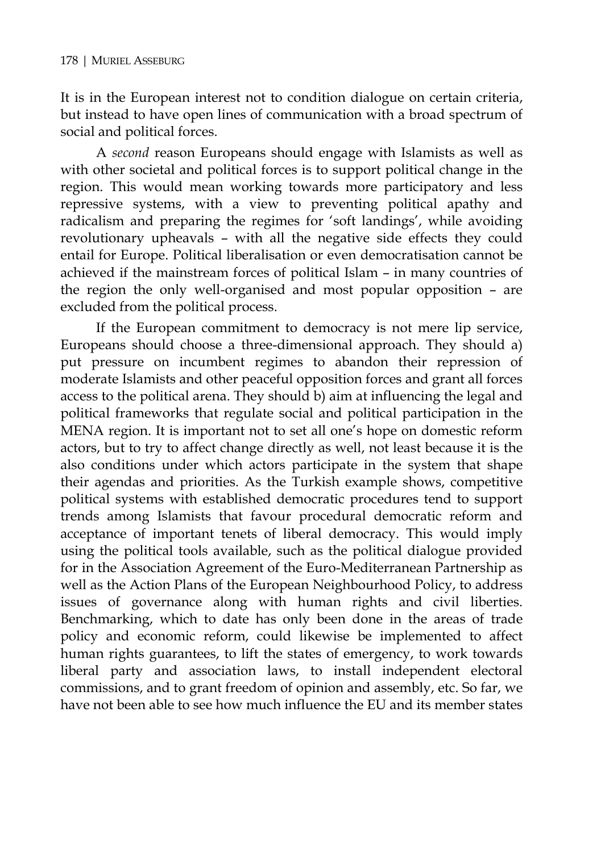It is in the European interest not to condition dialogue on certain criteria, but instead to have open lines of communication with a broad spectrum of social and political forces.

A *second* reason Europeans should engage with Islamists as well as with other societal and political forces is to support political change in the region. This would mean working towards more participatory and less repressive systems, with a view to preventing political apathy and radicalism and preparing the regimes for 'soft landings', while avoiding revolutionary upheavals – with all the negative side effects they could entail for Europe. Political liberalisation or even democratisation cannot be achieved if the mainstream forces of political Islam – in many countries of the region the only well-organised and most popular opposition – are excluded from the political process.

If the European commitment to democracy is not mere lip service, Europeans should choose a three-dimensional approach. They should a) put pressure on incumbent regimes to abandon their repression of moderate Islamists and other peaceful opposition forces and grant all forces access to the political arena. They should b) aim at influencing the legal and political frameworks that regulate social and political participation in the MENA region. It is important not to set all one's hope on domestic reform actors, but to try to affect change directly as well, not least because it is the also conditions under which actors participate in the system that shape their agendas and priorities. As the Turkish example shows, competitive political systems with established democratic procedures tend to support trends among Islamists that favour procedural democratic reform and acceptance of important tenets of liberal democracy. This would imply using the political tools available, such as the political dialogue provided for in the Association Agreement of the Euro-Mediterranean Partnership as well as the Action Plans of the European Neighbourhood Policy, to address issues of governance along with human rights and civil liberties. Benchmarking, which to date has only been done in the areas of trade policy and economic reform, could likewise be implemented to affect human rights guarantees, to lift the states of emergency, to work towards liberal party and association laws, to install independent electoral commissions, and to grant freedom of opinion and assembly, etc. So far, we have not been able to see how much influence the EU and its member states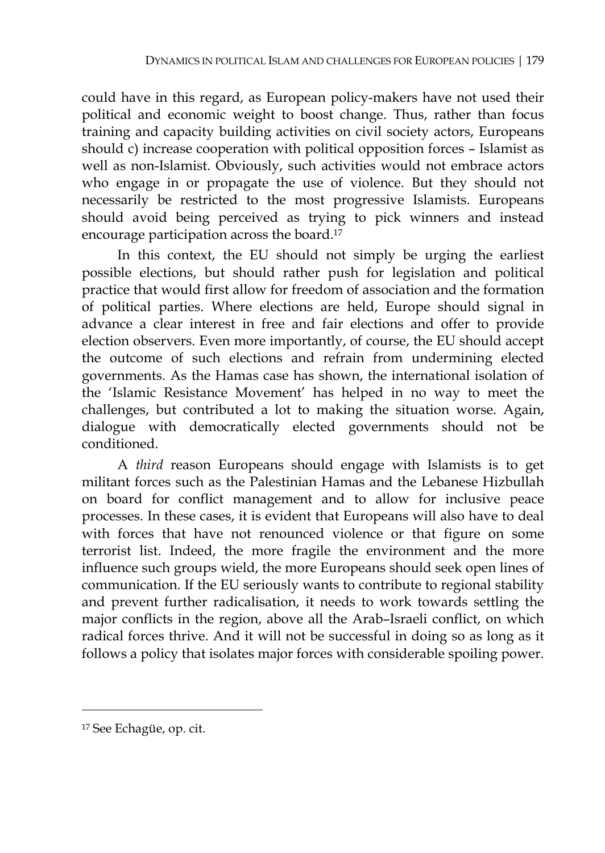could have in this regard, as European policy-makers have not used their political and economic weight to boost change. Thus, rather than focus training and capacity building activities on civil society actors, Europeans should c) increase cooperation with political opposition forces – Islamist as well as non-Islamist. Obviously, such activities would not embrace actors who engage in or propagate the use of violence. But they should not necessarily be restricted to the most progressive Islamists. Europeans should avoid being perceived as trying to pick winners and instead encourage participation across the board.17

In this context, the EU should not simply be urging the earliest possible elections, but should rather push for legislation and political practice that would first allow for freedom of association and the formation of political parties. Where elections are held, Europe should signal in advance a clear interest in free and fair elections and offer to provide election observers. Even more importantly, of course, the EU should accept the outcome of such elections and refrain from undermining elected governments. As the Hamas case has shown, the international isolation of the 'Islamic Resistance Movement' has helped in no way to meet the challenges, but contributed a lot to making the situation worse. Again, dialogue with democratically elected governments should not be conditioned.

A *third* reason Europeans should engage with Islamists is to get militant forces such as the Palestinian Hamas and the Lebanese Hizbullah on board for conflict management and to allow for inclusive peace processes. In these cases, it is evident that Europeans will also have to deal with forces that have not renounced violence or that figure on some terrorist list. Indeed, the more fragile the environment and the more influence such groups wield, the more Europeans should seek open lines of communication. If the EU seriously wants to contribute to regional stability and prevent further radicalisation, it needs to work towards settling the major conflicts in the region, above all the Arab–Israeli conflict, on which radical forces thrive. And it will not be successful in doing so as long as it follows a policy that isolates major forces with considerable spoiling power.

 $\overline{a}$ 

<sup>17</sup> See Echagüe, op. cit.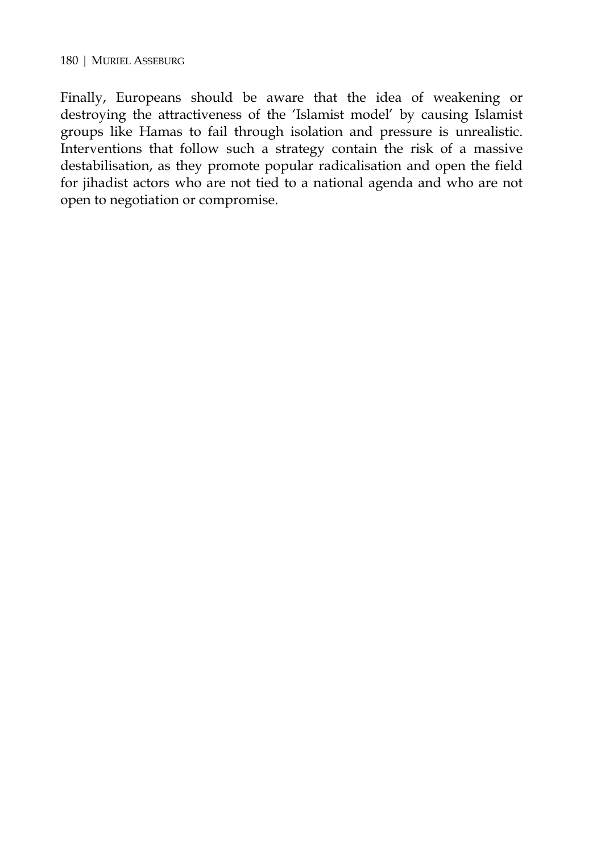Finally, Europeans should be aware that the idea of weakening or destroying the attractiveness of the 'Islamist model' by causing Islamist groups like Hamas to fail through isolation and pressure is unrealistic. Interventions that follow such a strategy contain the risk of a massive destabilisation, as they promote popular radicalisation and open the field for jihadist actors who are not tied to a national agenda and who are not open to negotiation or compromise.